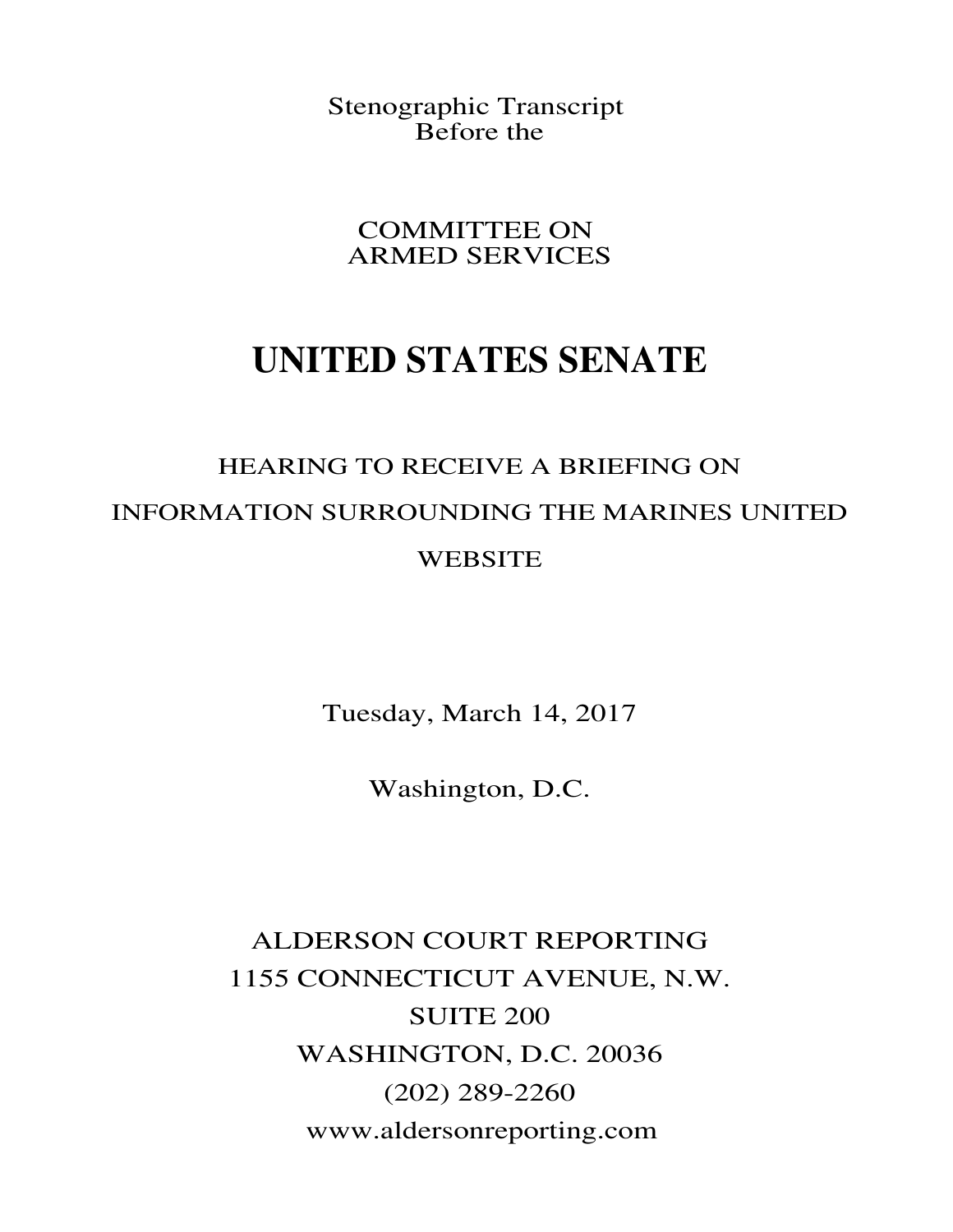Stenographic Transcript Before the

COMMITTEE ON ARMED SERVICES

## **UNITED STATES SENATE**

## HEARING TO RECEIVE A BRIEFING ON INFORMATION SURROUNDING THE MARINES UNITED **WEBSITE**

Tuesday, March 14, 2017

Washington, D.C.

ALDERSON COURT REPORTING 1155 CONNECTICUT AVENUE, N.W. SUITE 200 WASHINGTON, D.C. 20036 (202) 289-2260 www.aldersonreporting.com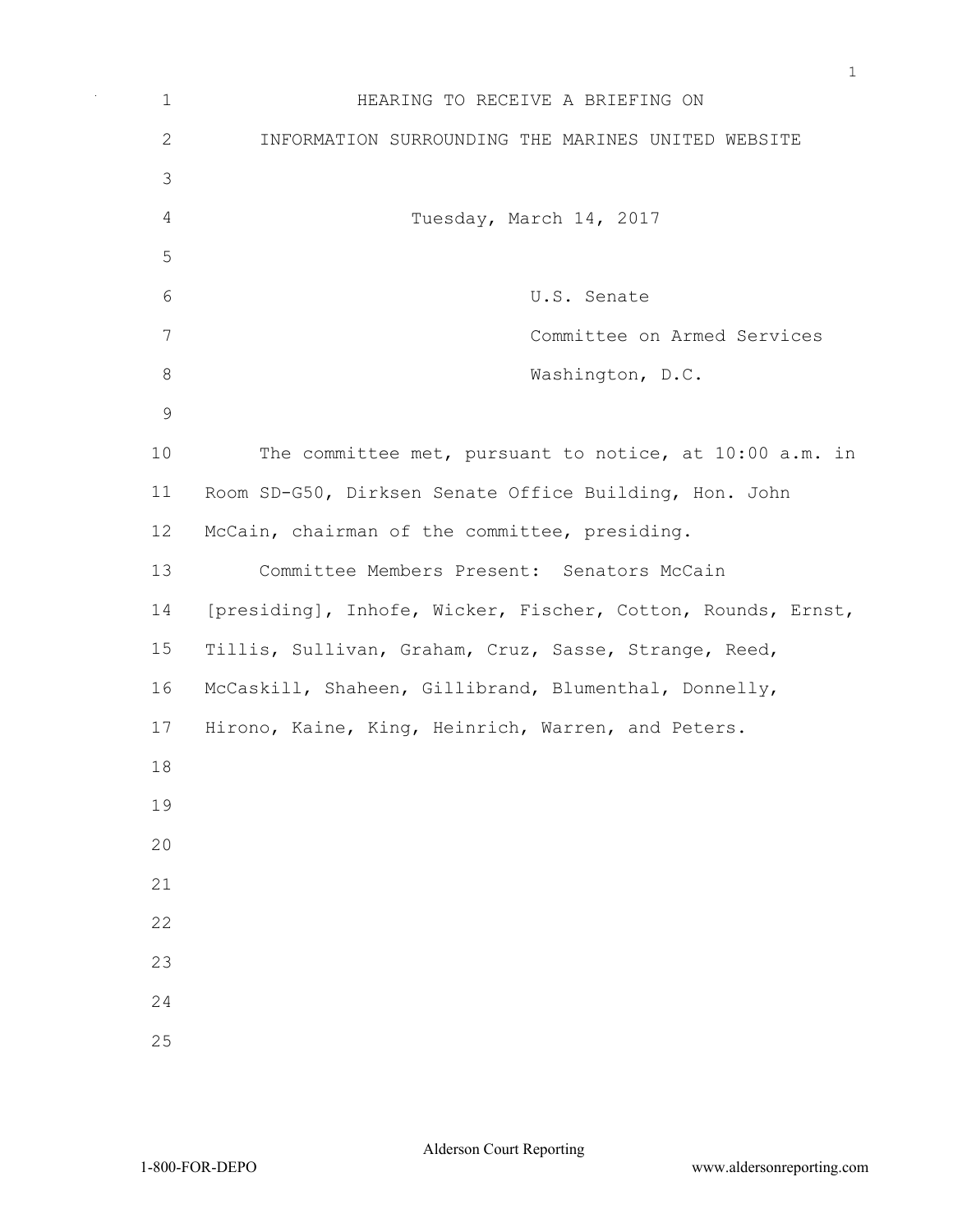| $\mathbf 1$   | HEARING TO RECEIVE A BRIEFING ON                             |  |  |
|---------------|--------------------------------------------------------------|--|--|
| $\mathbf{2}$  | INFORMATION SURROUNDING THE MARINES UNITED WEBSITE           |  |  |
| 3             |                                                              |  |  |
| 4             | Tuesday, March 14, 2017                                      |  |  |
| 5             |                                                              |  |  |
| 6             | U.S. Senate                                                  |  |  |
| 7             | Committee on Armed Services                                  |  |  |
| $\,8\,$       | Washington, D.C.                                             |  |  |
| $\mathcal{G}$ |                                                              |  |  |
| 10            | The committee met, pursuant to notice, at 10:00 a.m. in      |  |  |
| 11            | Room SD-G50, Dirksen Senate Office Building, Hon. John       |  |  |
| 12            | McCain, chairman of the committee, presiding.                |  |  |
| 13            | Committee Members Present: Senators McCain                   |  |  |
| 14            | [presiding], Inhofe, Wicker, Fischer, Cotton, Rounds, Ernst, |  |  |
| 15            | Tillis, Sullivan, Graham, Cruz, Sasse, Strange, Reed,        |  |  |
| 16            | McCaskill, Shaheen, Gillibrand, Blumenthal, Donnelly,        |  |  |
| 17            | Hirono, Kaine, King, Heinrich, Warren, and Peters.           |  |  |
| 18            |                                                              |  |  |
| 19            |                                                              |  |  |
| 20            |                                                              |  |  |
| 21            |                                                              |  |  |
| 22            |                                                              |  |  |
| 23            |                                                              |  |  |
| 24            |                                                              |  |  |
| 25            |                                                              |  |  |

 $\bar{\beta}$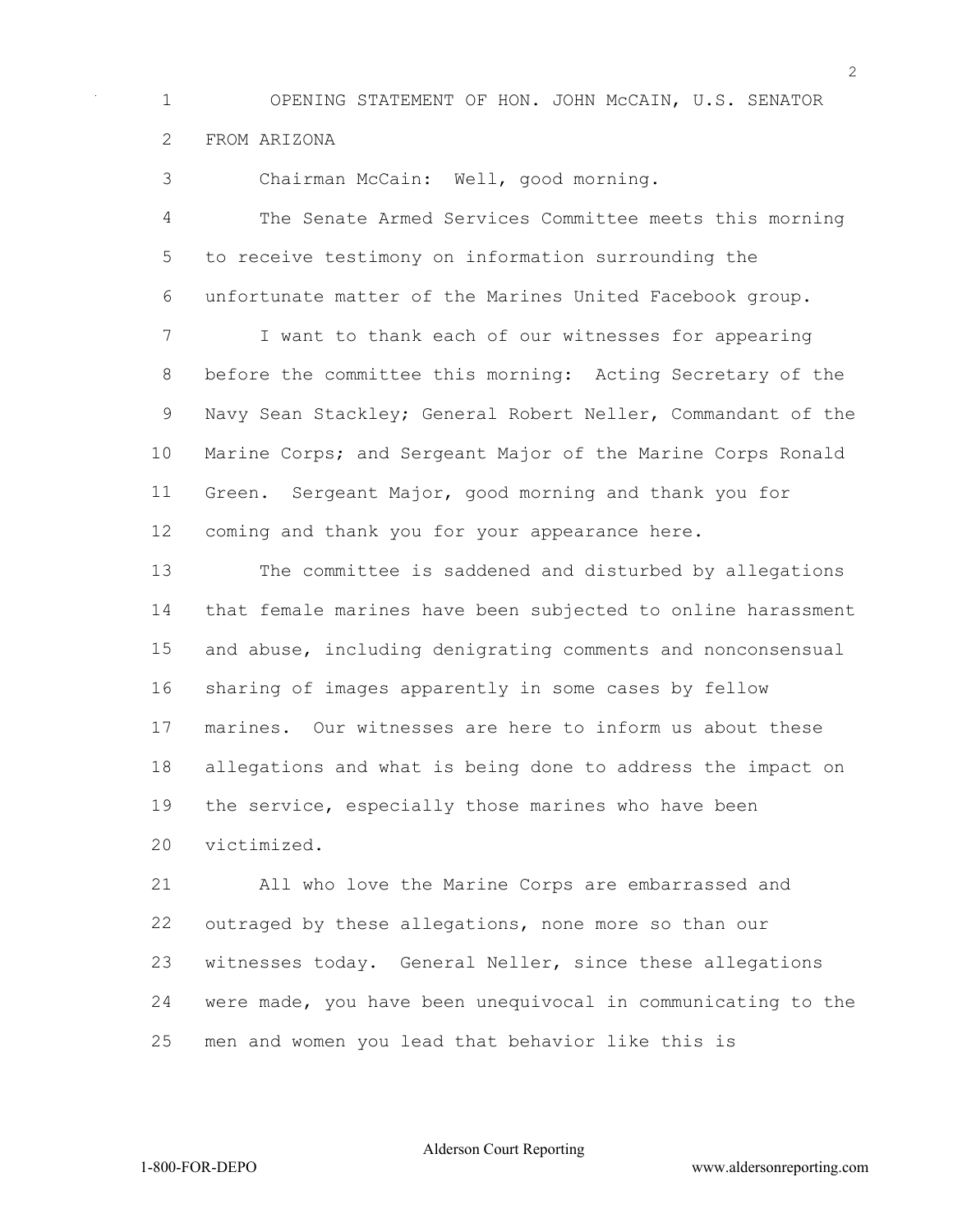OPENING STATEMENT OF HON. JOHN McCAIN, U.S. SENATOR FROM ARIZONA

Chairman McCain: Well, good morning.

 The Senate Armed Services Committee meets this morning to receive testimony on information surrounding the unfortunate matter of the Marines United Facebook group.

 I want to thank each of our witnesses for appearing before the committee this morning: Acting Secretary of the Navy Sean Stackley; General Robert Neller, Commandant of the Marine Corps; and Sergeant Major of the Marine Corps Ronald Green. Sergeant Major, good morning and thank you for coming and thank you for your appearance here.

 The committee is saddened and disturbed by allegations that female marines have been subjected to online harassment and abuse, including denigrating comments and nonconsensual sharing of images apparently in some cases by fellow marines. Our witnesses are here to inform us about these allegations and what is being done to address the impact on the service, especially those marines who have been victimized.

 All who love the Marine Corps are embarrassed and outraged by these allegations, none more so than our witnesses today. General Neller, since these allegations were made, you have been unequivocal in communicating to the men and women you lead that behavior like this is

Alderson Court Reporting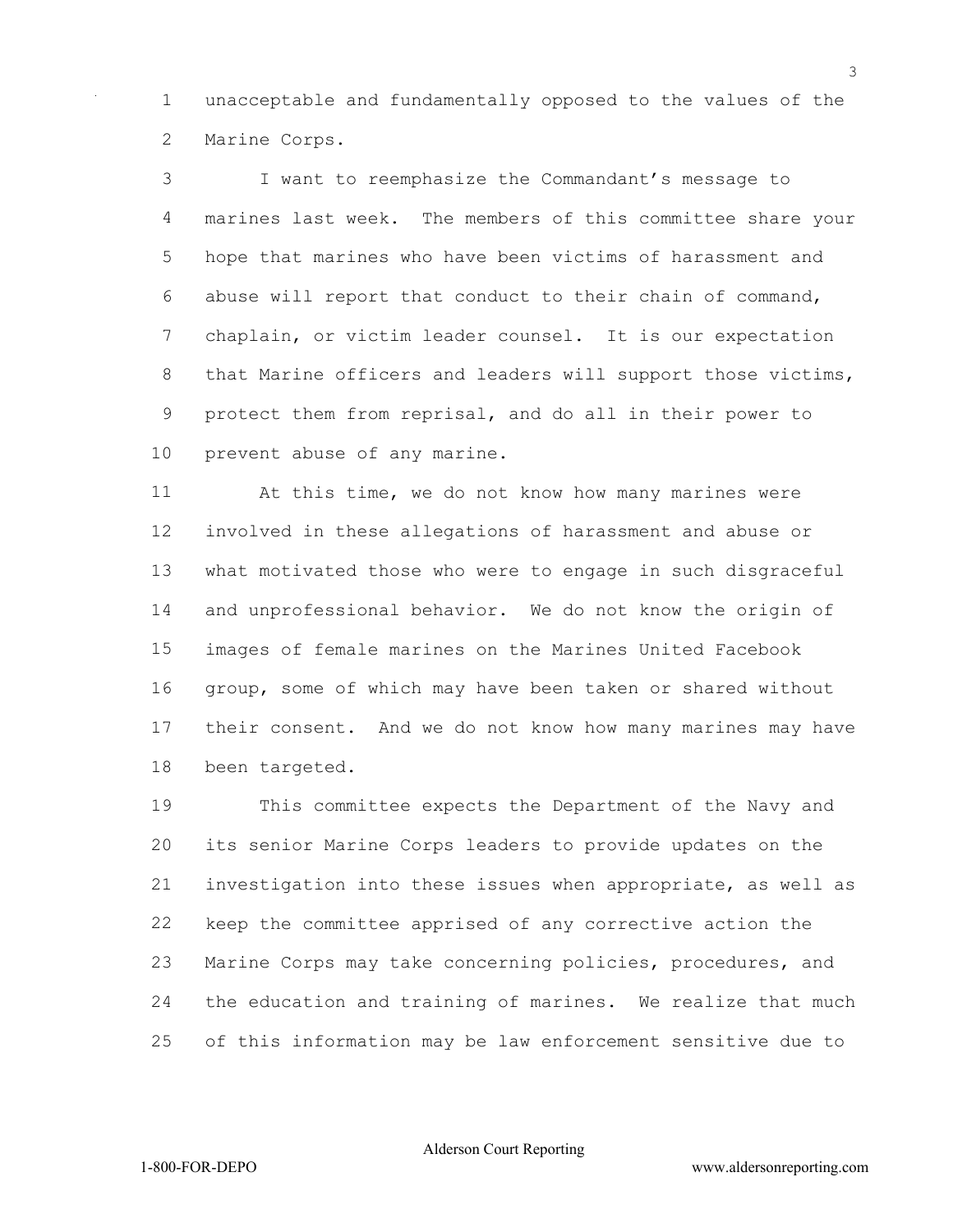unacceptable and fundamentally opposed to the values of the Marine Corps.

 I want to reemphasize the Commandant's message to marines last week. The members of this committee share your hope that marines who have been victims of harassment and abuse will report that conduct to their chain of command, chaplain, or victim leader counsel. It is our expectation 8 that Marine officers and leaders will support those victims, protect them from reprisal, and do all in their power to prevent abuse of any marine.

 At this time, we do not know how many marines were involved in these allegations of harassment and abuse or what motivated those who were to engage in such disgraceful and unprofessional behavior. We do not know the origin of images of female marines on the Marines United Facebook group, some of which may have been taken or shared without their consent. And we do not know how many marines may have been targeted.

 This committee expects the Department of the Navy and its senior Marine Corps leaders to provide updates on the investigation into these issues when appropriate, as well as keep the committee apprised of any corrective action the Marine Corps may take concerning policies, procedures, and the education and training of marines. We realize that much of this information may be law enforcement sensitive due to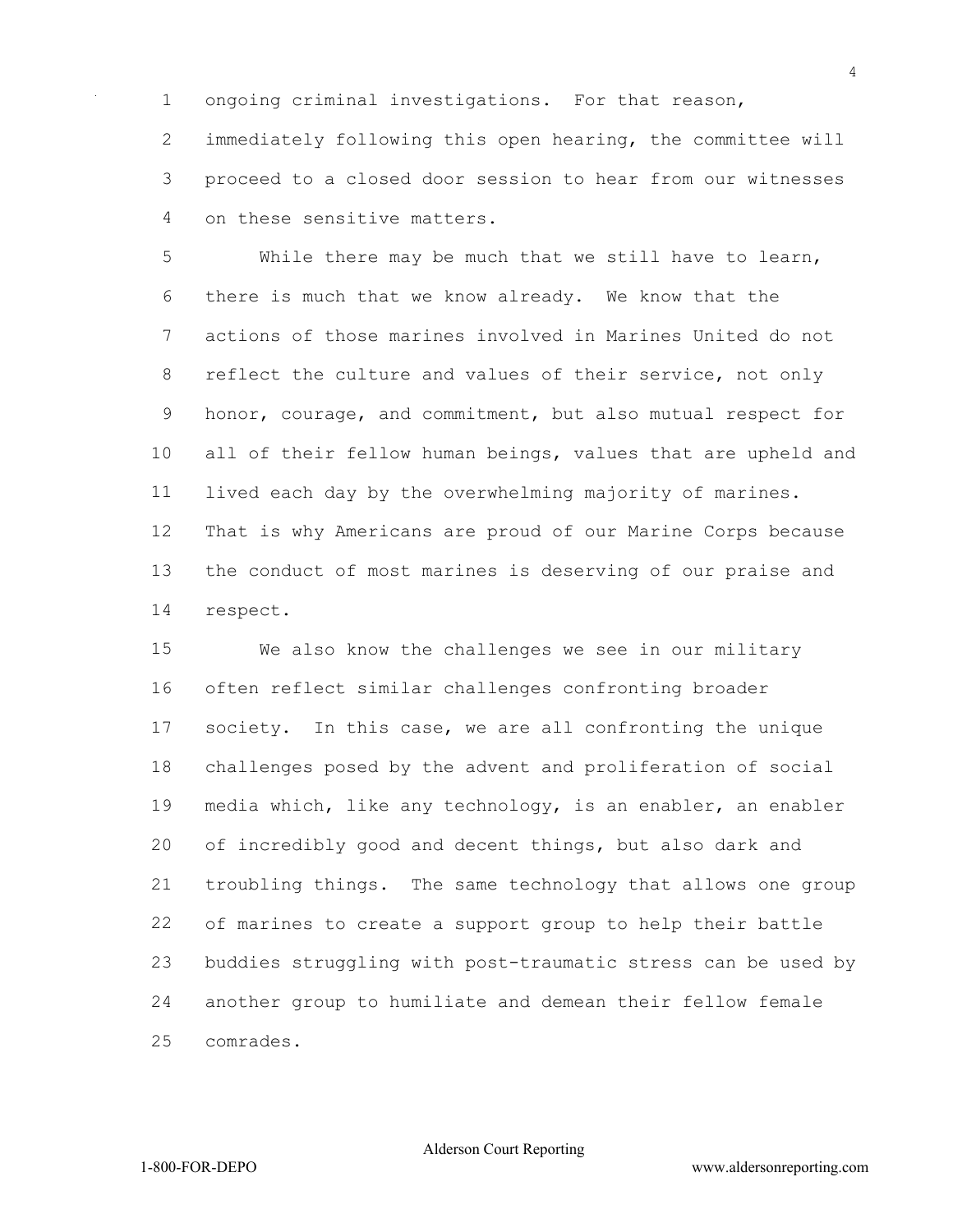ongoing criminal investigations. For that reason,

 immediately following this open hearing, the committee will proceed to a closed door session to hear from our witnesses on these sensitive matters.

 While there may be much that we still have to learn, there is much that we know already. We know that the actions of those marines involved in Marines United do not 8 reflect the culture and values of their service, not only honor, courage, and commitment, but also mutual respect for all of their fellow human beings, values that are upheld and lived each day by the overwhelming majority of marines. That is why Americans are proud of our Marine Corps because the conduct of most marines is deserving of our praise and respect.

 We also know the challenges we see in our military often reflect similar challenges confronting broader society. In this case, we are all confronting the unique challenges posed by the advent and proliferation of social media which, like any technology, is an enabler, an enabler of incredibly good and decent things, but also dark and troubling things. The same technology that allows one group of marines to create a support group to help their battle buddies struggling with post-traumatic stress can be used by another group to humiliate and demean their fellow female comrades.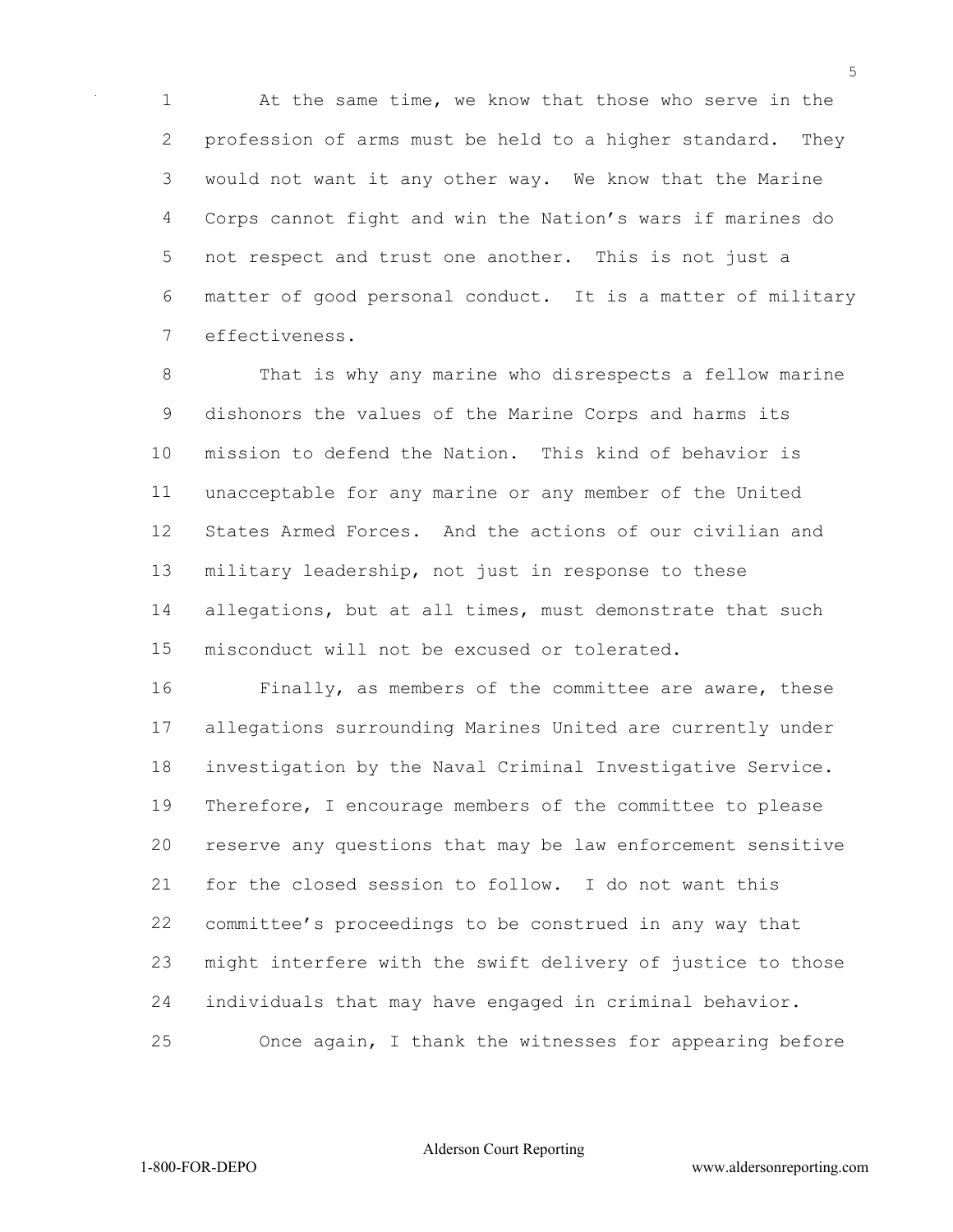At the same time, we know that those who serve in the profession of arms must be held to a higher standard. They would not want it any other way. We know that the Marine Corps cannot fight and win the Nation's wars if marines do not respect and trust one another. This is not just a matter of good personal conduct. It is a matter of military effectiveness.

 That is why any marine who disrespects a fellow marine dishonors the values of the Marine Corps and harms its mission to defend the Nation. This kind of behavior is unacceptable for any marine or any member of the United States Armed Forces. And the actions of our civilian and military leadership, not just in response to these allegations, but at all times, must demonstrate that such misconduct will not be excused or tolerated.

 Finally, as members of the committee are aware, these allegations surrounding Marines United are currently under investigation by the Naval Criminal Investigative Service. Therefore, I encourage members of the committee to please reserve any questions that may be law enforcement sensitive for the closed session to follow. I do not want this committee's proceedings to be construed in any way that might interfere with the swift delivery of justice to those individuals that may have engaged in criminal behavior. Once again, I thank the witnesses for appearing before

Alderson Court Reporting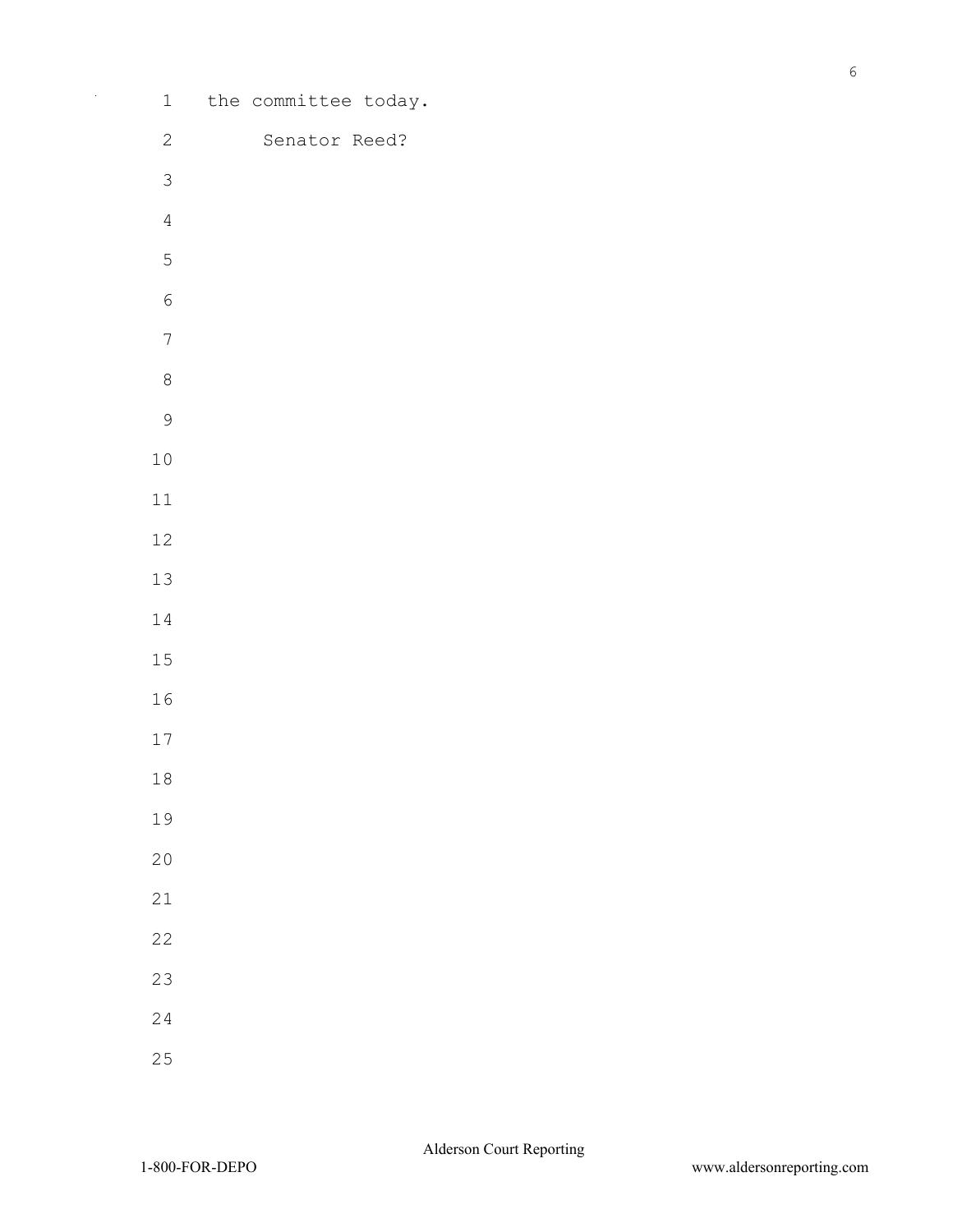- 
- 
- 
- 
- 
- 
- 
- 
- 
- 
- 
- 
-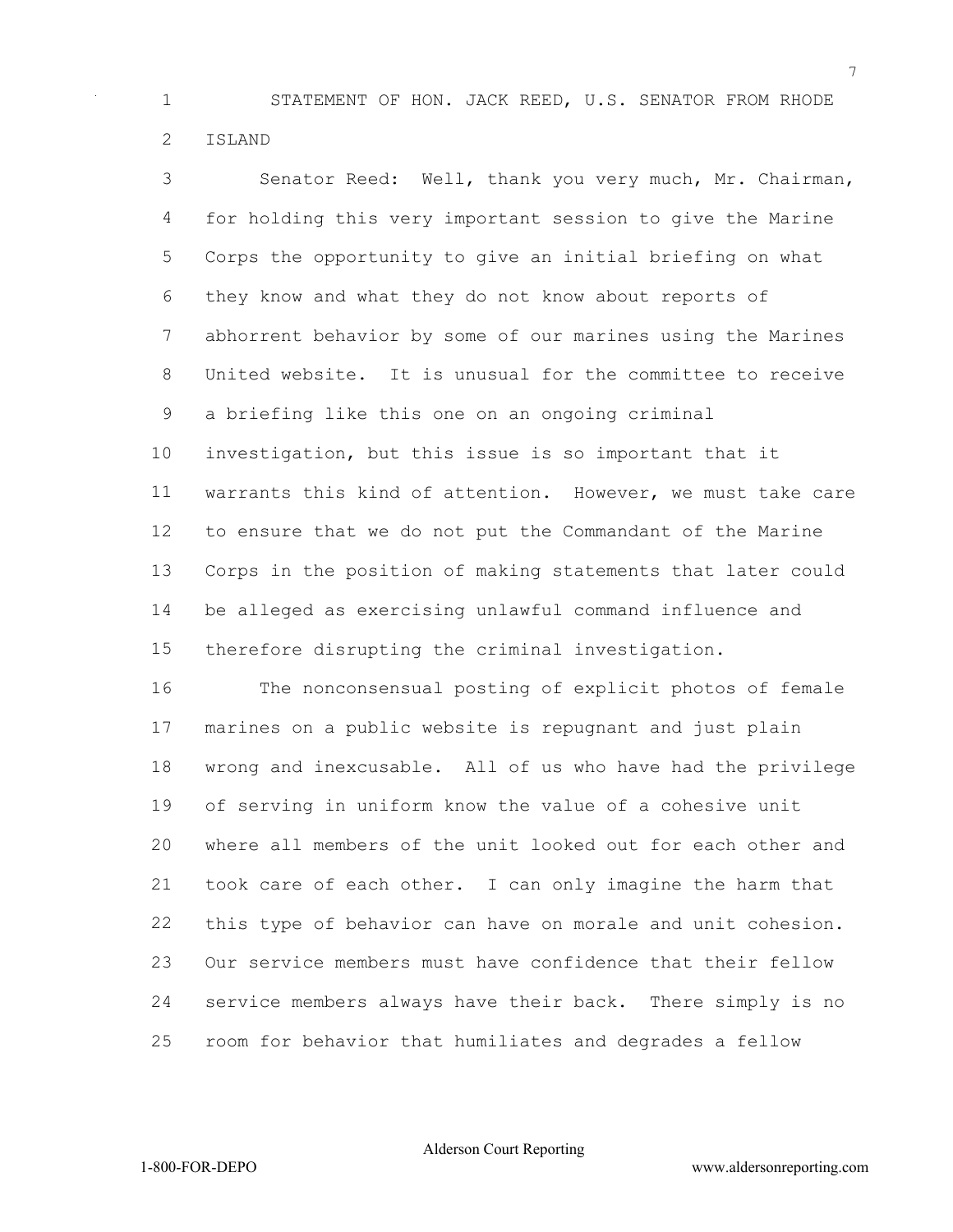STATEMENT OF HON. JACK REED, U.S. SENATOR FROM RHODE ISLAND

 Senator Reed: Well, thank you very much, Mr. Chairman, for holding this very important session to give the Marine Corps the opportunity to give an initial briefing on what they know and what they do not know about reports of abhorrent behavior by some of our marines using the Marines United website. It is unusual for the committee to receive a briefing like this one on an ongoing criminal investigation, but this issue is so important that it warrants this kind of attention. However, we must take care to ensure that we do not put the Commandant of the Marine Corps in the position of making statements that later could be alleged as exercising unlawful command influence and therefore disrupting the criminal investigation.

 The nonconsensual posting of explicit photos of female marines on a public website is repugnant and just plain wrong and inexcusable. All of us who have had the privilege of serving in uniform know the value of a cohesive unit where all members of the unit looked out for each other and took care of each other. I can only imagine the harm that this type of behavior can have on morale and unit cohesion. Our service members must have confidence that their fellow service members always have their back. There simply is no room for behavior that humiliates and degrades a fellow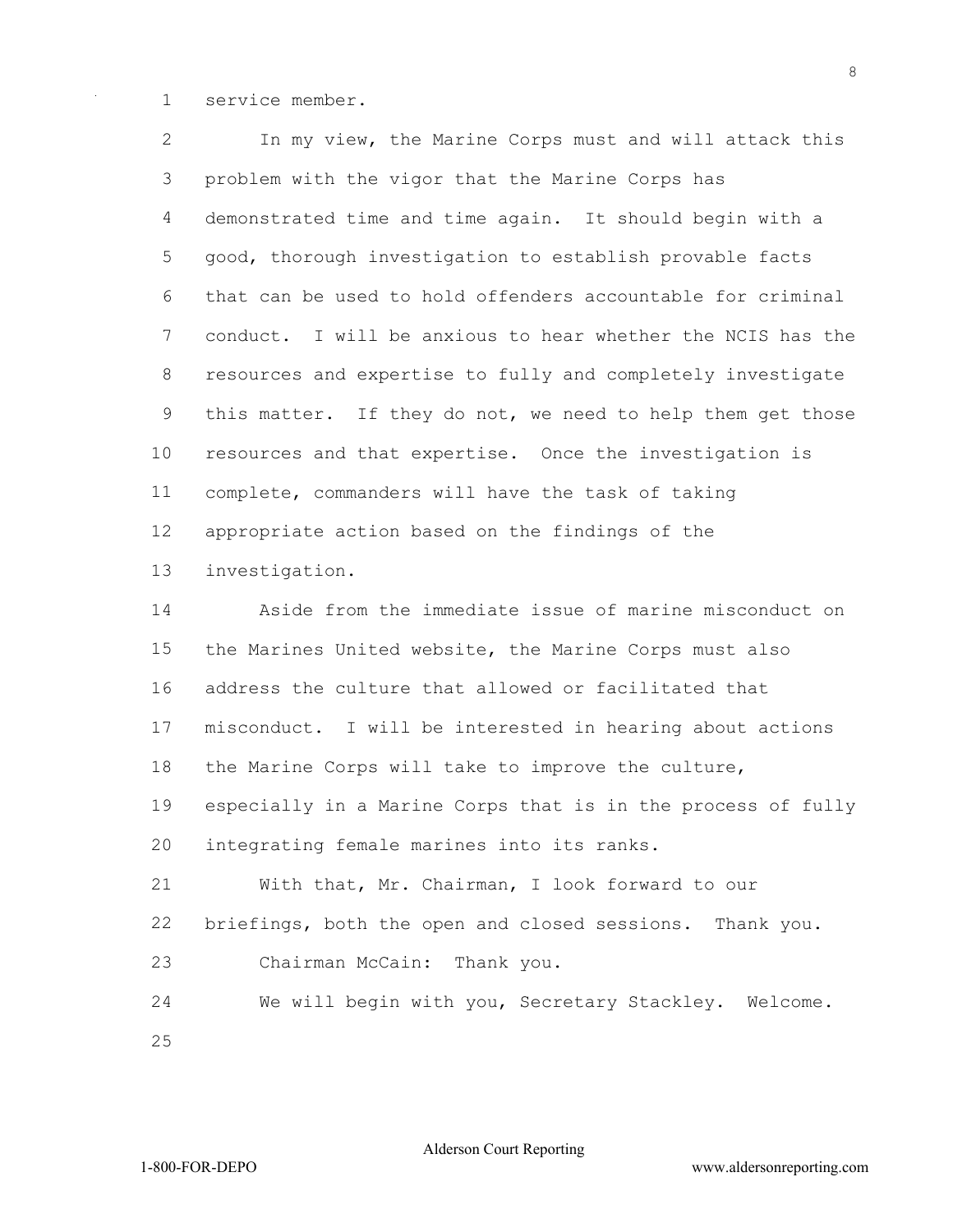service member.

 In my view, the Marine Corps must and will attack this problem with the vigor that the Marine Corps has demonstrated time and time again. It should begin with a good, thorough investigation to establish provable facts that can be used to hold offenders accountable for criminal conduct. I will be anxious to hear whether the NCIS has the resources and expertise to fully and completely investigate this matter. If they do not, we need to help them get those resources and that expertise. Once the investigation is complete, commanders will have the task of taking appropriate action based on the findings of the investigation.

 Aside from the immediate issue of marine misconduct on the Marines United website, the Marine Corps must also address the culture that allowed or facilitated that misconduct. I will be interested in hearing about actions the Marine Corps will take to improve the culture, especially in a Marine Corps that is in the process of fully integrating female marines into its ranks. With that, Mr. Chairman, I look forward to our briefings, both the open and closed sessions. Thank you. Chairman McCain: Thank you.

 We will begin with you, Secretary Stackley. Welcome. 

Alderson Court Reporting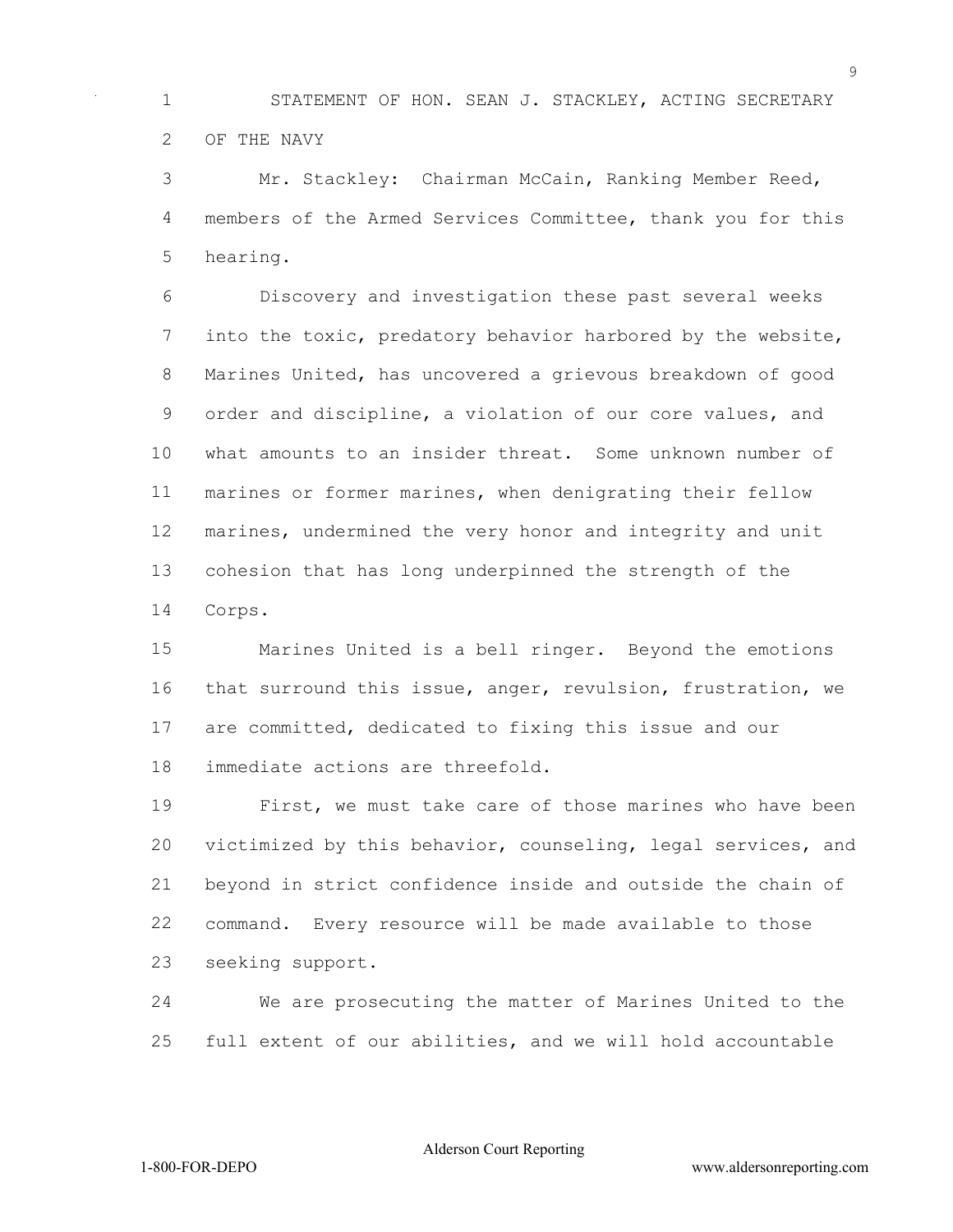STATEMENT OF HON. SEAN J. STACKLEY, ACTING SECRETARY OF THE NAVY

 Mr. Stackley: Chairman McCain, Ranking Member Reed, members of the Armed Services Committee, thank you for this hearing.

 Discovery and investigation these past several weeks into the toxic, predatory behavior harbored by the website, Marines United, has uncovered a grievous breakdown of good order and discipline, a violation of our core values, and what amounts to an insider threat. Some unknown number of marines or former marines, when denigrating their fellow marines, undermined the very honor and integrity and unit cohesion that has long underpinned the strength of the Corps.

 Marines United is a bell ringer. Beyond the emotions that surround this issue, anger, revulsion, frustration, we are committed, dedicated to fixing this issue and our immediate actions are threefold.

 First, we must take care of those marines who have been victimized by this behavior, counseling, legal services, and beyond in strict confidence inside and outside the chain of command. Every resource will be made available to those seeking support.

 We are prosecuting the matter of Marines United to the full extent of our abilities, and we will hold accountable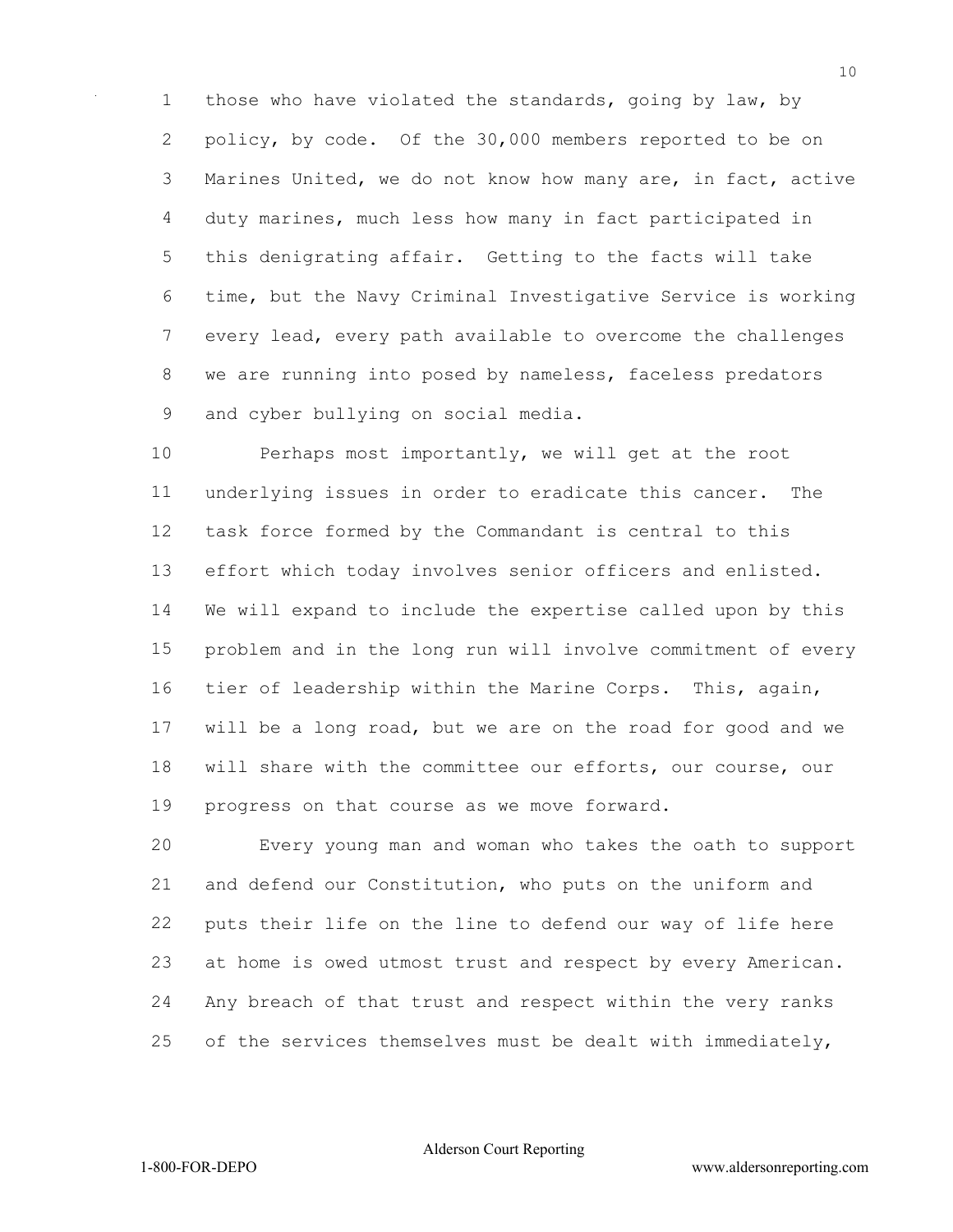those who have violated the standards, going by law, by 2 policy, by code. Of the 30,000 members reported to be on Marines United, we do not know how many are, in fact, active duty marines, much less how many in fact participated in this denigrating affair. Getting to the facts will take time, but the Navy Criminal Investigative Service is working every lead, every path available to overcome the challenges we are running into posed by nameless, faceless predators and cyber bullying on social media.

 Perhaps most importantly, we will get at the root underlying issues in order to eradicate this cancer. The task force formed by the Commandant is central to this effort which today involves senior officers and enlisted. We will expand to include the expertise called upon by this problem and in the long run will involve commitment of every tier of leadership within the Marine Corps. This, again, will be a long road, but we are on the road for good and we will share with the committee our efforts, our course, our progress on that course as we move forward.

 Every young man and woman who takes the oath to support and defend our Constitution, who puts on the uniform and puts their life on the line to defend our way of life here at home is owed utmost trust and respect by every American. Any breach of that trust and respect within the very ranks 25 of the services themselves must be dealt with immediately,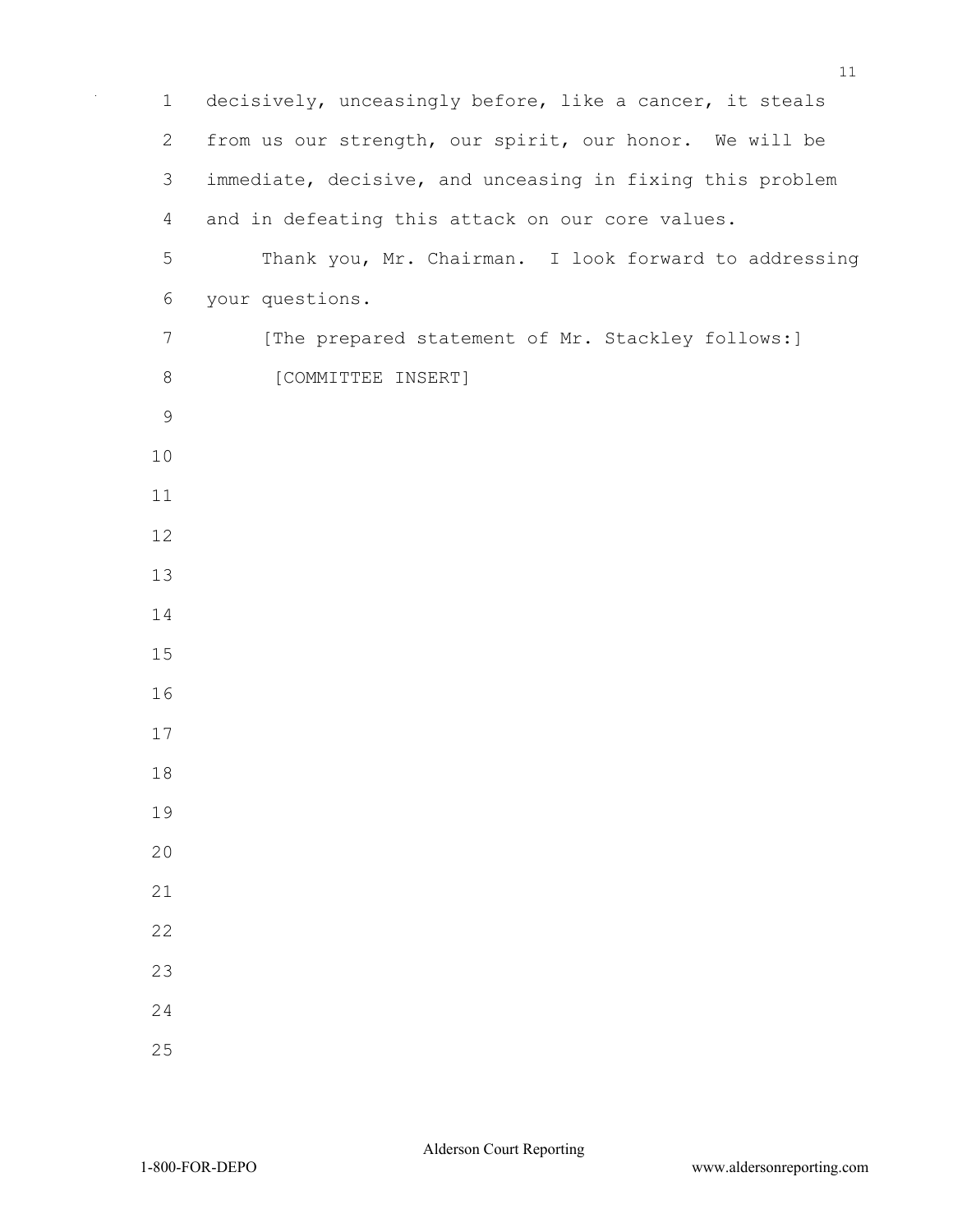| $\mathbf 1$  | decisively, unceasingly before, like a cancer, it steals  |
|--------------|-----------------------------------------------------------|
| $\mathbf{2}$ | from us our strength, our spirit, our honor. We will be   |
| 3            | immediate, decisive, and unceasing in fixing this problem |
| 4            | and in defeating this attack on our core values.          |
| 5            | Thank you, Mr. Chairman. I look forward to addressing     |
| 6            | your questions.                                           |
| 7            | [The prepared statement of Mr. Stackley follows:]         |
| $\,8\,$      | [COMMITTEE INSERT]                                        |
| $\mathsf 9$  |                                                           |
| 10           |                                                           |
| 11           |                                                           |
| 12           |                                                           |
| 13           |                                                           |
| 14           |                                                           |
| 15           |                                                           |
| 16           |                                                           |
| 17           |                                                           |
| 18           |                                                           |
| 19           |                                                           |
| 20           |                                                           |
| 21           |                                                           |
| 22           |                                                           |
| 23           |                                                           |
| 24           |                                                           |
| 25           |                                                           |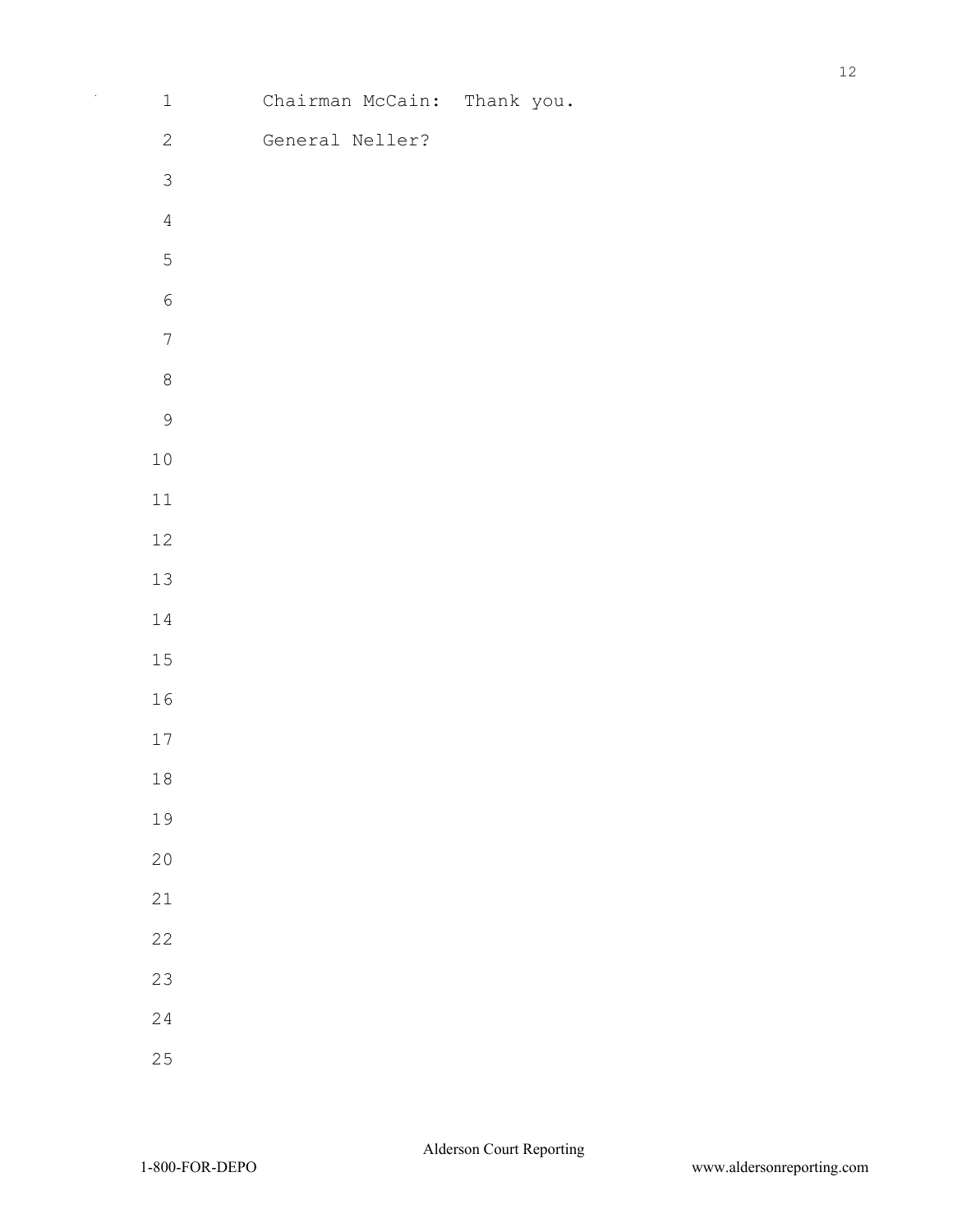| $\mathbf 1$    | Chairman McCain: Thank you. |  |
|----------------|-----------------------------|--|
| $\mathbf{2}$   | General Neller?             |  |
| $\mathfrak{Z}$ |                             |  |
| $\sqrt{4}$     |                             |  |
| $\mathsf S$    |                             |  |
| $\sqrt{6}$     |                             |  |
| $\overline{7}$ |                             |  |
| $\,8\,$        |                             |  |
| $\mathcal{G}$  |                             |  |
| 10             |                             |  |
| 11             |                             |  |
| 12             |                             |  |
| 13             |                             |  |
| 14             |                             |  |
| 15             |                             |  |
| 16             |                             |  |
| 17             |                             |  |
| $1\,8$         |                             |  |
| 19             |                             |  |
| 20             |                             |  |
| 21             |                             |  |
| 22             |                             |  |
| 23             |                             |  |
| 24             |                             |  |
| 25             |                             |  |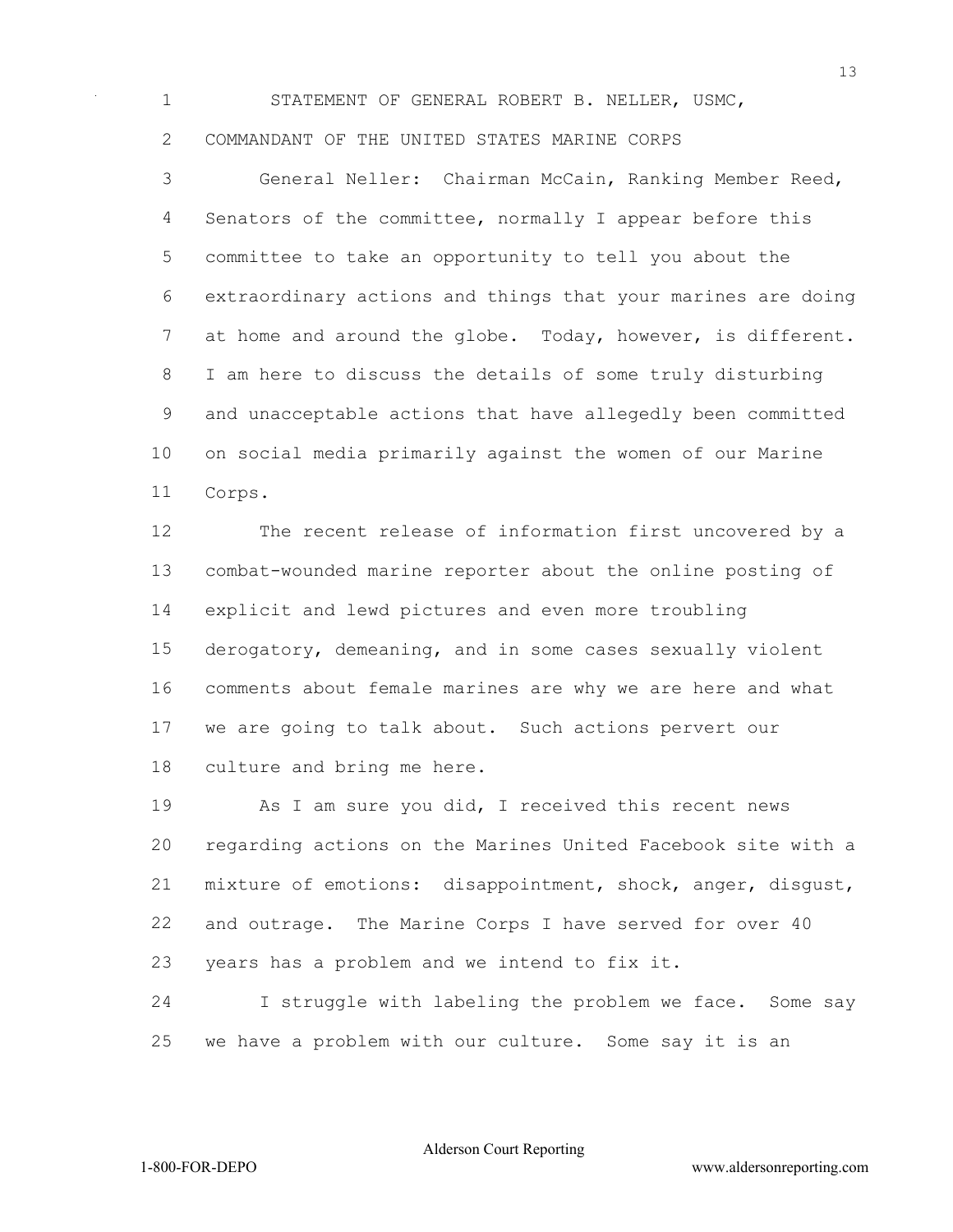STATEMENT OF GENERAL ROBERT B. NELLER, USMC, COMMANDANT OF THE UNITED STATES MARINE CORPS

 General Neller: Chairman McCain, Ranking Member Reed, Senators of the committee, normally I appear before this committee to take an opportunity to tell you about the extraordinary actions and things that your marines are doing at home and around the globe. Today, however, is different. I am here to discuss the details of some truly disturbing and unacceptable actions that have allegedly been committed on social media primarily against the women of our Marine Corps.

 The recent release of information first uncovered by a combat-wounded marine reporter about the online posting of explicit and lewd pictures and even more troubling derogatory, demeaning, and in some cases sexually violent comments about female marines are why we are here and what we are going to talk about. Such actions pervert our culture and bring me here.

 As I am sure you did, I received this recent news regarding actions on the Marines United Facebook site with a mixture of emotions: disappointment, shock, anger, disgust, and outrage. The Marine Corps I have served for over 40 years has a problem and we intend to fix it.

 I struggle with labeling the problem we face. Some say we have a problem with our culture. Some say it is an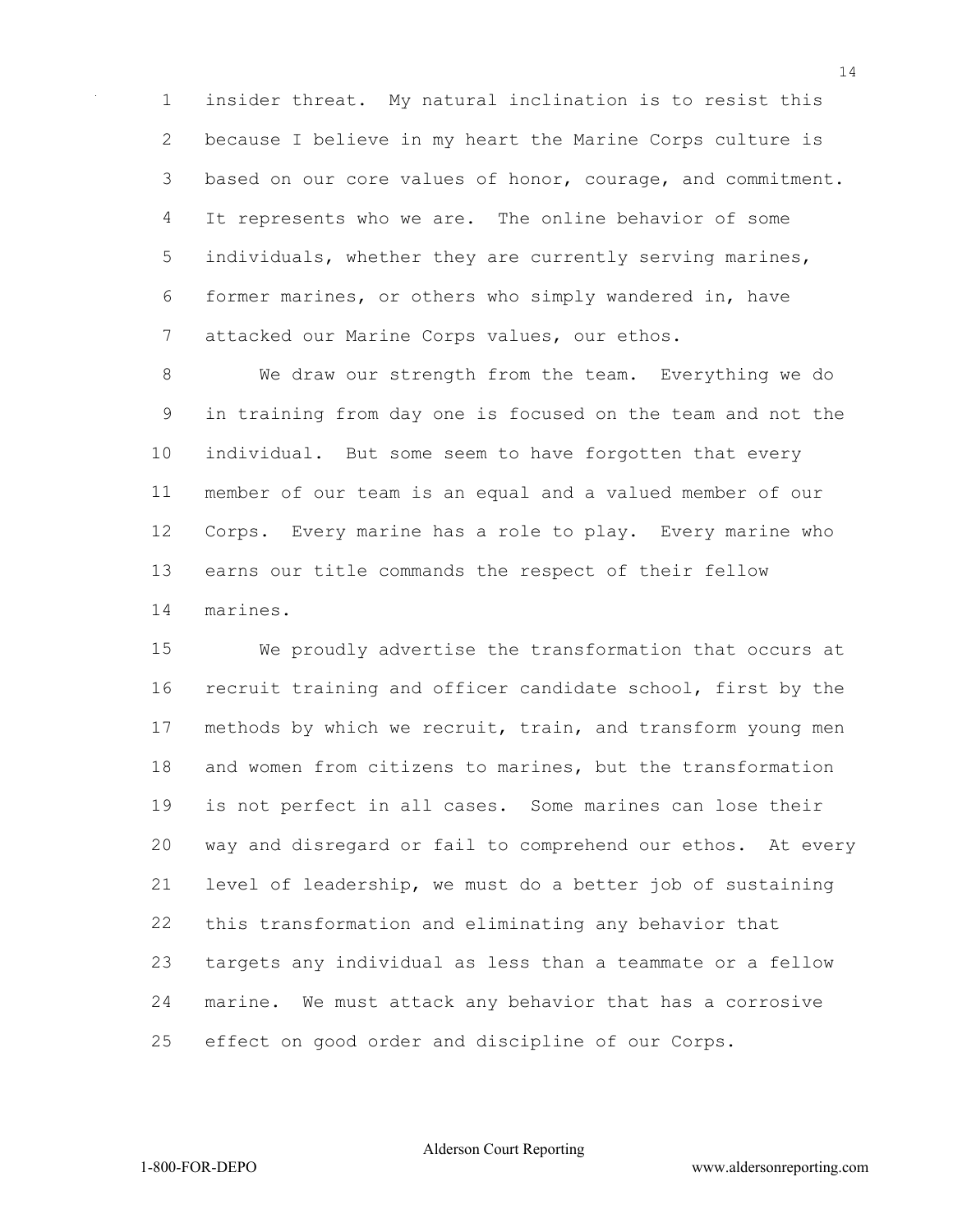insider threat. My natural inclination is to resist this because I believe in my heart the Marine Corps culture is based on our core values of honor, courage, and commitment. It represents who we are. The online behavior of some 5 individuals, whether they are currently serving marines, former marines, or others who simply wandered in, have attacked our Marine Corps values, our ethos.

 We draw our strength from the team. Everything we do in training from day one is focused on the team and not the individual. But some seem to have forgotten that every member of our team is an equal and a valued member of our Corps. Every marine has a role to play. Every marine who earns our title commands the respect of their fellow marines.

 We proudly advertise the transformation that occurs at recruit training and officer candidate school, first by the methods by which we recruit, train, and transform young men and women from citizens to marines, but the transformation is not perfect in all cases. Some marines can lose their way and disregard or fail to comprehend our ethos. At every level of leadership, we must do a better job of sustaining this transformation and eliminating any behavior that targets any individual as less than a teammate or a fellow marine. We must attack any behavior that has a corrosive effect on good order and discipline of our Corps.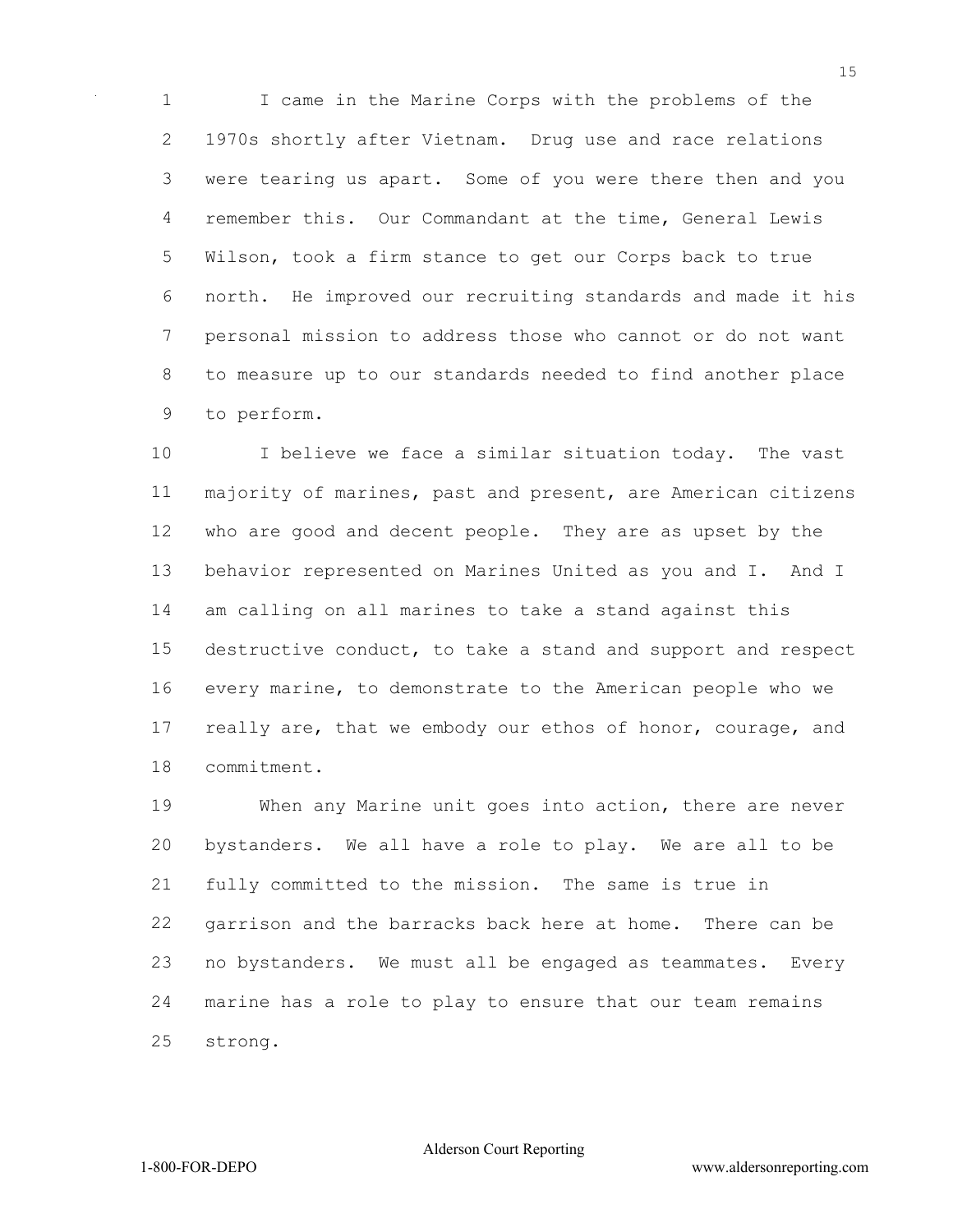I came in the Marine Corps with the problems of the 1970s shortly after Vietnam. Drug use and race relations were tearing us apart. Some of you were there then and you remember this. Our Commandant at the time, General Lewis Wilson, took a firm stance to get our Corps back to true north. He improved our recruiting standards and made it his personal mission to address those who cannot or do not want to measure up to our standards needed to find another place to perform.

10 I believe we face a similar situation today. The vast majority of marines, past and present, are American citizens who are good and decent people. They are as upset by the behavior represented on Marines United as you and I. And I am calling on all marines to take a stand against this destructive conduct, to take a stand and support and respect every marine, to demonstrate to the American people who we 17 really are, that we embody our ethos of honor, courage, and commitment.

 When any Marine unit goes into action, there are never bystanders. We all have a role to play. We are all to be fully committed to the mission. The same is true in garrison and the barracks back here at home. There can be no bystanders. We must all be engaged as teammates. Every marine has a role to play to ensure that our team remains strong.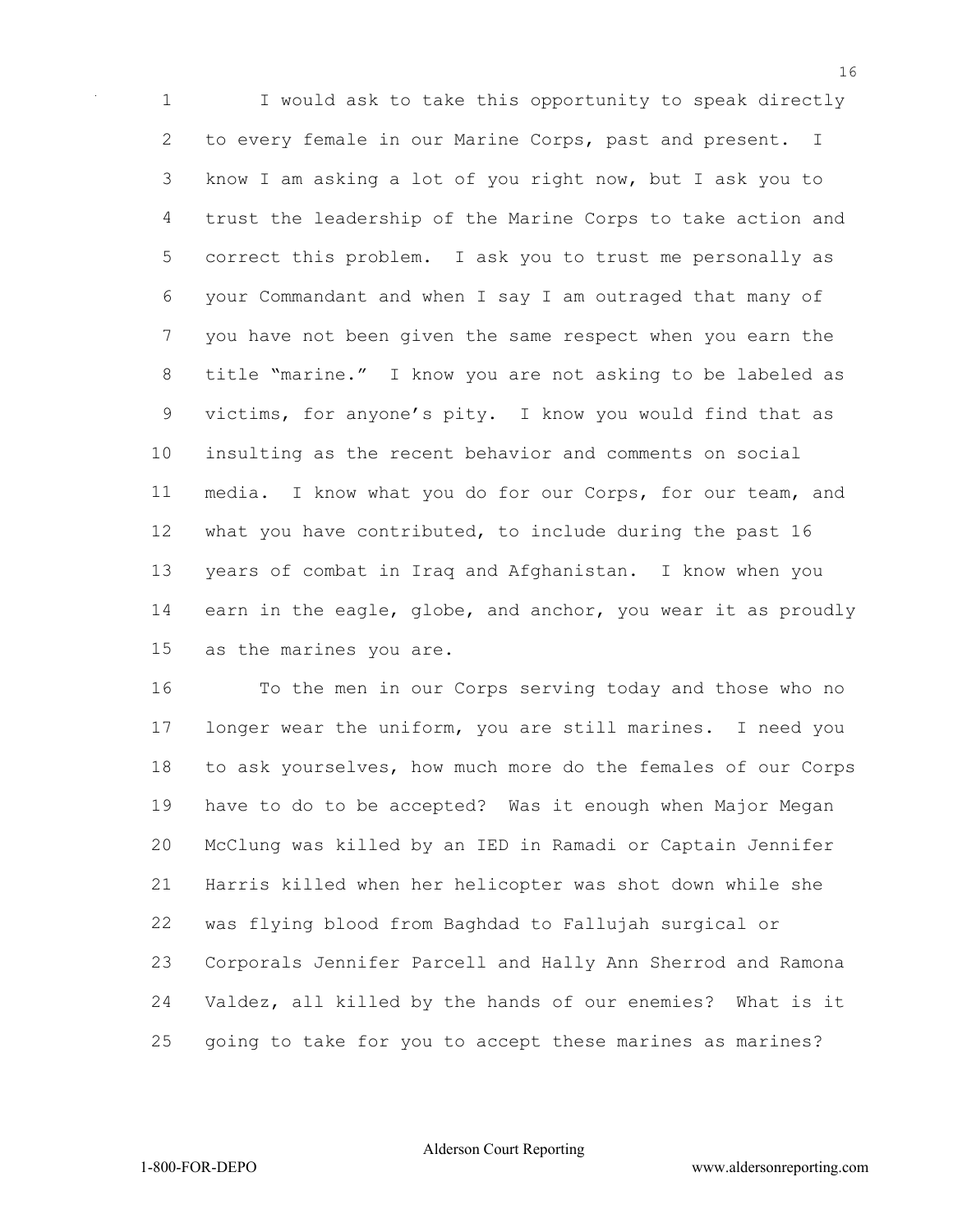I would ask to take this opportunity to speak directly 2 to every female in our Marine Corps, past and present. I know I am asking a lot of you right now, but I ask you to trust the leadership of the Marine Corps to take action and correct this problem. I ask you to trust me personally as your Commandant and when I say I am outraged that many of you have not been given the same respect when you earn the title "marine." I know you are not asking to be labeled as victims, for anyone's pity. I know you would find that as insulting as the recent behavior and comments on social media. I know what you do for our Corps, for our team, and what you have contributed, to include during the past 16 years of combat in Iraq and Afghanistan. I know when you earn in the eagle, globe, and anchor, you wear it as proudly as the marines you are.

 To the men in our Corps serving today and those who no longer wear the uniform, you are still marines. I need you to ask yourselves, how much more do the females of our Corps have to do to be accepted? Was it enough when Major Megan McClung was killed by an IED in Ramadi or Captain Jennifer Harris killed when her helicopter was shot down while she was flying blood from Baghdad to Fallujah surgical or Corporals Jennifer Parcell and Hally Ann Sherrod and Ramona Valdez, all killed by the hands of our enemies? What is it going to take for you to accept these marines as marines?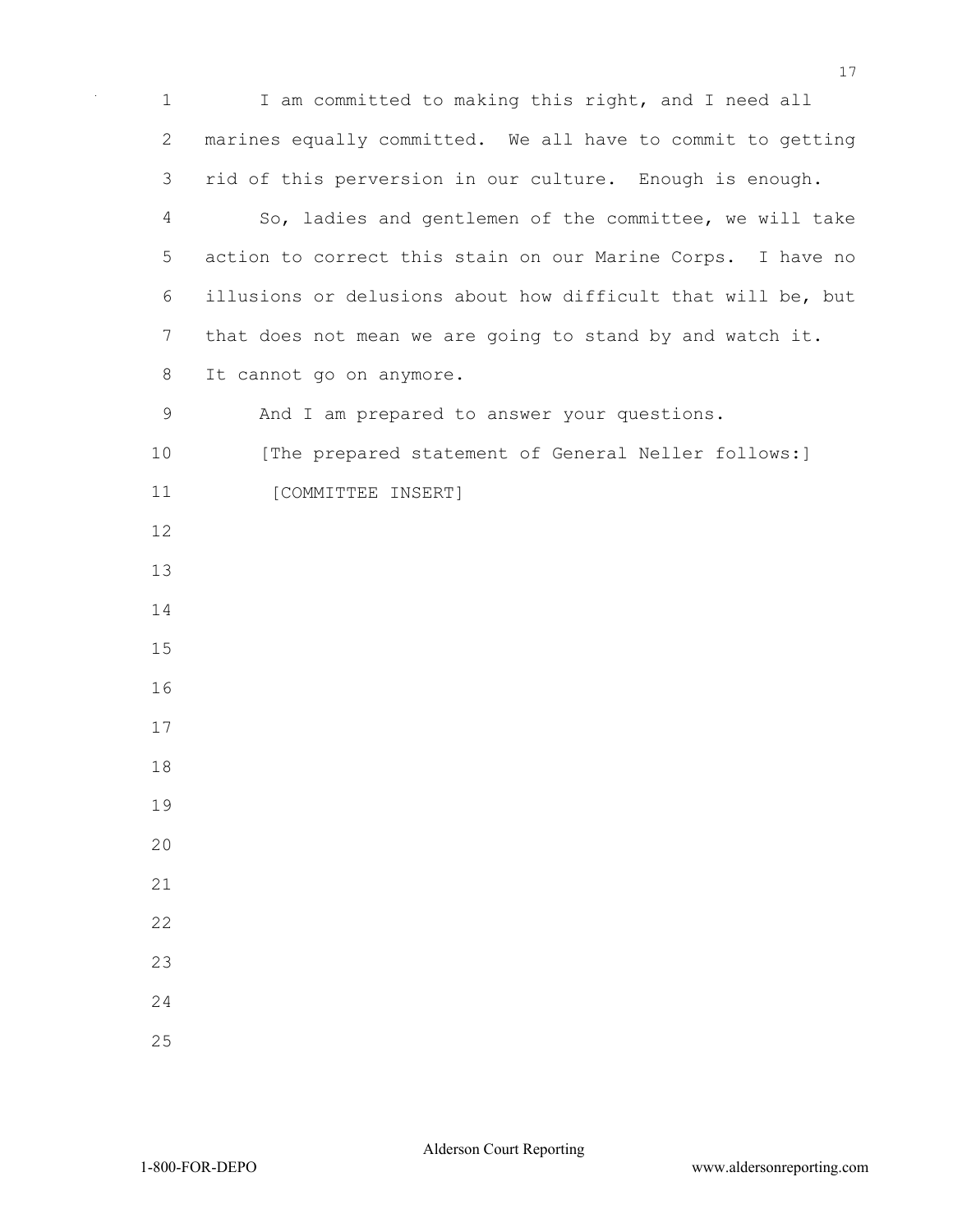I am committed to making this right, and I need all marines equally committed. We all have to commit to getting rid of this perversion in our culture. Enough is enough. So, ladies and gentlemen of the committee, we will take action to correct this stain on our Marine Corps. I have no illusions or delusions about how difficult that will be, but that does not mean we are going to stand by and watch it. It cannot go on anymore. And I am prepared to answer your questions. 10 [The prepared statement of General Neller follows:] 11 [COMMITTEE INSERT]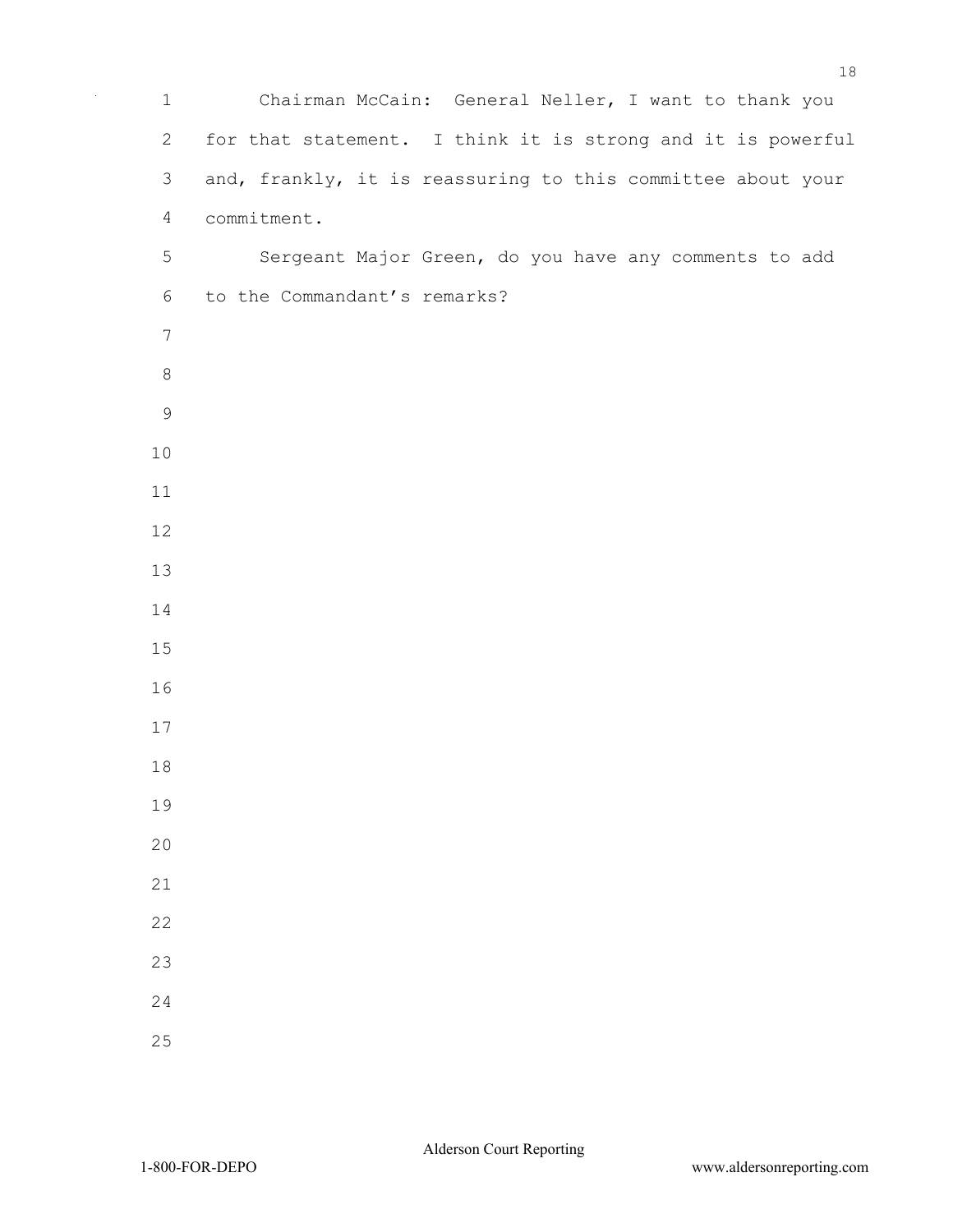Chairman McCain: General Neller, I want to thank you for that statement. I think it is strong and it is powerful and, frankly, it is reassuring to this committee about your commitment. Sergeant Major Green, do you have any comments to add to the Commandant's remarks?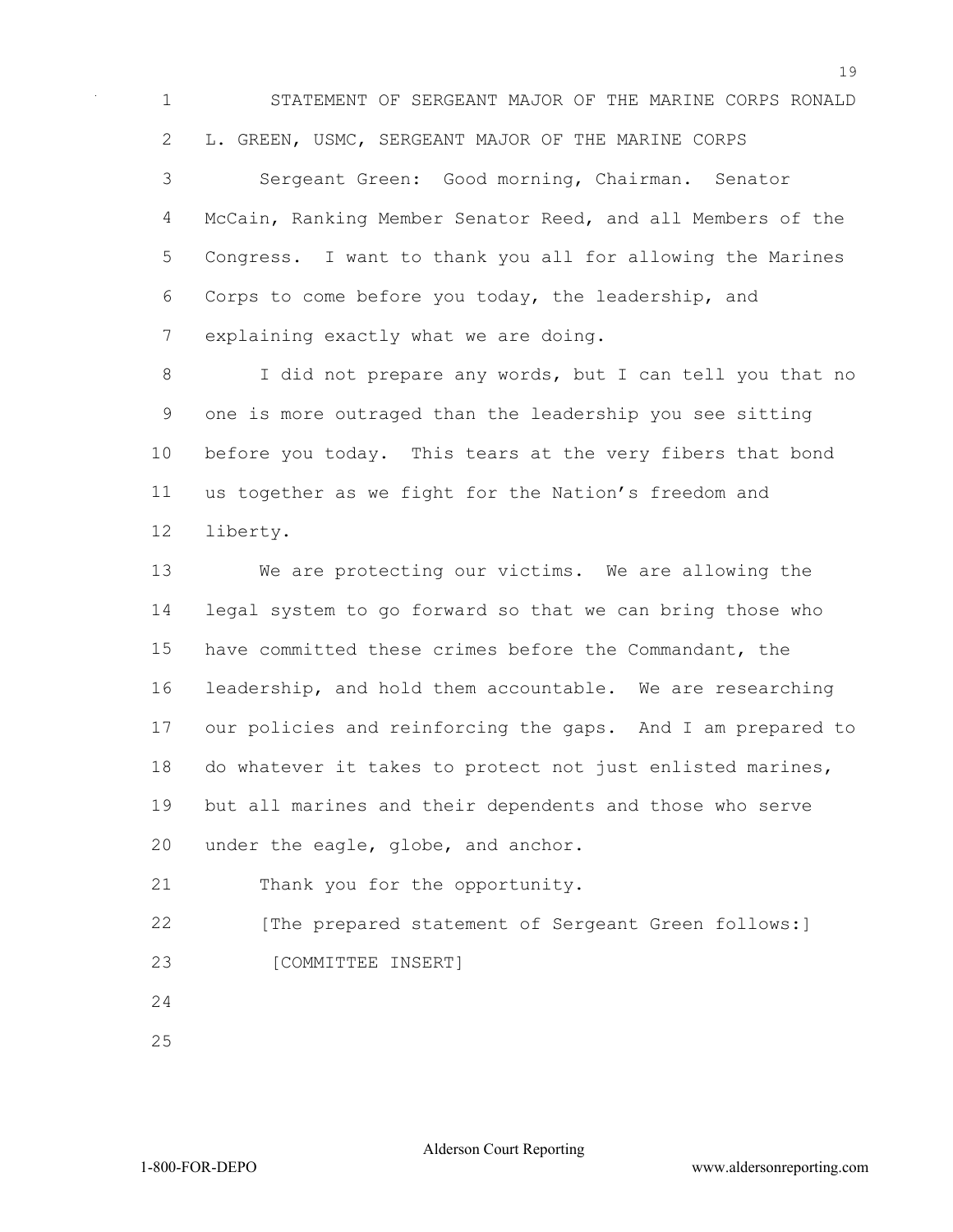STATEMENT OF SERGEANT MAJOR OF THE MARINE CORPS RONALD L. GREEN, USMC, SERGEANT MAJOR OF THE MARINE CORPS

 Sergeant Green: Good morning, Chairman. Senator McCain, Ranking Member Senator Reed, and all Members of the Congress. I want to thank you all for allowing the Marines Corps to come before you today, the leadership, and explaining exactly what we are doing.

 I did not prepare any words, but I can tell you that no one is more outraged than the leadership you see sitting before you today. This tears at the very fibers that bond us together as we fight for the Nation's freedom and liberty.

 We are protecting our victims. We are allowing the legal system to go forward so that we can bring those who have committed these crimes before the Commandant, the leadership, and hold them accountable. We are researching our policies and reinforcing the gaps. And I am prepared to do whatever it takes to protect not just enlisted marines, but all marines and their dependents and those who serve under the eagle, globe, and anchor.

Thank you for the opportunity.

22 [The prepared statement of Sergeant Green follows:] 23 [COMMITTEE INSERT]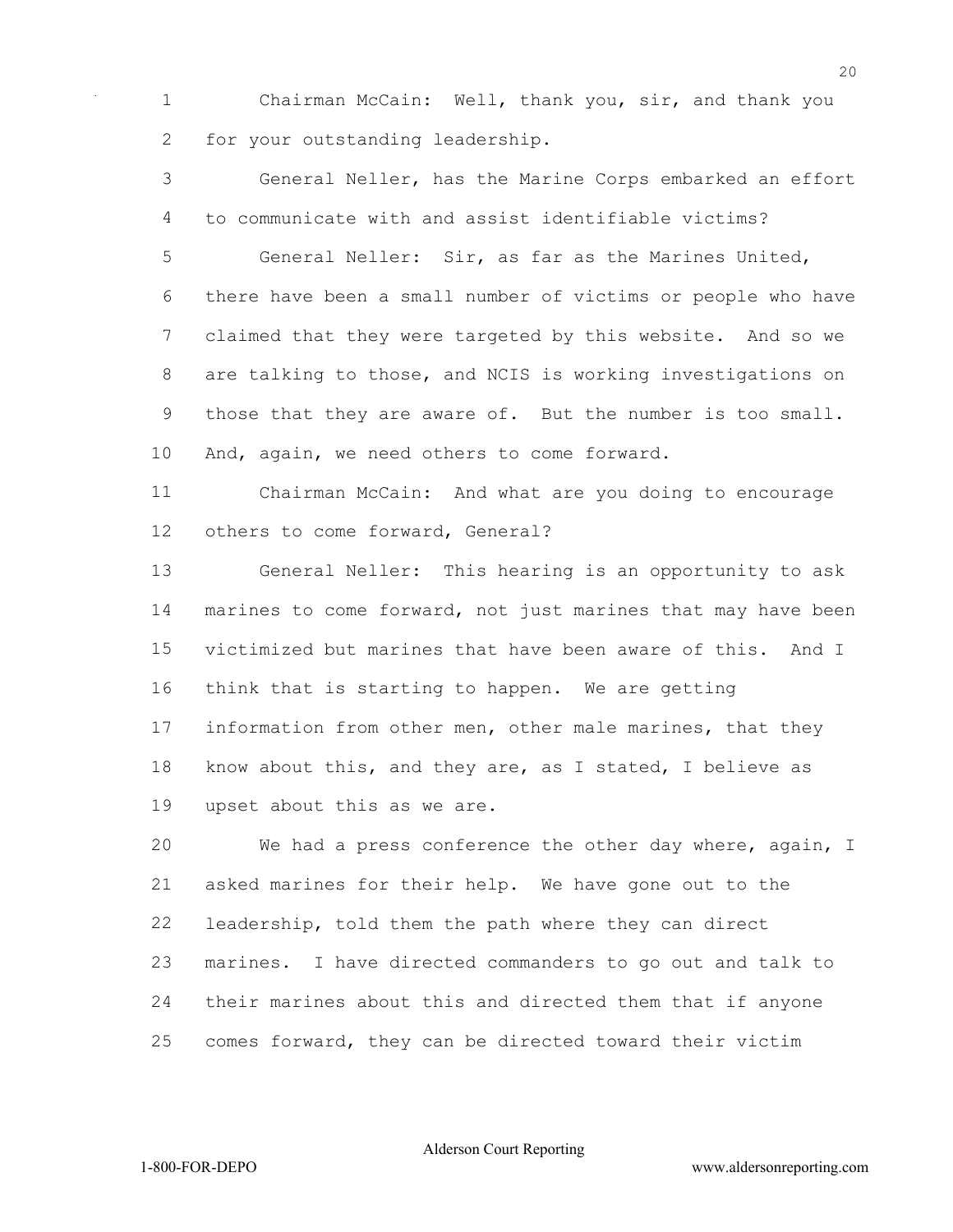Chairman McCain: Well, thank you, sir, and thank you for your outstanding leadership.

 General Neller, has the Marine Corps embarked an effort to communicate with and assist identifiable victims?

 General Neller: Sir, as far as the Marines United, there have been a small number of victims or people who have claimed that they were targeted by this website. And so we are talking to those, and NCIS is working investigations on those that they are aware of. But the number is too small. And, again, we need others to come forward.

 Chairman McCain: And what are you doing to encourage others to come forward, General?

 General Neller: This hearing is an opportunity to ask marines to come forward, not just marines that may have been victimized but marines that have been aware of this. And I think that is starting to happen. We are getting information from other men, other male marines, that they know about this, and they are, as I stated, I believe as upset about this as we are.

 We had a press conference the other day where, again, I asked marines for their help. We have gone out to the leadership, told them the path where they can direct marines. I have directed commanders to go out and talk to their marines about this and directed them that if anyone comes forward, they can be directed toward their victim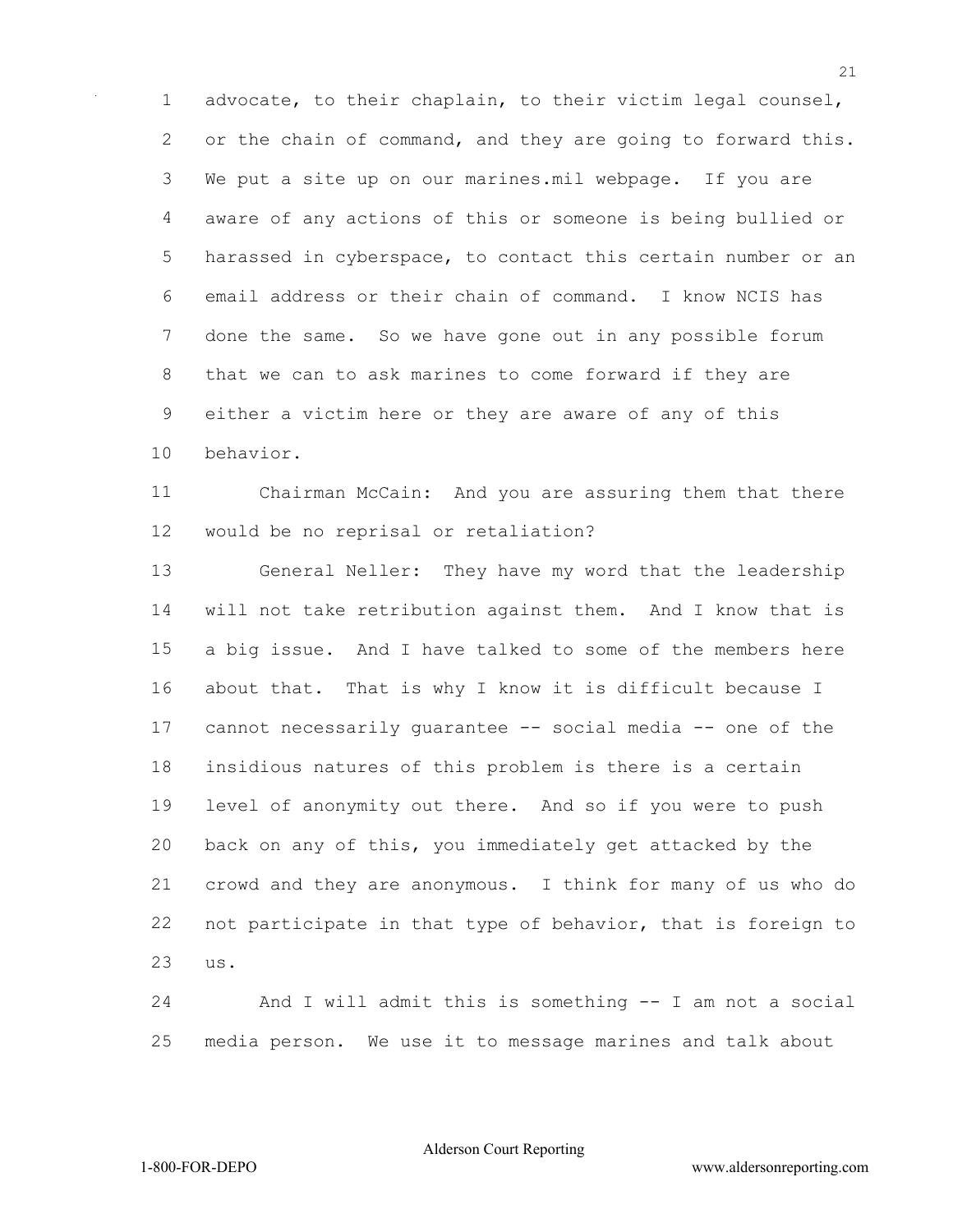advocate, to their chaplain, to their victim legal counsel, 2 or the chain of command, and they are going to forward this. We put a site up on our marines.mil webpage. If you are aware of any actions of this or someone is being bullied or harassed in cyberspace, to contact this certain number or an email address or their chain of command. I know NCIS has done the same. So we have gone out in any possible forum that we can to ask marines to come forward if they are either a victim here or they are aware of any of this behavior.

 Chairman McCain: And you are assuring them that there would be no reprisal or retaliation?

 General Neller: They have my word that the leadership will not take retribution against them. And I know that is a big issue. And I have talked to some of the members here about that. That is why I know it is difficult because I cannot necessarily guarantee -- social media -- one of the insidious natures of this problem is there is a certain level of anonymity out there. And so if you were to push back on any of this, you immediately get attacked by the crowd and they are anonymous. I think for many of us who do not participate in that type of behavior, that is foreign to us.

 And I will admit this is something -- I am not a social media person. We use it to message marines and talk about

Alderson Court Reporting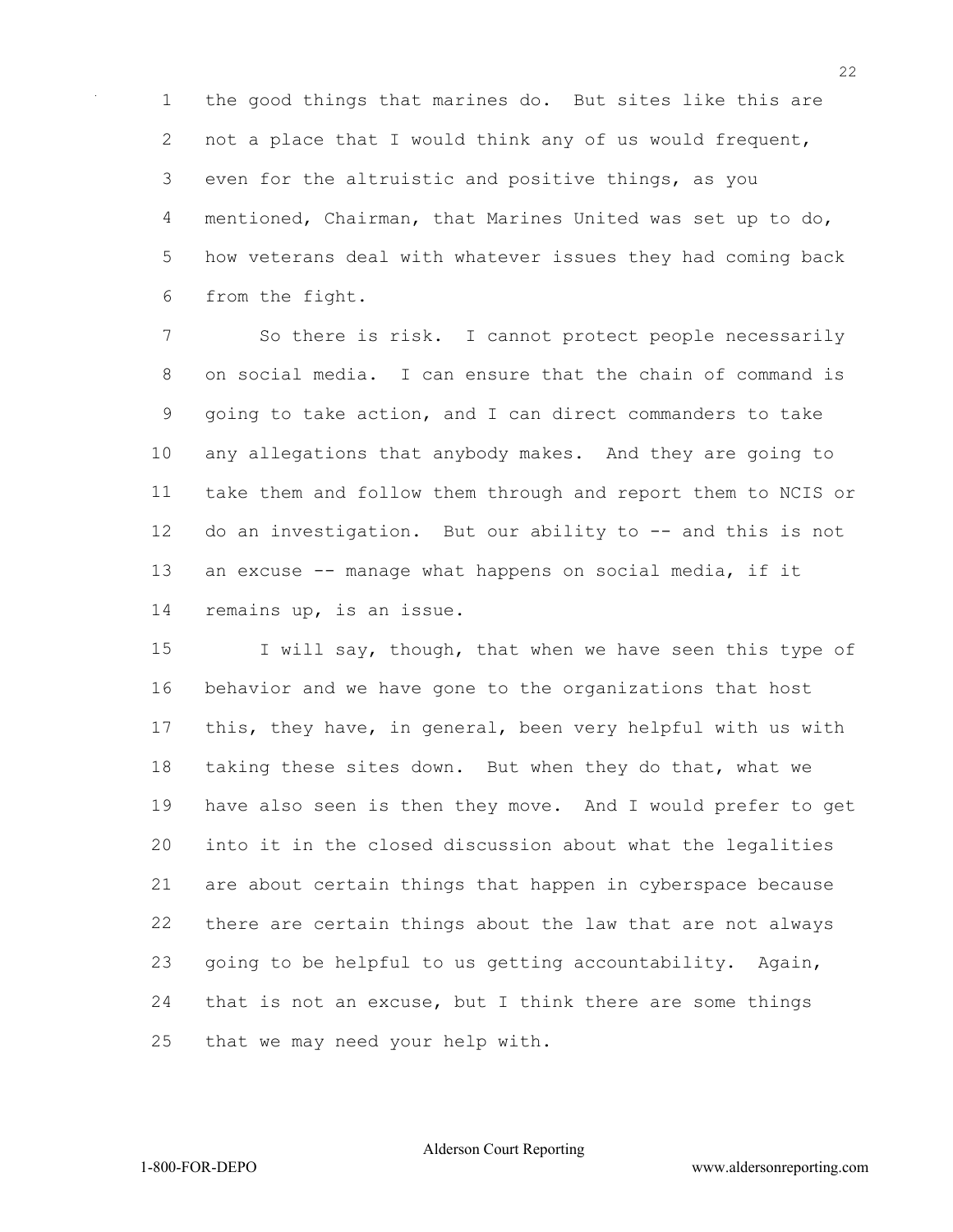the good things that marines do. But sites like this are 2 not a place that I would think any of us would frequent, even for the altruistic and positive things, as you mentioned, Chairman, that Marines United was set up to do, how veterans deal with whatever issues they had coming back from the fight.

 So there is risk. I cannot protect people necessarily on social media. I can ensure that the chain of command is going to take action, and I can direct commanders to take any allegations that anybody makes. And they are going to take them and follow them through and report them to NCIS or 12 do an investigation. But our ability to -- and this is not an excuse -- manage what happens on social media, if it remains up, is an issue.

15 I will say, though, that when we have seen this type of behavior and we have gone to the organizations that host this, they have, in general, been very helpful with us with taking these sites down. But when they do that, what we have also seen is then they move. And I would prefer to get into it in the closed discussion about what the legalities are about certain things that happen in cyberspace because there are certain things about the law that are not always going to be helpful to us getting accountability. Again, that is not an excuse, but I think there are some things that we may need your help with.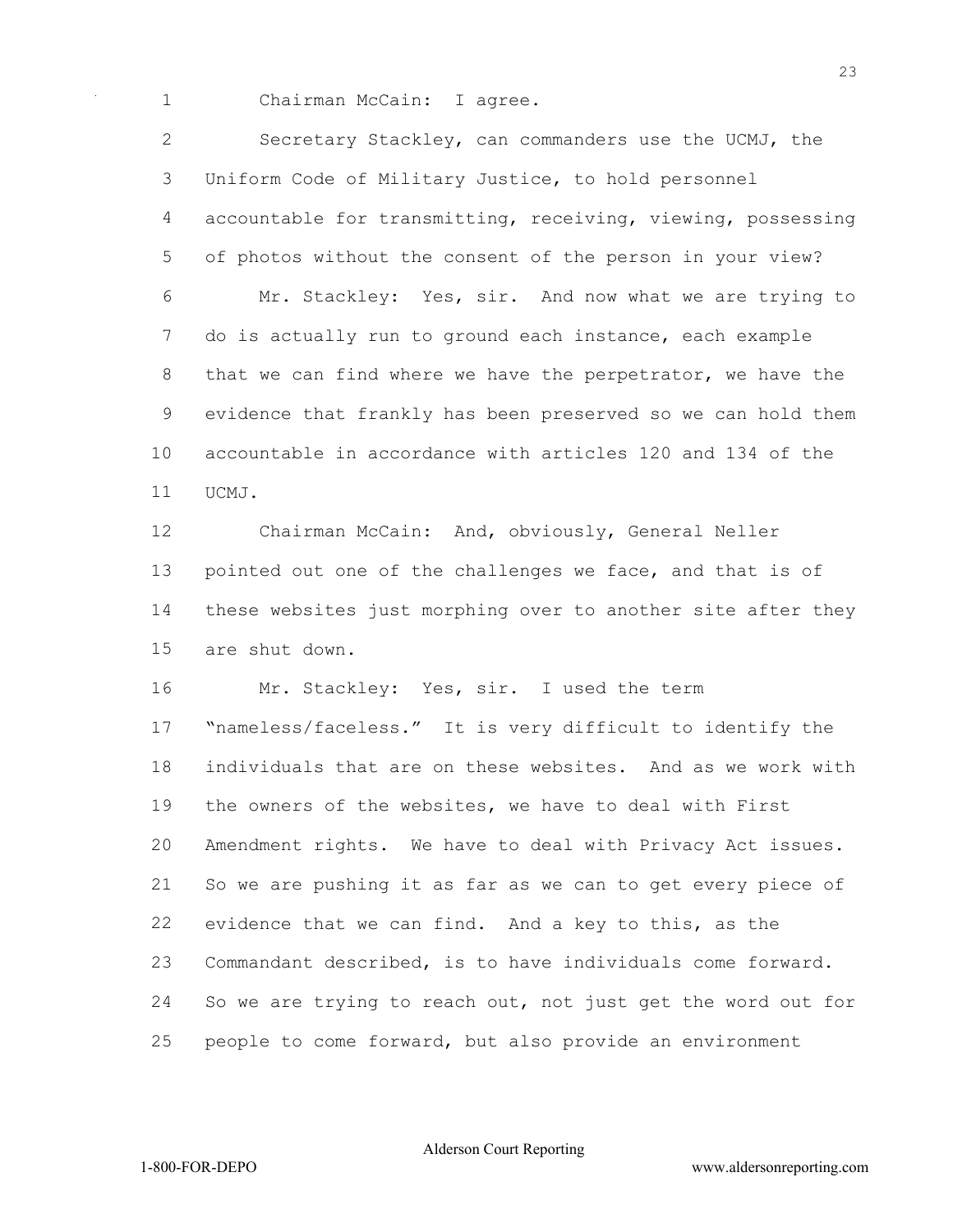1 Chairman McCain: I agree.

 Secretary Stackley, can commanders use the UCMJ, the Uniform Code of Military Justice, to hold personnel accountable for transmitting, receiving, viewing, possessing of photos without the consent of the person in your view? Mr. Stackley: Yes, sir. And now what we are trying to do is actually run to ground each instance, each example 8 that we can find where we have the perpetrator, we have the evidence that frankly has been preserved so we can hold them accountable in accordance with articles 120 and 134 of the UCMJ.

 Chairman McCain: And, obviously, General Neller pointed out one of the challenges we face, and that is of these websites just morphing over to another site after they are shut down.

16 Mr. Stackley: Yes, sir. I used the term

 "nameless/faceless." It is very difficult to identify the individuals that are on these websites. And as we work with the owners of the websites, we have to deal with First Amendment rights. We have to deal with Privacy Act issues. So we are pushing it as far as we can to get every piece of evidence that we can find. And a key to this, as the Commandant described, is to have individuals come forward. So we are trying to reach out, not just get the word out for people to come forward, but also provide an environment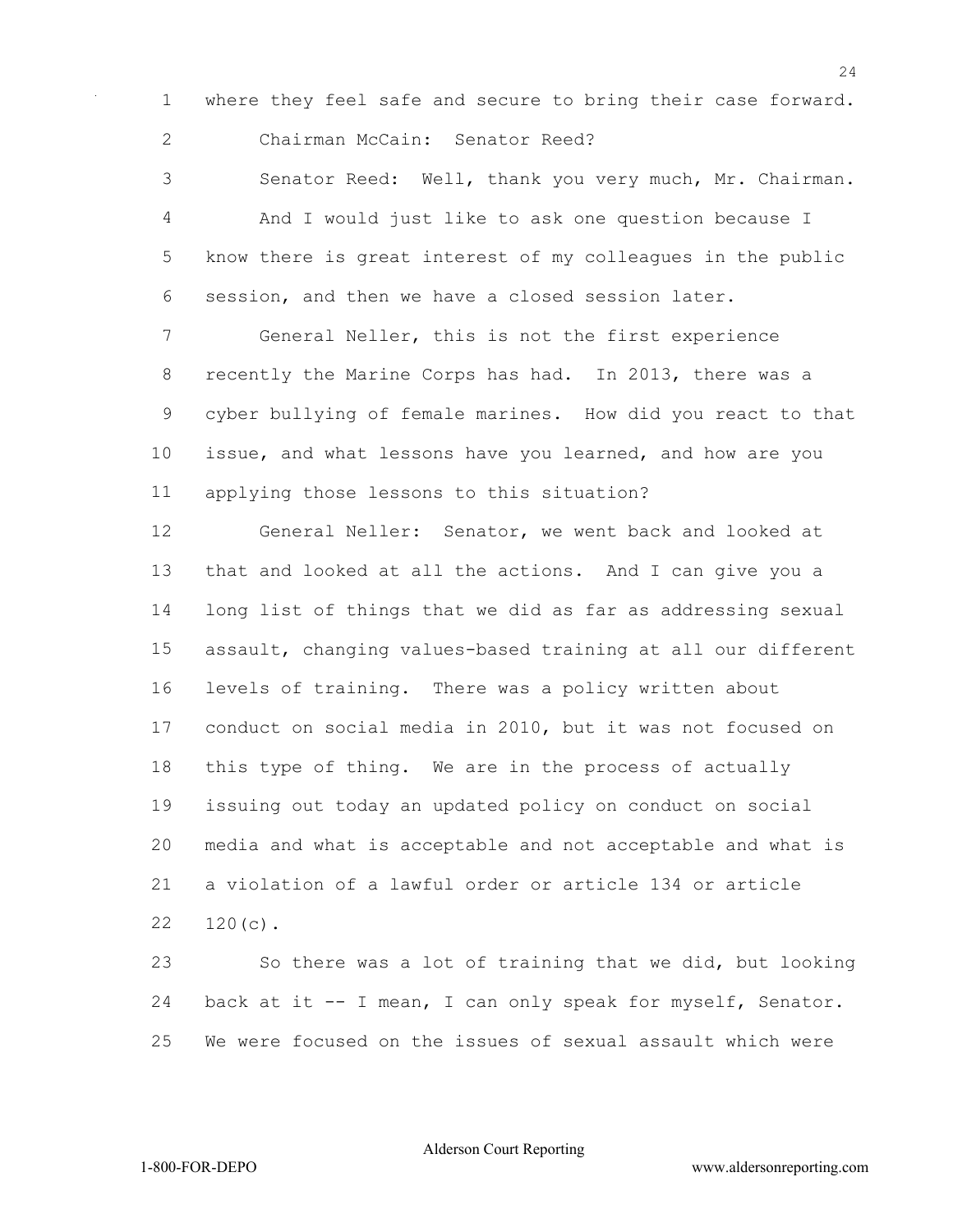where they feel safe and secure to bring their case forward. Chairman McCain: Senator Reed?

 Senator Reed: Well, thank you very much, Mr. Chairman. And I would just like to ask one question because I know there is great interest of my colleagues in the public session, and then we have a closed session later.

 General Neller, this is not the first experience recently the Marine Corps has had. In 2013, there was a cyber bullying of female marines. How did you react to that issue, and what lessons have you learned, and how are you applying those lessons to this situation?

 General Neller: Senator, we went back and looked at that and looked at all the actions. And I can give you a long list of things that we did as far as addressing sexual assault, changing values-based training at all our different levels of training. There was a policy written about conduct on social media in 2010, but it was not focused on this type of thing. We are in the process of actually issuing out today an updated policy on conduct on social media and what is acceptable and not acceptable and what is a violation of a lawful order or article 134 or article 120(c).

 So there was a lot of training that we did, but looking back at it -- I mean, I can only speak for myself, Senator. We were focused on the issues of sexual assault which were

Alderson Court Reporting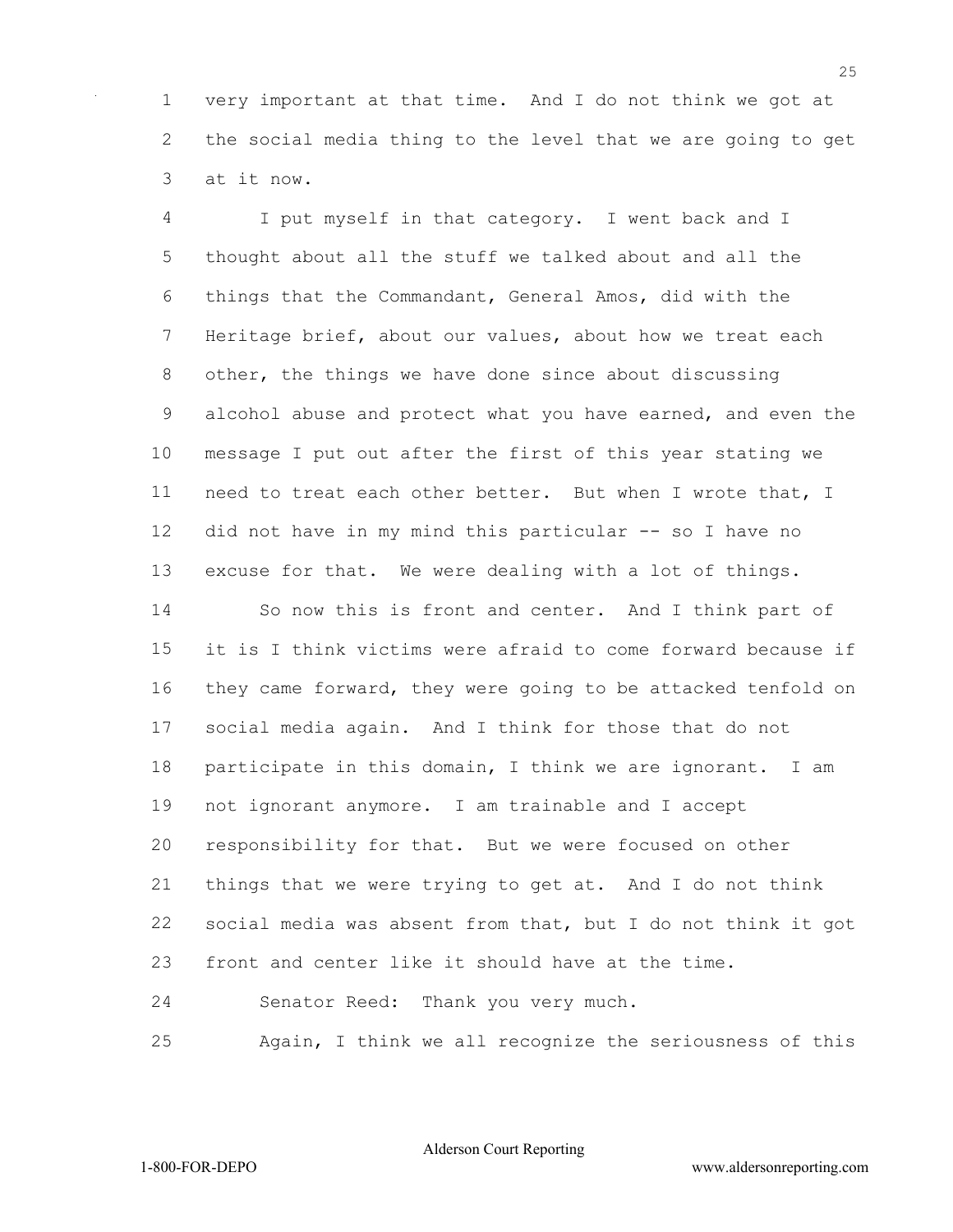very important at that time. And I do not think we got at the social media thing to the level that we are going to get at it now.

 I put myself in that category. I went back and I thought about all the stuff we talked about and all the things that the Commandant, General Amos, did with the Heritage brief, about our values, about how we treat each other, the things we have done since about discussing alcohol abuse and protect what you have earned, and even the message I put out after the first of this year stating we need to treat each other better. But when I wrote that, I did not have in my mind this particular -- so I have no excuse for that. We were dealing with a lot of things. So now this is front and center. And I think part of it is I think victims were afraid to come forward because if they came forward, they were going to be attacked tenfold on social media again. And I think for those that do not participate in this domain, I think we are ignorant. I am not ignorant anymore. I am trainable and I accept responsibility for that. But we were focused on other things that we were trying to get at. And I do not think social media was absent from that, but I do not think it got front and center like it should have at the time. Senator Reed: Thank you very much. Again, I think we all recognize the seriousness of this

Alderson Court Reporting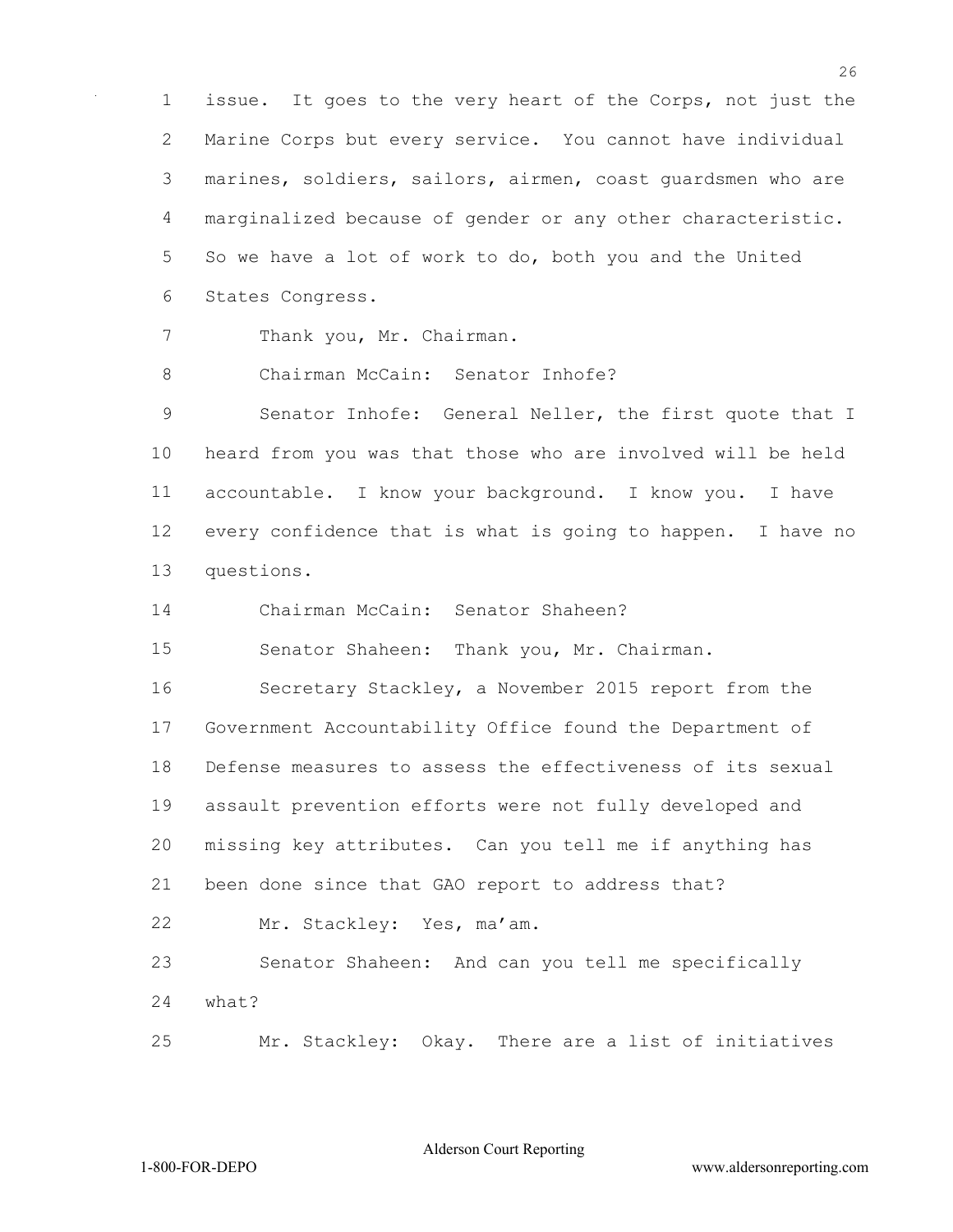issue. It goes to the very heart of the Corps, not just the Marine Corps but every service. You cannot have individual marines, soldiers, sailors, airmen, coast guardsmen who are marginalized because of gender or any other characteristic. So we have a lot of work to do, both you and the United States Congress.

7 Thank you, Mr. Chairman.

Chairman McCain: Senator Inhofe?

 Senator Inhofe: General Neller, the first quote that I heard from you was that those who are involved will be held accountable. I know your background. I know you. I have every confidence that is what is going to happen. I have no questions.

Chairman McCain: Senator Shaheen?

Senator Shaheen: Thank you, Mr. Chairman.

 Secretary Stackley, a November 2015 report from the Government Accountability Office found the Department of Defense measures to assess the effectiveness of its sexual assault prevention efforts were not fully developed and missing key attributes. Can you tell me if anything has been done since that GAO report to address that? Mr. Stackley: Yes, ma'am.

 Senator Shaheen: And can you tell me specifically what?

Mr. Stackley: Okay. There are a list of initiatives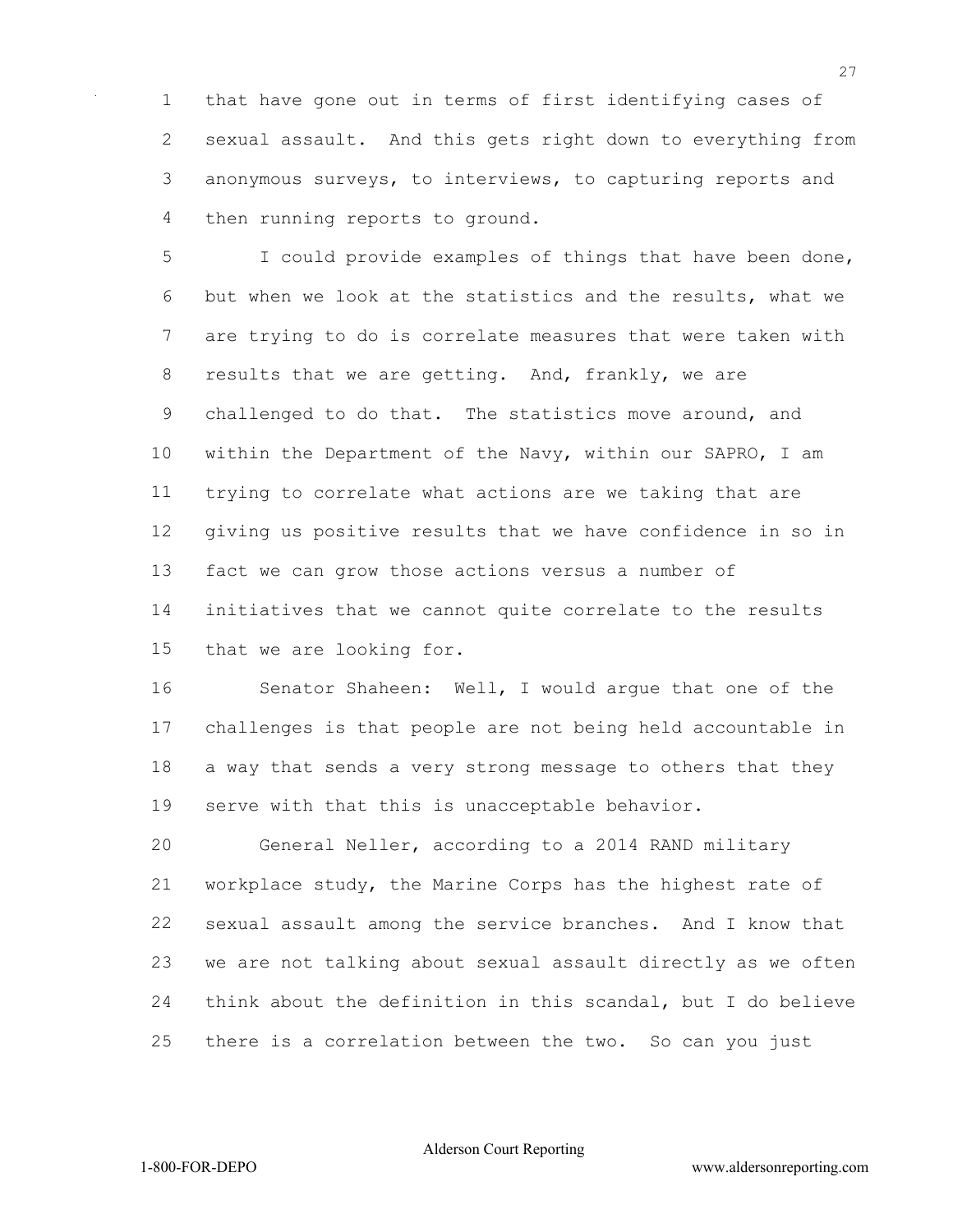that have gone out in terms of first identifying cases of sexual assault. And this gets right down to everything from anonymous surveys, to interviews, to capturing reports and then running reports to ground.

 I could provide examples of things that have been done, but when we look at the statistics and the results, what we are trying to do is correlate measures that were taken with results that we are getting. And, frankly, we are challenged to do that. The statistics move around, and within the Department of the Navy, within our SAPRO, I am trying to correlate what actions are we taking that are giving us positive results that we have confidence in so in fact we can grow those actions versus a number of initiatives that we cannot quite correlate to the results that we are looking for.

 Senator Shaheen: Well, I would argue that one of the challenges is that people are not being held accountable in a way that sends a very strong message to others that they serve with that this is unacceptable behavior.

 General Neller, according to a 2014 RAND military workplace study, the Marine Corps has the highest rate of sexual assault among the service branches. And I know that we are not talking about sexual assault directly as we often think about the definition in this scandal, but I do believe there is a correlation between the two. So can you just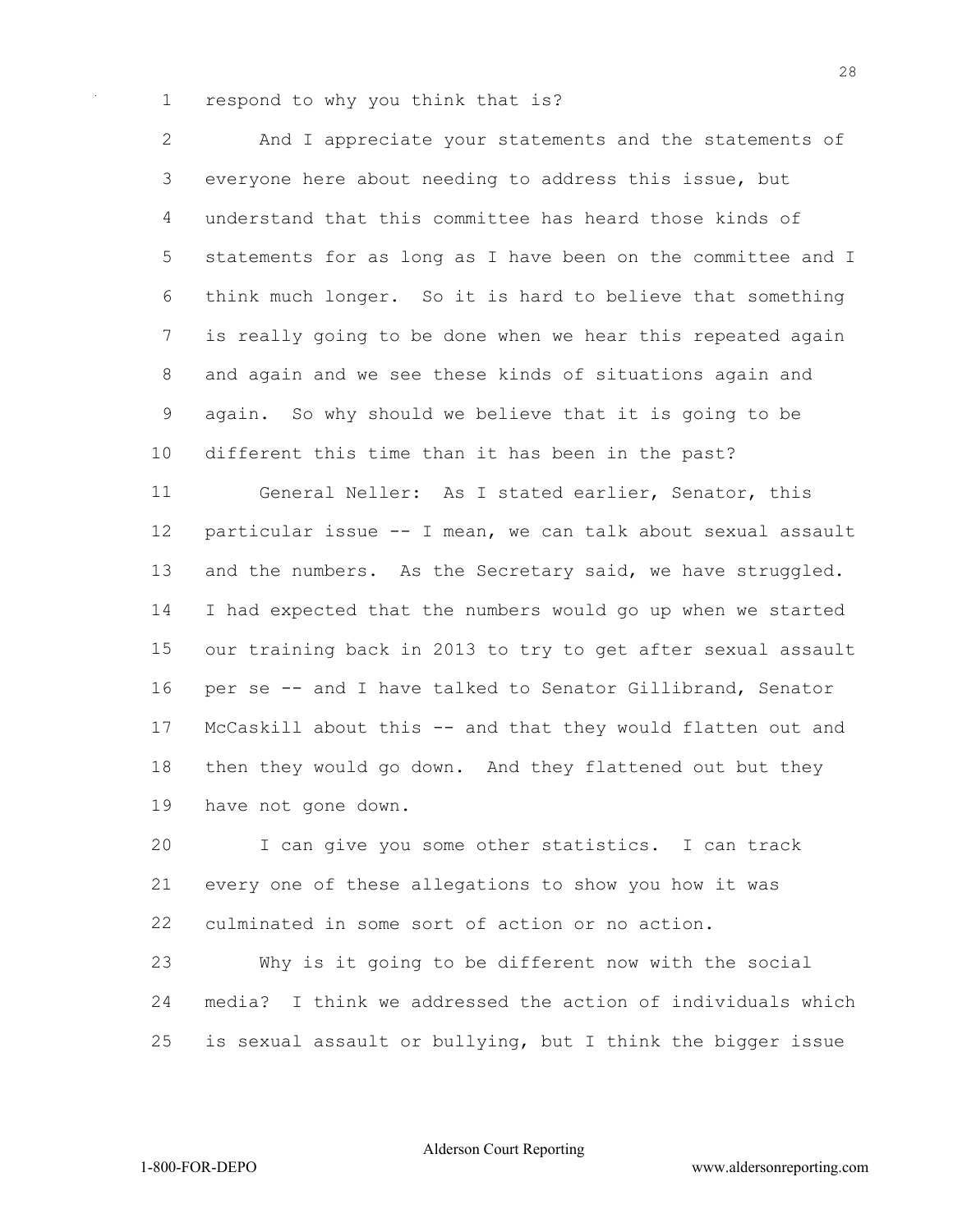respond to why you think that is?

 And I appreciate your statements and the statements of everyone here about needing to address this issue, but understand that this committee has heard those kinds of statements for as long as I have been on the committee and I think much longer. So it is hard to believe that something is really going to be done when we hear this repeated again and again and we see these kinds of situations again and again. So why should we believe that it is going to be different this time than it has been in the past? General Neller: As I stated earlier, Senator, this particular issue -- I mean, we can talk about sexual assault 13 and the numbers. As the Secretary said, we have struggled. I had expected that the numbers would go up when we started our training back in 2013 to try to get after sexual assault per se -- and I have talked to Senator Gillibrand, Senator McCaskill about this -- and that they would flatten out and then they would go down. And they flattened out but they have not gone down.

 I can give you some other statistics. I can track every one of these allegations to show you how it was culminated in some sort of action or no action.

 Why is it going to be different now with the social media? I think we addressed the action of individuals which is sexual assault or bullying, but I think the bigger issue

Alderson Court Reporting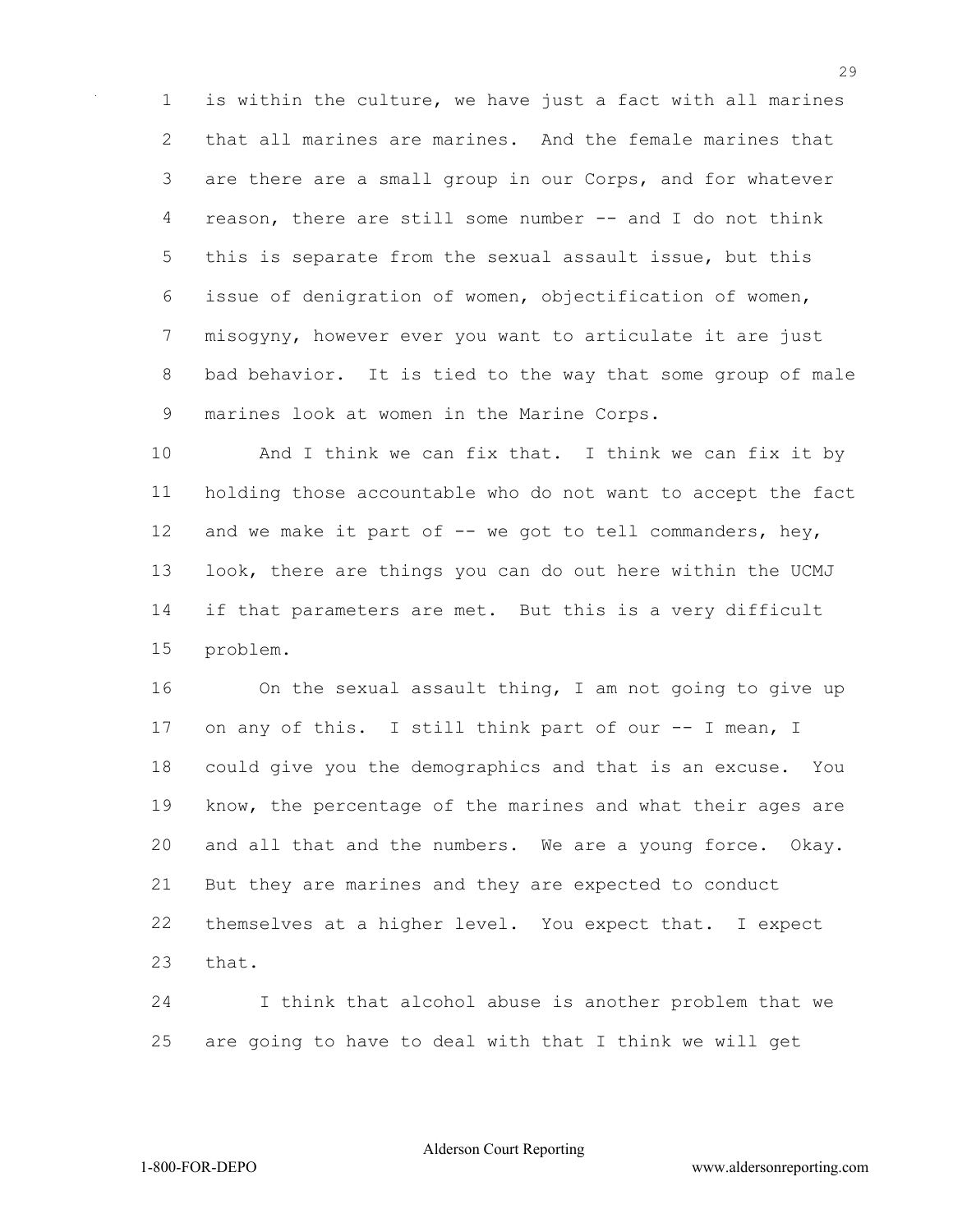is within the culture, we have just a fact with all marines that all marines are marines. And the female marines that are there are a small group in our Corps, and for whatever reason, there are still some number -- and I do not think this is separate from the sexual assault issue, but this issue of denigration of women, objectification of women, misogyny, however ever you want to articulate it are just bad behavior. It is tied to the way that some group of male marines look at women in the Marine Corps.

10 And I think we can fix that. I think we can fix it by holding those accountable who do not want to accept the fact 12 and we make it part of -- we got to tell commanders, hey, look, there are things you can do out here within the UCMJ if that parameters are met. But this is a very difficult problem.

 On the sexual assault thing, I am not going to give up 17 on any of this. I still think part of our -- I mean, I could give you the demographics and that is an excuse. You know, the percentage of the marines and what their ages are and all that and the numbers. We are a young force. Okay. But they are marines and they are expected to conduct themselves at a higher level. You expect that. I expect 23 that.

 I think that alcohol abuse is another problem that we are going to have to deal with that I think we will get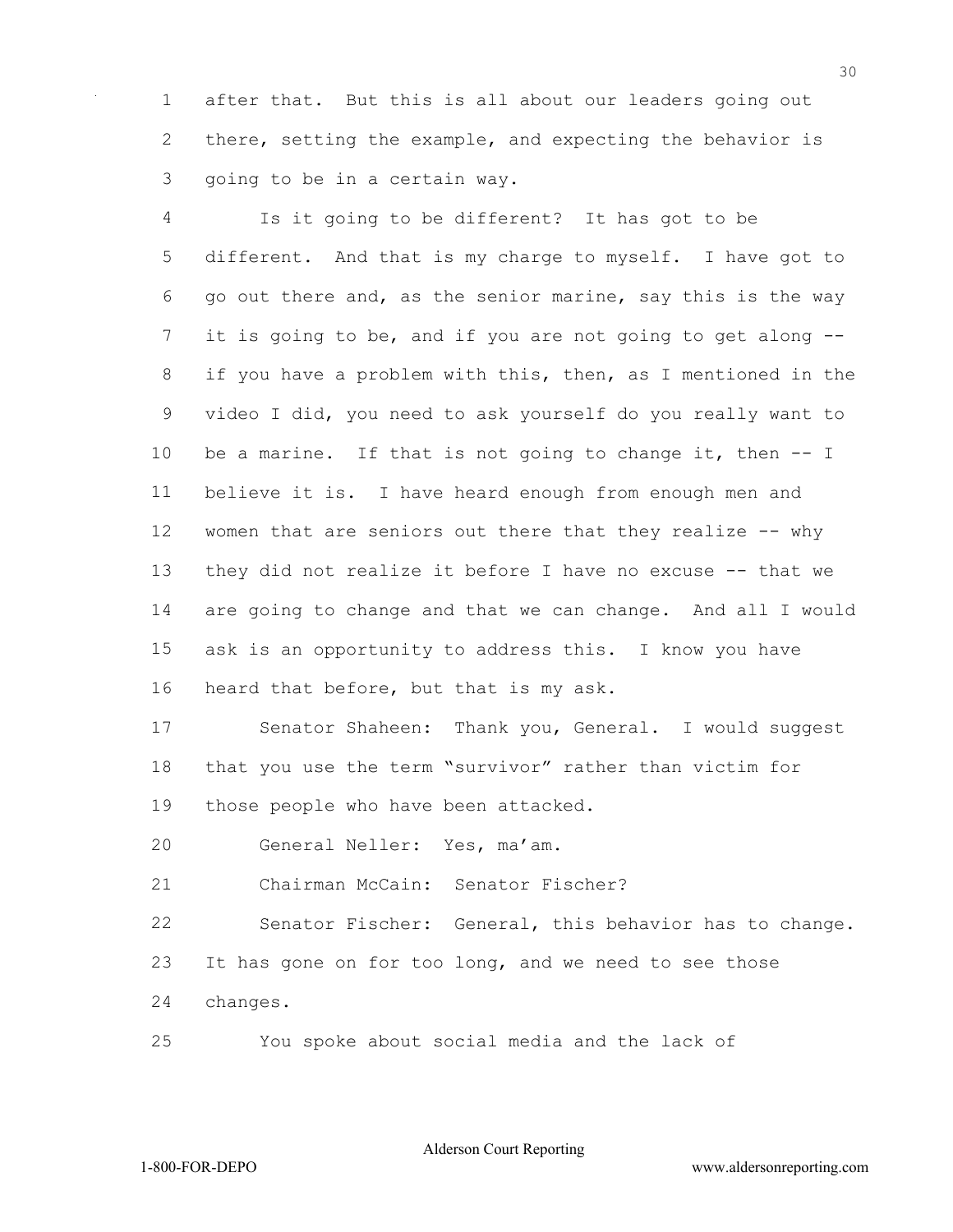after that. But this is all about our leaders going out there, setting the example, and expecting the behavior is going to be in a certain way.

 Is it going to be different? It has got to be different. And that is my charge to myself. I have got to go out there and, as the senior marine, say this is the way it is going to be, and if you are not going to get along -- if you have a problem with this, then, as I mentioned in the video I did, you need to ask yourself do you really want to be a marine. If that is not going to change it, then -- I believe it is. I have heard enough from enough men and 12 women that are seniors out there that they realize -- why they did not realize it before I have no excuse -- that we are going to change and that we can change. And all I would ask is an opportunity to address this. I know you have heard that before, but that is my ask.

17 Senator Shaheen: Thank you, General. I would suggest that you use the term "survivor" rather than victim for those people who have been attacked.

General Neller: Yes, ma'am.

Chairman McCain: Senator Fischer?

 Senator Fischer: General, this behavior has to change. It has gone on for too long, and we need to see those changes.

You spoke about social media and the lack of

Alderson Court Reporting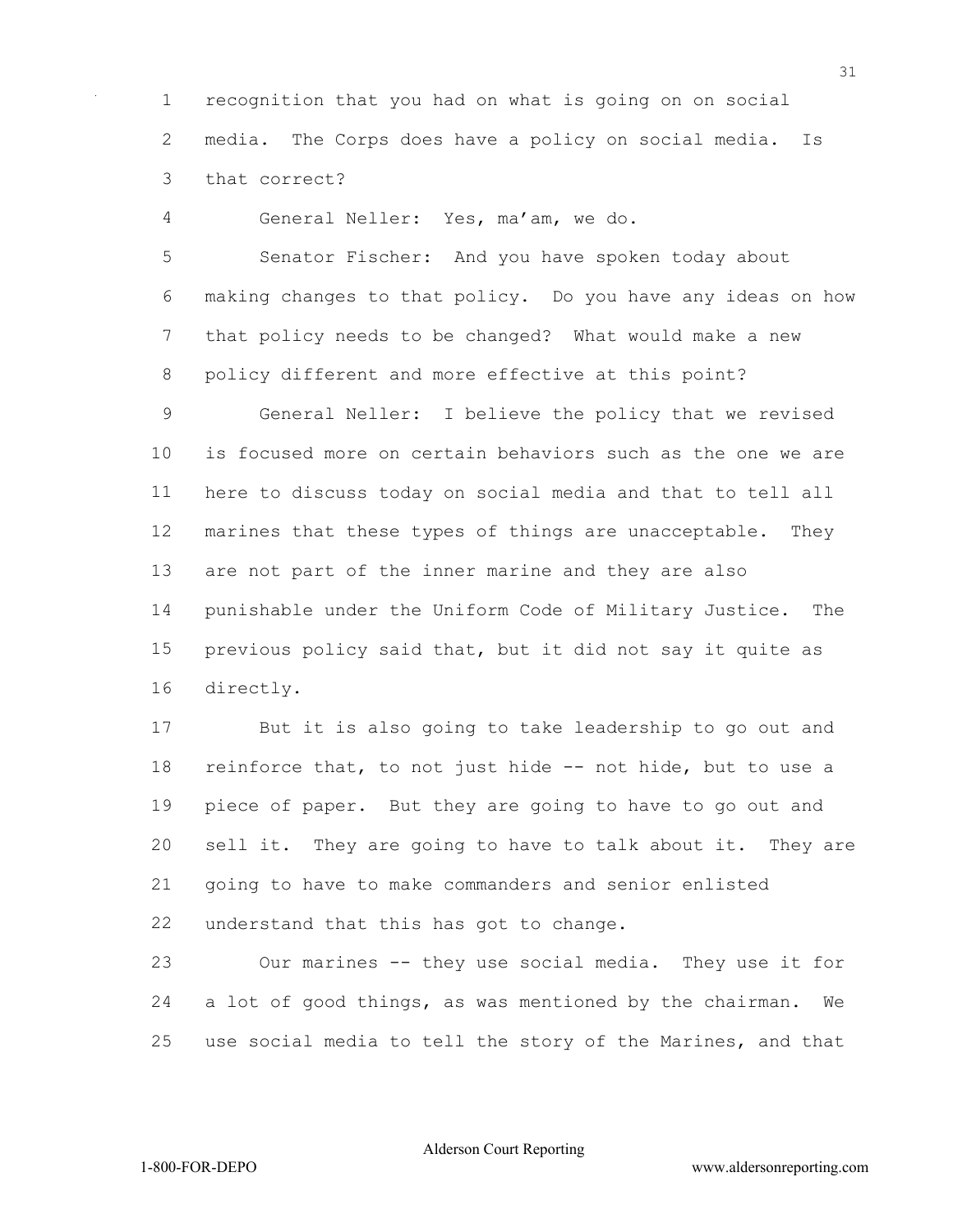recognition that you had on what is going on on social media. The Corps does have a policy on social media. Is that correct?

General Neller: Yes, ma'am, we do.

 Senator Fischer: And you have spoken today about making changes to that policy. Do you have any ideas on how that policy needs to be changed? What would make a new policy different and more effective at this point?

 General Neller: I believe the policy that we revised is focused more on certain behaviors such as the one we are here to discuss today on social media and that to tell all marines that these types of things are unacceptable. They are not part of the inner marine and they are also punishable under the Uniform Code of Military Justice. The previous policy said that, but it did not say it quite as directly.

 But it is also going to take leadership to go out and reinforce that, to not just hide -- not hide, but to use a piece of paper. But they are going to have to go out and sell it. They are going to have to talk about it. They are going to have to make commanders and senior enlisted understand that this has got to change.

 Our marines -- they use social media. They use it for a lot of good things, as was mentioned by the chairman. We use social media to tell the story of the Marines, and that

Alderson Court Reporting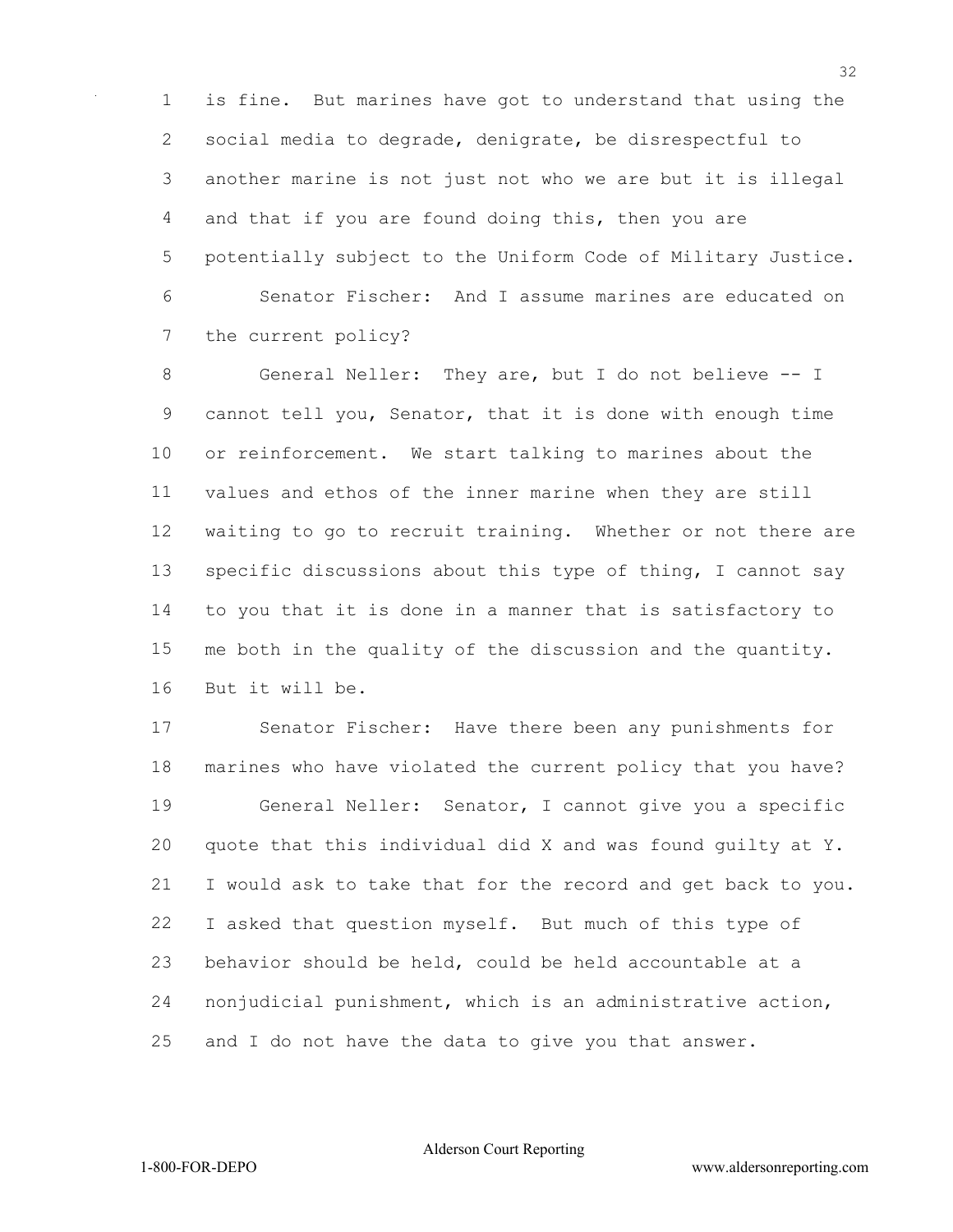is fine. But marines have got to understand that using the social media to degrade, denigrate, be disrespectful to another marine is not just not who we are but it is illegal and that if you are found doing this, then you are potentially subject to the Uniform Code of Military Justice. Senator Fischer: And I assume marines are educated on the current policy?

 General Neller: They are, but I do not believe -- I cannot tell you, Senator, that it is done with enough time or reinforcement. We start talking to marines about the values and ethos of the inner marine when they are still waiting to go to recruit training. Whether or not there are specific discussions about this type of thing, I cannot say to you that it is done in a manner that is satisfactory to me both in the quality of the discussion and the quantity. But it will be.

 Senator Fischer: Have there been any punishments for marines who have violated the current policy that you have? General Neller: Senator, I cannot give you a specific quote that this individual did X and was found guilty at Y. I would ask to take that for the record and get back to you. I asked that question myself. But much of this type of behavior should be held, could be held accountable at a nonjudicial punishment, which is an administrative action, and I do not have the data to give you that answer.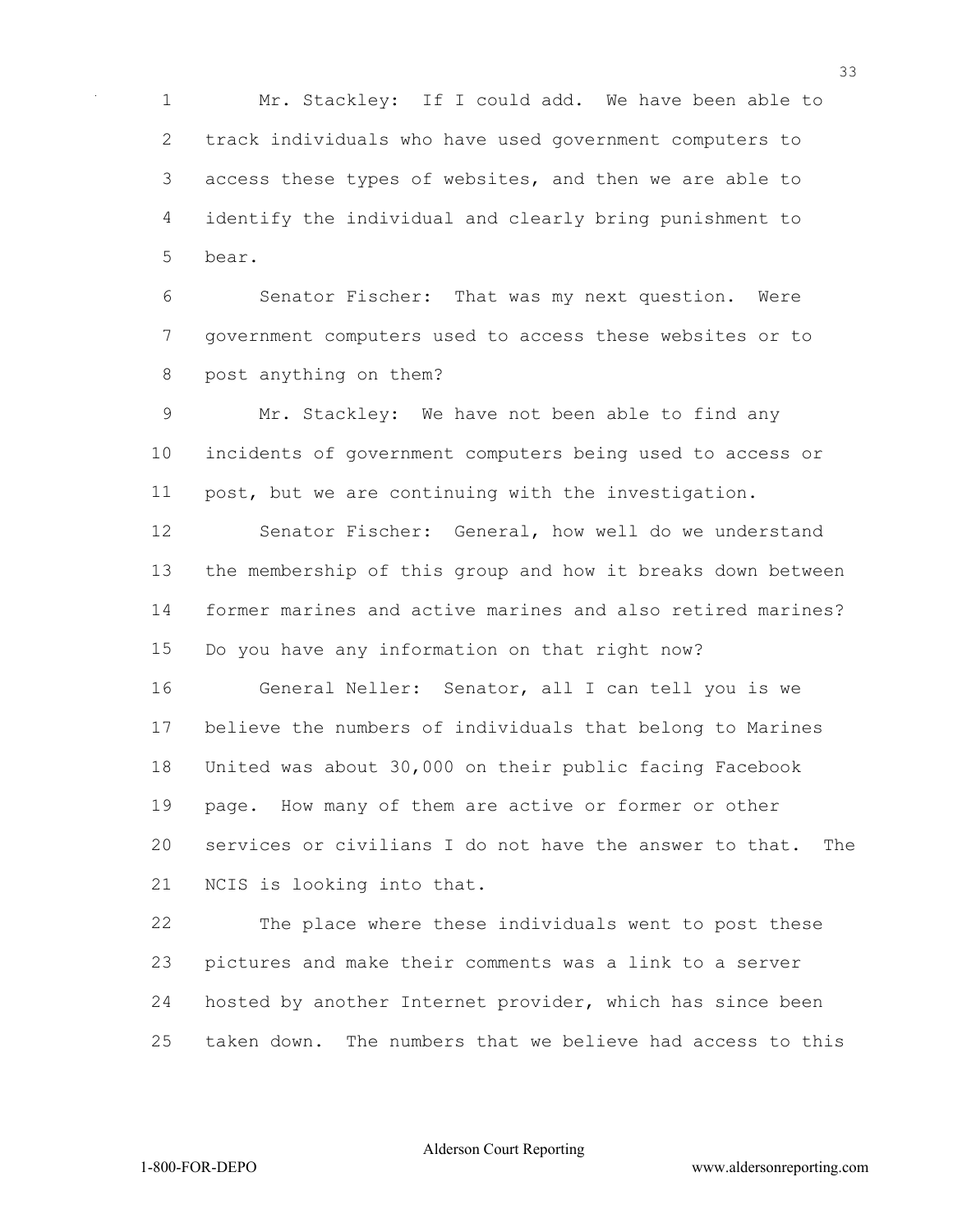Mr. Stackley: If I could add. We have been able to track individuals who have used government computers to access these types of websites, and then we are able to identify the individual and clearly bring punishment to bear.

 Senator Fischer: That was my next question. Were government computers used to access these websites or to post anything on them?

 Mr. Stackley: We have not been able to find any incidents of government computers being used to access or post, but we are continuing with the investigation.

 Senator Fischer: General, how well do we understand the membership of this group and how it breaks down between former marines and active marines and also retired marines? Do you have any information on that right now?

 General Neller: Senator, all I can tell you is we believe the numbers of individuals that belong to Marines United was about 30,000 on their public facing Facebook page. How many of them are active or former or other services or civilians I do not have the answer to that. The NCIS is looking into that.

 The place where these individuals went to post these pictures and make their comments was a link to a server hosted by another Internet provider, which has since been taken down. The numbers that we believe had access to this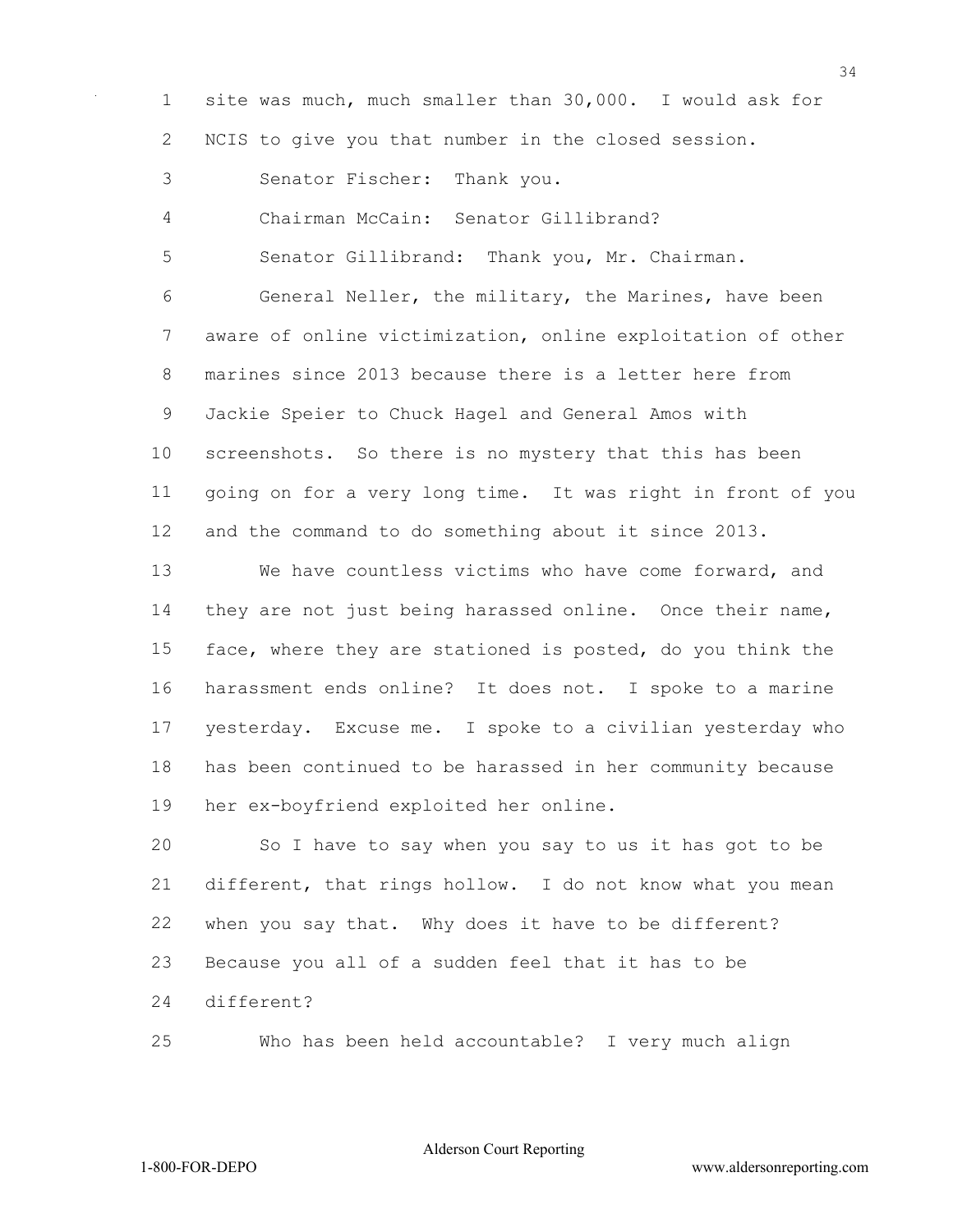site was much, much smaller than 30,000. I would ask for NCIS to give you that number in the closed session.

Senator Fischer: Thank you.

Chairman McCain: Senator Gillibrand?

Senator Gillibrand: Thank you, Mr. Chairman.

 General Neller, the military, the Marines, have been aware of online victimization, online exploitation of other marines since 2013 because there is a letter here from Jackie Speier to Chuck Hagel and General Amos with screenshots. So there is no mystery that this has been going on for a very long time. It was right in front of you and the command to do something about it since 2013.

 We have countless victims who have come forward, and they are not just being harassed online. Once their name, face, where they are stationed is posted, do you think the harassment ends online? It does not. I spoke to a marine yesterday. Excuse me. I spoke to a civilian yesterday who has been continued to be harassed in her community because her ex-boyfriend exploited her online.

 So I have to say when you say to us it has got to be different, that rings hollow. I do not know what you mean when you say that. Why does it have to be different? Because you all of a sudden feel that it has to be different?

Who has been held accountable? I very much align

Alderson Court Reporting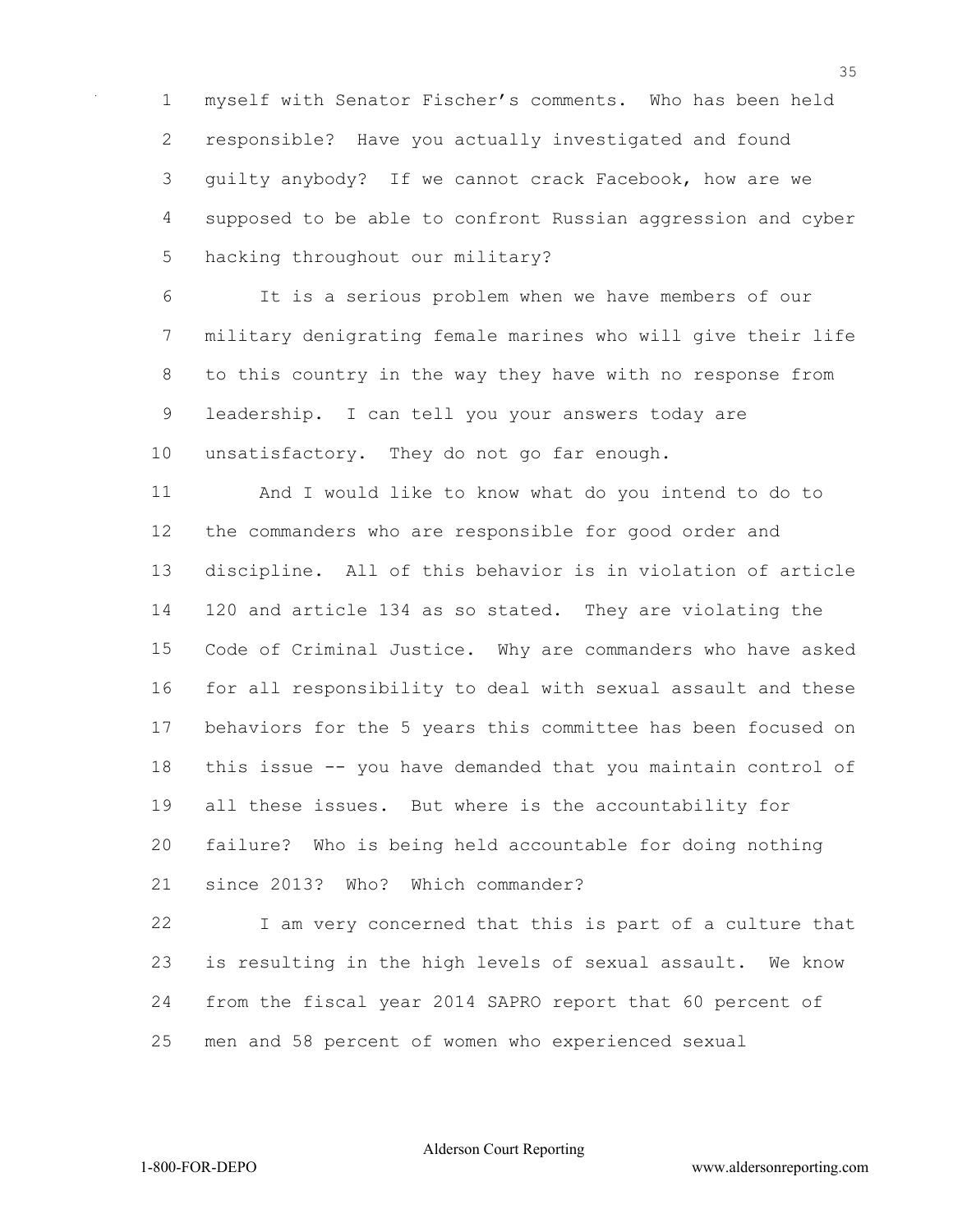myself with Senator Fischer's comments. Who has been held responsible? Have you actually investigated and found guilty anybody? If we cannot crack Facebook, how are we supposed to be able to confront Russian aggression and cyber hacking throughout our military?

 It is a serious problem when we have members of our military denigrating female marines who will give their life to this country in the way they have with no response from leadership. I can tell you your answers today are unsatisfactory. They do not go far enough.

 And I would like to know what do you intend to do to the commanders who are responsible for good order and discipline. All of this behavior is in violation of article 120 and article 134 as so stated. They are violating the Code of Criminal Justice. Why are commanders who have asked for all responsibility to deal with sexual assault and these behaviors for the 5 years this committee has been focused on this issue -- you have demanded that you maintain control of all these issues. But where is the accountability for failure? Who is being held accountable for doing nothing since 2013? Who? Which commander?

 I am very concerned that this is part of a culture that is resulting in the high levels of sexual assault. We know from the fiscal year 2014 SAPRO report that 60 percent of men and 58 percent of women who experienced sexual

Alderson Court Reporting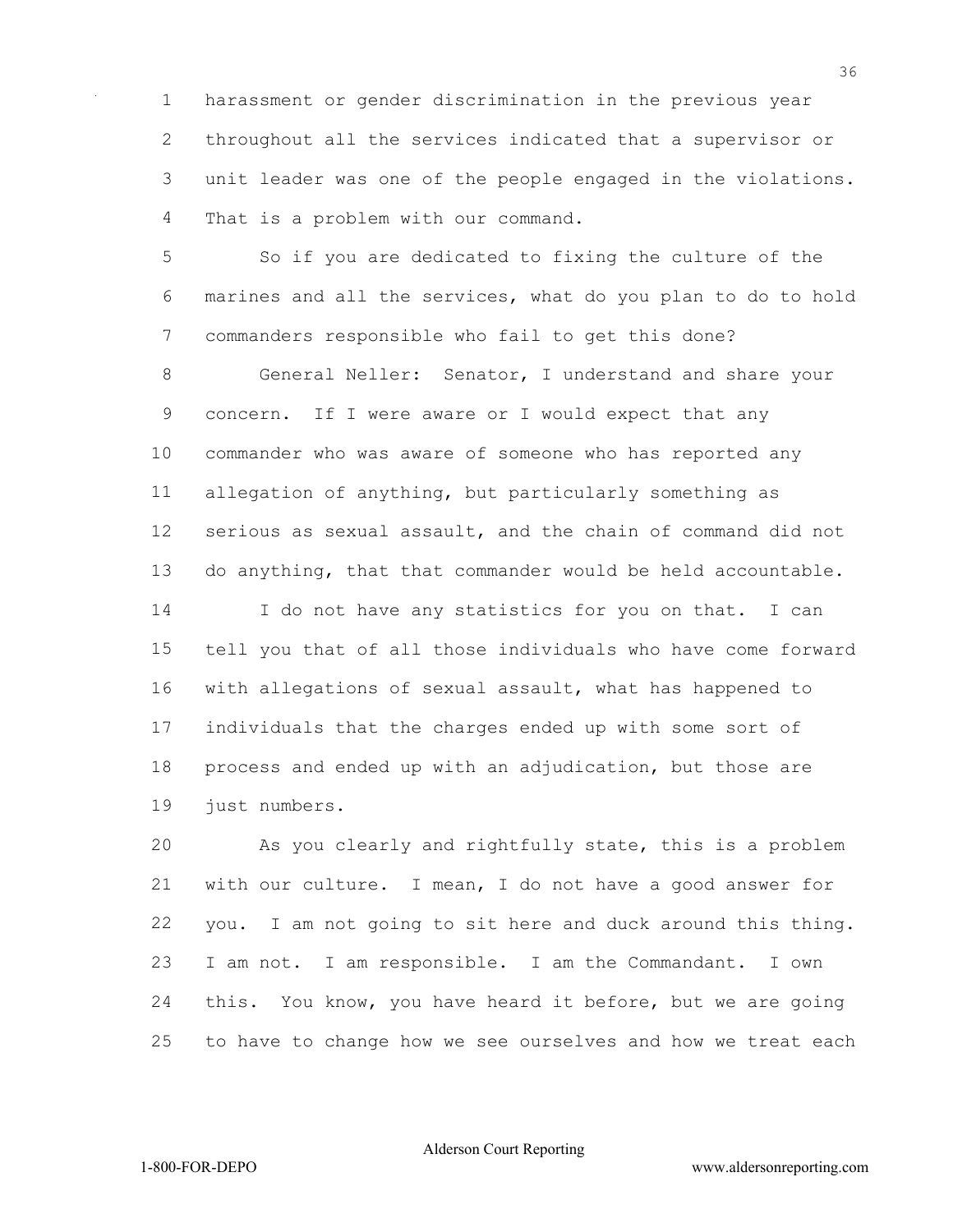harassment or gender discrimination in the previous year throughout all the services indicated that a supervisor or unit leader was one of the people engaged in the violations. That is a problem with our command.

 So if you are dedicated to fixing the culture of the marines and all the services, what do you plan to do to hold commanders responsible who fail to get this done?

 General Neller: Senator, I understand and share your concern. If I were aware or I would expect that any commander who was aware of someone who has reported any allegation of anything, but particularly something as serious as sexual assault, and the chain of command did not do anything, that that commander would be held accountable.

 I do not have any statistics for you on that. I can tell you that of all those individuals who have come forward with allegations of sexual assault, what has happened to individuals that the charges ended up with some sort of process and ended up with an adjudication, but those are just numbers.

 As you clearly and rightfully state, this is a problem with our culture. I mean, I do not have a good answer for you. I am not going to sit here and duck around this thing. I am not. I am responsible. I am the Commandant. I own this. You know, you have heard it before, but we are going to have to change how we see ourselves and how we treat each

Alderson Court Reporting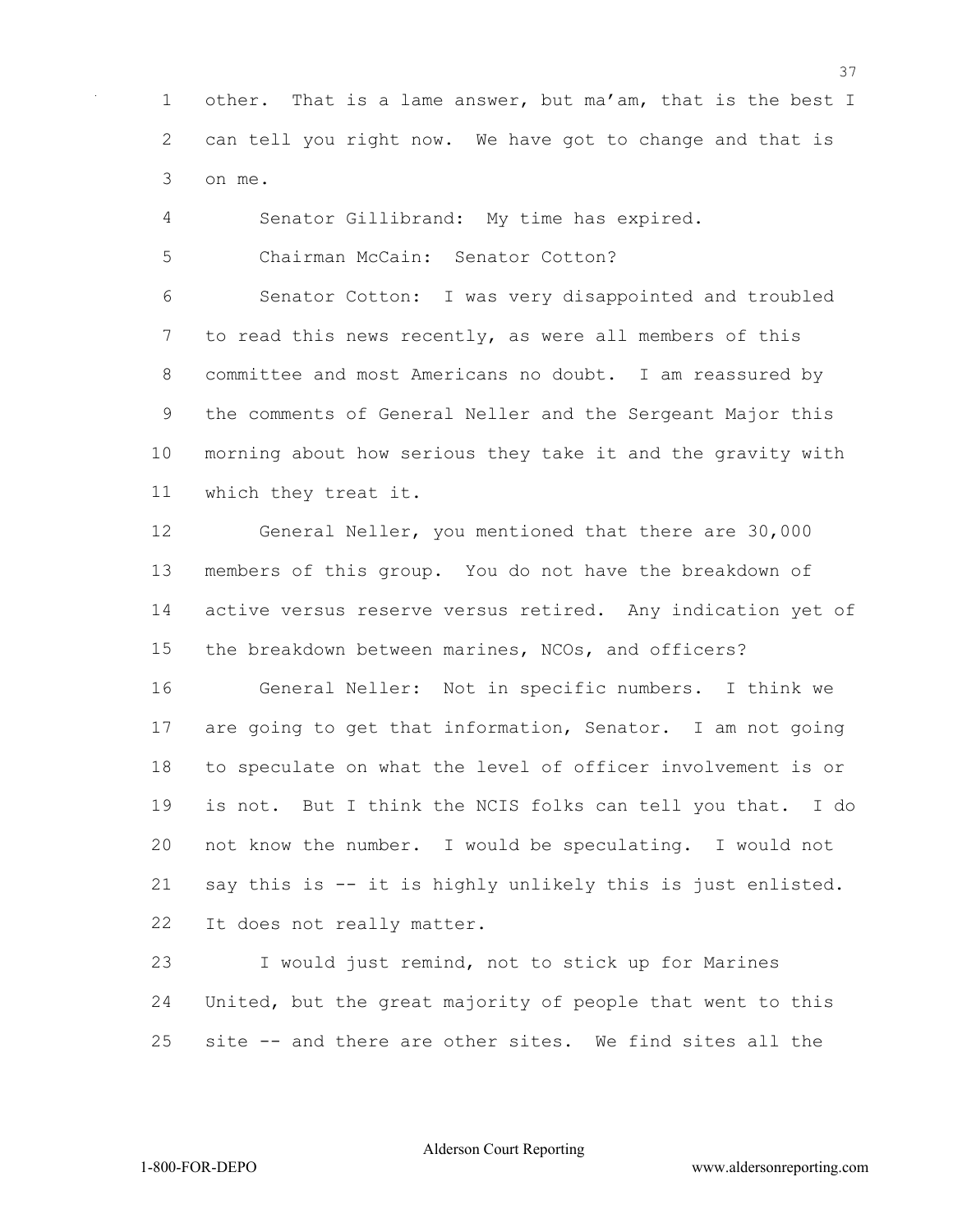other. That is a lame answer, but ma'am, that is the best I can tell you right now. We have got to change and that is on me.

Senator Gillibrand: My time has expired.

Chairman McCain: Senator Cotton?

 Senator Cotton: I was very disappointed and troubled to read this news recently, as were all members of this committee and most Americans no doubt. I am reassured by the comments of General Neller and the Sergeant Major this morning about how serious they take it and the gravity with which they treat it.

 General Neller, you mentioned that there are 30,000 members of this group. You do not have the breakdown of active versus reserve versus retired. Any indication yet of the breakdown between marines, NCOs, and officers?

 General Neller: Not in specific numbers. I think we are going to get that information, Senator. I am not going to speculate on what the level of officer involvement is or is not. But I think the NCIS folks can tell you that. I do not know the number. I would be speculating. I would not say this is -- it is highly unlikely this is just enlisted. It does not really matter.

 I would just remind, not to stick up for Marines United, but the great majority of people that went to this site -- and there are other sites. We find sites all the

Alderson Court Reporting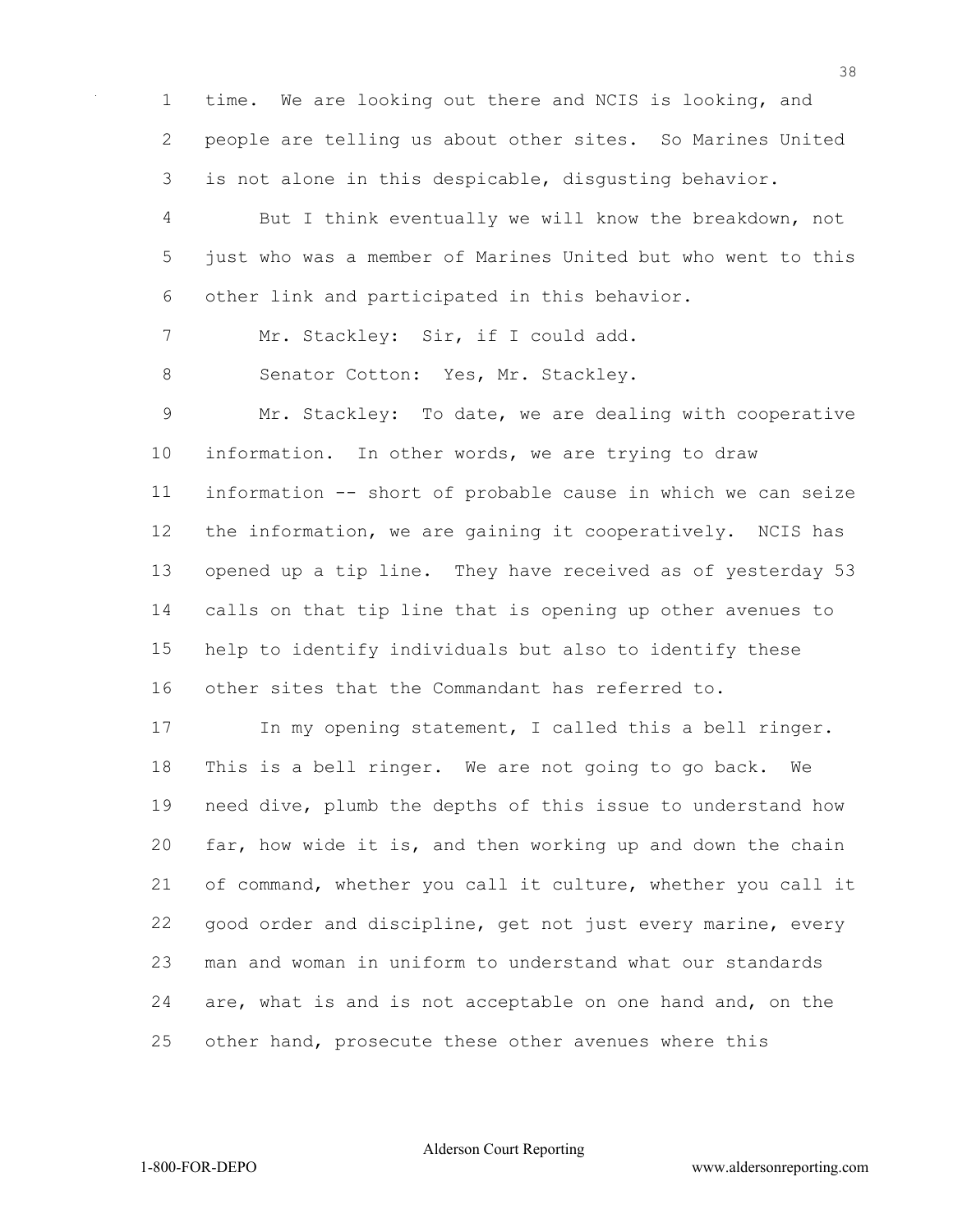time. We are looking out there and NCIS is looking, and people are telling us about other sites. So Marines United is not alone in this despicable, disgusting behavior.

 But I think eventually we will know the breakdown, not just who was a member of Marines United but who went to this other link and participated in this behavior.

7 Mr. Stackley: Sir, if I could add.

8 Senator Cotton: Yes, Mr. Stackley.

 Mr. Stackley: To date, we are dealing with cooperative information. In other words, we are trying to draw information -- short of probable cause in which we can seize the information, we are gaining it cooperatively. NCIS has opened up a tip line. They have received as of yesterday 53 calls on that tip line that is opening up other avenues to help to identify individuals but also to identify these other sites that the Commandant has referred to.

 In my opening statement, I called this a bell ringer. This is a bell ringer. We are not going to go back. We need dive, plumb the depths of this issue to understand how far, how wide it is, and then working up and down the chain of command, whether you call it culture, whether you call it good order and discipline, get not just every marine, every man and woman in uniform to understand what our standards are, what is and is not acceptable on one hand and, on the other hand, prosecute these other avenues where this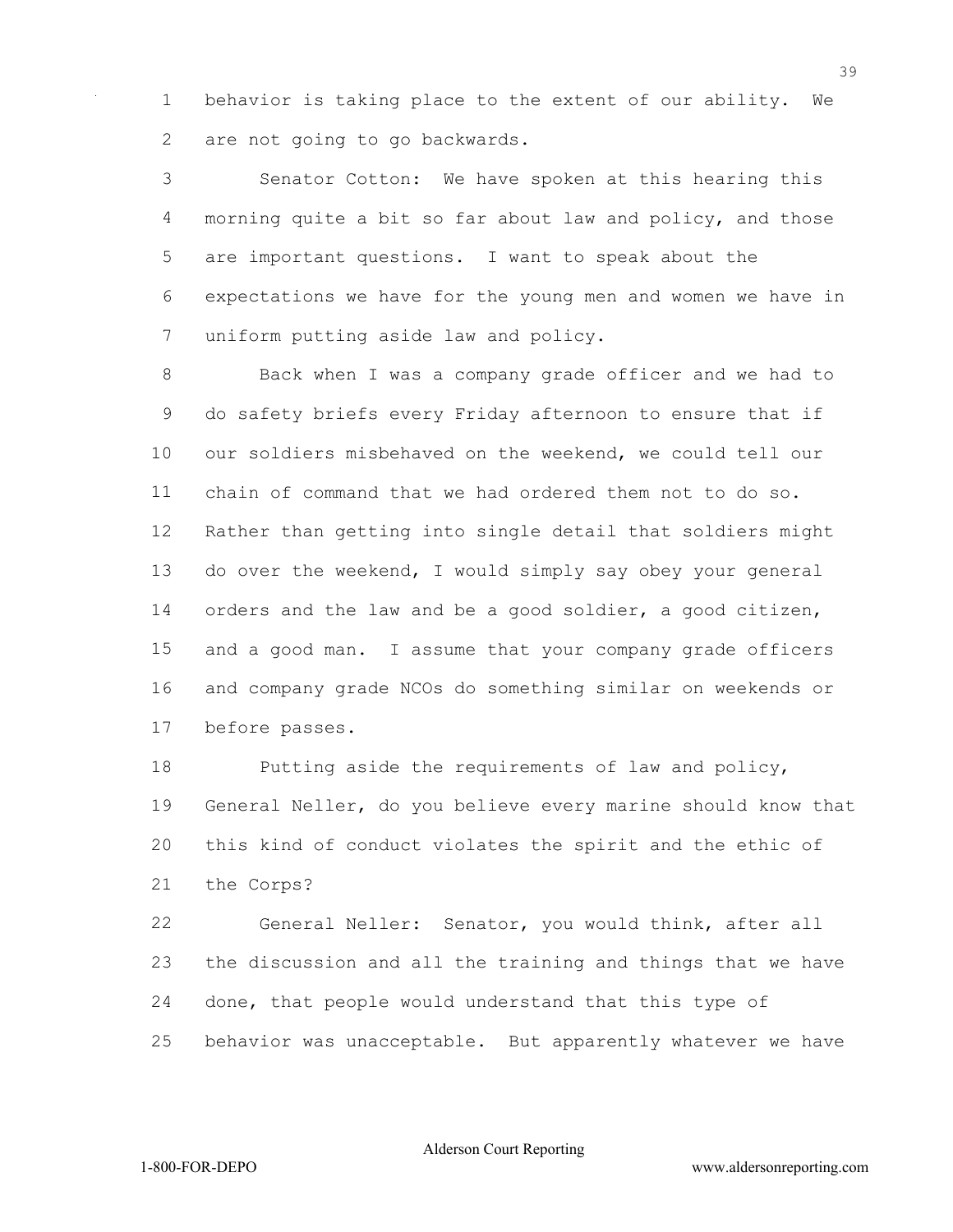behavior is taking place to the extent of our ability. We are not going to go backwards.

 Senator Cotton: We have spoken at this hearing this morning quite a bit so far about law and policy, and those are important questions. I want to speak about the expectations we have for the young men and women we have in uniform putting aside law and policy.

 Back when I was a company grade officer and we had to do safety briefs every Friday afternoon to ensure that if our soldiers misbehaved on the weekend, we could tell our chain of command that we had ordered them not to do so. Rather than getting into single detail that soldiers might do over the weekend, I would simply say obey your general orders and the law and be a good soldier, a good citizen, and a good man. I assume that your company grade officers and company grade NCOs do something similar on weekends or before passes.

 Putting aside the requirements of law and policy, General Neller, do you believe every marine should know that this kind of conduct violates the spirit and the ethic of the Corps?

 General Neller: Senator, you would think, after all the discussion and all the training and things that we have done, that people would understand that this type of behavior was unacceptable. But apparently whatever we have

Alderson Court Reporting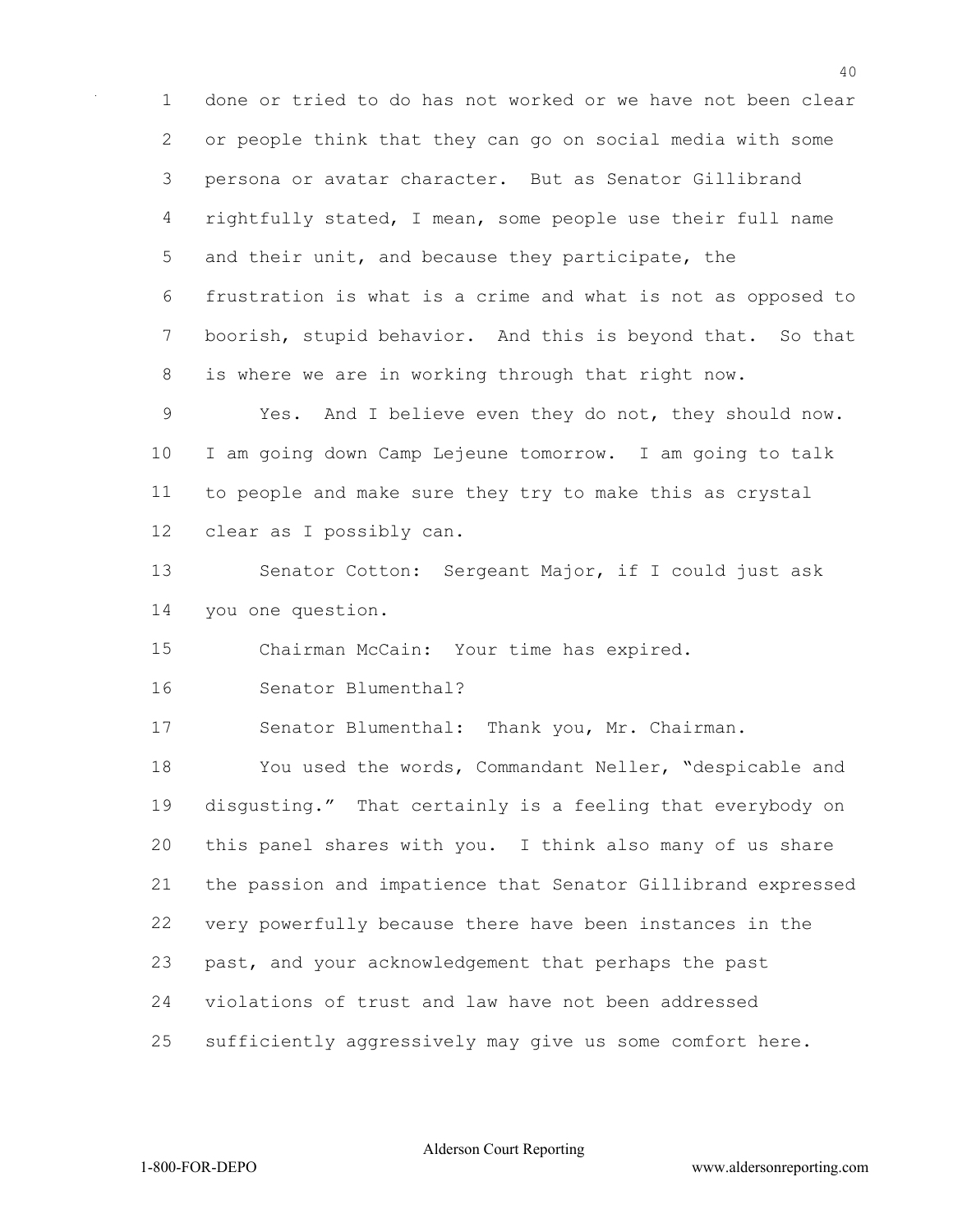done or tried to do has not worked or we have not been clear or people think that they can go on social media with some persona or avatar character. But as Senator Gillibrand rightfully stated, I mean, some people use their full name and their unit, and because they participate, the frustration is what is a crime and what is not as opposed to boorish, stupid behavior. And this is beyond that. So that is where we are in working through that right now.

 Yes. And I believe even they do not, they should now. I am going down Camp Lejeune tomorrow. I am going to talk to people and make sure they try to make this as crystal clear as I possibly can.

 Senator Cotton: Sergeant Major, if I could just ask you one question.

Chairman McCain: Your time has expired.

Senator Blumenthal?

Senator Blumenthal: Thank you, Mr. Chairman.

 You used the words, Commandant Neller, "despicable and disgusting." That certainly is a feeling that everybody on this panel shares with you. I think also many of us share the passion and impatience that Senator Gillibrand expressed very powerfully because there have been instances in the past, and your acknowledgement that perhaps the past violations of trust and law have not been addressed sufficiently aggressively may give us some comfort here.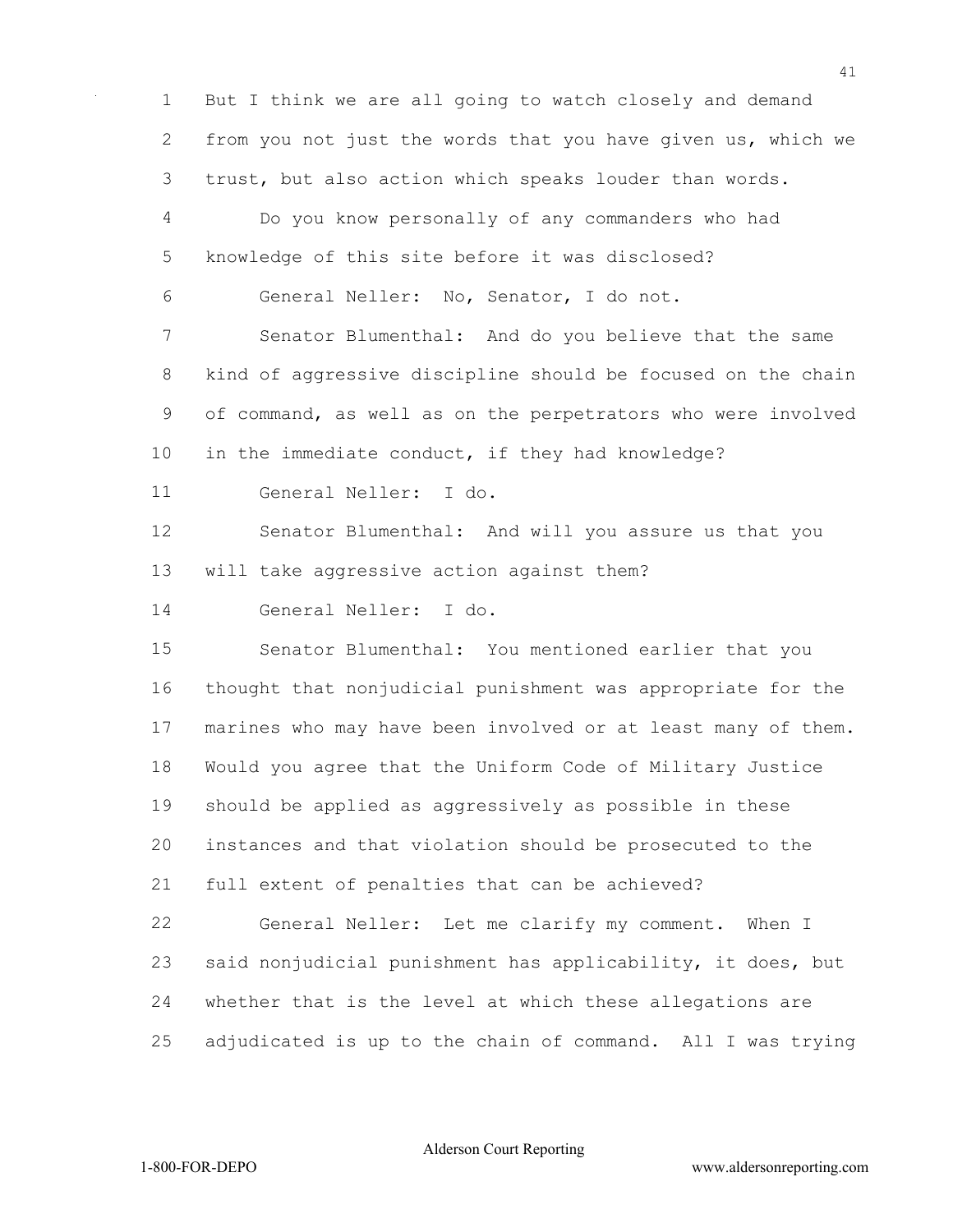But I think we are all going to watch closely and demand from you not just the words that you have given us, which we trust, but also action which speaks louder than words. Do you know personally of any commanders who had knowledge of this site before it was disclosed? General Neller: No, Senator, I do not. Senator Blumenthal: And do you believe that the same kind of aggressive discipline should be focused on the chain of command, as well as on the perpetrators who were involved in the immediate conduct, if they had knowledge? General Neller: I do. Senator Blumenthal: And will you assure us that you will take aggressive action against them? General Neller: I do. Senator Blumenthal: You mentioned earlier that you thought that nonjudicial punishment was appropriate for the marines who may have been involved or at least many of them. Would you agree that the Uniform Code of Military Justice should be applied as aggressively as possible in these instances and that violation should be prosecuted to the full extent of penalties that can be achieved? General Neller: Let me clarify my comment. When I said nonjudicial punishment has applicability, it does, but whether that is the level at which these allegations are adjudicated is up to the chain of command. All I was trying

Alderson Court Reporting

1-800-FOR-DEPO www.aldersonreporting.com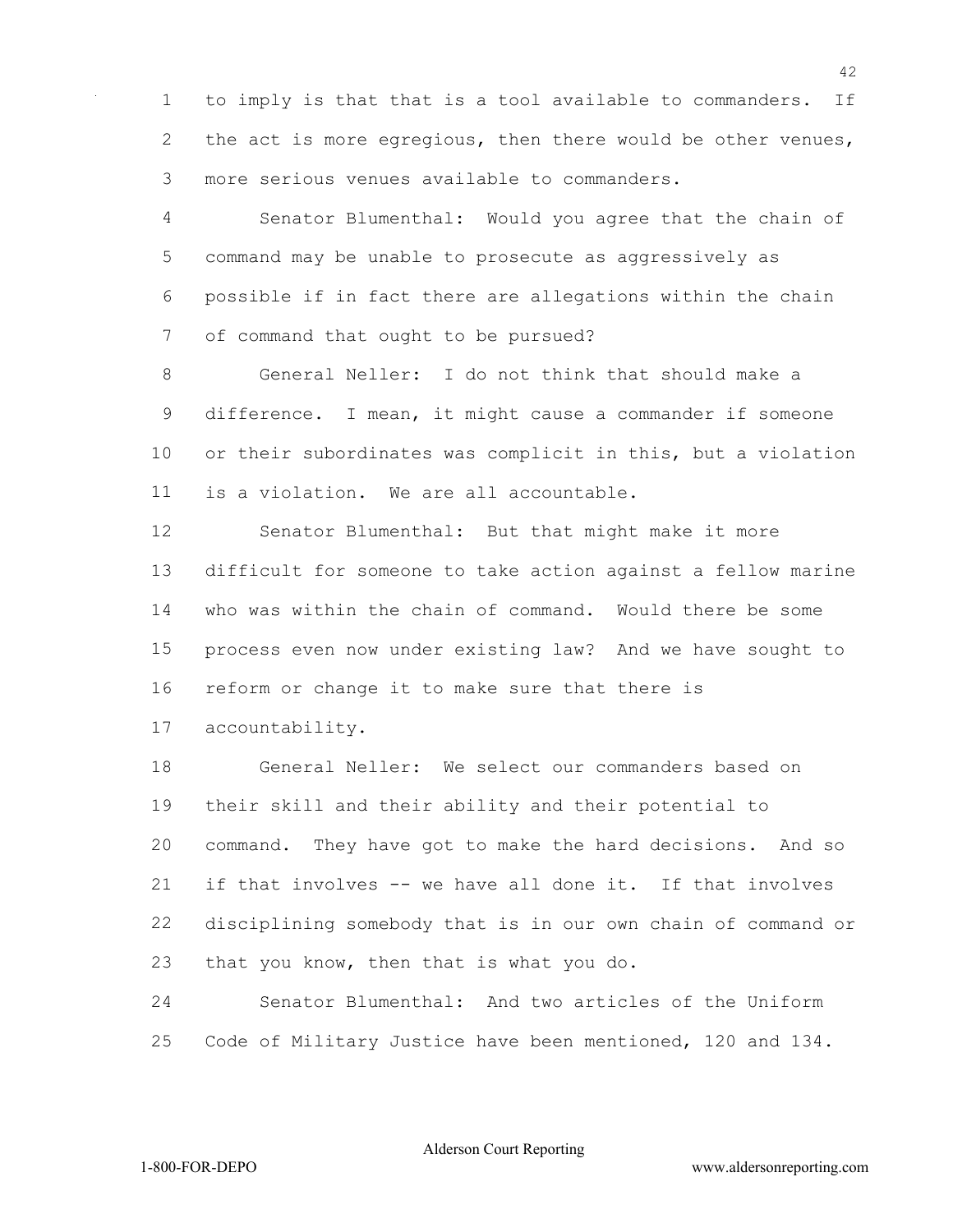to imply is that that is a tool available to commanders. If 2 the act is more egregious, then there would be other venues, more serious venues available to commanders.

 Senator Blumenthal: Would you agree that the chain of command may be unable to prosecute as aggressively as possible if in fact there are allegations within the chain of command that ought to be pursued?

 General Neller: I do not think that should make a difference. I mean, it might cause a commander if someone or their subordinates was complicit in this, but a violation is a violation. We are all accountable.

 Senator Blumenthal: But that might make it more difficult for someone to take action against a fellow marine who was within the chain of command. Would there be some process even now under existing law? And we have sought to reform or change it to make sure that there is accountability.

 General Neller: We select our commanders based on their skill and their ability and their potential to command. They have got to make the hard decisions. And so if that involves -- we have all done it. If that involves disciplining somebody that is in our own chain of command or that you know, then that is what you do.

 Senator Blumenthal: And two articles of the Uniform Code of Military Justice have been mentioned, 120 and 134.

Alderson Court Reporting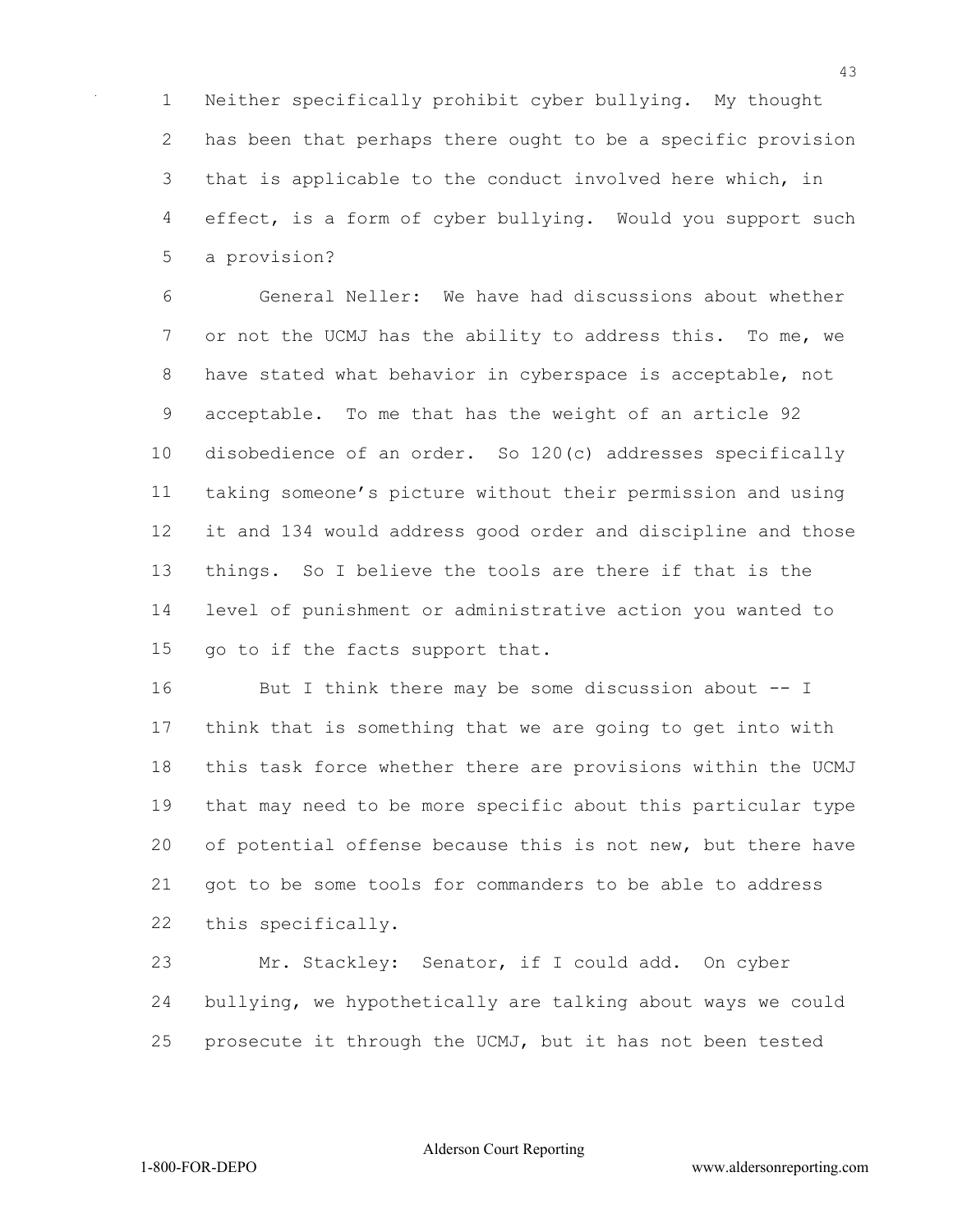Neither specifically prohibit cyber bullying. My thought has been that perhaps there ought to be a specific provision that is applicable to the conduct involved here which, in effect, is a form of cyber bullying. Would you support such a provision?

 General Neller: We have had discussions about whether 7 or not the UCMJ has the ability to address this. To me, we have stated what behavior in cyberspace is acceptable, not acceptable. To me that has the weight of an article 92 disobedience of an order. So 120(c) addresses specifically taking someone's picture without their permission and using it and 134 would address good order and discipline and those things. So I believe the tools are there if that is the level of punishment or administrative action you wanted to go to if the facts support that.

16 But I think there may be some discussion about -- I think that is something that we are going to get into with this task force whether there are provisions within the UCMJ that may need to be more specific about this particular type of potential offense because this is not new, but there have got to be some tools for commanders to be able to address this specifically.

 Mr. Stackley: Senator, if I could add. On cyber bullying, we hypothetically are talking about ways we could prosecute it through the UCMJ, but it has not been tested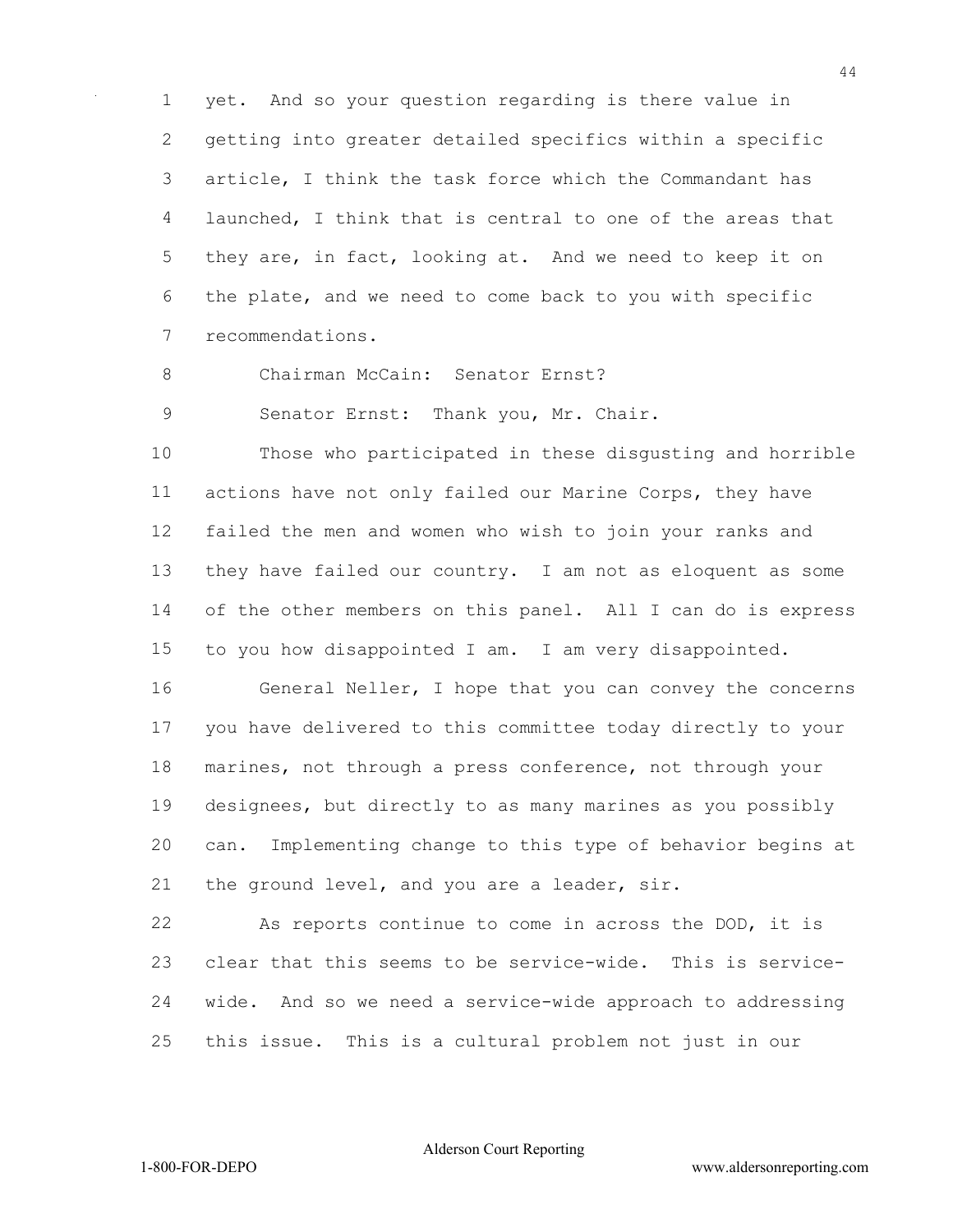yet. And so your question regarding is there value in getting into greater detailed specifics within a specific article, I think the task force which the Commandant has launched, I think that is central to one of the areas that they are, in fact, looking at. And we need to keep it on the plate, and we need to come back to you with specific recommendations.

Chairman McCain: Senator Ernst?

Senator Ernst: Thank you, Mr. Chair.

 Those who participated in these disgusting and horrible actions have not only failed our Marine Corps, they have failed the men and women who wish to join your ranks and they have failed our country. I am not as eloquent as some of the other members on this panel. All I can do is express to you how disappointed I am. I am very disappointed.

 General Neller, I hope that you can convey the concerns you have delivered to this committee today directly to your marines, not through a press conference, not through your designees, but directly to as many marines as you possibly can. Implementing change to this type of behavior begins at the ground level, and you are a leader, sir.

 As reports continue to come in across the DOD, it is clear that this seems to be service-wide. This is service- wide. And so we need a service-wide approach to addressing this issue. This is a cultural problem not just in our

Alderson Court Reporting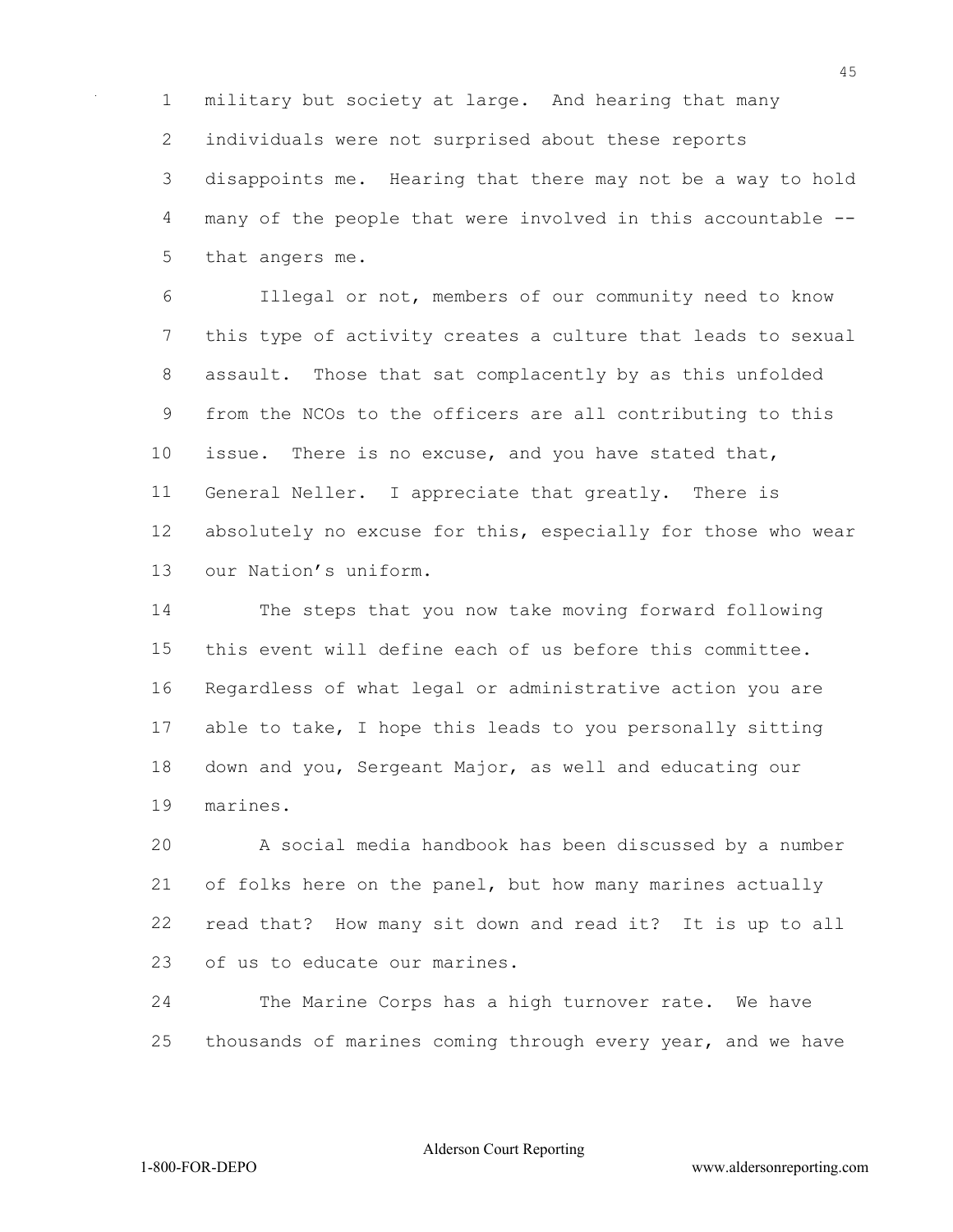military but society at large. And hearing that many individuals were not surprised about these reports disappoints me. Hearing that there may not be a way to hold many of the people that were involved in this accountable -- that angers me.

 Illegal or not, members of our community need to know this type of activity creates a culture that leads to sexual assault. Those that sat complacently by as this unfolded from the NCOs to the officers are all contributing to this issue. There is no excuse, and you have stated that, General Neller. I appreciate that greatly. There is absolutely no excuse for this, especially for those who wear our Nation's uniform.

 The steps that you now take moving forward following this event will define each of us before this committee. Regardless of what legal or administrative action you are able to take, I hope this leads to you personally sitting down and you, Sergeant Major, as well and educating our marines.

 A social media handbook has been discussed by a number of folks here on the panel, but how many marines actually read that? How many sit down and read it? It is up to all of us to educate our marines.

 The Marine Corps has a high turnover rate. We have thousands of marines coming through every year, and we have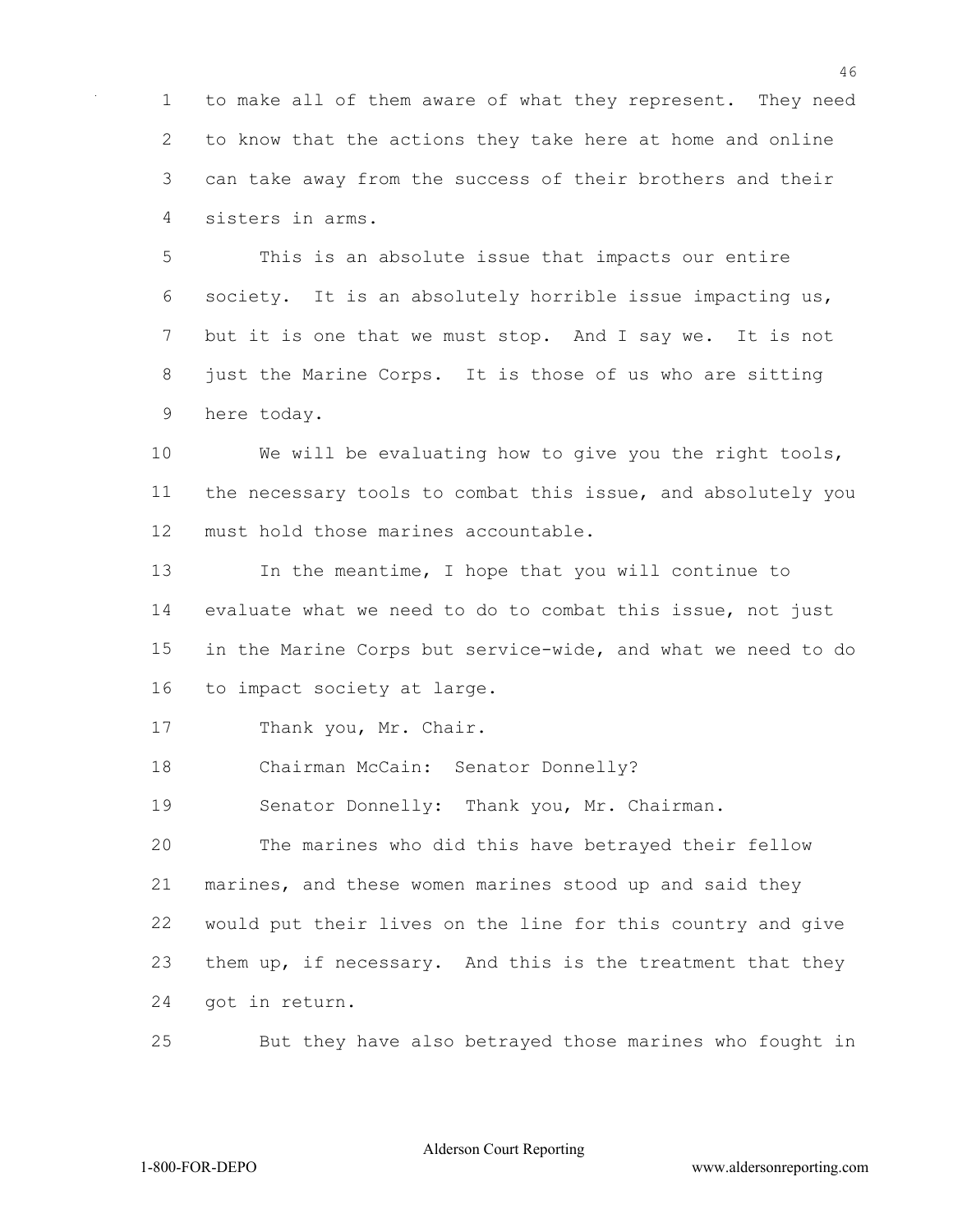to make all of them aware of what they represent. They need to know that the actions they take here at home and online can take away from the success of their brothers and their sisters in arms.

 This is an absolute issue that impacts our entire society. It is an absolutely horrible issue impacting us, but it is one that we must stop. And I say we. It is not just the Marine Corps. It is those of us who are sitting here today.

 We will be evaluating how to give you the right tools, the necessary tools to combat this issue, and absolutely you must hold those marines accountable.

 In the meantime, I hope that you will continue to evaluate what we need to do to combat this issue, not just in the Marine Corps but service-wide, and what we need to do to impact society at large.

Thank you, Mr. Chair.

Chairman McCain: Senator Donnelly?

Senator Donnelly: Thank you, Mr. Chairman.

 The marines who did this have betrayed their fellow marines, and these women marines stood up and said they would put their lives on the line for this country and give them up, if necessary. And this is the treatment that they got in return.

But they have also betrayed those marines who fought in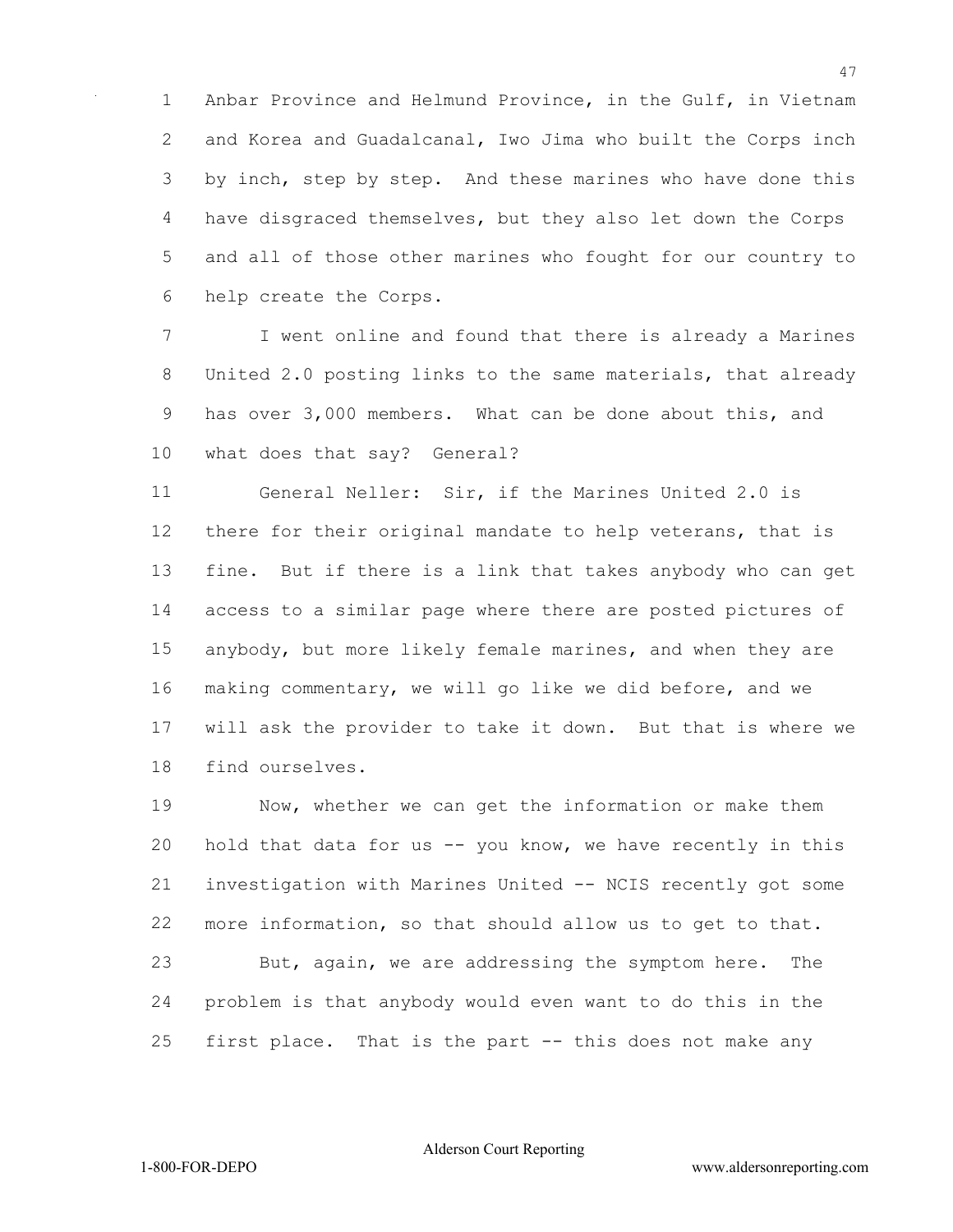Anbar Province and Helmund Province, in the Gulf, in Vietnam and Korea and Guadalcanal, Iwo Jima who built the Corps inch 3 by inch, step by step. And these marines who have done this have disgraced themselves, but they also let down the Corps and all of those other marines who fought for our country to help create the Corps.

 I went online and found that there is already a Marines United 2.0 posting links to the same materials, that already has over 3,000 members. What can be done about this, and what does that say? General?

 General Neller: Sir, if the Marines United 2.0 is there for their original mandate to help veterans, that is fine. But if there is a link that takes anybody who can get access to a similar page where there are posted pictures of anybody, but more likely female marines, and when they are making commentary, we will go like we did before, and we will ask the provider to take it down. But that is where we find ourselves.

 Now, whether we can get the information or make them hold that data for us -- you know, we have recently in this investigation with Marines United -- NCIS recently got some more information, so that should allow us to get to that. But, again, we are addressing the symptom here. The problem is that anybody would even want to do this in the first place. That is the part -- this does not make any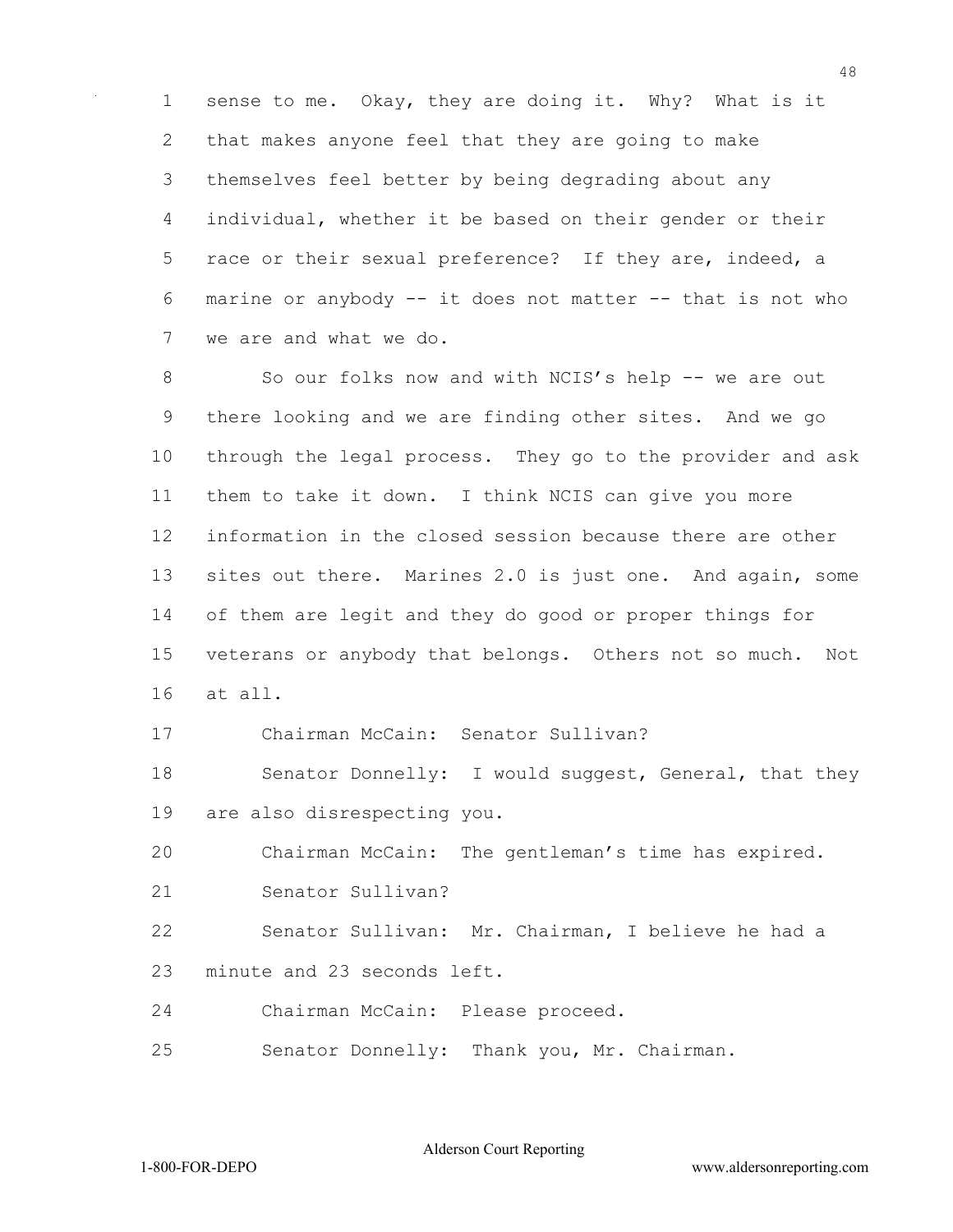1 sense to me. Okay, they are doing it. Why? What is it 2 that makes anyone feel that they are going to make 3 themselves feel better by being degrading about any 4 individual, whether it be based on their gender or their 5 race or their sexual preference? If they are, indeed, a 6 marine or anybody -- it does not matter -- that is not who 7 we are and what we do.

8 So our folks now and with NCIS's help -- we are out 9 there looking and we are finding other sites. And we go 10 through the legal process. They go to the provider and ask 11 them to take it down. I think NCIS can give you more 12 information in the closed session because there are other 13 sites out there. Marines 2.0 is just one. And again, some 14 of them are legit and they do good or proper things for 15 veterans or anybody that belongs. Others not so much. Not 16 at all.

17 Chairman McCain: Senator Sullivan?

18 Senator Donnelly: I would suggest, General, that they 19 are also disrespecting you.

20 Chairman McCain: The gentleman's time has expired. 21 Senator Sullivan?

22 Senator Sullivan: Mr. Chairman, I believe he had a 23 minute and 23 seconds left.

24 Chairman McCain: Please proceed.

25 Senator Donnelly: Thank you, Mr. Chairman.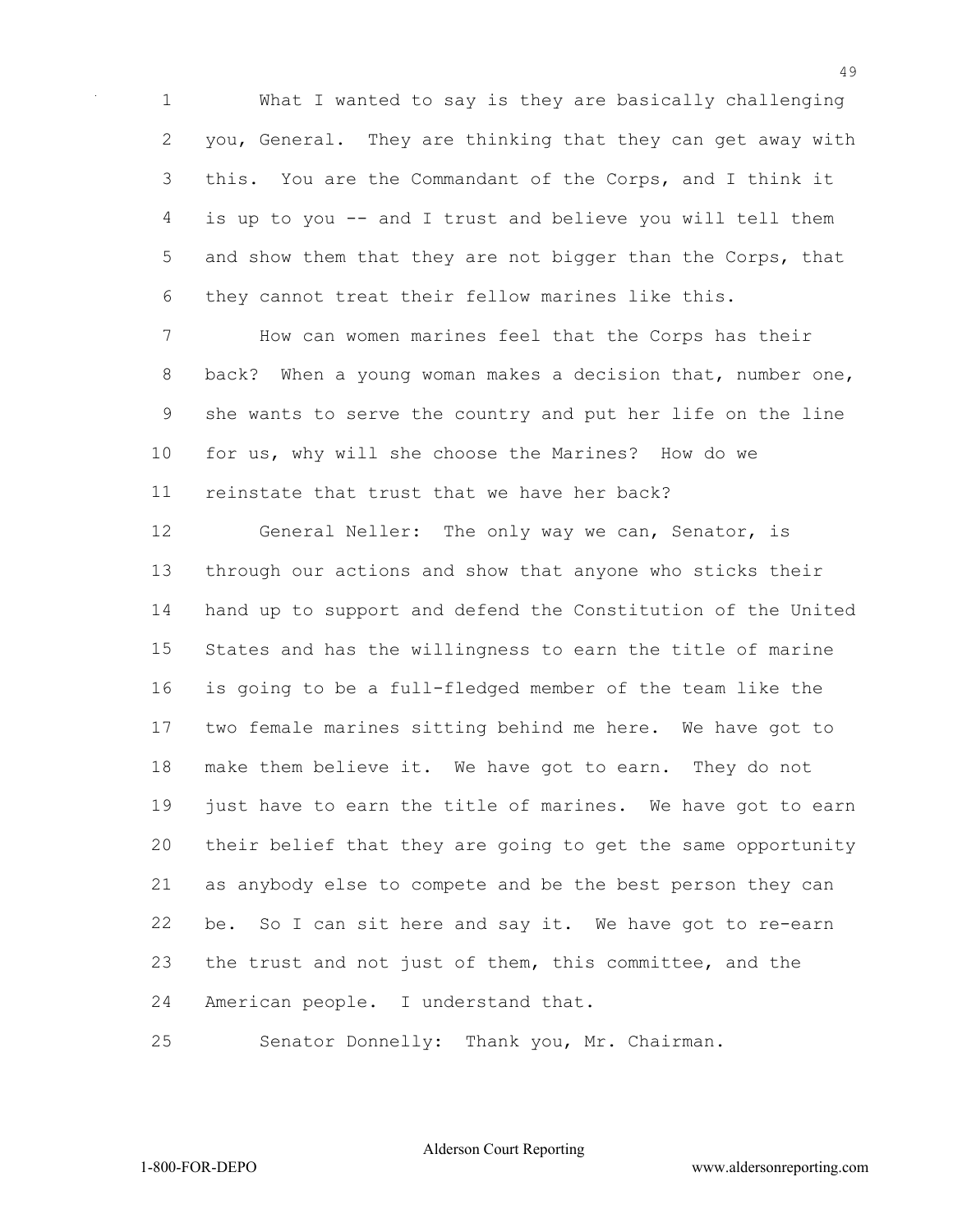What I wanted to say is they are basically challenging you, General. They are thinking that they can get away with this. You are the Commandant of the Corps, and I think it is up to you -- and I trust and believe you will tell them 5 and show them that they are not bigger than the Corps, that they cannot treat their fellow marines like this.

 How can women marines feel that the Corps has their back? When a young woman makes a decision that, number one, she wants to serve the country and put her life on the line for us, why will she choose the Marines? How do we reinstate that trust that we have her back?

 General Neller: The only way we can, Senator, is through our actions and show that anyone who sticks their hand up to support and defend the Constitution of the United States and has the willingness to earn the title of marine is going to be a full-fledged member of the team like the two female marines sitting behind me here. We have got to make them believe it. We have got to earn. They do not just have to earn the title of marines. We have got to earn their belief that they are going to get the same opportunity as anybody else to compete and be the best person they can be. So I can sit here and say it. We have got to re-earn the trust and not just of them, this committee, and the American people. I understand that.

Senator Donnelly: Thank you, Mr. Chairman.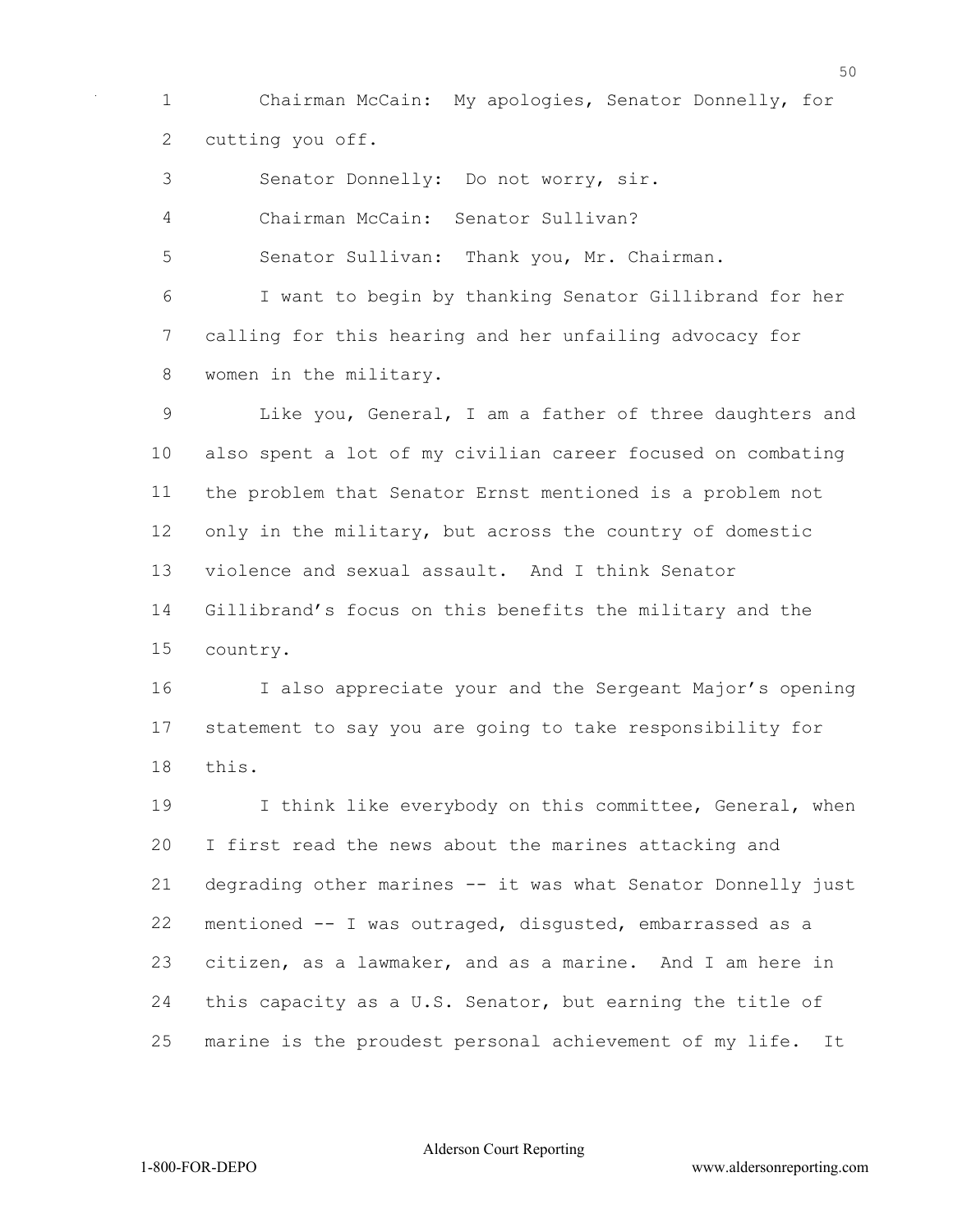Chairman McCain: My apologies, Senator Donnelly, for cutting you off.

Senator Donnelly: Do not worry, sir.

Chairman McCain: Senator Sullivan?

Senator Sullivan: Thank you, Mr. Chairman.

 I want to begin by thanking Senator Gillibrand for her calling for this hearing and her unfailing advocacy for women in the military.

 Like you, General, I am a father of three daughters and also spent a lot of my civilian career focused on combating the problem that Senator Ernst mentioned is a problem not 12 only in the military, but across the country of domestic violence and sexual assault. And I think Senator Gillibrand's focus on this benefits the military and the country.

 I also appreciate your and the Sergeant Major's opening statement to say you are going to take responsibility for this.

19 I think like everybody on this committee, General, when I first read the news about the marines attacking and degrading other marines -- it was what Senator Donnelly just mentioned -- I was outraged, disgusted, embarrassed as a citizen, as a lawmaker, and as a marine. And I am here in this capacity as a U.S. Senator, but earning the title of marine is the proudest personal achievement of my life. It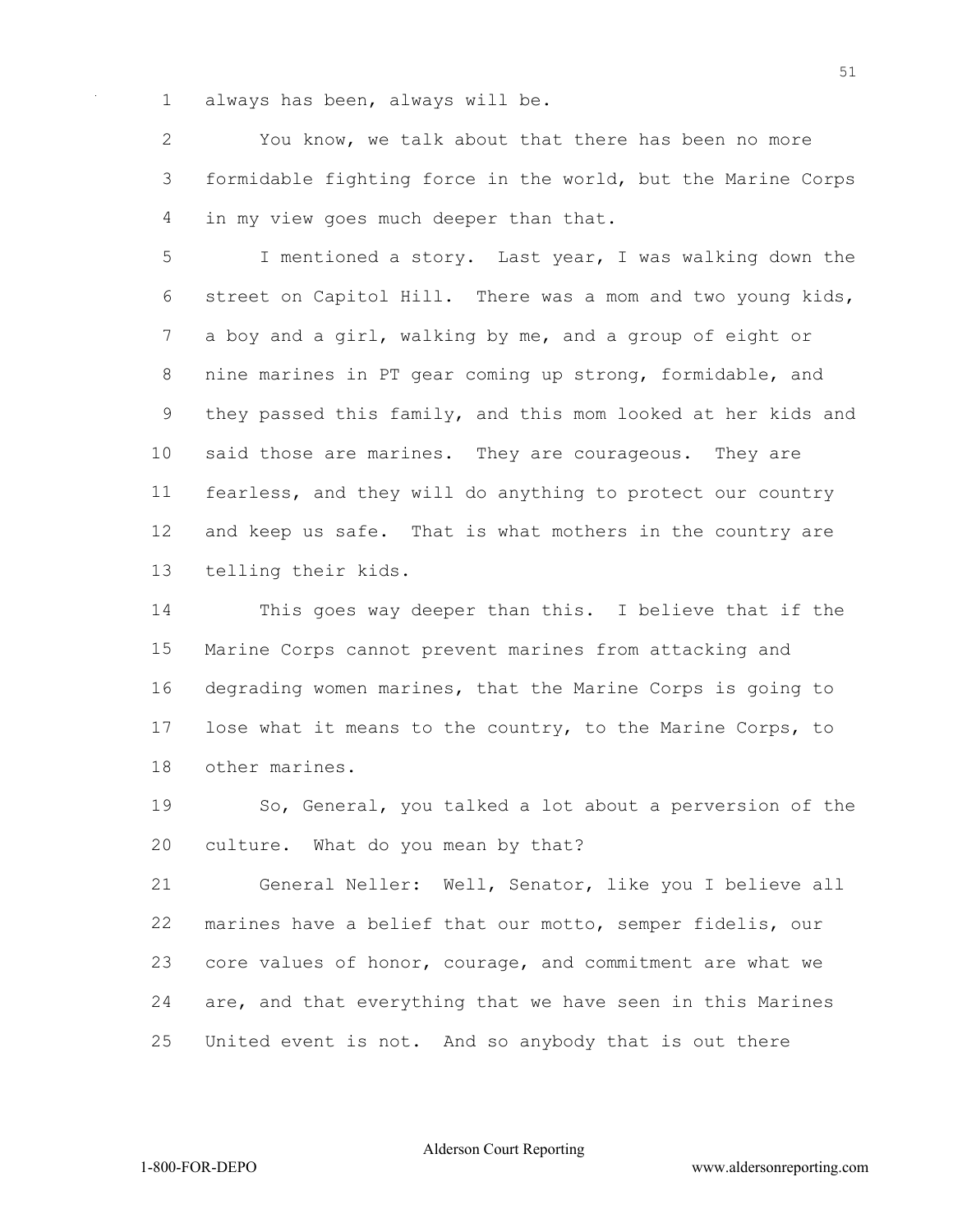always has been, always will be.

 You know, we talk about that there has been no more formidable fighting force in the world, but the Marine Corps in my view goes much deeper than that.

 I mentioned a story. Last year, I was walking down the street on Capitol Hill. There was a mom and two young kids, a boy and a girl, walking by me, and a group of eight or nine marines in PT gear coming up strong, formidable, and they passed this family, and this mom looked at her kids and said those are marines. They are courageous. They are fearless, and they will do anything to protect our country and keep us safe. That is what mothers in the country are telling their kids.

 This goes way deeper than this. I believe that if the Marine Corps cannot prevent marines from attacking and degrading women marines, that the Marine Corps is going to lose what it means to the country, to the Marine Corps, to other marines.

 So, General, you talked a lot about a perversion of the culture. What do you mean by that?

 General Neller: Well, Senator, like you I believe all marines have a belief that our motto, semper fidelis, our core values of honor, courage, and commitment are what we are, and that everything that we have seen in this Marines United event is not. And so anybody that is out there

Alderson Court Reporting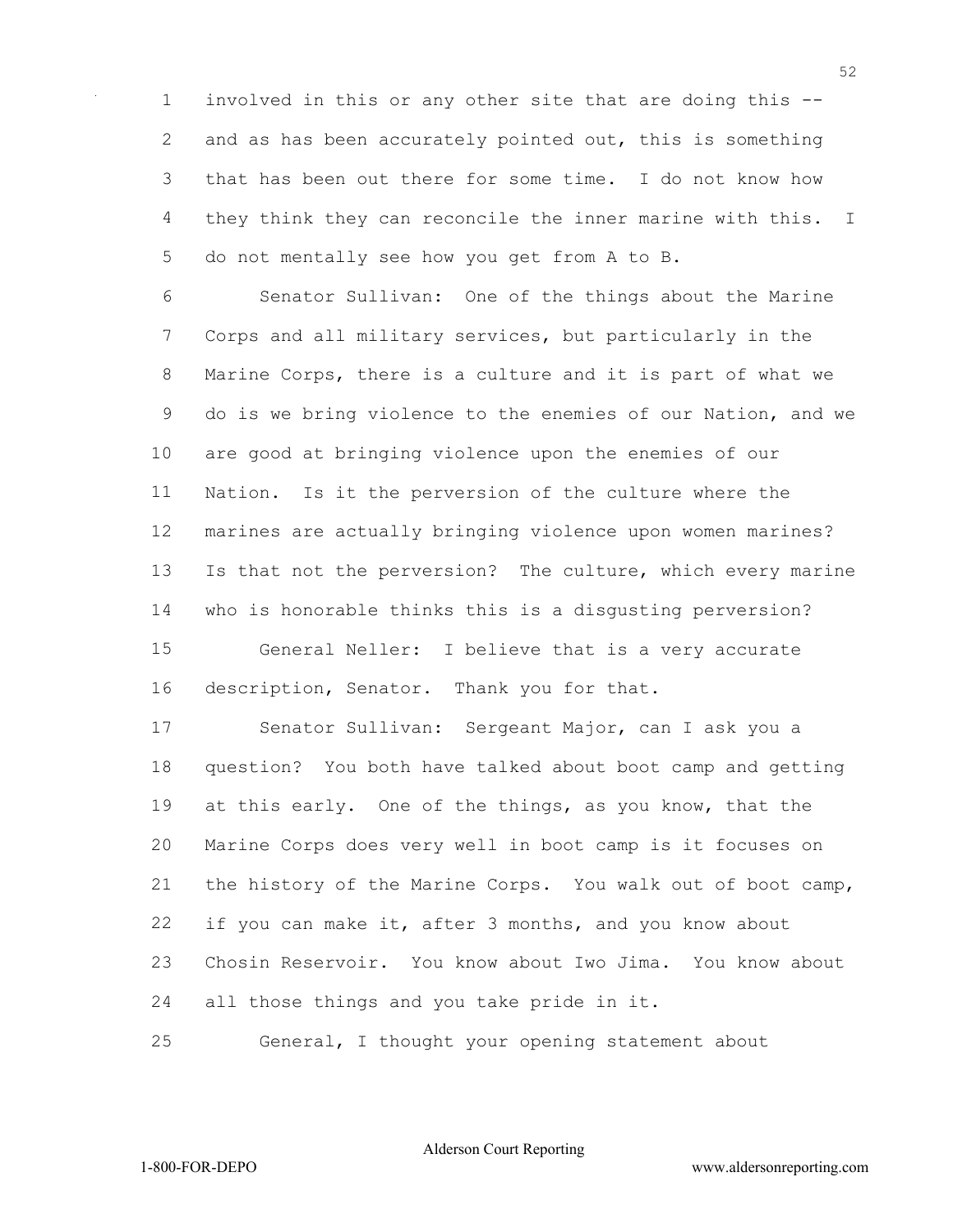involved in this or any other site that are doing this -- 2 and as has been accurately pointed out, this is something that has been out there for some time. I do not know how 4 they think they can reconcile the inner marine with this. I do not mentally see how you get from A to B.

 Senator Sullivan: One of the things about the Marine Corps and all military services, but particularly in the Marine Corps, there is a culture and it is part of what we do is we bring violence to the enemies of our Nation, and we are good at bringing violence upon the enemies of our Nation. Is it the perversion of the culture where the marines are actually bringing violence upon women marines? Is that not the perversion? The culture, which every marine who is honorable thinks this is a disgusting perversion? General Neller: I believe that is a very accurate description, Senator. Thank you for that.

 Senator Sullivan: Sergeant Major, can I ask you a question? You both have talked about boot camp and getting at this early. One of the things, as you know, that the Marine Corps does very well in boot camp is it focuses on the history of the Marine Corps. You walk out of boot camp, if you can make it, after 3 months, and you know about Chosin Reservoir. You know about Iwo Jima. You know about all those things and you take pride in it.

General, I thought your opening statement about

Alderson Court Reporting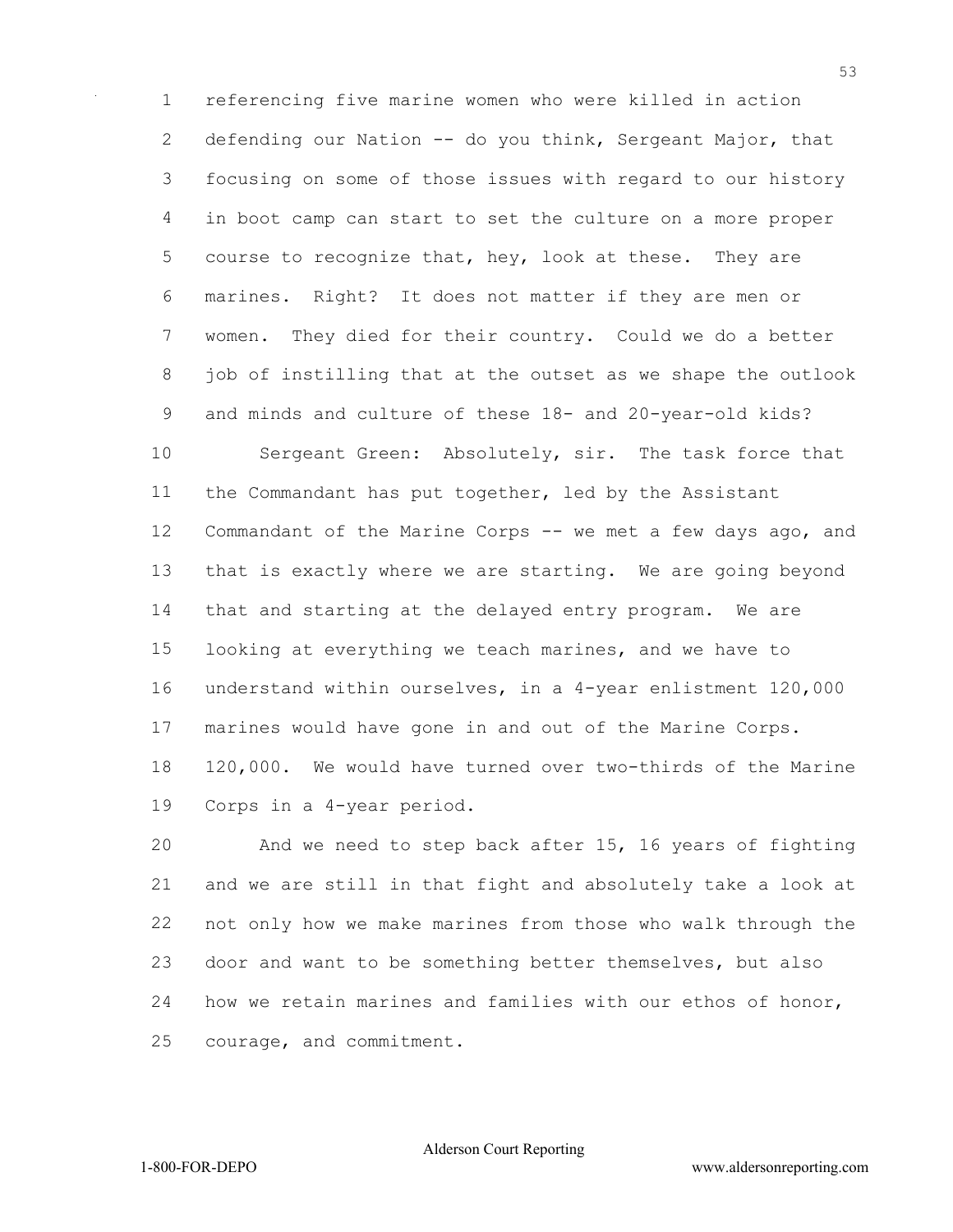referencing five marine women who were killed in action 2 defending our Nation -- do you think, Sergeant Major, that focusing on some of those issues with regard to our history in boot camp can start to set the culture on a more proper 5 course to recognize that, hey, look at these. They are marines. Right? It does not matter if they are men or women. They died for their country. Could we do a better job of instilling that at the outset as we shape the outlook and minds and culture of these 18- and 20-year-old kids? Sergeant Green: Absolutely, sir. The task force that the Commandant has put together, led by the Assistant Commandant of the Marine Corps -- we met a few days ago, and that is exactly where we are starting. We are going beyond that and starting at the delayed entry program. We are looking at everything we teach marines, and we have to understand within ourselves, in a 4-year enlistment 120,000 marines would have gone in and out of the Marine Corps. 120,000. We would have turned over two-thirds of the Marine Corps in a 4-year period.

 And we need to step back after 15, 16 years of fighting and we are still in that fight and absolutely take a look at not only how we make marines from those who walk through the door and want to be something better themselves, but also how we retain marines and families with our ethos of honor, courage, and commitment.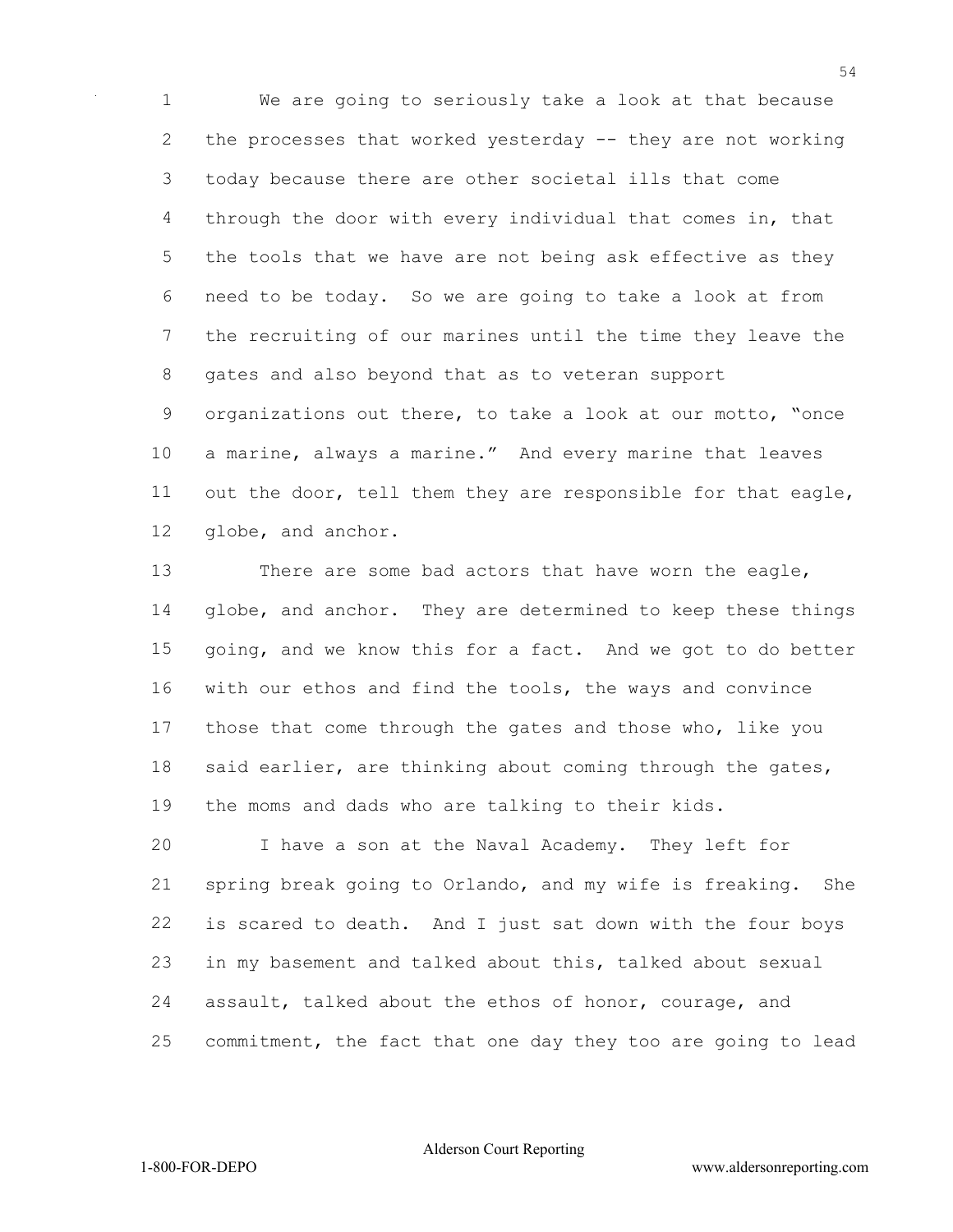We are going to seriously take a look at that because the processes that worked yesterday -- they are not working today because there are other societal ills that come through the door with every individual that comes in, that the tools that we have are not being ask effective as they need to be today. So we are going to take a look at from the recruiting of our marines until the time they leave the gates and also beyond that as to veteran support organizations out there, to take a look at our motto, "once a marine, always a marine." And every marine that leaves out the door, tell them they are responsible for that eagle, globe, and anchor.

 There are some bad actors that have worn the eagle, 14 globe, and anchor. They are determined to keep these things going, and we know this for a fact. And we got to do better with our ethos and find the tools, the ways and convince those that come through the gates and those who, like you 18 said earlier, are thinking about coming through the gates, the moms and dads who are talking to their kids.

 I have a son at the Naval Academy. They left for spring break going to Orlando, and my wife is freaking. She is scared to death. And I just sat down with the four boys in my basement and talked about this, talked about sexual assault, talked about the ethos of honor, courage, and commitment, the fact that one day they too are going to lead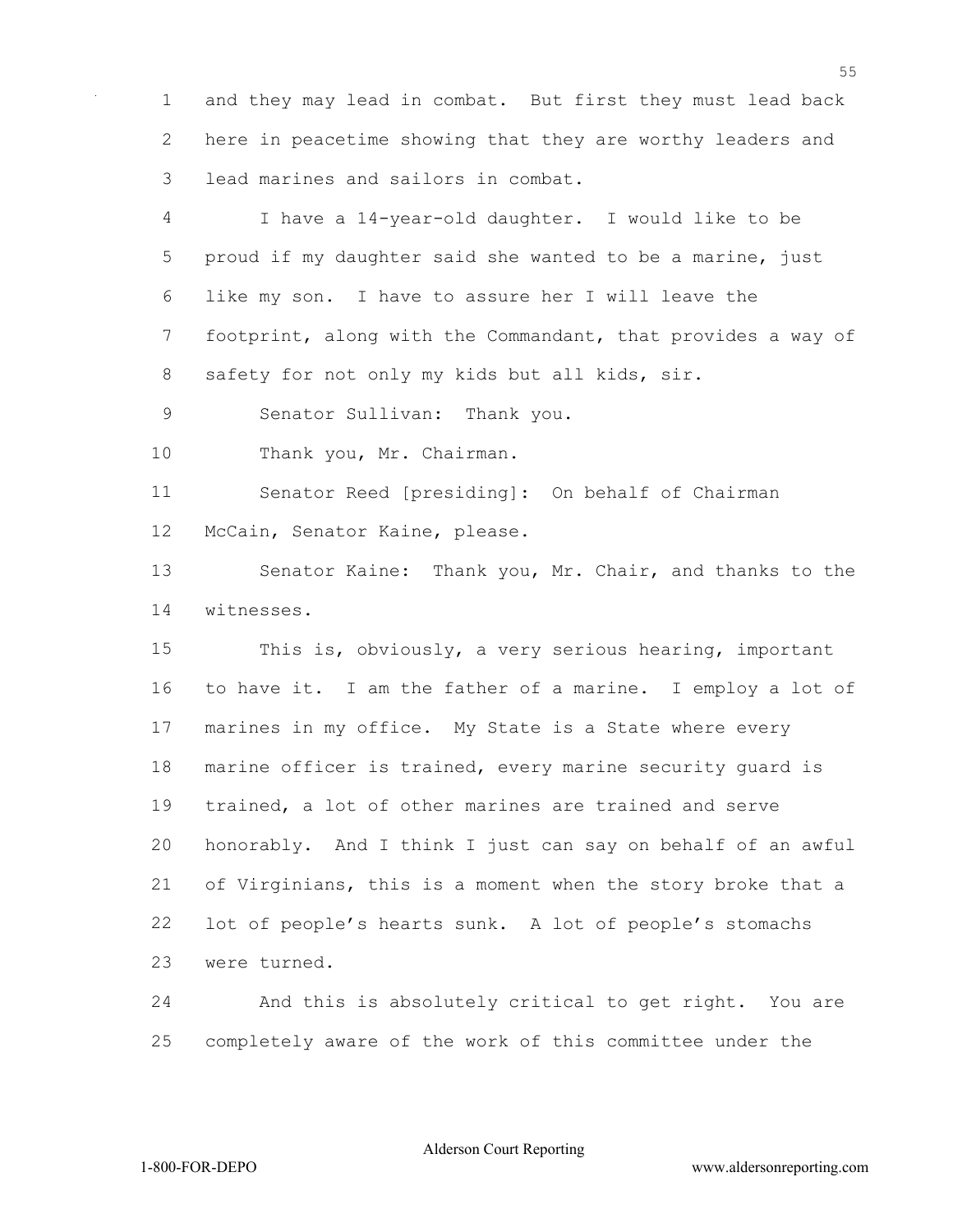and they may lead in combat. But first they must lead back here in peacetime showing that they are worthy leaders and lead marines and sailors in combat.

 I have a 14-year-old daughter. I would like to be proud if my daughter said she wanted to be a marine, just like my son. I have to assure her I will leave the footprint, along with the Commandant, that provides a way of 8 safety for not only my kids but all kids, sir.

Senator Sullivan: Thank you.

10 Thank you, Mr. Chairman.

 Senator Reed [presiding]: On behalf of Chairman McCain, Senator Kaine, please.

 Senator Kaine: Thank you, Mr. Chair, and thanks to the witnesses.

 This is, obviously, a very serious hearing, important to have it. I am the father of a marine. I employ a lot of marines in my office. My State is a State where every marine officer is trained, every marine security guard is trained, a lot of other marines are trained and serve honorably. And I think I just can say on behalf of an awful of Virginians, this is a moment when the story broke that a lot of people's hearts sunk. A lot of people's stomachs were turned.

 And this is absolutely critical to get right. You are completely aware of the work of this committee under the

Alderson Court Reporting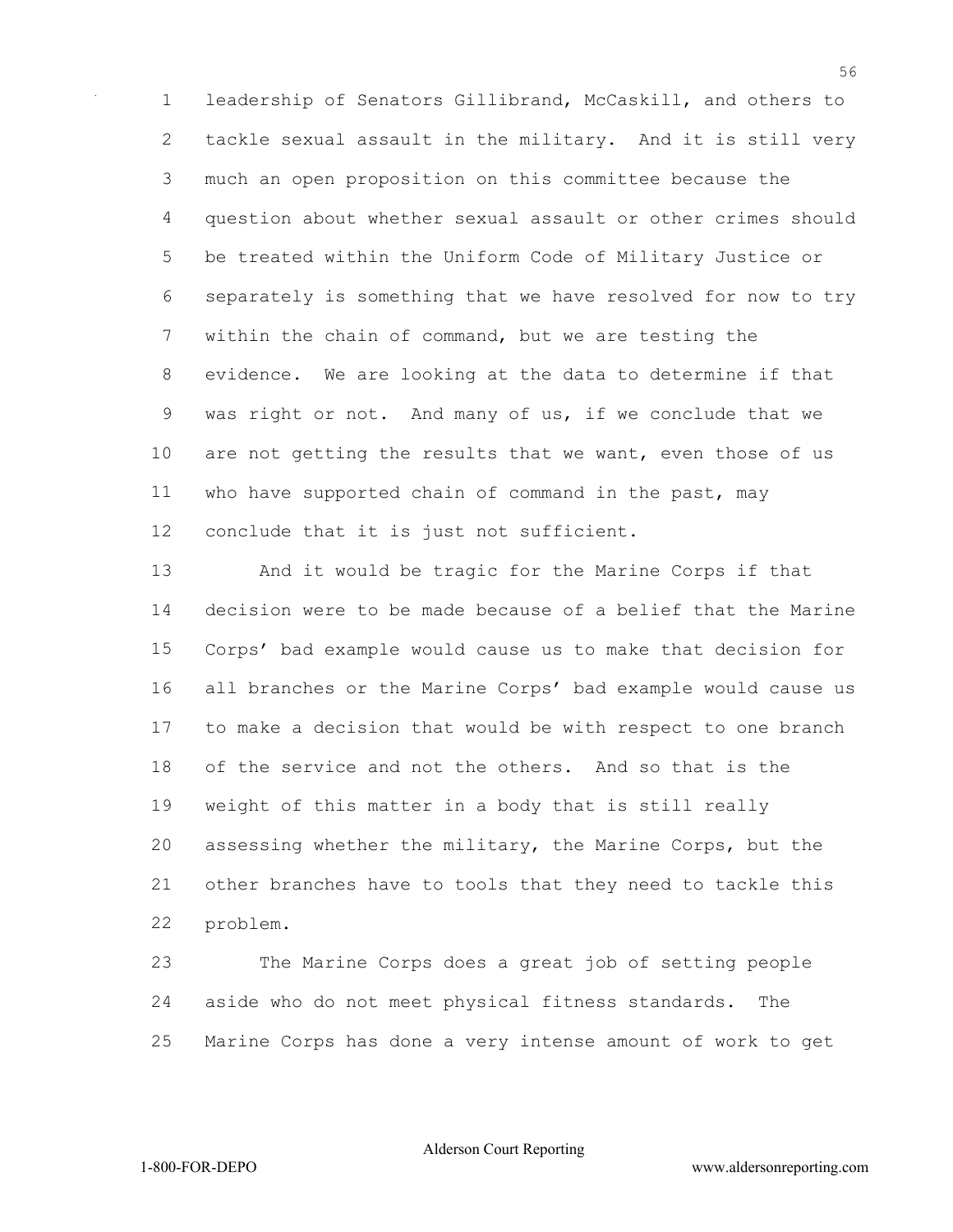leadership of Senators Gillibrand, McCaskill, and others to tackle sexual assault in the military. And it is still very much an open proposition on this committee because the question about whether sexual assault or other crimes should be treated within the Uniform Code of Military Justice or separately is something that we have resolved for now to try within the chain of command, but we are testing the evidence. We are looking at the data to determine if that was right or not. And many of us, if we conclude that we 10 are not getting the results that we want, even those of us who have supported chain of command in the past, may conclude that it is just not sufficient.

 And it would be tragic for the Marine Corps if that decision were to be made because of a belief that the Marine Corps' bad example would cause us to make that decision for all branches or the Marine Corps' bad example would cause us to make a decision that would be with respect to one branch of the service and not the others. And so that is the weight of this matter in a body that is still really assessing whether the military, the Marine Corps, but the other branches have to tools that they need to tackle this problem.

 The Marine Corps does a great job of setting people aside who do not meet physical fitness standards. The Marine Corps has done a very intense amount of work to get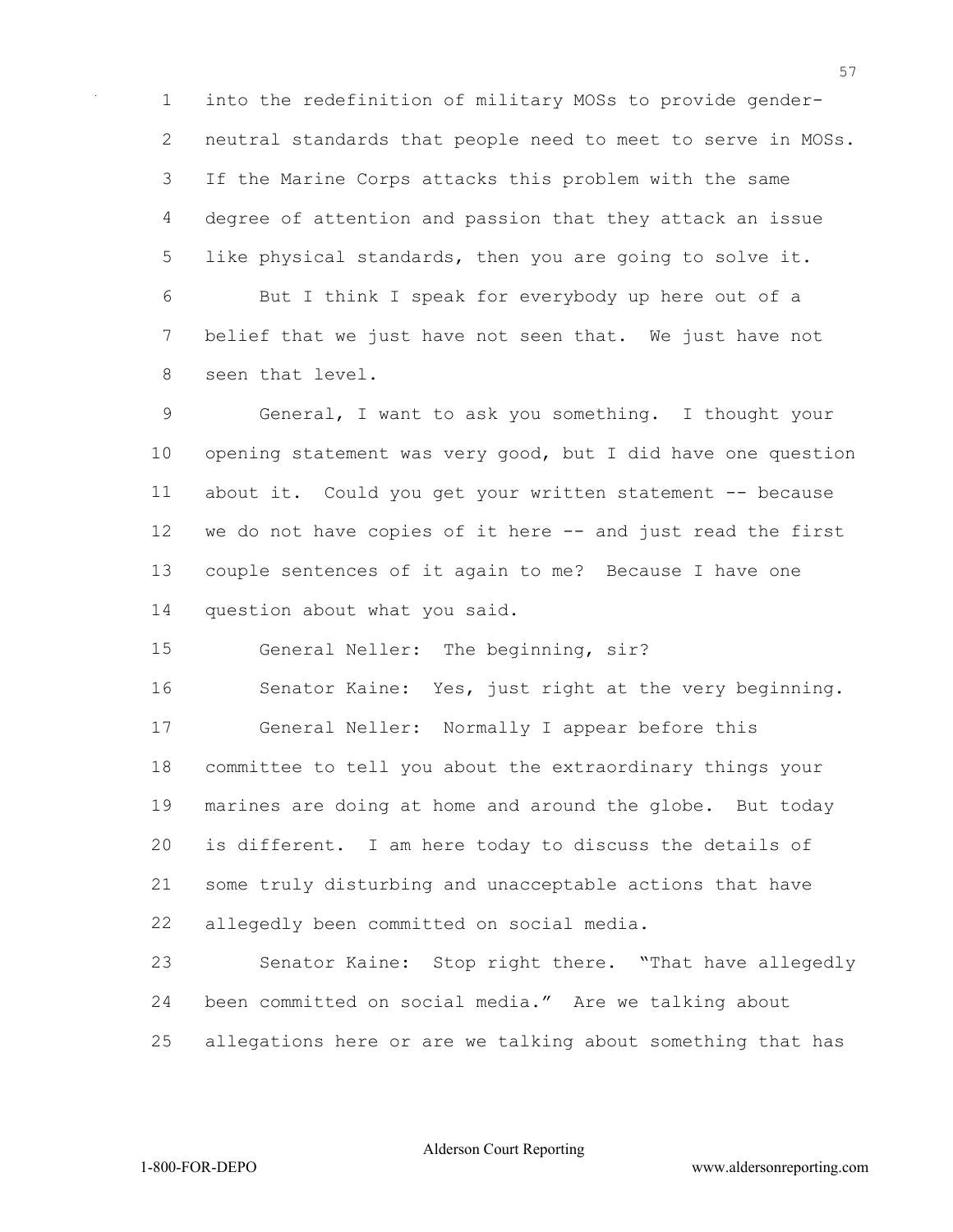into the redefinition of military MOSs to provide gender- neutral standards that people need to meet to serve in MOSs. If the Marine Corps attacks this problem with the same degree of attention and passion that they attack an issue like physical standards, then you are going to solve it. But I think I speak for everybody up here out of a belief that we just have not seen that. We just have not seen that level.

 General, I want to ask you something. I thought your opening statement was very good, but I did have one question about it. Could you get your written statement -- because we do not have copies of it here -- and just read the first couple sentences of it again to me? Because I have one question about what you said.

General Neller: The beginning, sir?

 Senator Kaine: Yes, just right at the very beginning. General Neller: Normally I appear before this committee to tell you about the extraordinary things your marines are doing at home and around the globe. But today is different. I am here today to discuss the details of some truly disturbing and unacceptable actions that have allegedly been committed on social media.

 Senator Kaine: Stop right there. "That have allegedly been committed on social media." Are we talking about allegations here or are we talking about something that has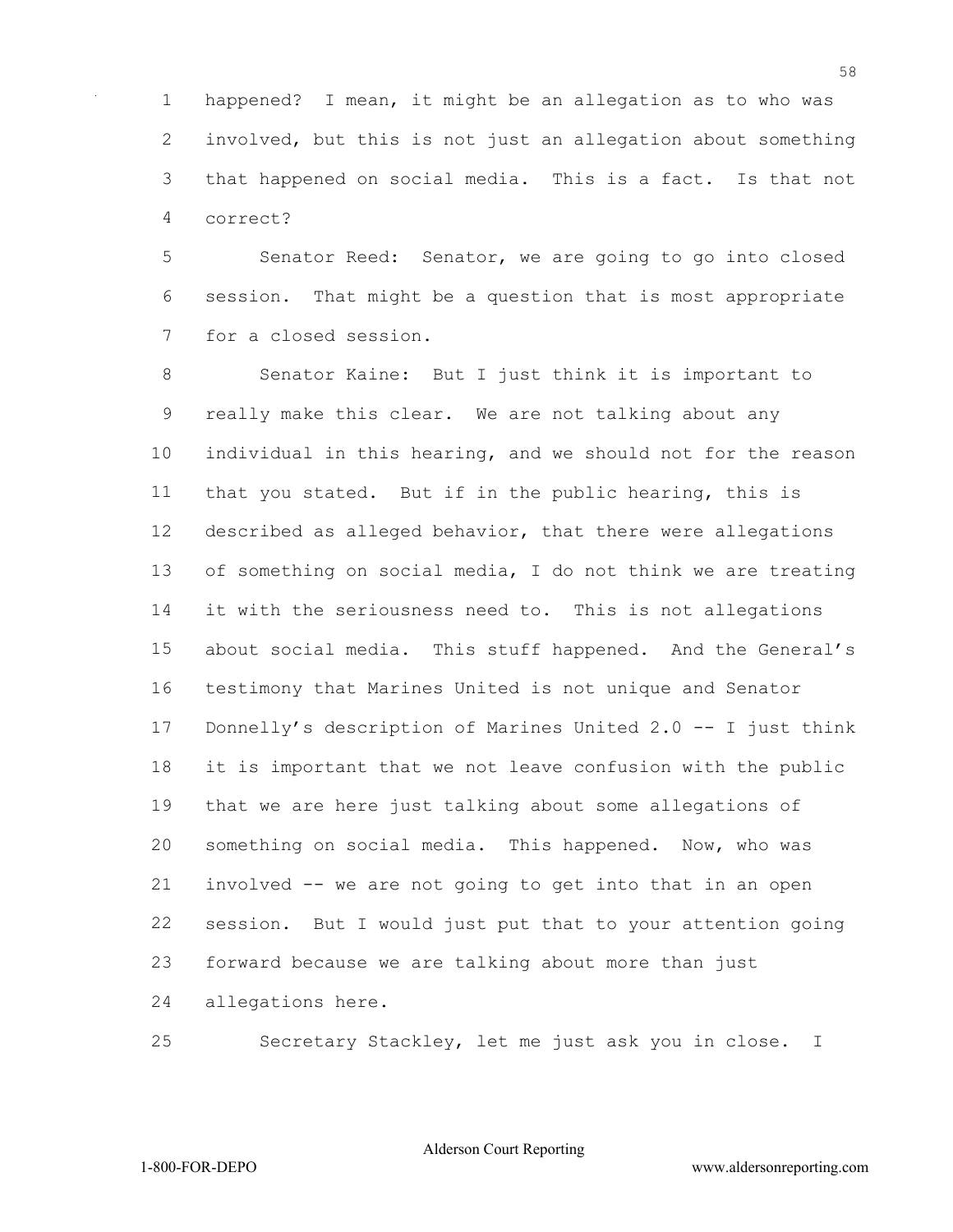happened? I mean, it might be an allegation as to who was involved, but this is not just an allegation about something that happened on social media. This is a fact. Is that not correct?

 Senator Reed: Senator, we are going to go into closed session. That might be a question that is most appropriate for a closed session.

 Senator Kaine: But I just think it is important to really make this clear. We are not talking about any individual in this hearing, and we should not for the reason that you stated. But if in the public hearing, this is described as alleged behavior, that there were allegations of something on social media, I do not think we are treating it with the seriousness need to. This is not allegations about social media. This stuff happened. And the General's testimony that Marines United is not unique and Senator Donnelly's description of Marines United 2.0 -- I just think it is important that we not leave confusion with the public that we are here just talking about some allegations of something on social media. This happened. Now, who was involved -- we are not going to get into that in an open session. But I would just put that to your attention going forward because we are talking about more than just allegations here.

Secretary Stackley, let me just ask you in close. I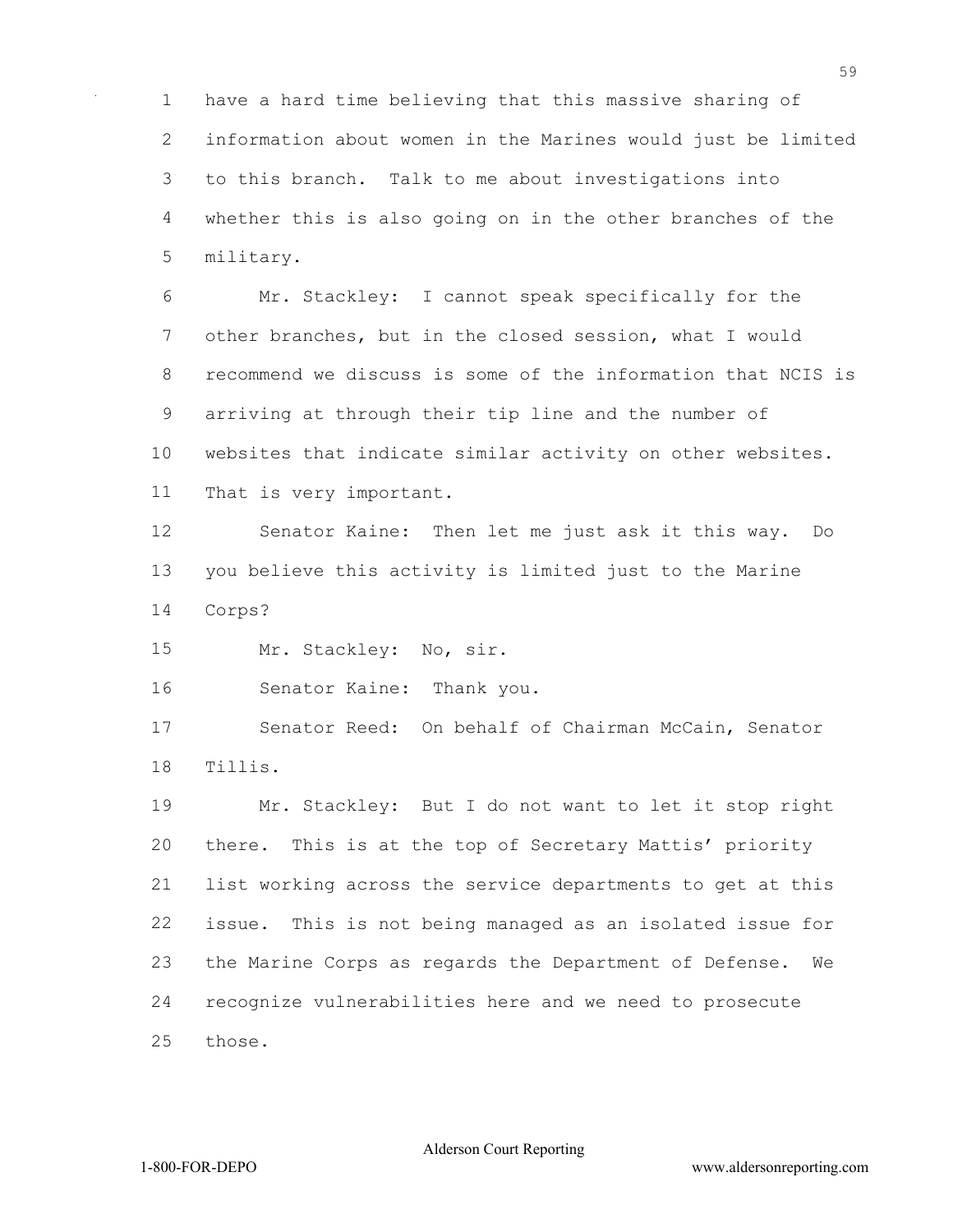have a hard time believing that this massive sharing of information about women in the Marines would just be limited to this branch. Talk to me about investigations into whether this is also going on in the other branches of the military.

 Mr. Stackley: I cannot speak specifically for the other branches, but in the closed session, what I would recommend we discuss is some of the information that NCIS is arriving at through their tip line and the number of websites that indicate similar activity on other websites. That is very important.

 Senator Kaine: Then let me just ask it this way. Do you believe this activity is limited just to the Marine Corps?

Mr. Stackley: No, sir.

Senator Kaine: Thank you.

 Senator Reed: On behalf of Chairman McCain, Senator Tillis.

 Mr. Stackley: But I do not want to let it stop right there. This is at the top of Secretary Mattis' priority list working across the service departments to get at this issue. This is not being managed as an isolated issue for the Marine Corps as regards the Department of Defense. We recognize vulnerabilities here and we need to prosecute those.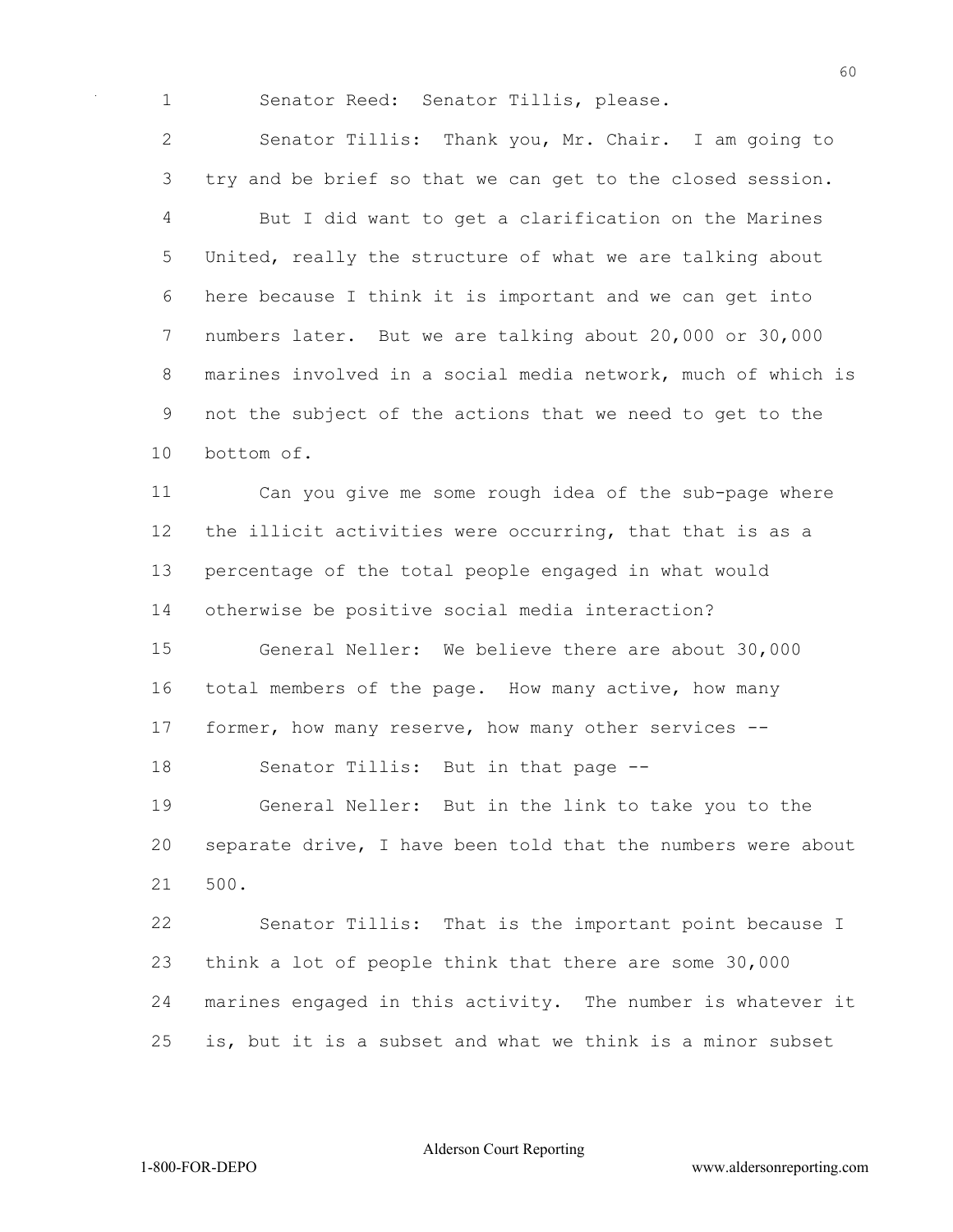Senator Reed: Senator Tillis, please.

 Senator Tillis: Thank you, Mr. Chair. I am going to try and be brief so that we can get to the closed session. But I did want to get a clarification on the Marines United, really the structure of what we are talking about here because I think it is important and we can get into numbers later. But we are talking about 20,000 or 30,000 marines involved in a social media network, much of which is not the subject of the actions that we need to get to the bottom of.

 Can you give me some rough idea of the sub-page where the illicit activities were occurring, that that is as a percentage of the total people engaged in what would otherwise be positive social media interaction?

 General Neller: We believe there are about 30,000 total members of the page. How many active, how many former, how many reserve, how many other services --

Senator Tillis: But in that page --

 General Neller: But in the link to take you to the separate drive, I have been told that the numbers were about 500.

 Senator Tillis: That is the important point because I think a lot of people think that there are some 30,000 marines engaged in this activity. The number is whatever it is, but it is a subset and what we think is a minor subset

Alderson Court Reporting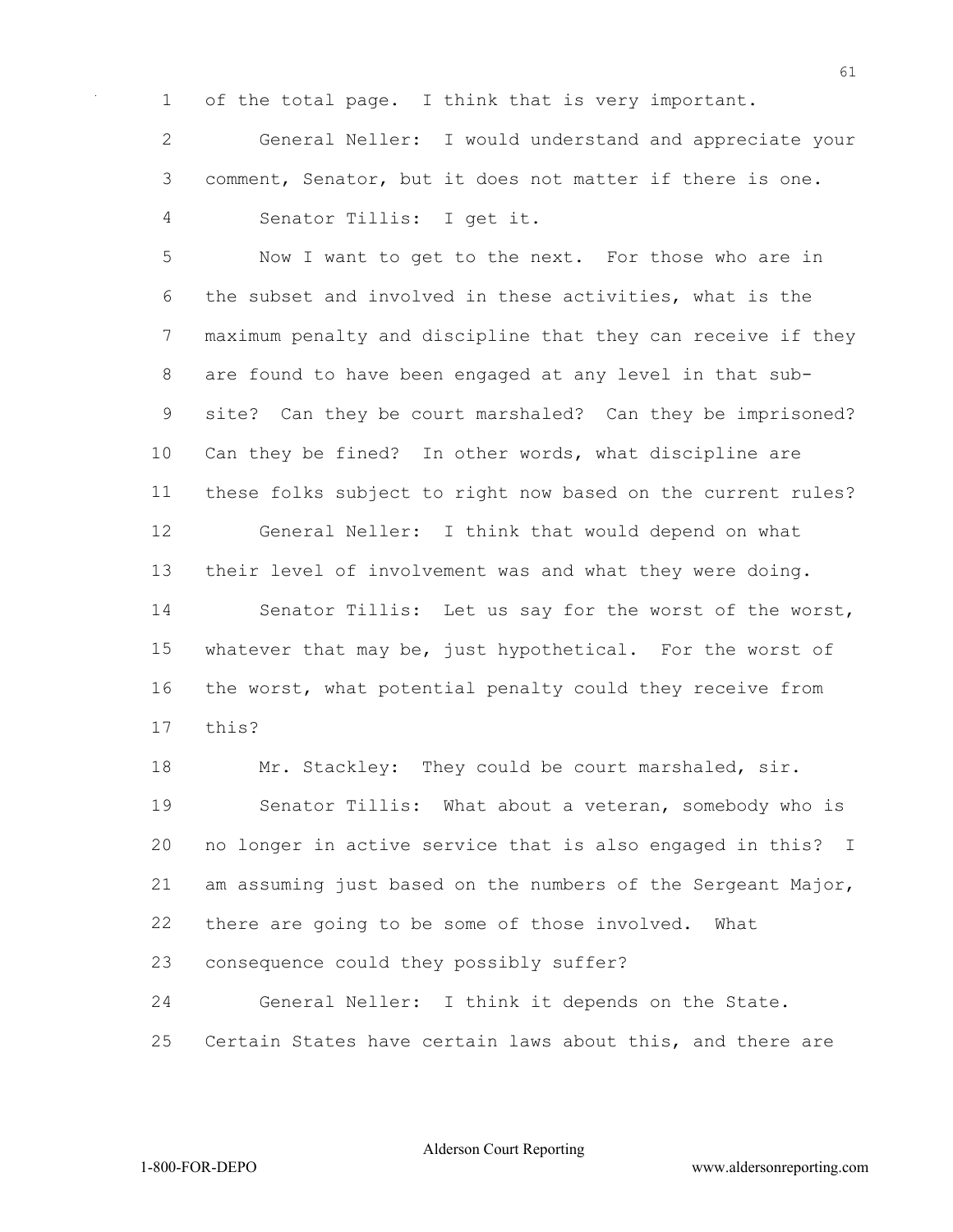of the total page. I think that is very important.

 General Neller: I would understand and appreciate your comment, Senator, but it does not matter if there is one. Senator Tillis: I get it.

 Now I want to get to the next. For those who are in the subset and involved in these activities, what is the maximum penalty and discipline that they can receive if they are found to have been engaged at any level in that sub- site? Can they be court marshaled? Can they be imprisoned? Can they be fined? In other words, what discipline are these folks subject to right now based on the current rules? General Neller: I think that would depend on what their level of involvement was and what they were doing. Senator Tillis: Let us say for the worst of the worst, whatever that may be, just hypothetical. For the worst of the worst, what potential penalty could they receive from this?

18 Mr. Stackley: They could be court marshaled, sir. Senator Tillis: What about a veteran, somebody who is no longer in active service that is also engaged in this? I am assuming just based on the numbers of the Sergeant Major, there are going to be some of those involved. What consequence could they possibly suffer? General Neller: I think it depends on the State.

Certain States have certain laws about this, and there are

Alderson Court Reporting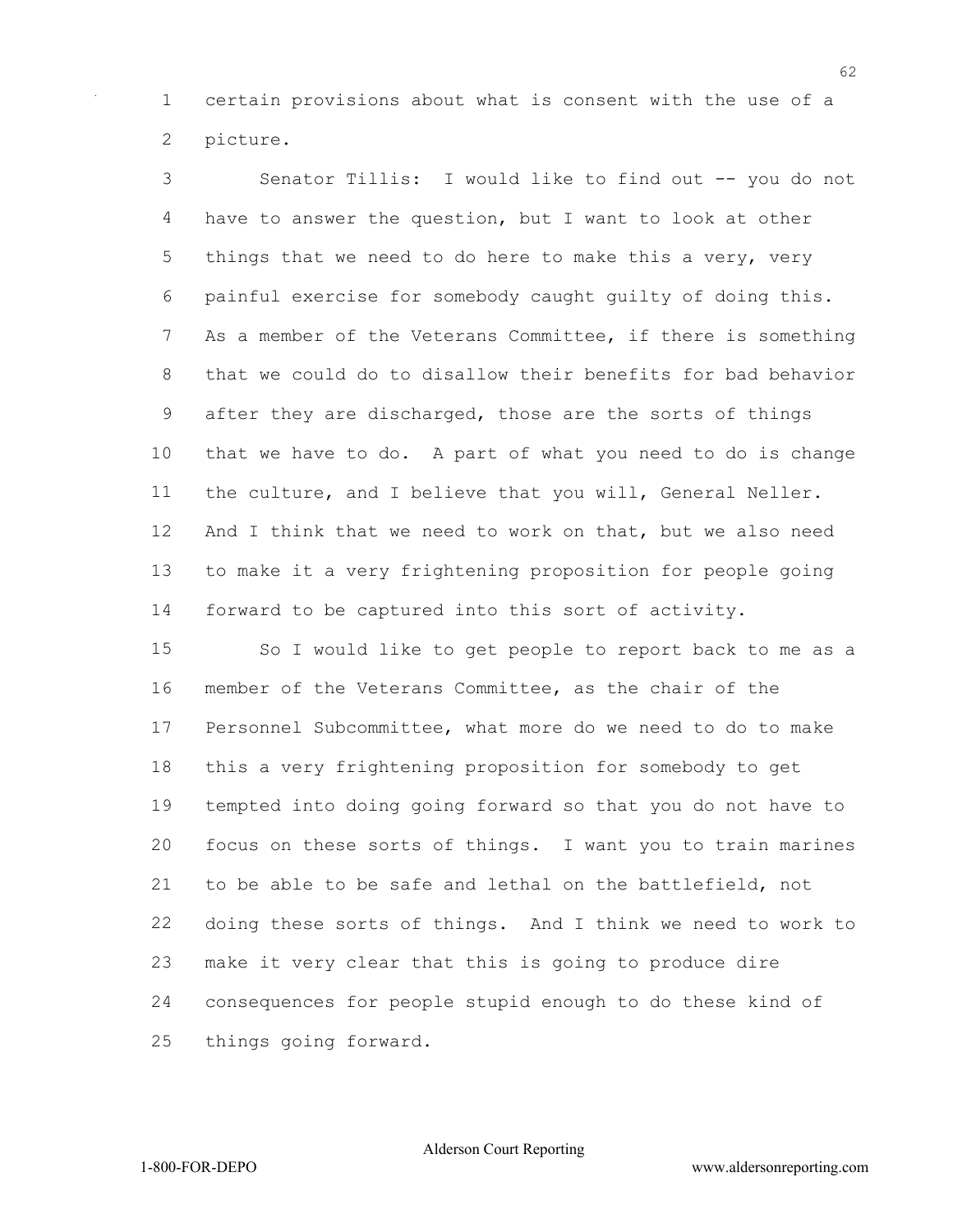certain provisions about what is consent with the use of a picture.

 Senator Tillis: I would like to find out -- you do not have to answer the question, but I want to look at other 5 things that we need to do here to make this a very, very painful exercise for somebody caught guilty of doing this. As a member of the Veterans Committee, if there is something that we could do to disallow their benefits for bad behavior after they are discharged, those are the sorts of things that we have to do. A part of what you need to do is change the culture, and I believe that you will, General Neller. And I think that we need to work on that, but we also need to make it a very frightening proposition for people going forward to be captured into this sort of activity.

 So I would like to get people to report back to me as a member of the Veterans Committee, as the chair of the Personnel Subcommittee, what more do we need to do to make this a very frightening proposition for somebody to get tempted into doing going forward so that you do not have to focus on these sorts of things. I want you to train marines to be able to be safe and lethal on the battlefield, not doing these sorts of things. And I think we need to work to make it very clear that this is going to produce dire consequences for people stupid enough to do these kind of things going forward.

Alderson Court Reporting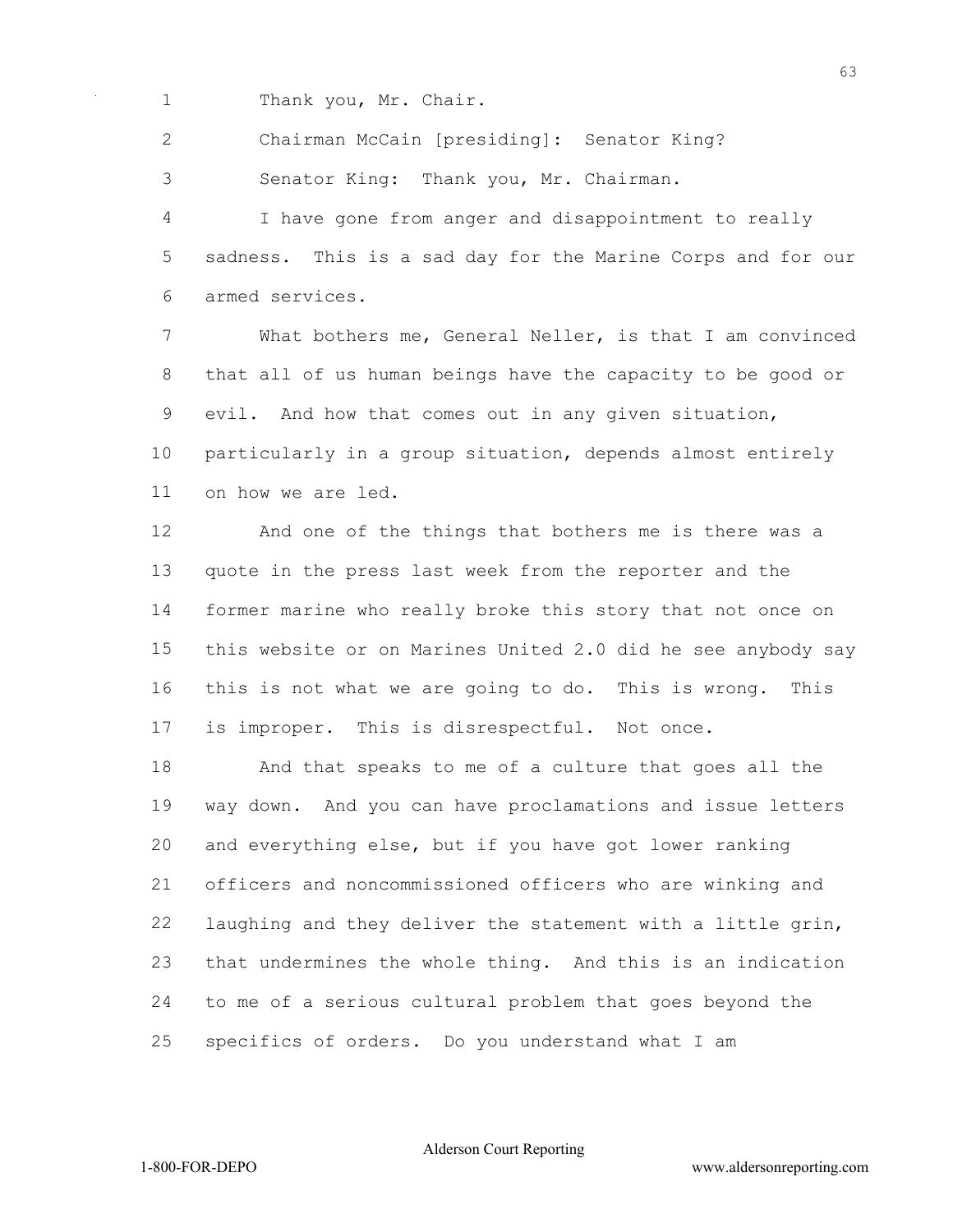Thank you, Mr. Chair.

Chairman McCain [presiding]: Senator King?

Senator King: Thank you, Mr. Chairman.

 I have gone from anger and disappointment to really sadness. This is a sad day for the Marine Corps and for our armed services.

 What bothers me, General Neller, is that I am convinced that all of us human beings have the capacity to be good or evil. And how that comes out in any given situation, particularly in a group situation, depends almost entirely on how we are led.

 And one of the things that bothers me is there was a quote in the press last week from the reporter and the former marine who really broke this story that not once on this website or on Marines United 2.0 did he see anybody say this is not what we are going to do. This is wrong. This is improper. This is disrespectful. Not once.

 And that speaks to me of a culture that goes all the way down. And you can have proclamations and issue letters and everything else, but if you have got lower ranking officers and noncommissioned officers who are winking and laughing and they deliver the statement with a little grin, that undermines the whole thing. And this is an indication to me of a serious cultural problem that goes beyond the specifics of orders. Do you understand what I am

Alderson Court Reporting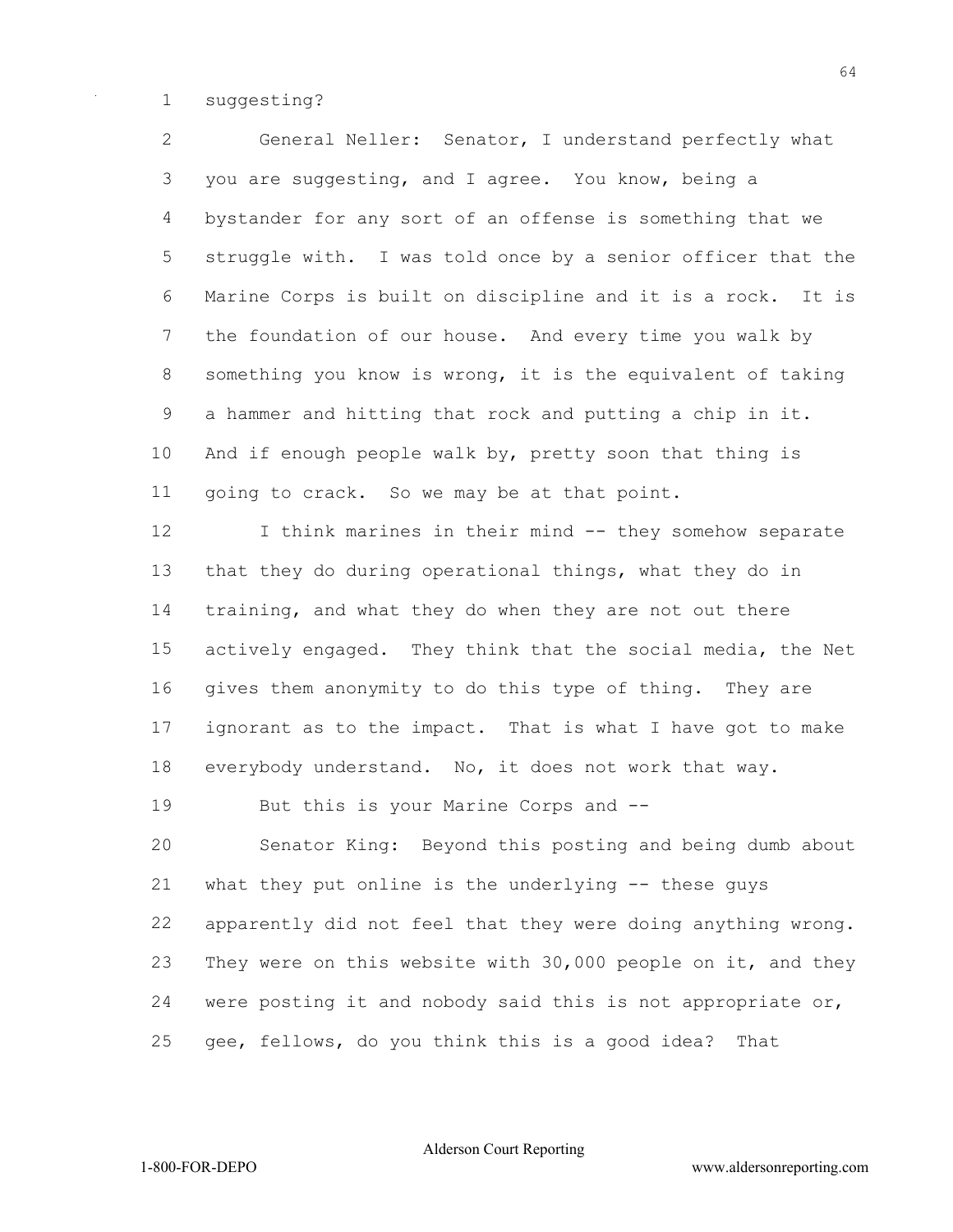suggesting?

 General Neller: Senator, I understand perfectly what you are suggesting, and I agree. You know, being a bystander for any sort of an offense is something that we struggle with. I was told once by a senior officer that the Marine Corps is built on discipline and it is a rock. It is the foundation of our house. And every time you walk by something you know is wrong, it is the equivalent of taking a hammer and hitting that rock and putting a chip in it. And if enough people walk by, pretty soon that thing is going to crack. So we may be at that point.

12 I think marines in their mind -- they somehow separate that they do during operational things, what they do in training, and what they do when they are not out there actively engaged. They think that the social media, the Net gives them anonymity to do this type of thing. They are ignorant as to the impact. That is what I have got to make everybody understand. No, it does not work that way.

But this is your Marine Corps and --

 Senator King: Beyond this posting and being dumb about what they put online is the underlying -- these guys apparently did not feel that they were doing anything wrong. They were on this website with 30,000 people on it, and they were posting it and nobody said this is not appropriate or, gee, fellows, do you think this is a good idea? That

Alderson Court Reporting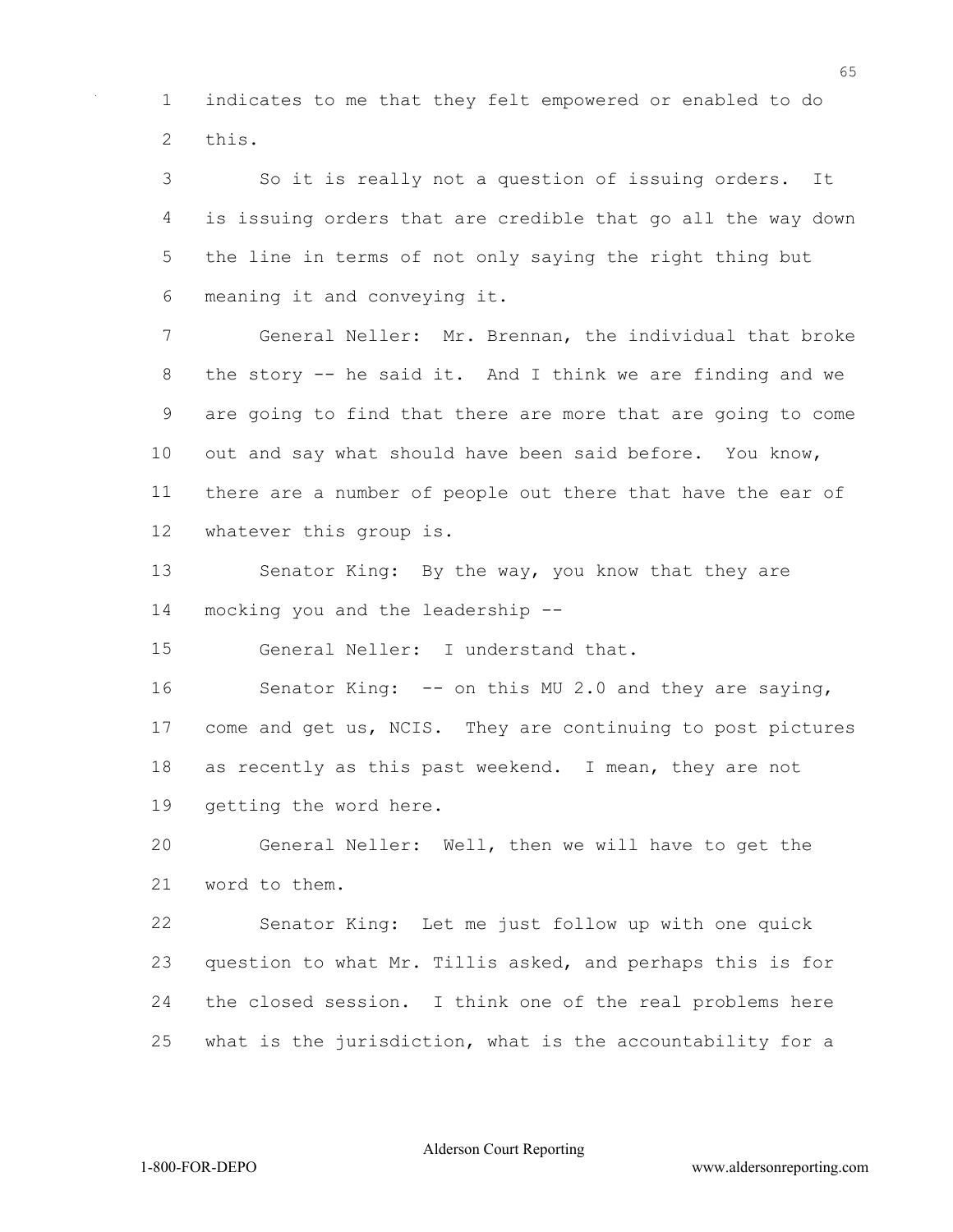indicates to me that they felt empowered or enabled to do this.

 So it is really not a question of issuing orders. It is issuing orders that are credible that go all the way down the line in terms of not only saying the right thing but meaning it and conveying it.

 General Neller: Mr. Brennan, the individual that broke the story -- he said it. And I think we are finding and we are going to find that there are more that are going to come out and say what should have been said before. You know, there are a number of people out there that have the ear of whatever this group is.

13 Senator King: By the way, you know that they are mocking you and the leadership --

General Neller: I understand that.

 Senator King: -- on this MU 2.0 and they are saying, come and get us, NCIS. They are continuing to post pictures as recently as this past weekend. I mean, they are not getting the word here.

 General Neller: Well, then we will have to get the word to them.

 Senator King: Let me just follow up with one quick question to what Mr. Tillis asked, and perhaps this is for the closed session. I think one of the real problems here what is the jurisdiction, what is the accountability for a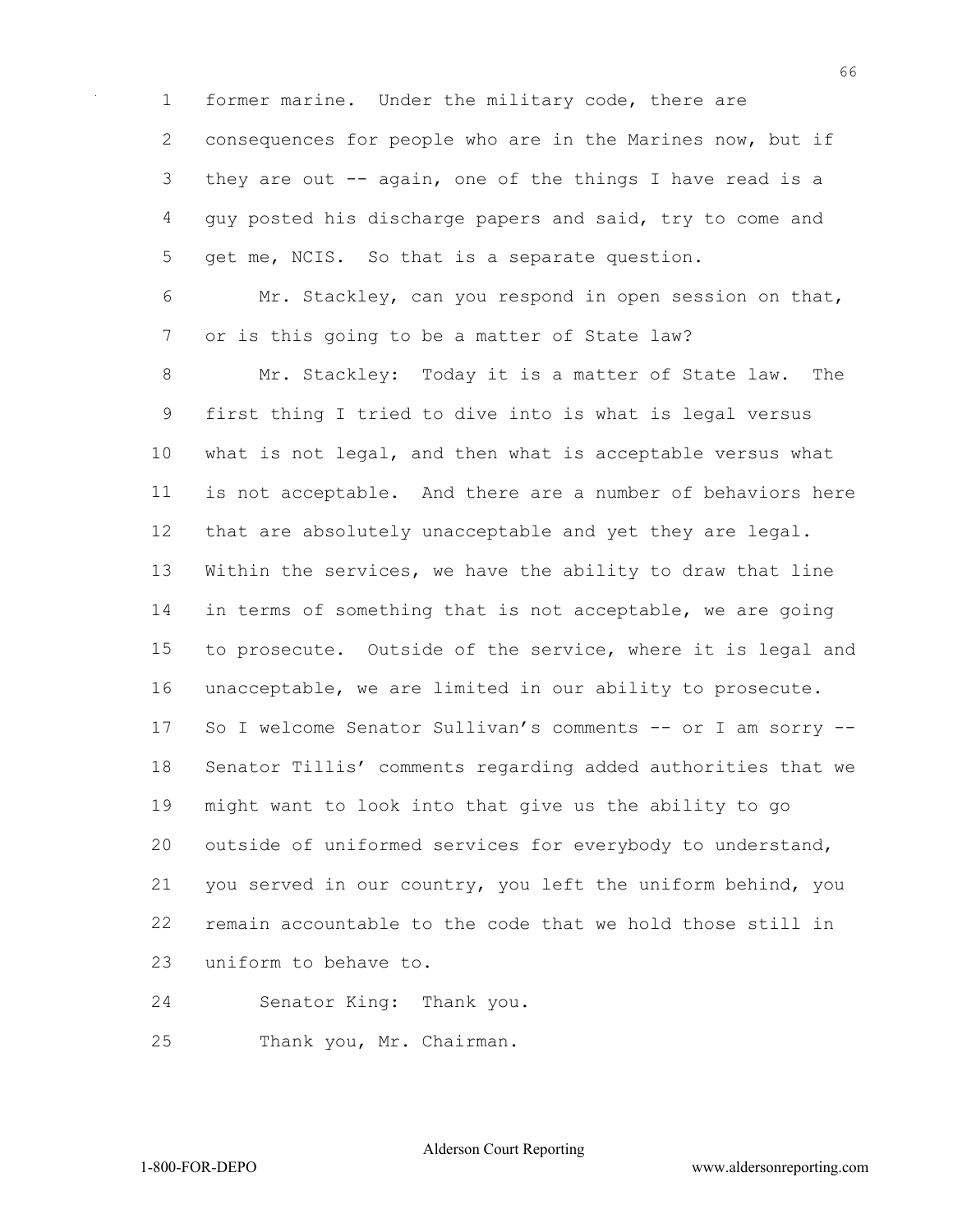former marine. Under the military code, there are consequences for people who are in the Marines now, but if they are out -- again, one of the things I have read is a guy posted his discharge papers and said, try to come and get me, NCIS. So that is a separate question.

 Mr. Stackley, can you respond in open session on that, or is this going to be a matter of State law?

 Mr. Stackley: Today it is a matter of State law. The first thing I tried to dive into is what is legal versus what is not legal, and then what is acceptable versus what is not acceptable. And there are a number of behaviors here that are absolutely unacceptable and yet they are legal. Within the services, we have the ability to draw that line in terms of something that is not acceptable, we are going to prosecute. Outside of the service, where it is legal and unacceptable, we are limited in our ability to prosecute. So I welcome Senator Sullivan's comments -- or I am sorry -- Senator Tillis' comments regarding added authorities that we might want to look into that give us the ability to go outside of uniformed services for everybody to understand, you served in our country, you left the uniform behind, you remain accountable to the code that we hold those still in uniform to behave to.

Senator King: Thank you.

Thank you, Mr. Chairman.

Alderson Court Reporting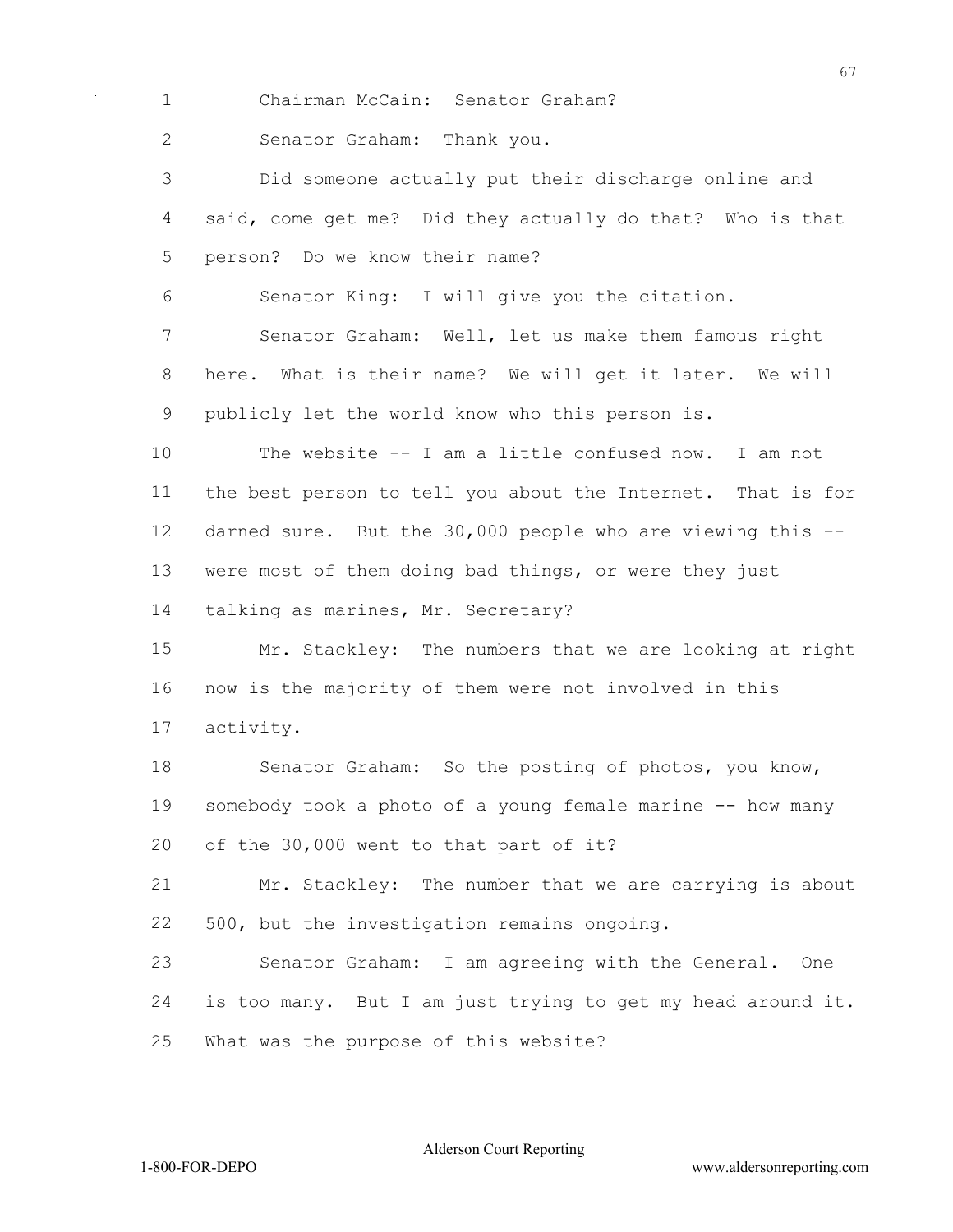Chairman McCain: Senator Graham?

Senator Graham: Thank you.

 Did someone actually put their discharge online and said, come get me? Did they actually do that? Who is that person? Do we know their name?

Senator King: I will give you the citation.

 Senator Graham: Well, let us make them famous right here. What is their name? We will get it later. We will publicly let the world know who this person is.

 The website -- I am a little confused now. I am not the best person to tell you about the Internet. That is for darned sure. But the 30,000 people who are viewing this -- were most of them doing bad things, or were they just

talking as marines, Mr. Secretary?

 Mr. Stackley: The numbers that we are looking at right now is the majority of them were not involved in this activity.

 Senator Graham: So the posting of photos, you know, somebody took a photo of a young female marine -- how many of the 30,000 went to that part of it?

 Mr. Stackley: The number that we are carrying is about 500, but the investigation remains ongoing.

 Senator Graham: I am agreeing with the General. One is too many. But I am just trying to get my head around it. What was the purpose of this website?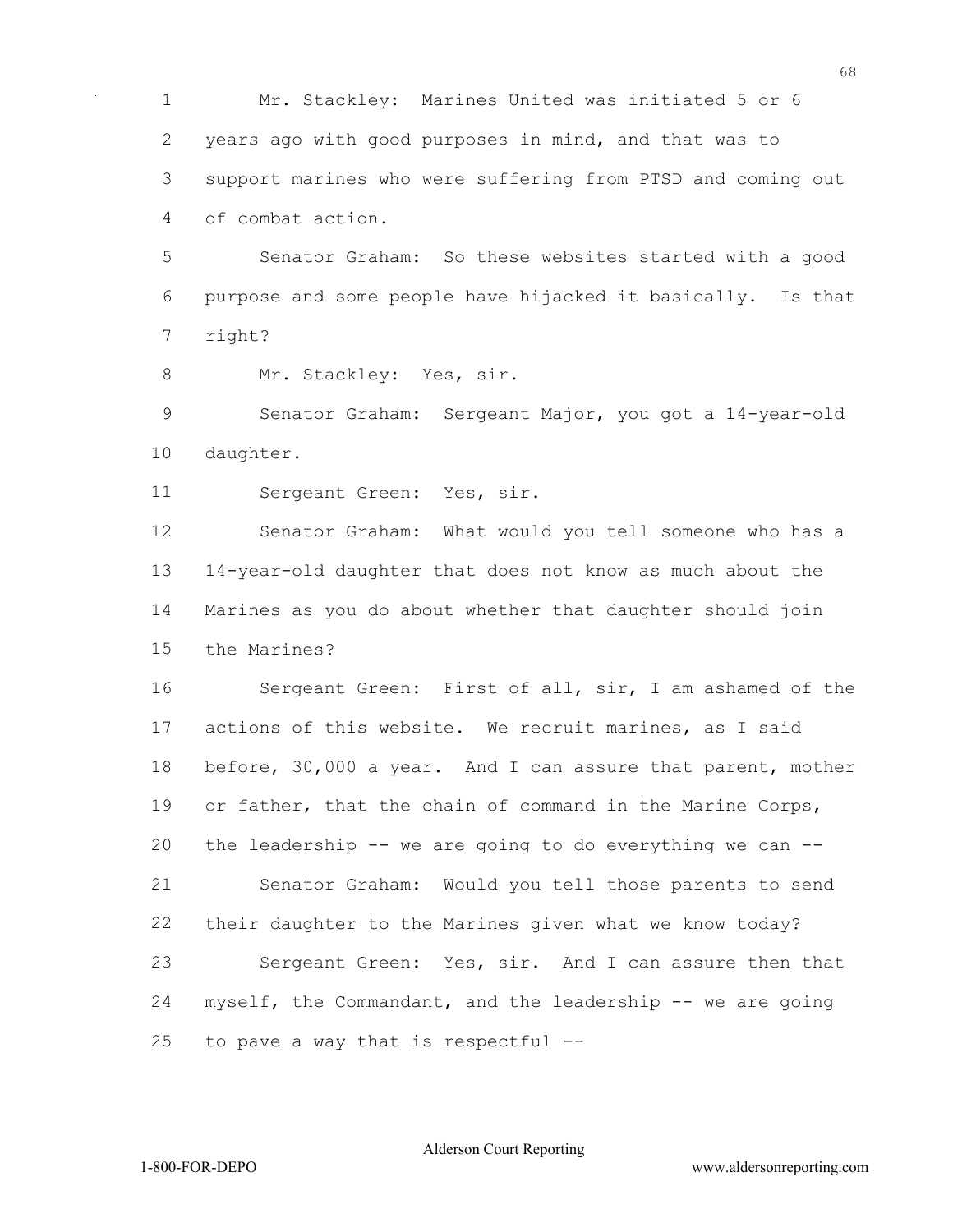Mr. Stackley: Marines United was initiated 5 or 6 years ago with good purposes in mind, and that was to support marines who were suffering from PTSD and coming out of combat action.

 Senator Graham: So these websites started with a good purpose and some people have hijacked it basically. Is that right?

8 Mr. Stackley: Yes, sir.

 Senator Graham: Sergeant Major, you got a 14-year-old daughter.

Sergeant Green: Yes, sir.

 Senator Graham: What would you tell someone who has a 14-year-old daughter that does not know as much about the Marines as you do about whether that daughter should join the Marines?

 Sergeant Green: First of all, sir, I am ashamed of the actions of this website. We recruit marines, as I said before, 30,000 a year. And I can assure that parent, mother or father, that the chain of command in the Marine Corps, the leadership -- we are going to do everything we can -- Senator Graham: Would you tell those parents to send their daughter to the Marines given what we know today? Sergeant Green: Yes, sir. And I can assure then that myself, the Commandant, and the leadership -- we are going to pave a way that is respectful --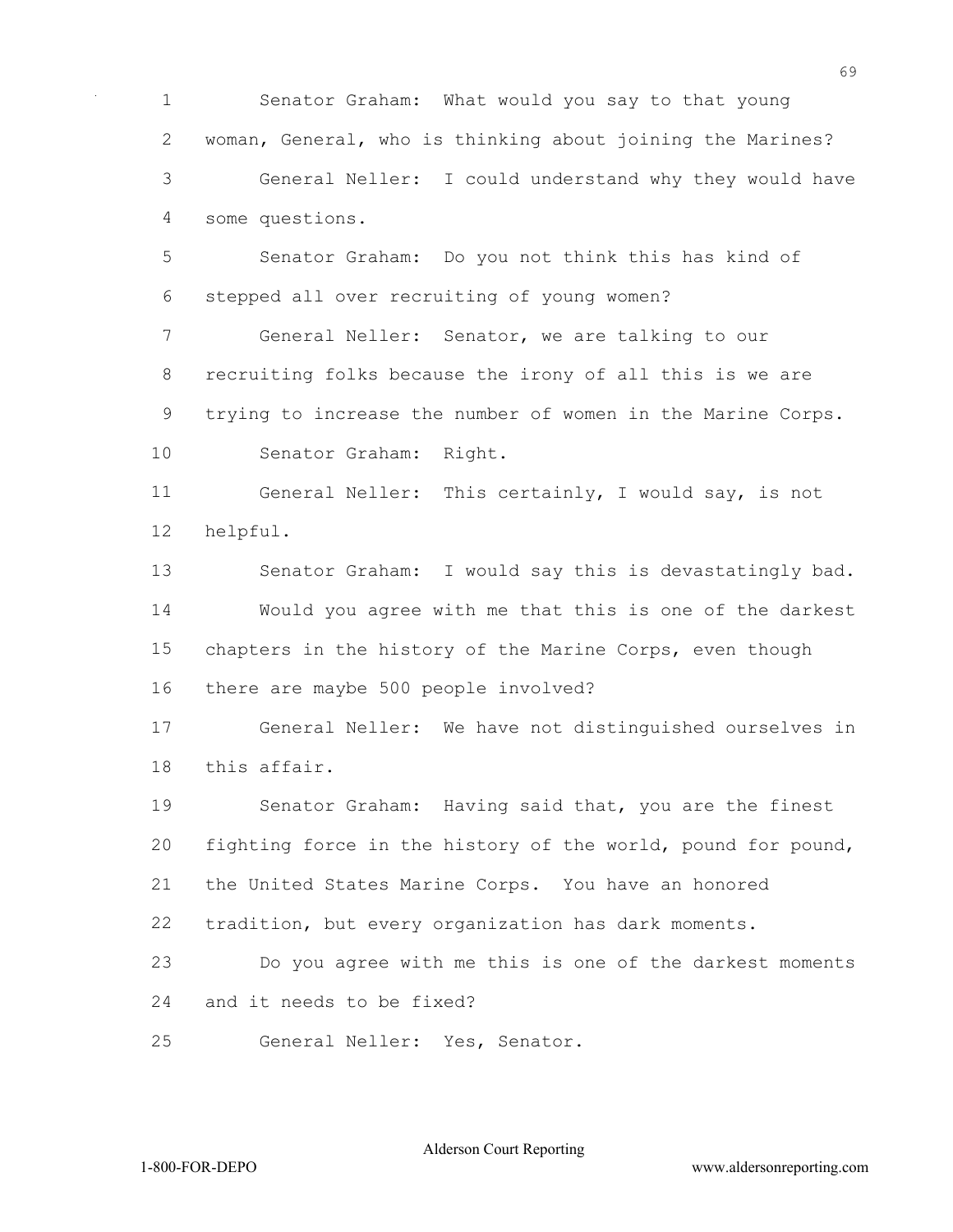Senator Graham: What would you say to that young woman, General, who is thinking about joining the Marines? General Neller: I could understand why they would have some questions.

 Senator Graham: Do you not think this has kind of stepped all over recruiting of young women?

 General Neller: Senator, we are talking to our recruiting folks because the irony of all this is we are trying to increase the number of women in the Marine Corps. Senator Graham: Right.

 General Neller: This certainly, I would say, is not helpful.

 Senator Graham: I would say this is devastatingly bad. Would you agree with me that this is one of the darkest chapters in the history of the Marine Corps, even though there are maybe 500 people involved?

 General Neller: We have not distinguished ourselves in this affair.

 Senator Graham: Having said that, you are the finest fighting force in the history of the world, pound for pound, the United States Marine Corps. You have an honored tradition, but every organization has dark moments.

 Do you agree with me this is one of the darkest moments and it needs to be fixed?

General Neller: Yes, Senator.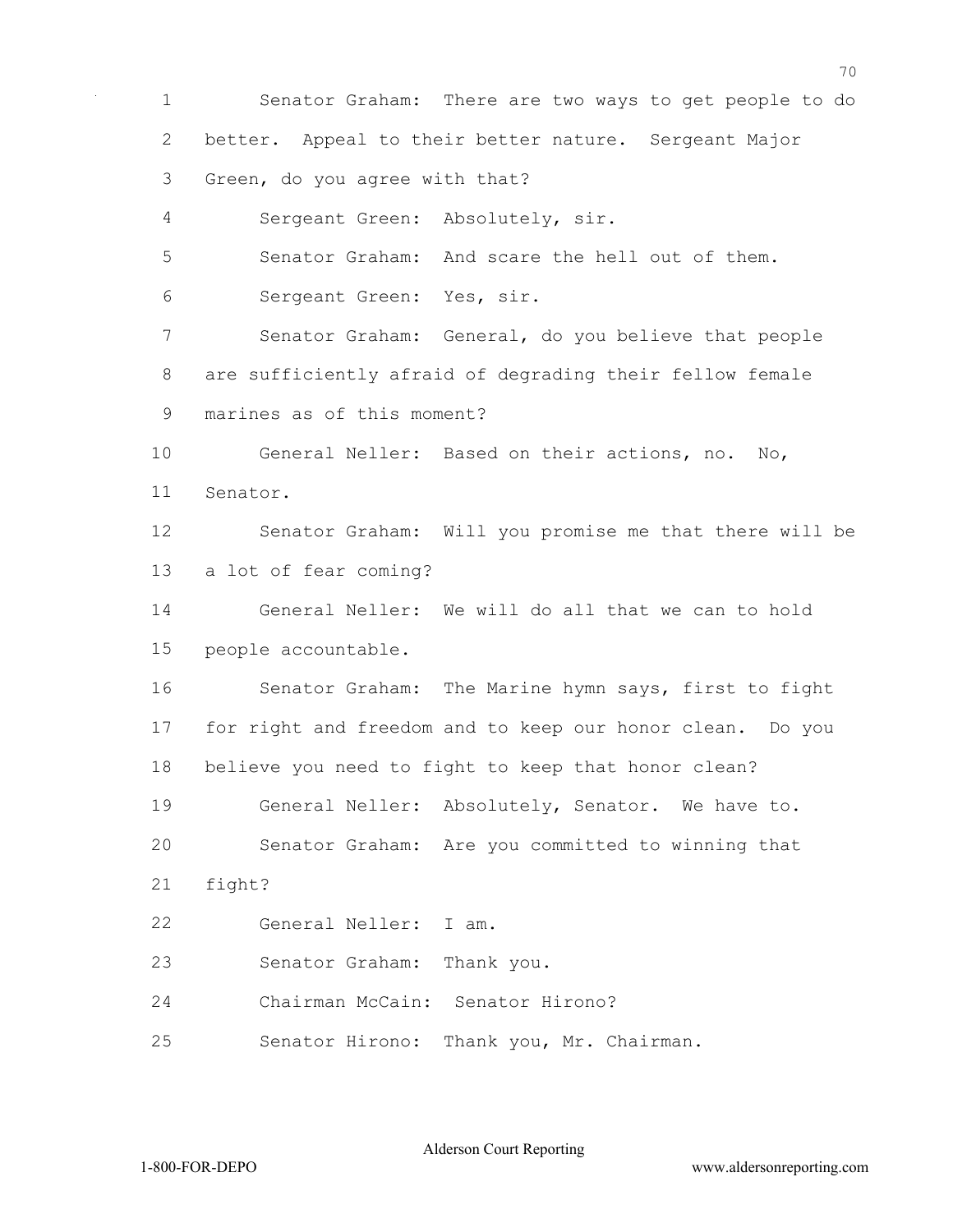Senator Graham: There are two ways to get people to do better. Appeal to their better nature. Sergeant Major Green, do you agree with that? Sergeant Green: Absolutely, sir. Senator Graham: And scare the hell out of them. Sergeant Green: Yes, sir. Senator Graham: General, do you believe that people are sufficiently afraid of degrading their fellow female marines as of this moment? General Neller: Based on their actions, no. No, Senator. Senator Graham: Will you promise me that there will be a lot of fear coming? General Neller: We will do all that we can to hold people accountable. Senator Graham: The Marine hymn says, first to fight for right and freedom and to keep our honor clean. Do you believe you need to fight to keep that honor clean? General Neller: Absolutely, Senator. We have to. Senator Graham: Are you committed to winning that fight? General Neller: I am. Senator Graham: Thank you. Chairman McCain: Senator Hirono? Senator Hirono: Thank you, Mr. Chairman.

Alderson Court Reporting

1-800-FOR-DEPO www.aldersonreporting.com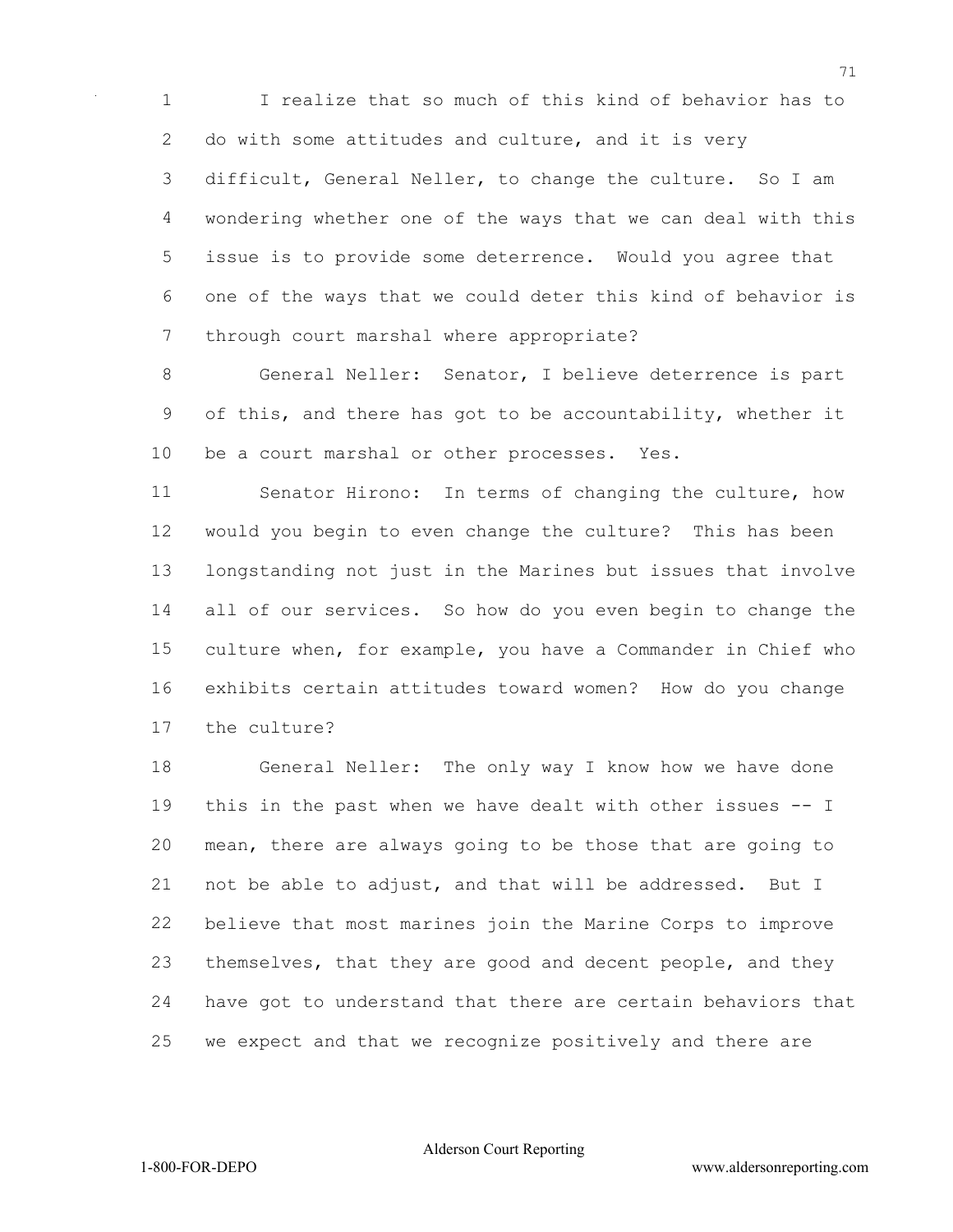I realize that so much of this kind of behavior has to do with some attitudes and culture, and it is very difficult, General Neller, to change the culture. So I am wondering whether one of the ways that we can deal with this issue is to provide some deterrence. Would you agree that one of the ways that we could deter this kind of behavior is through court marshal where appropriate?

 General Neller: Senator, I believe deterrence is part of this, and there has got to be accountability, whether it be a court marshal or other processes. Yes.

 Senator Hirono: In terms of changing the culture, how would you begin to even change the culture? This has been longstanding not just in the Marines but issues that involve all of our services. So how do you even begin to change the culture when, for example, you have a Commander in Chief who exhibits certain attitudes toward women? How do you change the culture?

 General Neller: The only way I know how we have done this in the past when we have dealt with other issues -- I mean, there are always going to be those that are going to not be able to adjust, and that will be addressed. But I believe that most marines join the Marine Corps to improve themselves, that they are good and decent people, and they have got to understand that there are certain behaviors that we expect and that we recognize positively and there are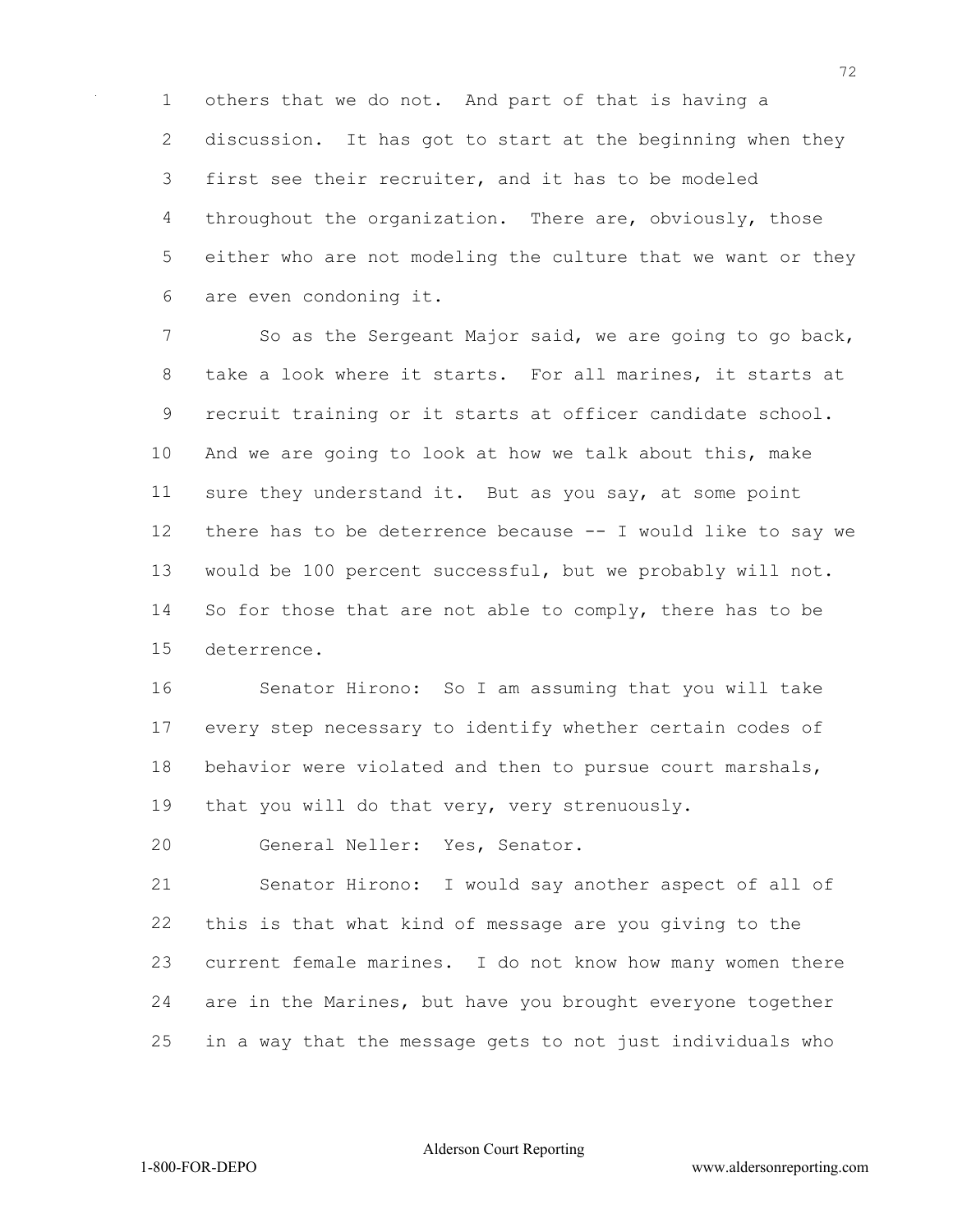others that we do not. And part of that is having a discussion. It has got to start at the beginning when they first see their recruiter, and it has to be modeled throughout the organization. There are, obviously, those either who are not modeling the culture that we want or they are even condoning it.

7 So as the Sergeant Major said, we are going to go back, take a look where it starts. For all marines, it starts at recruit training or it starts at officer candidate school. And we are going to look at how we talk about this, make sure they understand it. But as you say, at some point there has to be deterrence because -- I would like to say we would be 100 percent successful, but we probably will not. So for those that are not able to comply, there has to be deterrence.

 Senator Hirono: So I am assuming that you will take every step necessary to identify whether certain codes of behavior were violated and then to pursue court marshals, that you will do that very, very strenuously.

General Neller: Yes, Senator.

 Senator Hirono: I would say another aspect of all of this is that what kind of message are you giving to the current female marines. I do not know how many women there are in the Marines, but have you brought everyone together in a way that the message gets to not just individuals who

Alderson Court Reporting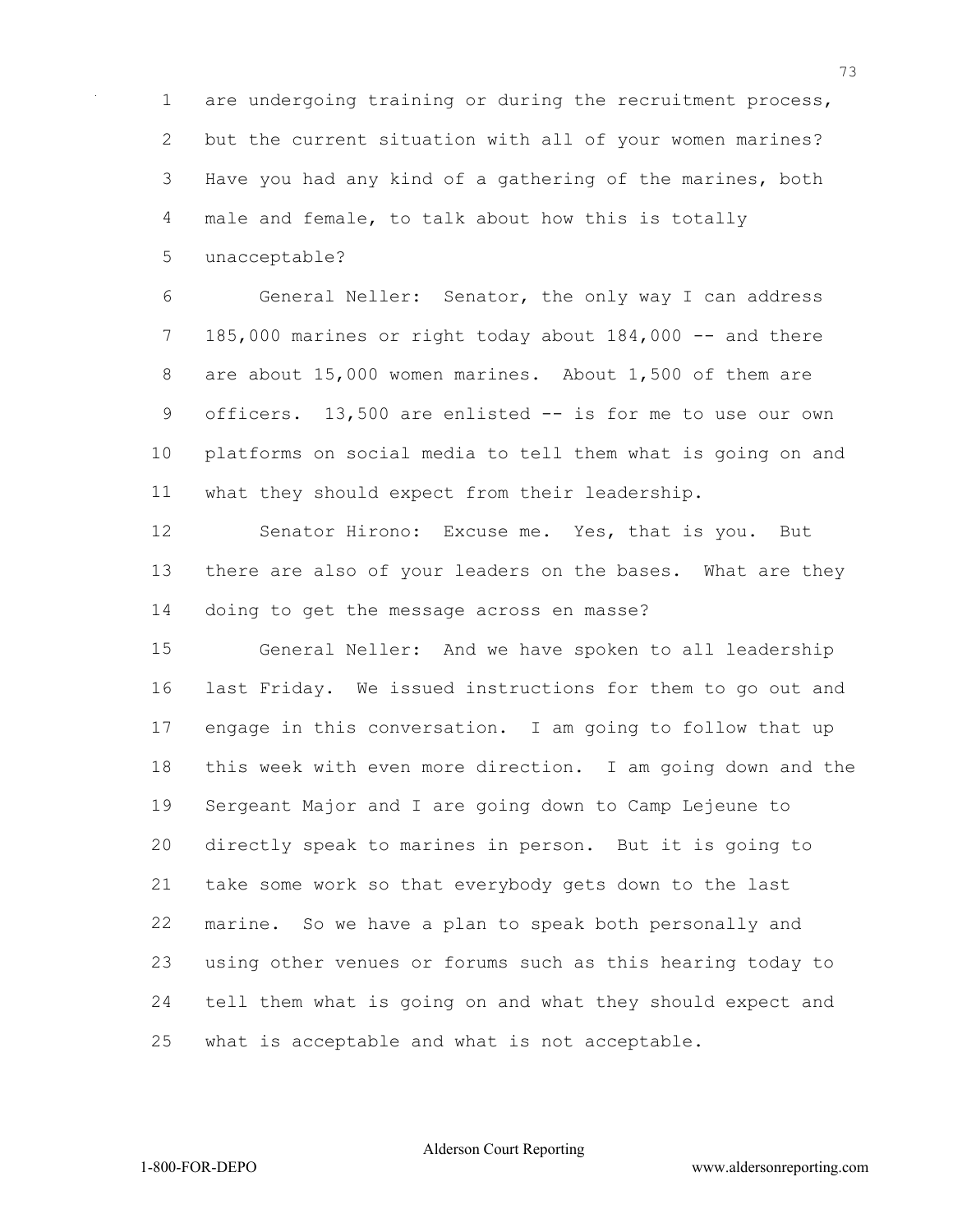are undergoing training or during the recruitment process, but the current situation with all of your women marines? Have you had any kind of a gathering of the marines, both male and female, to talk about how this is totally

unacceptable?

 General Neller: Senator, the only way I can address 185,000 marines or right today about 184,000 -- and there are about 15,000 women marines. About 1,500 of them are officers. 13,500 are enlisted -- is for me to use our own platforms on social media to tell them what is going on and what they should expect from their leadership.

 Senator Hirono: Excuse me. Yes, that is you. But there are also of your leaders on the bases. What are they doing to get the message across en masse?

 General Neller: And we have spoken to all leadership last Friday. We issued instructions for them to go out and engage in this conversation. I am going to follow that up this week with even more direction. I am going down and the Sergeant Major and I are going down to Camp Lejeune to directly speak to marines in person. But it is going to take some work so that everybody gets down to the last marine. So we have a plan to speak both personally and using other venues or forums such as this hearing today to tell them what is going on and what they should expect and what is acceptable and what is not acceptable.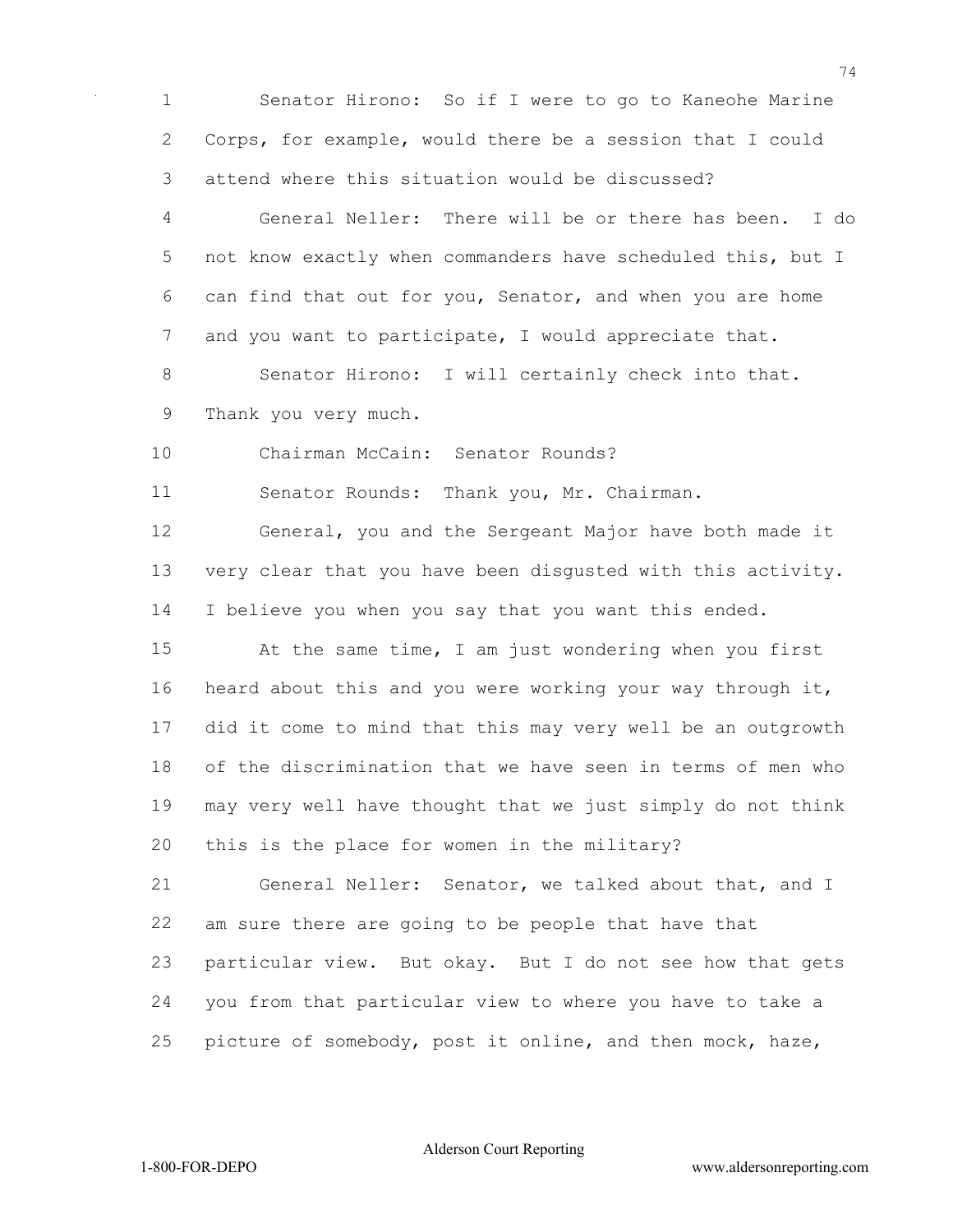Senator Hirono: So if I were to go to Kaneohe Marine Corps, for example, would there be a session that I could attend where this situation would be discussed?

 General Neller: There will be or there has been. I do not know exactly when commanders have scheduled this, but I can find that out for you, Senator, and when you are home 7 and you want to participate, I would appreciate that.

 Senator Hirono: I will certainly check into that. Thank you very much.

Chairman McCain: Senator Rounds?

Senator Rounds: Thank you, Mr. Chairman.

 General, you and the Sergeant Major have both made it very clear that you have been disgusted with this activity. I believe you when you say that you want this ended.

 At the same time, I am just wondering when you first heard about this and you were working your way through it, did it come to mind that this may very well be an outgrowth of the discrimination that we have seen in terms of men who may very well have thought that we just simply do not think this is the place for women in the military?

 General Neller: Senator, we talked about that, and I am sure there are going to be people that have that particular view. But okay. But I do not see how that gets you from that particular view to where you have to take a picture of somebody, post it online, and then mock, haze,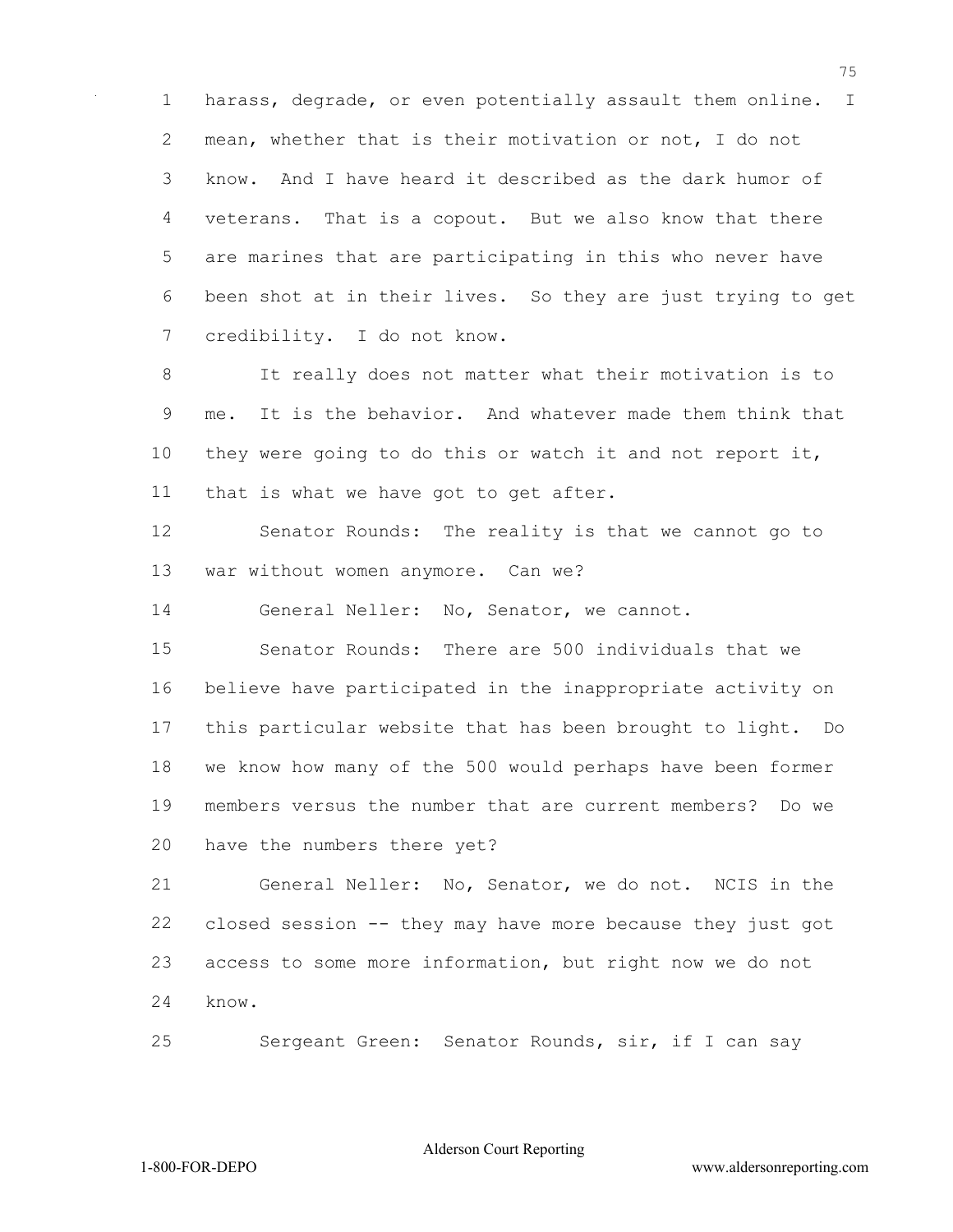harass, degrade, or even potentially assault them online. I mean, whether that is their motivation or not, I do not know. And I have heard it described as the dark humor of veterans. That is a copout. But we also know that there are marines that are participating in this who never have been shot at in their lives. So they are just trying to get credibility. I do not know.

 It really does not matter what their motivation is to me. It is the behavior. And whatever made them think that they were going to do this or watch it and not report it, that is what we have got to get after.

 Senator Rounds: The reality is that we cannot go to war without women anymore. Can we?

General Neller: No, Senator, we cannot.

 Senator Rounds: There are 500 individuals that we believe have participated in the inappropriate activity on this particular website that has been brought to light. Do we know how many of the 500 would perhaps have been former members versus the number that are current members? Do we have the numbers there yet?

 General Neller: No, Senator, we do not. NCIS in the closed session -- they may have more because they just got access to some more information, but right now we do not know.

Sergeant Green: Senator Rounds, sir, if I can say

Alderson Court Reporting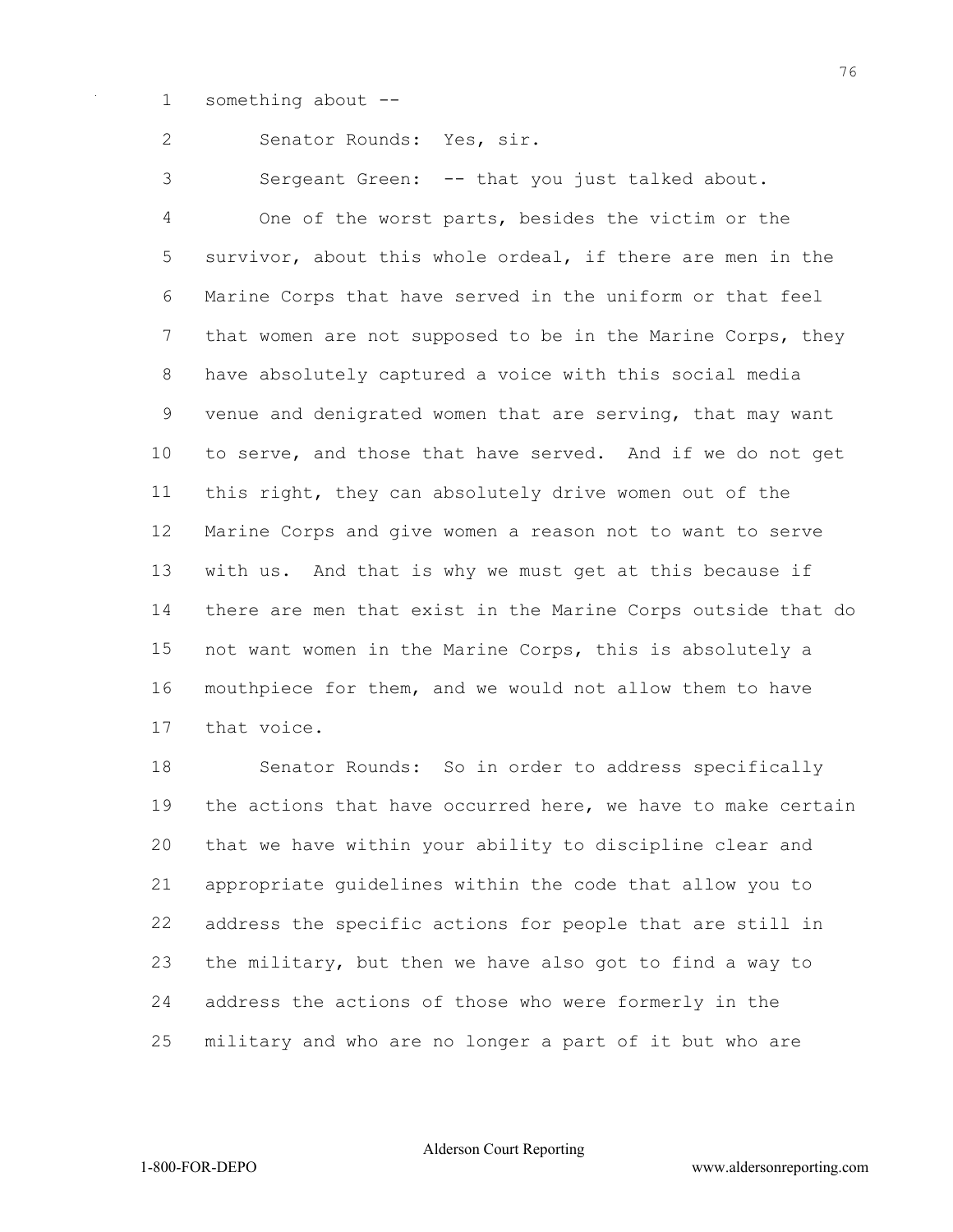something about --

Senator Rounds: Yes, sir.

Sergeant Green: -- that you just talked about.

 One of the worst parts, besides the victim or the survivor, about this whole ordeal, if there are men in the Marine Corps that have served in the uniform or that feel 7 that women are not supposed to be in the Marine Corps, they have absolutely captured a voice with this social media venue and denigrated women that are serving, that may want to serve, and those that have served. And if we do not get this right, they can absolutely drive women out of the Marine Corps and give women a reason not to want to serve with us. And that is why we must get at this because if there are men that exist in the Marine Corps outside that do not want women in the Marine Corps, this is absolutely a mouthpiece for them, and we would not allow them to have that voice.

 Senator Rounds: So in order to address specifically the actions that have occurred here, we have to make certain that we have within your ability to discipline clear and appropriate guidelines within the code that allow you to address the specific actions for people that are still in the military, but then we have also got to find a way to address the actions of those who were formerly in the military and who are no longer a part of it but who are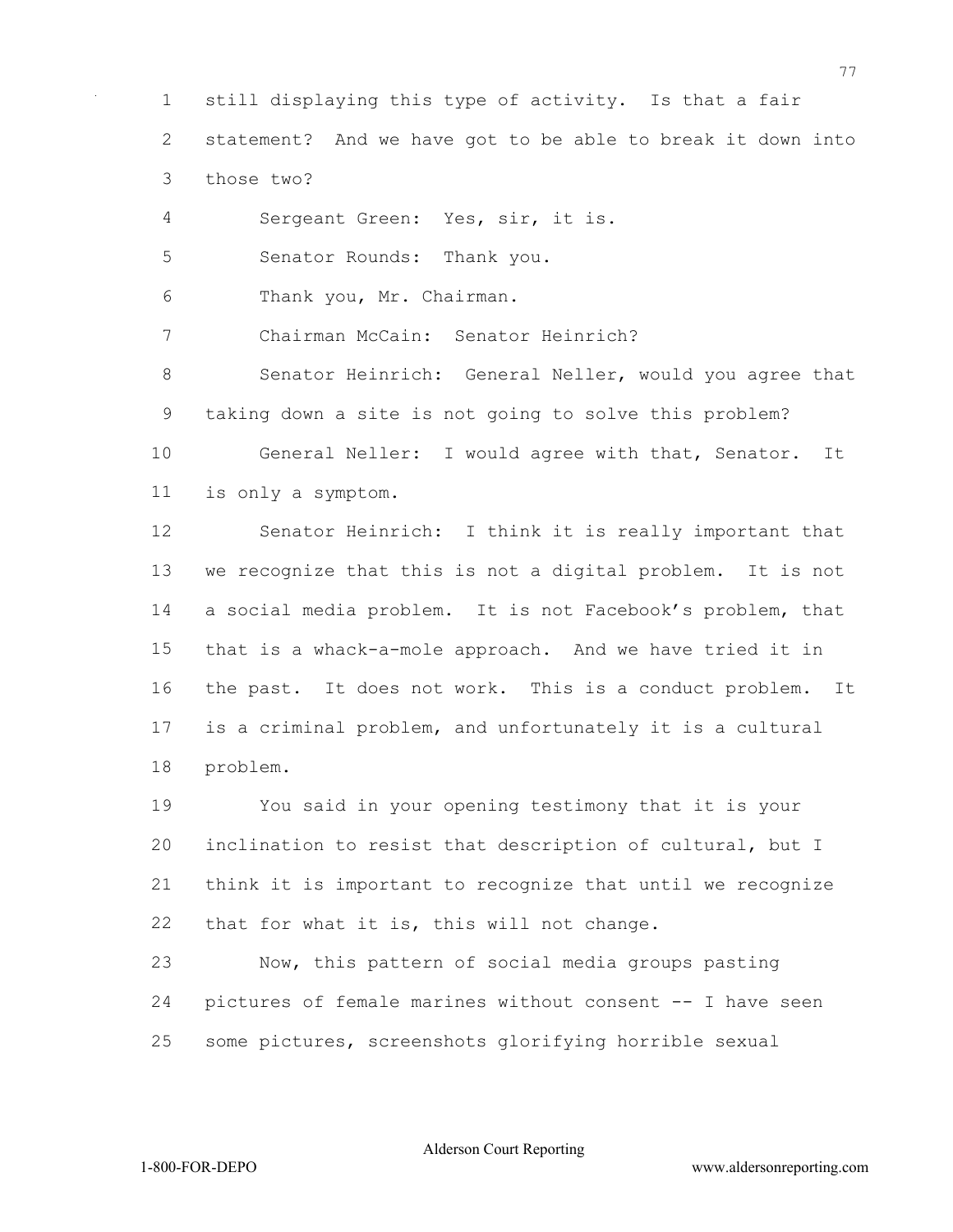still displaying this type of activity. Is that a fair

statement? And we have got to be able to break it down into

those two?

Sergeant Green: Yes, sir, it is.

Senator Rounds: Thank you.

Thank you, Mr. Chairman.

Chairman McCain: Senator Heinrich?

 Senator Heinrich: General Neller, would you agree that taking down a site is not going to solve this problem?

 General Neller: I would agree with that, Senator. It is only a symptom.

 Senator Heinrich: I think it is really important that we recognize that this is not a digital problem. It is not a social media problem. It is not Facebook's problem, that that is a whack-a-mole approach. And we have tried it in the past. It does not work. This is a conduct problem. It is a criminal problem, and unfortunately it is a cultural problem.

 You said in your opening testimony that it is your inclination to resist that description of cultural, but I think it is important to recognize that until we recognize that for what it is, this will not change.

 Now, this pattern of social media groups pasting pictures of female marines without consent -- I have seen some pictures, screenshots glorifying horrible sexual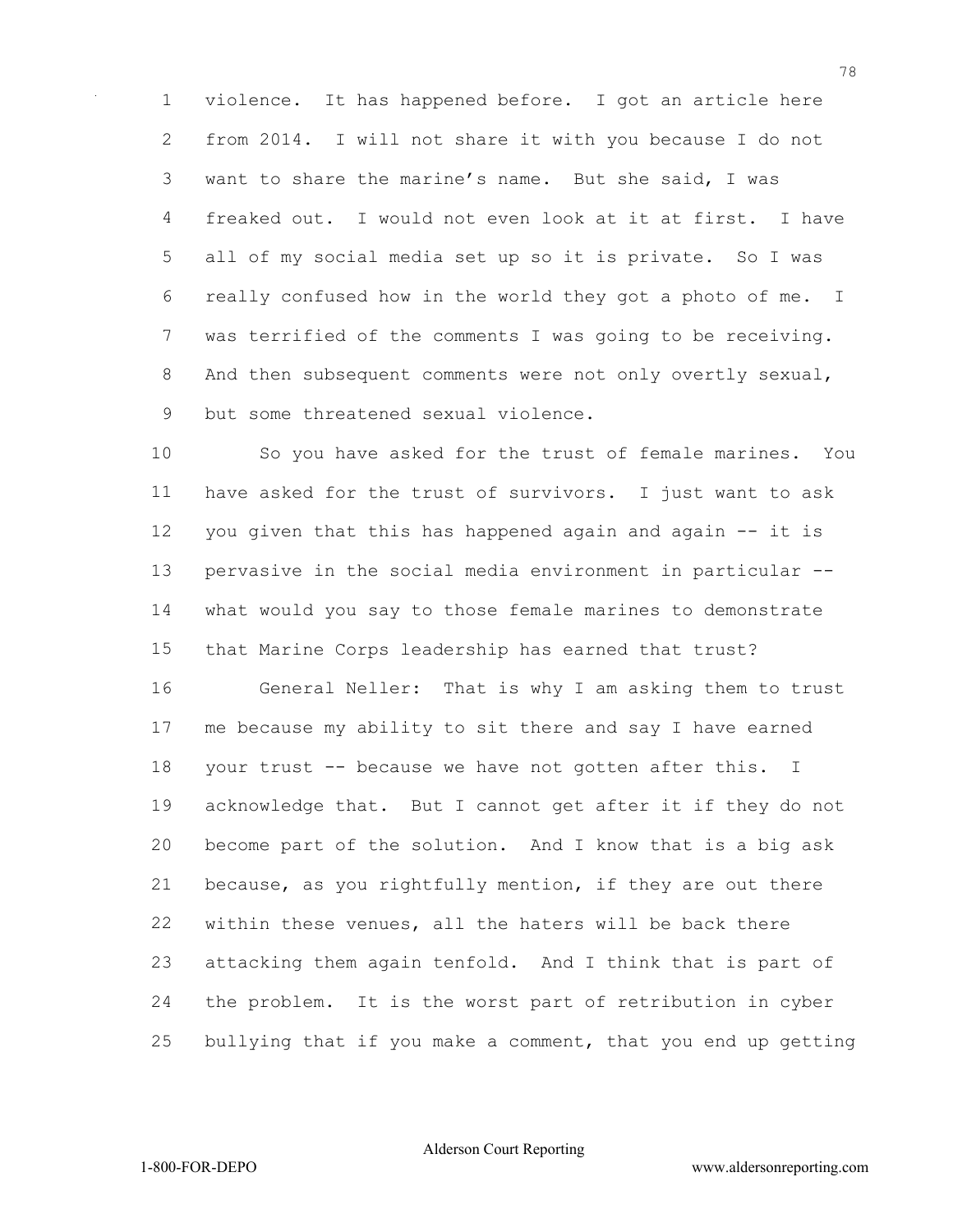violence. It has happened before. I got an article here from 2014. I will not share it with you because I do not want to share the marine's name. But she said, I was freaked out. I would not even look at it at first. I have all of my social media set up so it is private. So I was really confused how in the world they got a photo of me. I was terrified of the comments I was going to be receiving. 8 And then subsequent comments were not only overtly sexual, but some threatened sexual violence.

 So you have asked for the trust of female marines. You have asked for the trust of survivors. I just want to ask you given that this has happened again and again -- it is pervasive in the social media environment in particular -- what would you say to those female marines to demonstrate that Marine Corps leadership has earned that trust?

 General Neller: That is why I am asking them to trust me because my ability to sit there and say I have earned your trust -- because we have not gotten after this. I acknowledge that. But I cannot get after it if they do not become part of the solution. And I know that is a big ask because, as you rightfully mention, if they are out there within these venues, all the haters will be back there attacking them again tenfold. And I think that is part of the problem. It is the worst part of retribution in cyber bullying that if you make a comment, that you end up getting

Alderson Court Reporting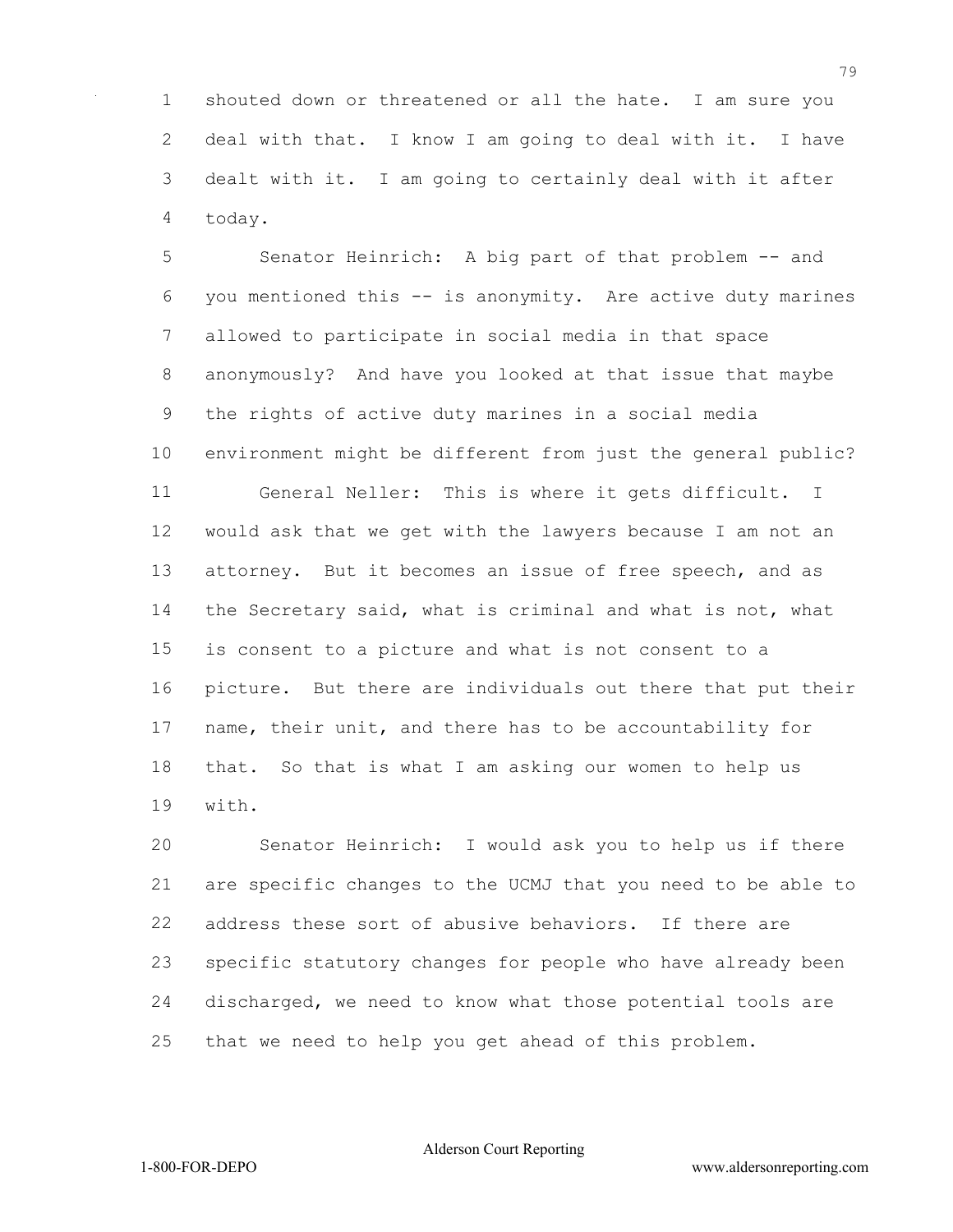shouted down or threatened or all the hate. I am sure you deal with that. I know I am going to deal with it. I have dealt with it. I am going to certainly deal with it after today.

5 Senator Heinrich: A big part of that problem -- and you mentioned this -- is anonymity. Are active duty marines allowed to participate in social media in that space anonymously? And have you looked at that issue that maybe the rights of active duty marines in a social media environment might be different from just the general public? General Neller: This is where it gets difficult. I would ask that we get with the lawyers because I am not an attorney. But it becomes an issue of free speech, and as the Secretary said, what is criminal and what is not, what is consent to a picture and what is not consent to a picture. But there are individuals out there that put their name, their unit, and there has to be accountability for that. So that is what I am asking our women to help us with.

 Senator Heinrich: I would ask you to help us if there are specific changes to the UCMJ that you need to be able to address these sort of abusive behaviors. If there are specific statutory changes for people who have already been discharged, we need to know what those potential tools are that we need to help you get ahead of this problem.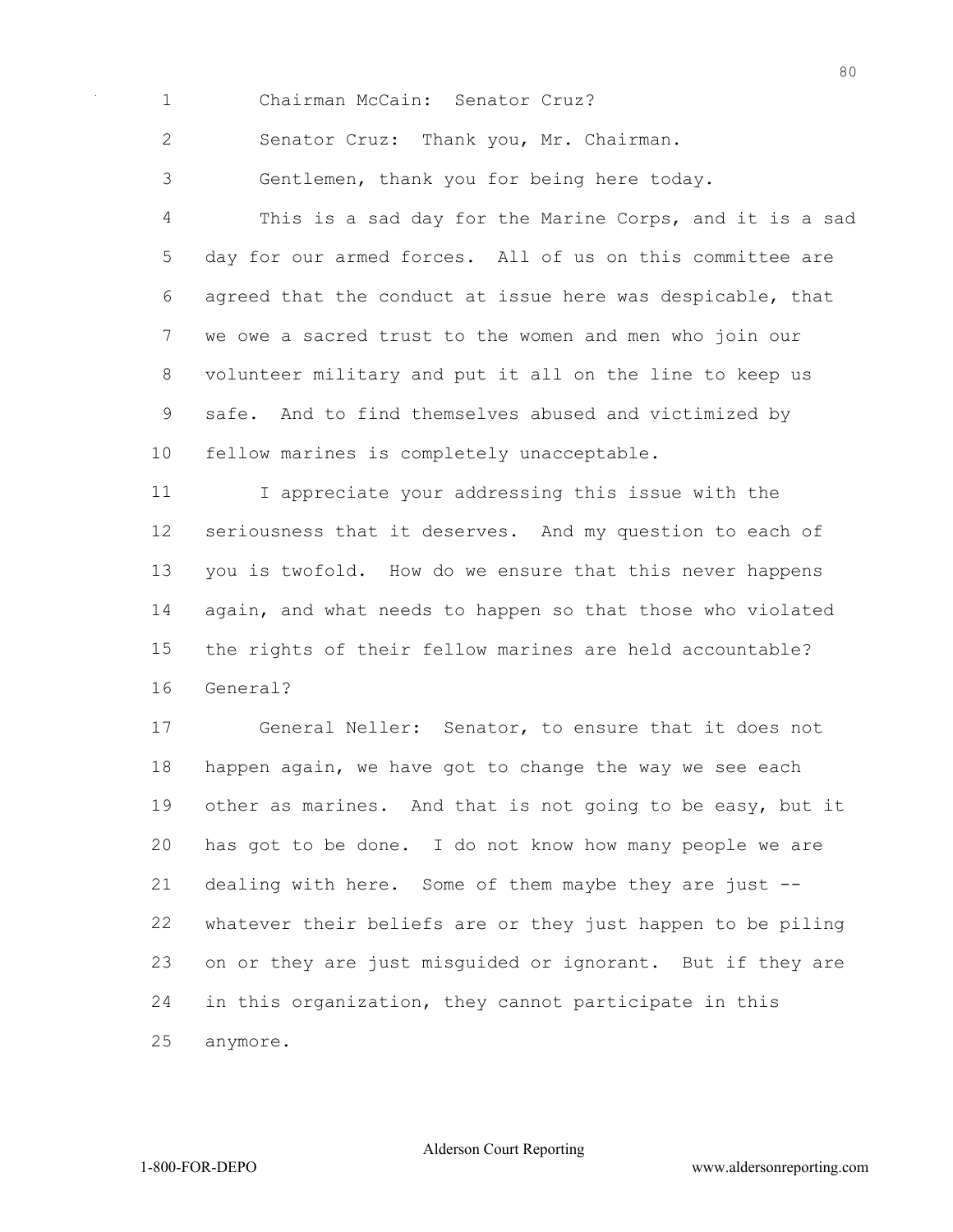Chairman McCain: Senator Cruz?

Senator Cruz: Thank you, Mr. Chairman.

Gentlemen, thank you for being here today.

 This is a sad day for the Marine Corps, and it is a sad day for our armed forces. All of us on this committee are agreed that the conduct at issue here was despicable, that we owe a sacred trust to the women and men who join our volunteer military and put it all on the line to keep us safe. And to find themselves abused and victimized by fellow marines is completely unacceptable.

 I appreciate your addressing this issue with the seriousness that it deserves. And my question to each of you is twofold. How do we ensure that this never happens again, and what needs to happen so that those who violated the rights of their fellow marines are held accountable? General?

 General Neller: Senator, to ensure that it does not happen again, we have got to change the way we see each other as marines. And that is not going to be easy, but it has got to be done. I do not know how many people we are dealing with here. Some of them maybe they are just -- whatever their beliefs are or they just happen to be piling on or they are just misguided or ignorant. But if they are in this organization, they cannot participate in this anymore.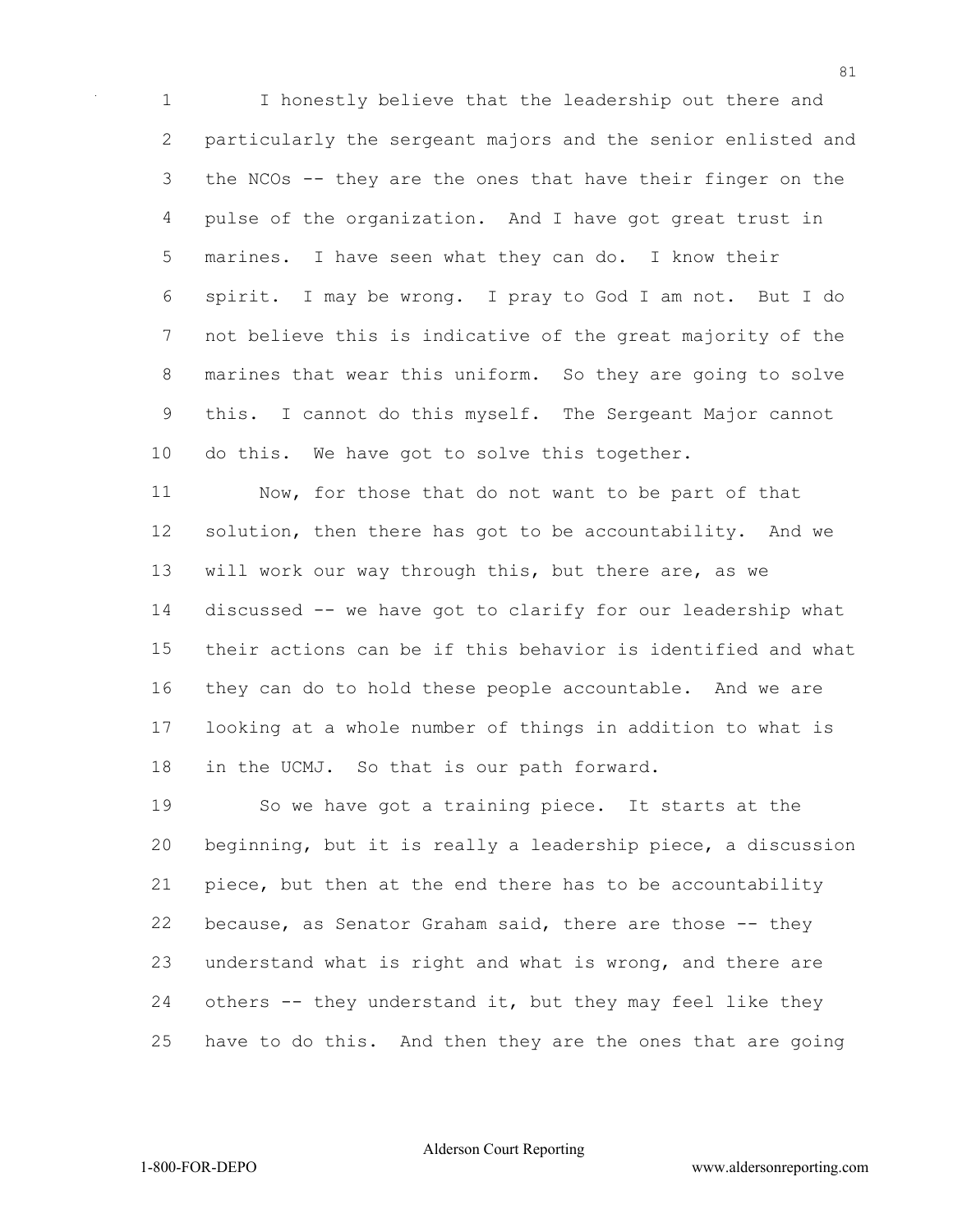I honestly believe that the leadership out there and particularly the sergeant majors and the senior enlisted and the NCOs -- they are the ones that have their finger on the pulse of the organization. And I have got great trust in marines. I have seen what they can do. I know their spirit. I may be wrong. I pray to God I am not. But I do not believe this is indicative of the great majority of the marines that wear this uniform. So they are going to solve this. I cannot do this myself. The Sergeant Major cannot do this. We have got to solve this together.

 Now, for those that do not want to be part of that solution, then there has got to be accountability. And we will work our way through this, but there are, as we discussed -- we have got to clarify for our leadership what their actions can be if this behavior is identified and what they can do to hold these people accountable. And we are looking at a whole number of things in addition to what is in the UCMJ. So that is our path forward.

 So we have got a training piece. It starts at the beginning, but it is really a leadership piece, a discussion piece, but then at the end there has to be accountability because, as Senator Graham said, there are those -- they understand what is right and what is wrong, and there are others -- they understand it, but they may feel like they have to do this. And then they are the ones that are going

Alderson Court Reporting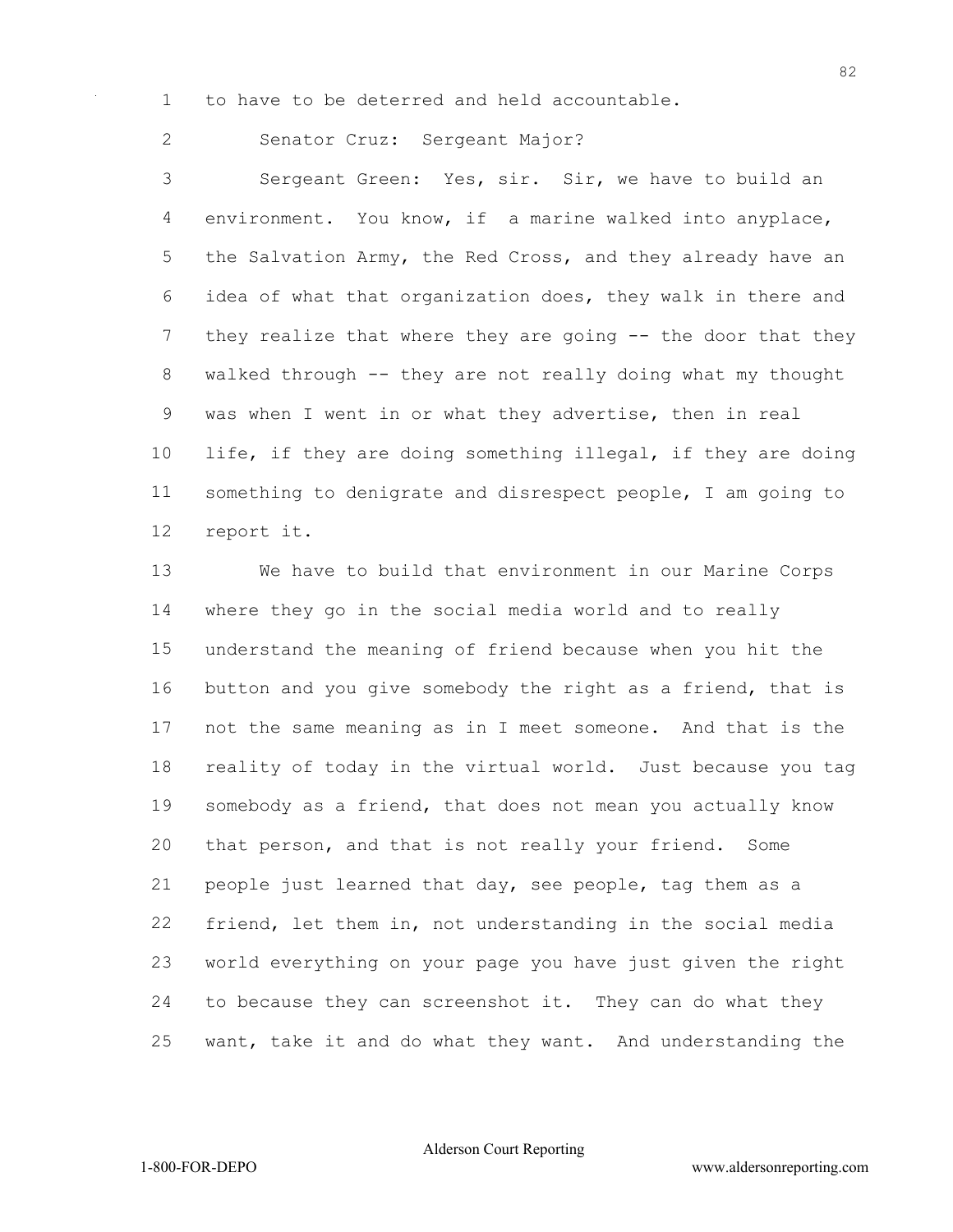to have to be deterred and held accountable.

Senator Cruz: Sergeant Major?

 Sergeant Green: Yes, sir. Sir, we have to build an environment. You know, if a marine walked into anyplace, 5 the Salvation Army, the Red Cross, and they already have an idea of what that organization does, they walk in there and they realize that where they are going -- the door that they walked through -- they are not really doing what my thought was when I went in or what they advertise, then in real life, if they are doing something illegal, if they are doing something to denigrate and disrespect people, I am going to report it.

 We have to build that environment in our Marine Corps where they go in the social media world and to really understand the meaning of friend because when you hit the button and you give somebody the right as a friend, that is not the same meaning as in I meet someone. And that is the reality of today in the virtual world. Just because you tag somebody as a friend, that does not mean you actually know that person, and that is not really your friend. Some people just learned that day, see people, tag them as a friend, let them in, not understanding in the social media world everything on your page you have just given the right to because they can screenshot it. They can do what they want, take it and do what they want. And understanding the

Alderson Court Reporting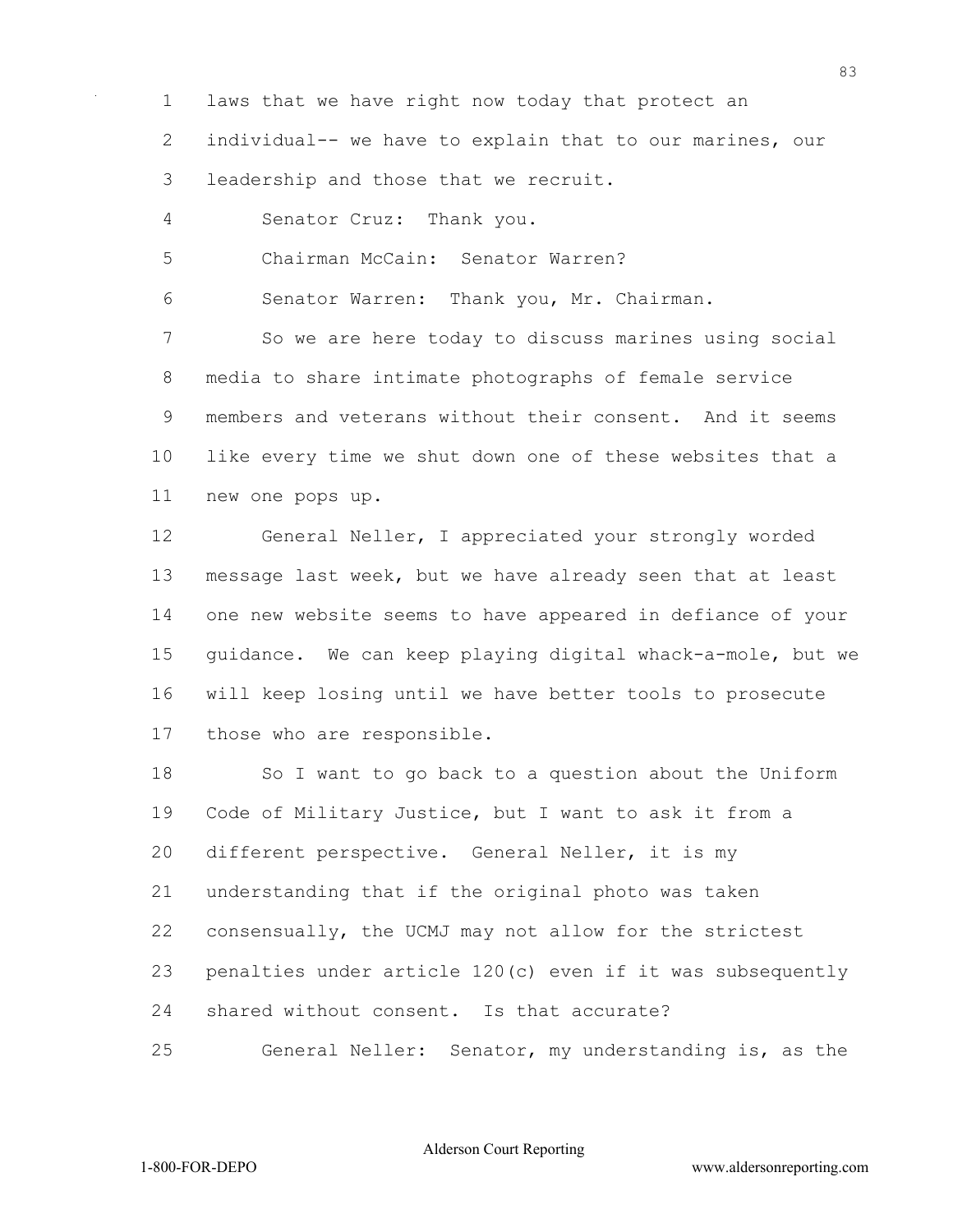1 laws that we have right now today that protect an

2 individual-- we have to explain that to our marines, our

3 leadership and those that we recruit.

4 Senator Cruz: Thank you.

5 Chairman McCain: Senator Warren?

6 Senator Warren: Thank you, Mr. Chairman.

7 So we are here today to discuss marines using social 8 media to share intimate photographs of female service 9 members and veterans without their consent. And it seems 10 like every time we shut down one of these websites that a 11 new one pops up.

12 General Neller, I appreciated your strongly worded 13 message last week, but we have already seen that at least 14 one new website seems to have appeared in defiance of your 15 guidance. We can keep playing digital whack-a-mole, but we 16 will keep losing until we have better tools to prosecute 17 those who are responsible.

18 So I want to go back to a question about the Uniform 19 Code of Military Justice, but I want to ask it from a 20 different perspective. General Neller, it is my 21 understanding that if the original photo was taken 22 consensually, the UCMJ may not allow for the strictest 23 penalties under article 120(c) even if it was subsequently 24 shared without consent. Is that accurate?

25 General Neller: Senator, my understanding is, as the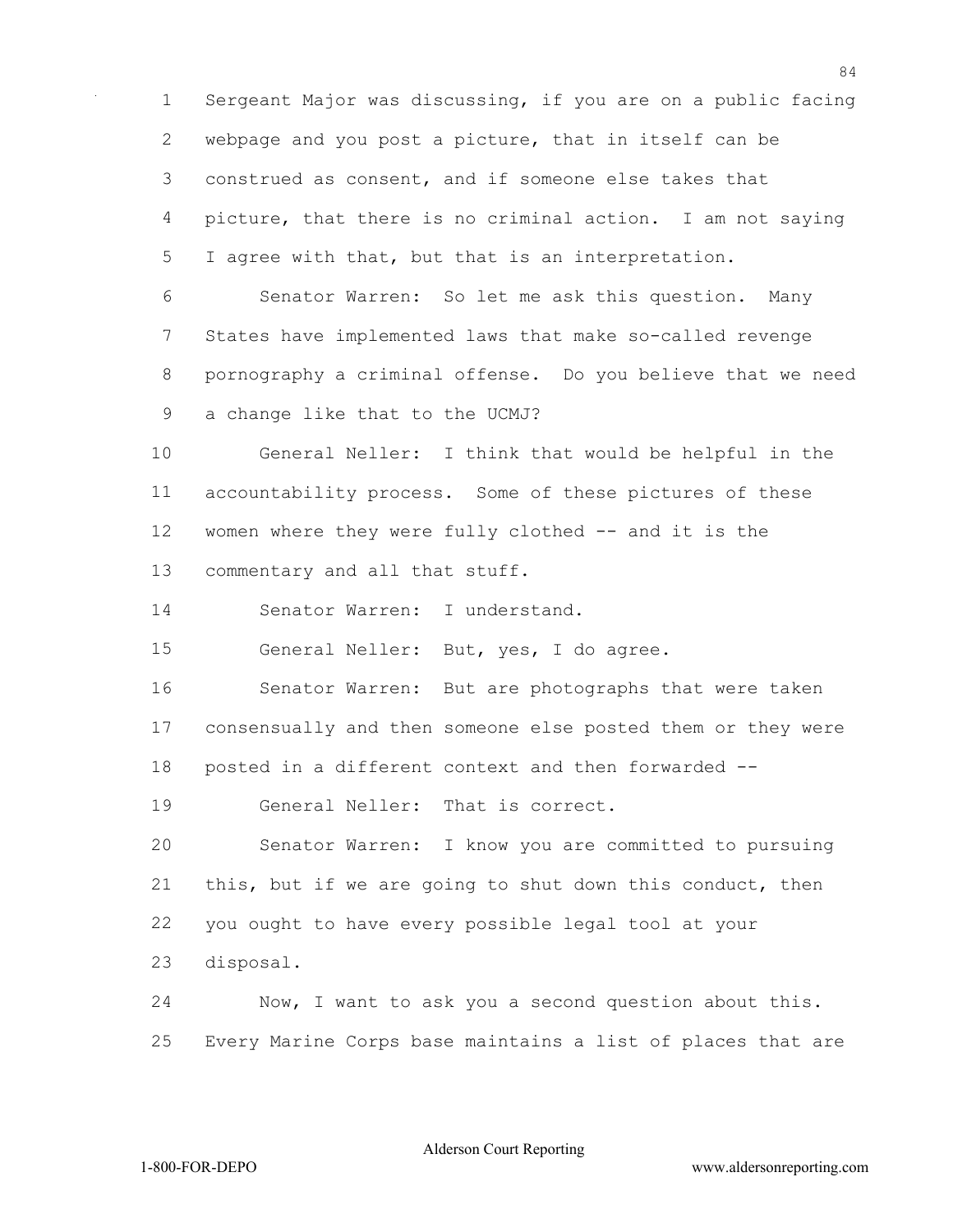Sergeant Major was discussing, if you are on a public facing webpage and you post a picture, that in itself can be construed as consent, and if someone else takes that picture, that there is no criminal action. I am not saying I agree with that, but that is an interpretation. Senator Warren: So let me ask this question. Many States have implemented laws that make so-called revenge pornography a criminal offense. Do you believe that we need a change like that to the UCMJ? General Neller: I think that would be helpful in the accountability process. Some of these pictures of these women where they were fully clothed -- and it is the commentary and all that stuff. Senator Warren: I understand. General Neller: But, yes, I do agree. Senator Warren: But are photographs that were taken consensually and then someone else posted them or they were posted in a different context and then forwarded -- General Neller: That is correct. Senator Warren: I know you are committed to pursuing this, but if we are going to shut down this conduct, then you ought to have every possible legal tool at your disposal. Now, I want to ask you a second question about this. Every Marine Corps base maintains a list of places that are

Alderson Court Reporting

1-800-FOR-DEPO www.aldersonreporting.com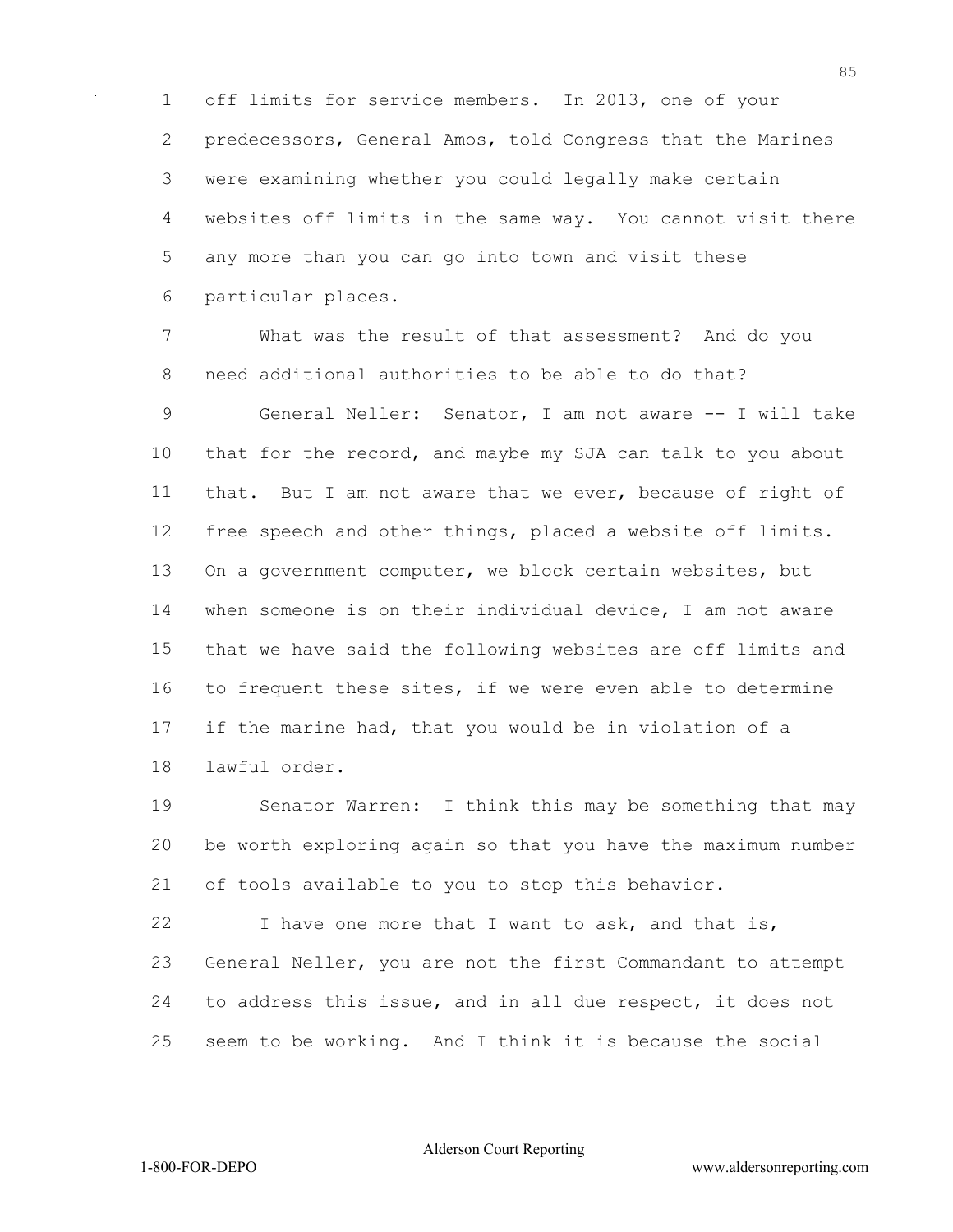off limits for service members. In 2013, one of your predecessors, General Amos, told Congress that the Marines were examining whether you could legally make certain websites off limits in the same way. You cannot visit there any more than you can go into town and visit these particular places.

 What was the result of that assessment? And do you need additional authorities to be able to do that? General Neller: Senator, I am not aware -- I will take that for the record, and maybe my SJA can talk to you about that. But I am not aware that we ever, because of right of free speech and other things, placed a website off limits. On a government computer, we block certain websites, but when someone is on their individual device, I am not aware that we have said the following websites are off limits and to frequent these sites, if we were even able to determine if the marine had, that you would be in violation of a lawful order.

 Senator Warren: I think this may be something that may be worth exploring again so that you have the maximum number of tools available to you to stop this behavior.

22 I have one more that I want to ask, and that is, General Neller, you are not the first Commandant to attempt to address this issue, and in all due respect, it does not seem to be working. And I think it is because the social

Alderson Court Reporting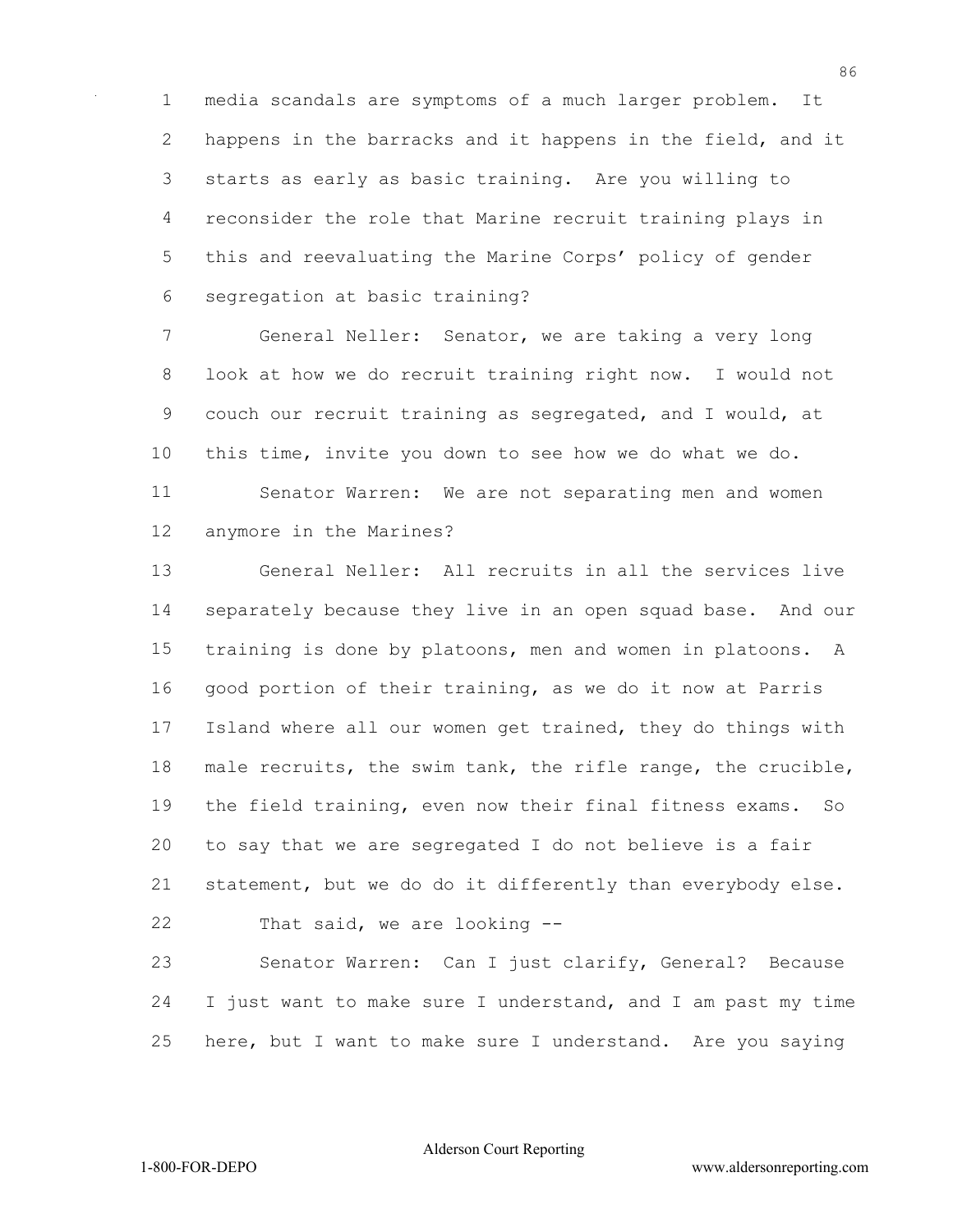media scandals are symptoms of a much larger problem. It happens in the barracks and it happens in the field, and it starts as early as basic training. Are you willing to reconsider the role that Marine recruit training plays in this and reevaluating the Marine Corps' policy of gender segregation at basic training?

 General Neller: Senator, we are taking a very long look at how we do recruit training right now. I would not couch our recruit training as segregated, and I would, at this time, invite you down to see how we do what we do. Senator Warren: We are not separating men and women anymore in the Marines?

 General Neller: All recruits in all the services live separately because they live in an open squad base. And our training is done by platoons, men and women in platoons. A good portion of their training, as we do it now at Parris Island where all our women get trained, they do things with male recruits, the swim tank, the rifle range, the crucible, the field training, even now their final fitness exams. So to say that we are segregated I do not believe is a fair statement, but we do do it differently than everybody else. That said, we are looking --

 Senator Warren: Can I just clarify, General? Because I just want to make sure I understand, and I am past my time here, but I want to make sure I understand. Are you saying

Alderson Court Reporting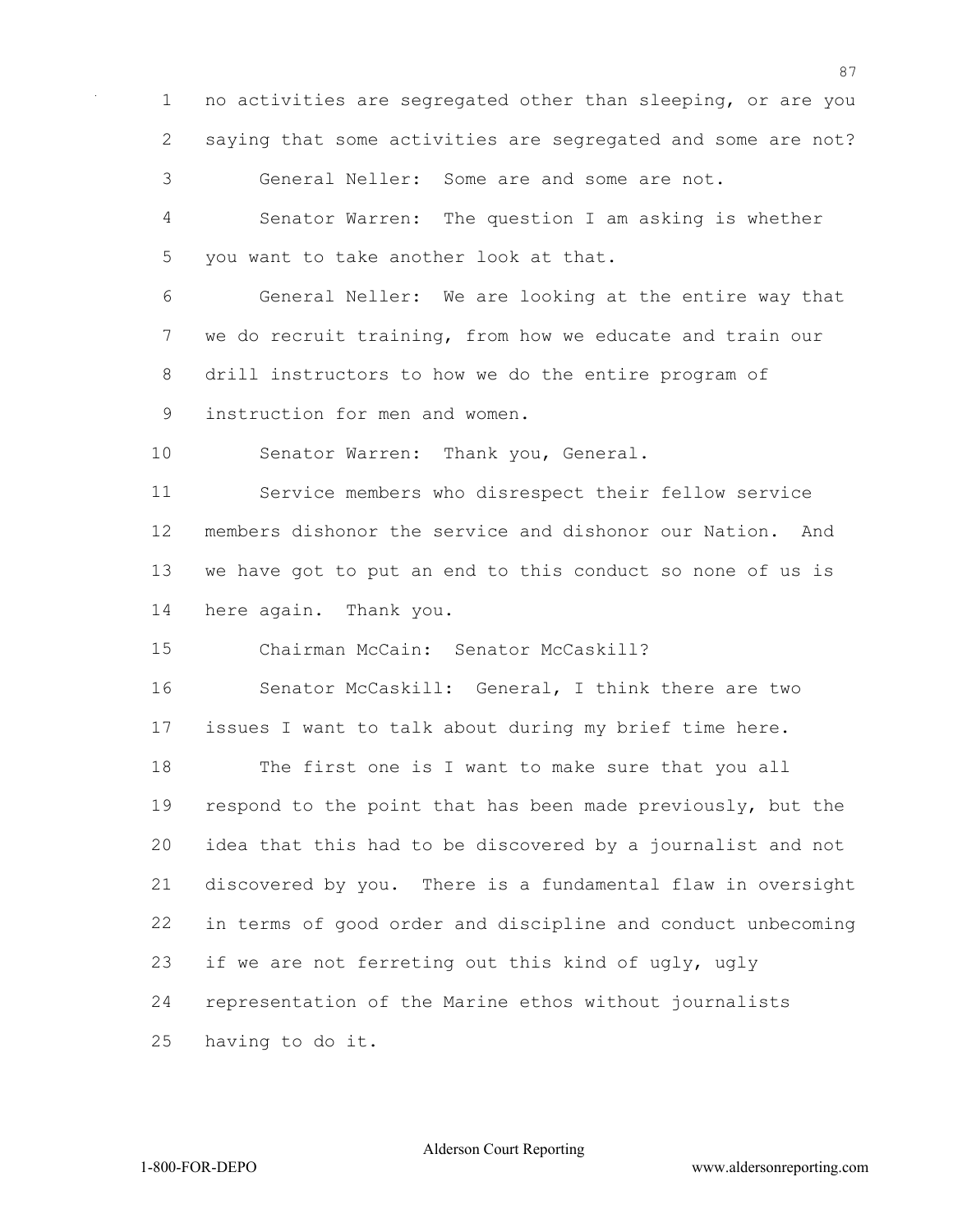no activities are segregated other than sleeping, or are you saying that some activities are segregated and some are not?

General Neller: Some are and some are not.

 Senator Warren: The question I am asking is whether you want to take another look at that.

 General Neller: We are looking at the entire way that we do recruit training, from how we educate and train our drill instructors to how we do the entire program of instruction for men and women.

Senator Warren: Thank you, General.

 Service members who disrespect their fellow service members dishonor the service and dishonor our Nation. And we have got to put an end to this conduct so none of us is here again. Thank you.

Chairman McCain: Senator McCaskill?

 Senator McCaskill: General, I think there are two issues I want to talk about during my brief time here.

 The first one is I want to make sure that you all respond to the point that has been made previously, but the idea that this had to be discovered by a journalist and not discovered by you. There is a fundamental flaw in oversight in terms of good order and discipline and conduct unbecoming if we are not ferreting out this kind of ugly, ugly representation of the Marine ethos without journalists having to do it.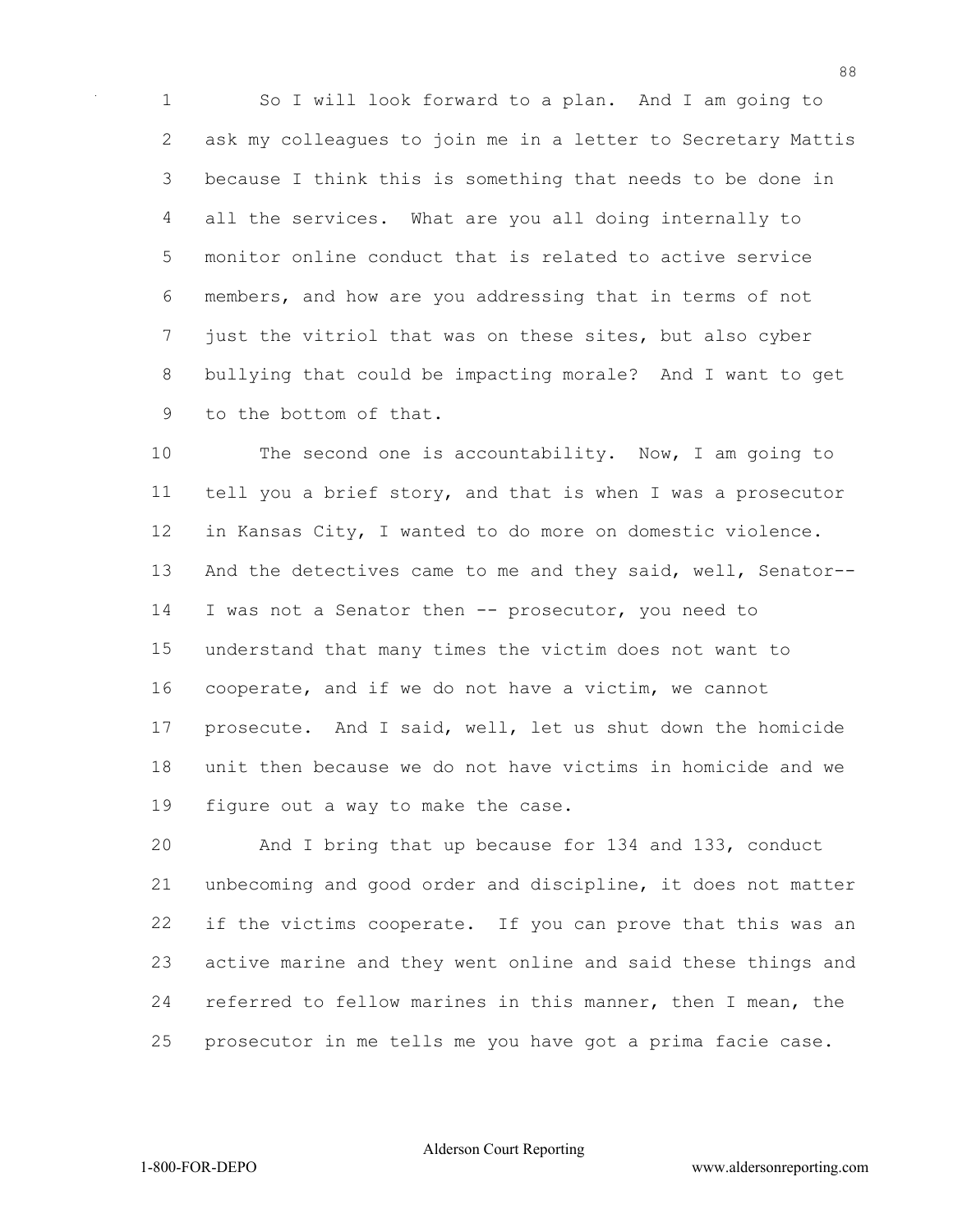So I will look forward to a plan. And I am going to ask my colleagues to join me in a letter to Secretary Mattis because I think this is something that needs to be done in all the services. What are you all doing internally to monitor online conduct that is related to active service members, and how are you addressing that in terms of not just the vitriol that was on these sites, but also cyber bullying that could be impacting morale? And I want to get to the bottom of that.

 The second one is accountability. Now, I am going to tell you a brief story, and that is when I was a prosecutor in Kansas City, I wanted to do more on domestic violence. And the detectives came to me and they said, well, Senator-- I was not a Senator then -- prosecutor, you need to understand that many times the victim does not want to cooperate, and if we do not have a victim, we cannot prosecute. And I said, well, let us shut down the homicide unit then because we do not have victims in homicide and we figure out a way to make the case.

 And I bring that up because for 134 and 133, conduct unbecoming and good order and discipline, it does not matter if the victims cooperate. If you can prove that this was an active marine and they went online and said these things and referred to fellow marines in this manner, then I mean, the prosecutor in me tells me you have got a prima facie case.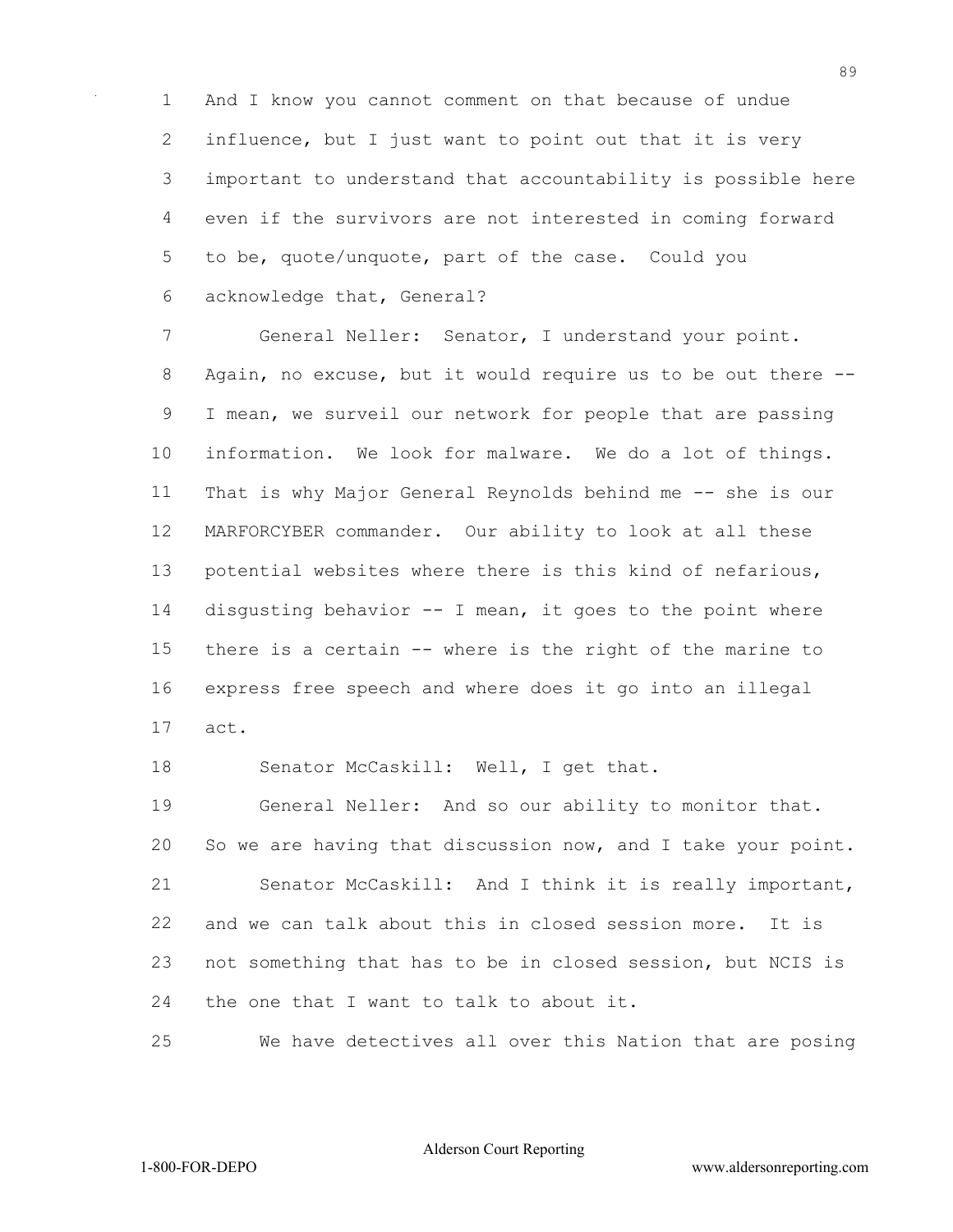And I know you cannot comment on that because of undue 2 influence, but I just want to point out that it is very important to understand that accountability is possible here even if the survivors are not interested in coming forward to be, quote/unquote, part of the case. Could you acknowledge that, General?

 General Neller: Senator, I understand your point. Again, no excuse, but it would require us to be out there -- I mean, we surveil our network for people that are passing information. We look for malware. We do a lot of things. That is why Major General Reynolds behind me -- she is our MARFORCYBER commander. Our ability to look at all these potential websites where there is this kind of nefarious, disgusting behavior -- I mean, it goes to the point where there is a certain -- where is the right of the marine to express free speech and where does it go into an illegal act.

18 Senator McCaskill: Well, I get that.

 General Neller: And so our ability to monitor that. So we are having that discussion now, and I take your point. Senator McCaskill: And I think it is really important, and we can talk about this in closed session more. It is not something that has to be in closed session, but NCIS is 24 the one that I want to talk to about it.

We have detectives all over this Nation that are posing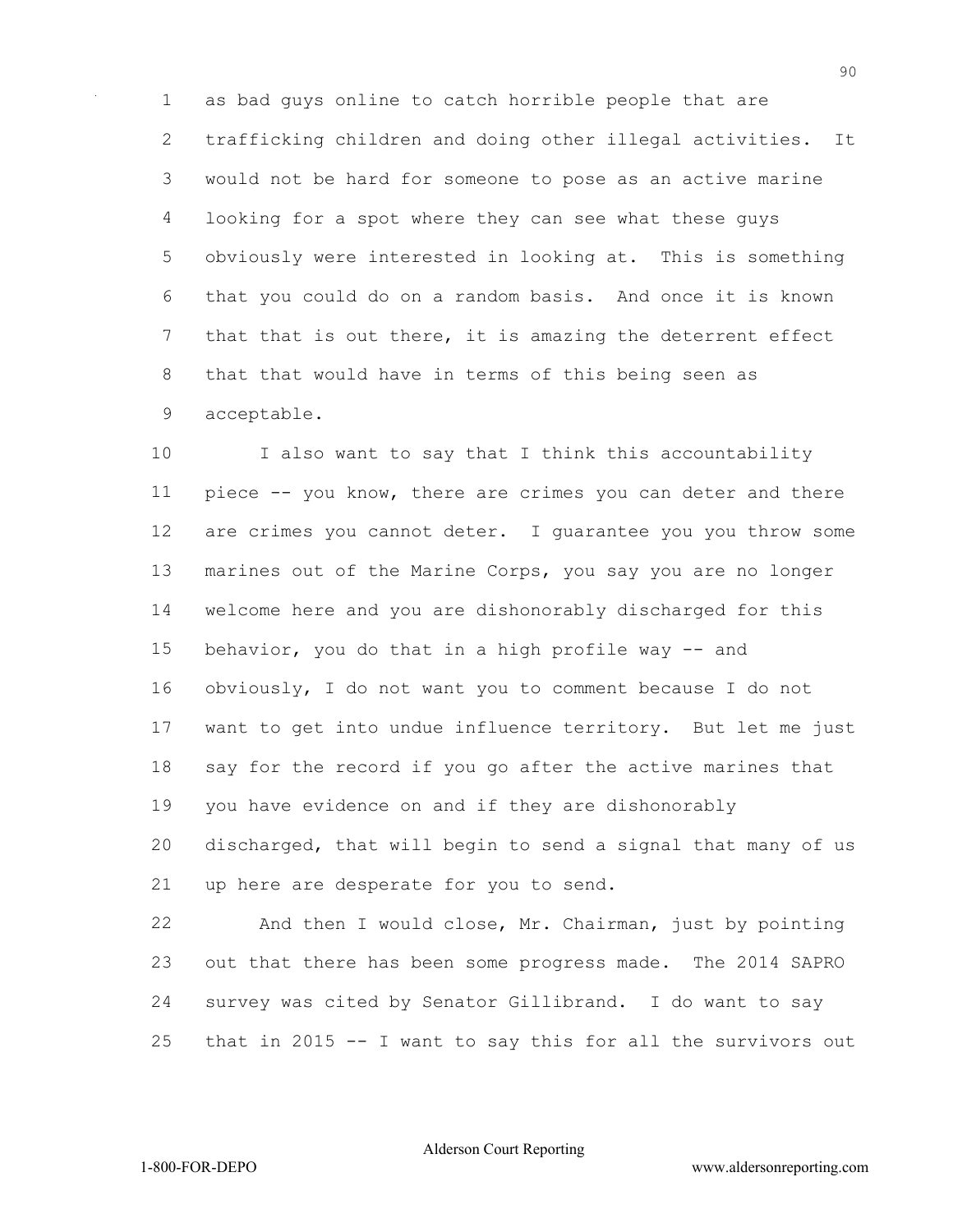as bad guys online to catch horrible people that are trafficking children and doing other illegal activities. It would not be hard for someone to pose as an active marine looking for a spot where they can see what these guys obviously were interested in looking at. This is something that you could do on a random basis. And once it is known that that is out there, it is amazing the deterrent effect that that would have in terms of this being seen as acceptable.

 I also want to say that I think this accountability piece -- you know, there are crimes you can deter and there are crimes you cannot deter. I guarantee you you throw some marines out of the Marine Corps, you say you are no longer welcome here and you are dishonorably discharged for this behavior, you do that in a high profile way -- and obviously, I do not want you to comment because I do not want to get into undue influence territory. But let me just say for the record if you go after the active marines that you have evidence on and if they are dishonorably discharged, that will begin to send a signal that many of us up here are desperate for you to send.

 And then I would close, Mr. Chairman, just by pointing out that there has been some progress made. The 2014 SAPRO survey was cited by Senator Gillibrand. I do want to say that in 2015 -- I want to say this for all the survivors out

Alderson Court Reporting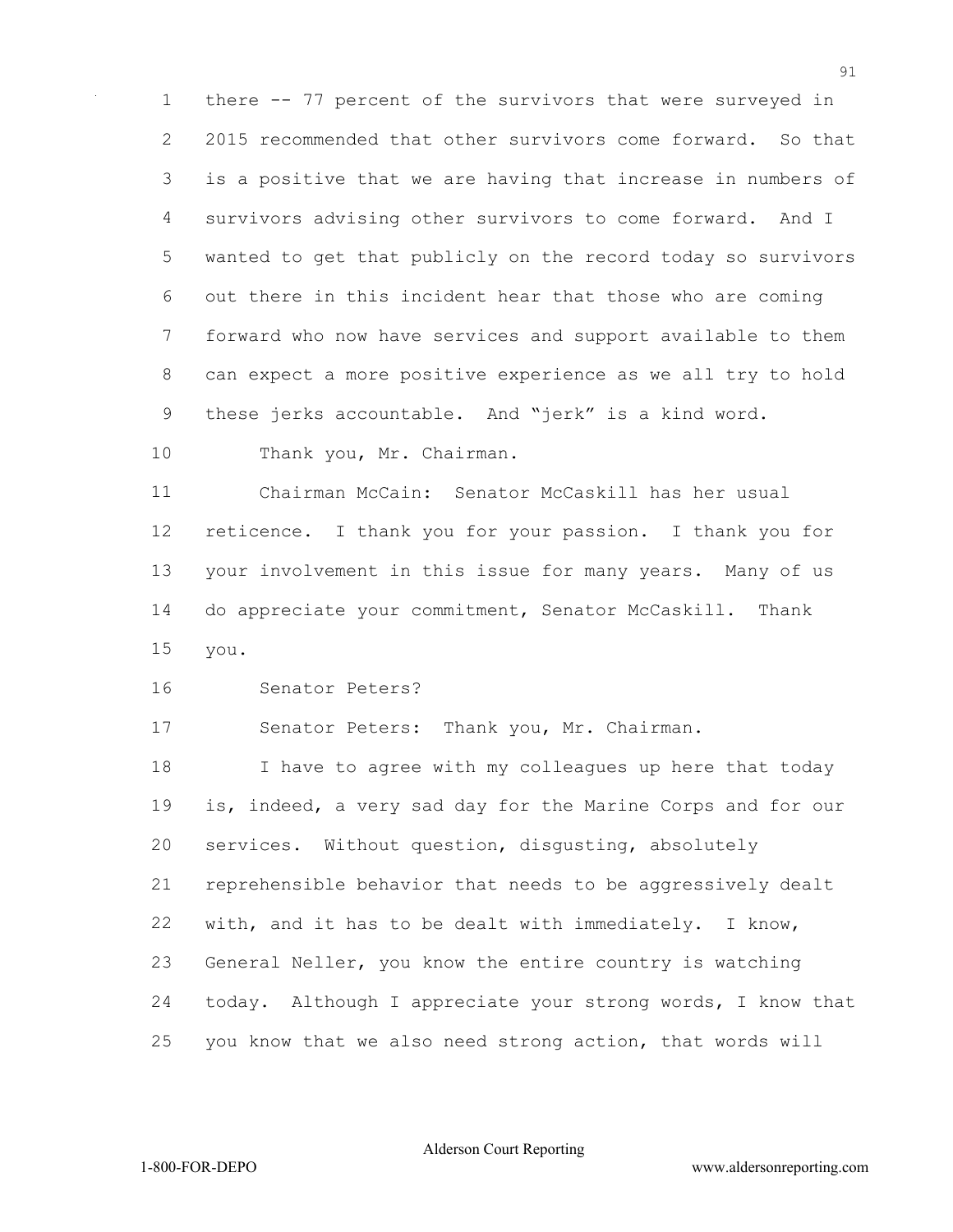there -- 77 percent of the survivors that were surveyed in 2015 recommended that other survivors come forward. So that is a positive that we are having that increase in numbers of survivors advising other survivors to come forward. And I wanted to get that publicly on the record today so survivors out there in this incident hear that those who are coming forward who now have services and support available to them can expect a more positive experience as we all try to hold these jerks accountable. And "jerk" is a kind word.

10 Thank you, Mr. Chairman.

 Chairman McCain: Senator McCaskill has her usual reticence. I thank you for your passion. I thank you for your involvement in this issue for many years. Many of us do appreciate your commitment, Senator McCaskill. Thank you.

Senator Peters?

Senator Peters: Thank you, Mr. Chairman.

 I have to agree with my colleagues up here that today is, indeed, a very sad day for the Marine Corps and for our services. Without question, disgusting, absolutely reprehensible behavior that needs to be aggressively dealt with, and it has to be dealt with immediately. I know, General Neller, you know the entire country is watching today. Although I appreciate your strong words, I know that you know that we also need strong action, that words will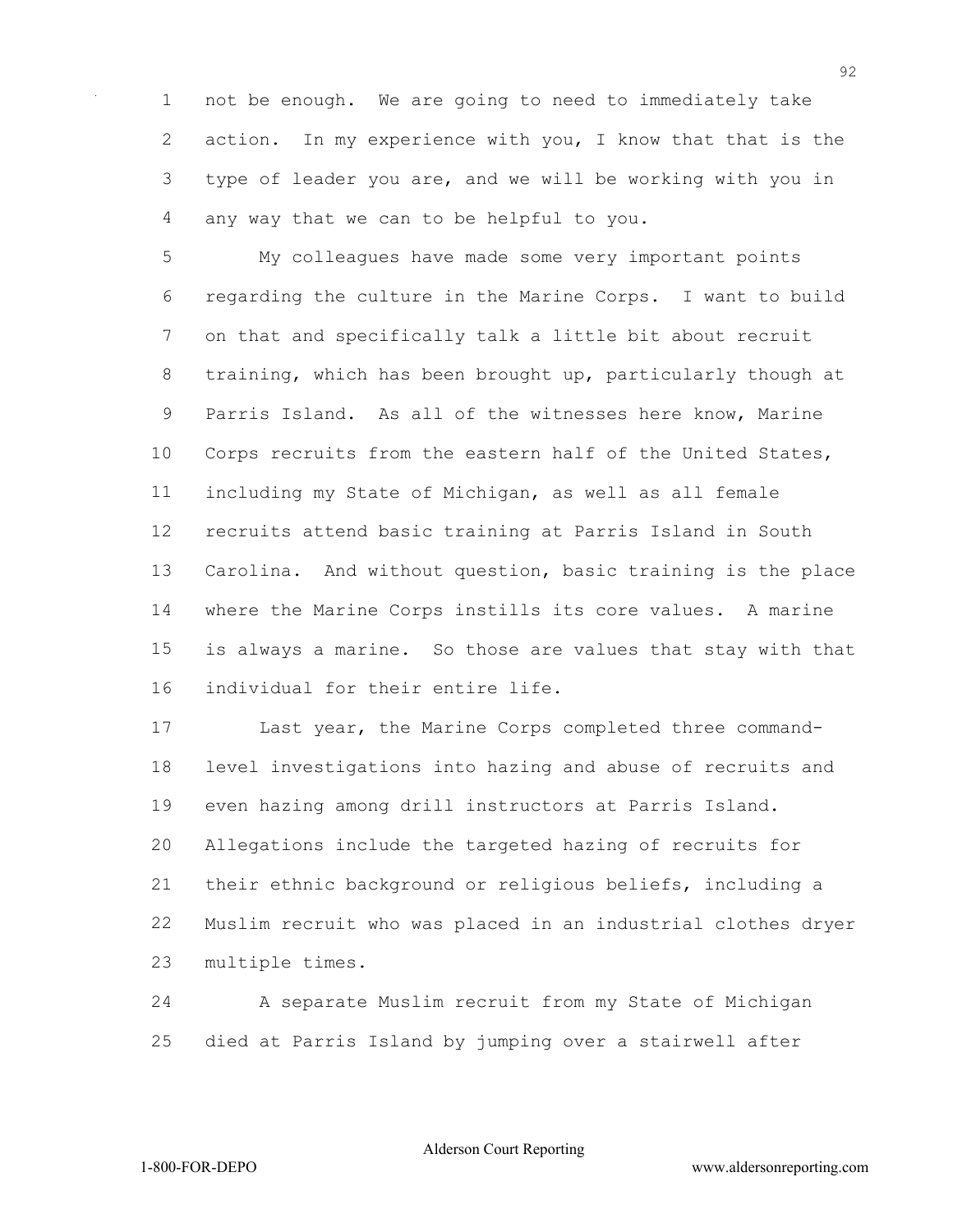not be enough. We are going to need to immediately take action. In my experience with you, I know that that is the type of leader you are, and we will be working with you in any way that we can to be helpful to you.

 My colleagues have made some very important points regarding the culture in the Marine Corps. I want to build on that and specifically talk a little bit about recruit training, which has been brought up, particularly though at Parris Island. As all of the witnesses here know, Marine Corps recruits from the eastern half of the United States, including my State of Michigan, as well as all female recruits attend basic training at Parris Island in South Carolina. And without question, basic training is the place where the Marine Corps instills its core values. A marine is always a marine. So those are values that stay with that individual for their entire life.

 Last year, the Marine Corps completed three command- level investigations into hazing and abuse of recruits and even hazing among drill instructors at Parris Island. Allegations include the targeted hazing of recruits for their ethnic background or religious beliefs, including a Muslim recruit who was placed in an industrial clothes dryer multiple times.

 A separate Muslim recruit from my State of Michigan died at Parris Island by jumping over a stairwell after

Alderson Court Reporting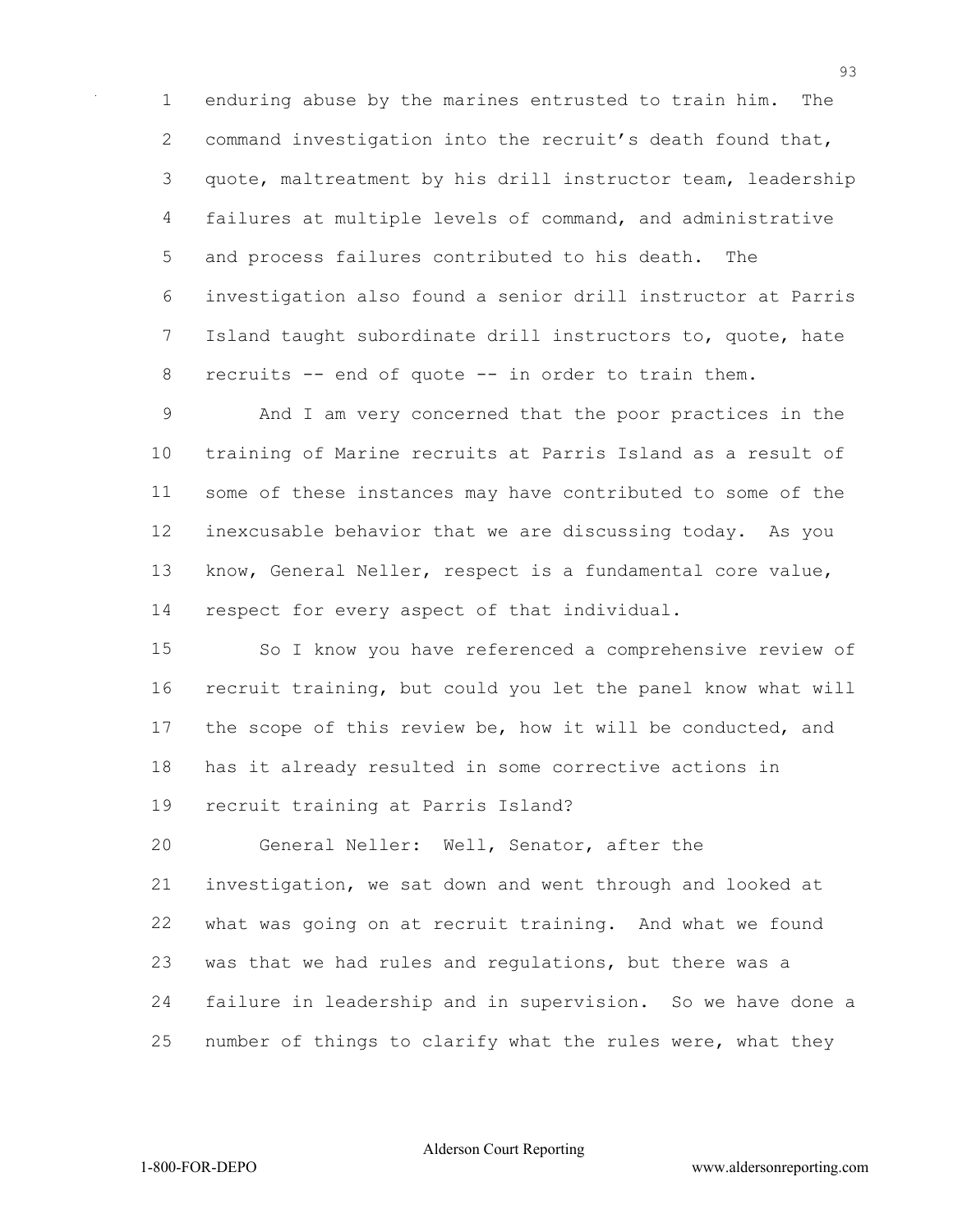enduring abuse by the marines entrusted to train him. The command investigation into the recruit's death found that, quote, maltreatment by his drill instructor team, leadership failures at multiple levels of command, and administrative and process failures contributed to his death. The investigation also found a senior drill instructor at Parris Island taught subordinate drill instructors to, quote, hate recruits -- end of quote -- in order to train them.

 And I am very concerned that the poor practices in the training of Marine recruits at Parris Island as a result of some of these instances may have contributed to some of the inexcusable behavior that we are discussing today. As you know, General Neller, respect is a fundamental core value, respect for every aspect of that individual.

 So I know you have referenced a comprehensive review of recruit training, but could you let the panel know what will the scope of this review be, how it will be conducted, and has it already resulted in some corrective actions in recruit training at Parris Island?

 General Neller: Well, Senator, after the investigation, we sat down and went through and looked at what was going on at recruit training. And what we found was that we had rules and regulations, but there was a failure in leadership and in supervision. So we have done a number of things to clarify what the rules were, what they

Alderson Court Reporting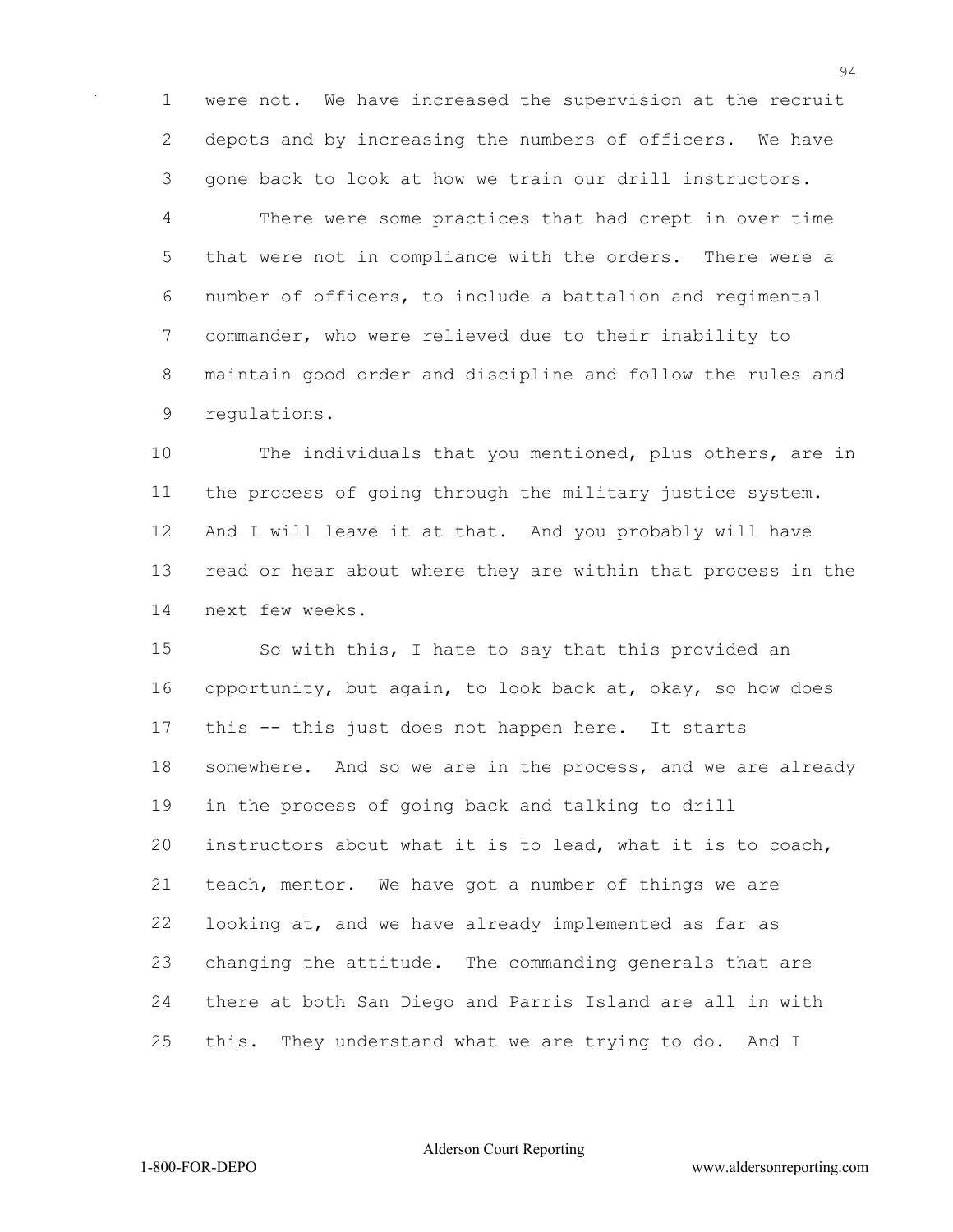were not. We have increased the supervision at the recruit depots and by increasing the numbers of officers. We have gone back to look at how we train our drill instructors.

 There were some practices that had crept in over time that were not in compliance with the orders. There were a number of officers, to include a battalion and regimental commander, who were relieved due to their inability to maintain good order and discipline and follow the rules and regulations.

 The individuals that you mentioned, plus others, are in the process of going through the military justice system. And I will leave it at that. And you probably will have read or hear about where they are within that process in the next few weeks.

 So with this, I hate to say that this provided an opportunity, but again, to look back at, okay, so how does this -- this just does not happen here. It starts somewhere. And so we are in the process, and we are already in the process of going back and talking to drill instructors about what it is to lead, what it is to coach, teach, mentor. We have got a number of things we are looking at, and we have already implemented as far as changing the attitude. The commanding generals that are there at both San Diego and Parris Island are all in with this. They understand what we are trying to do. And I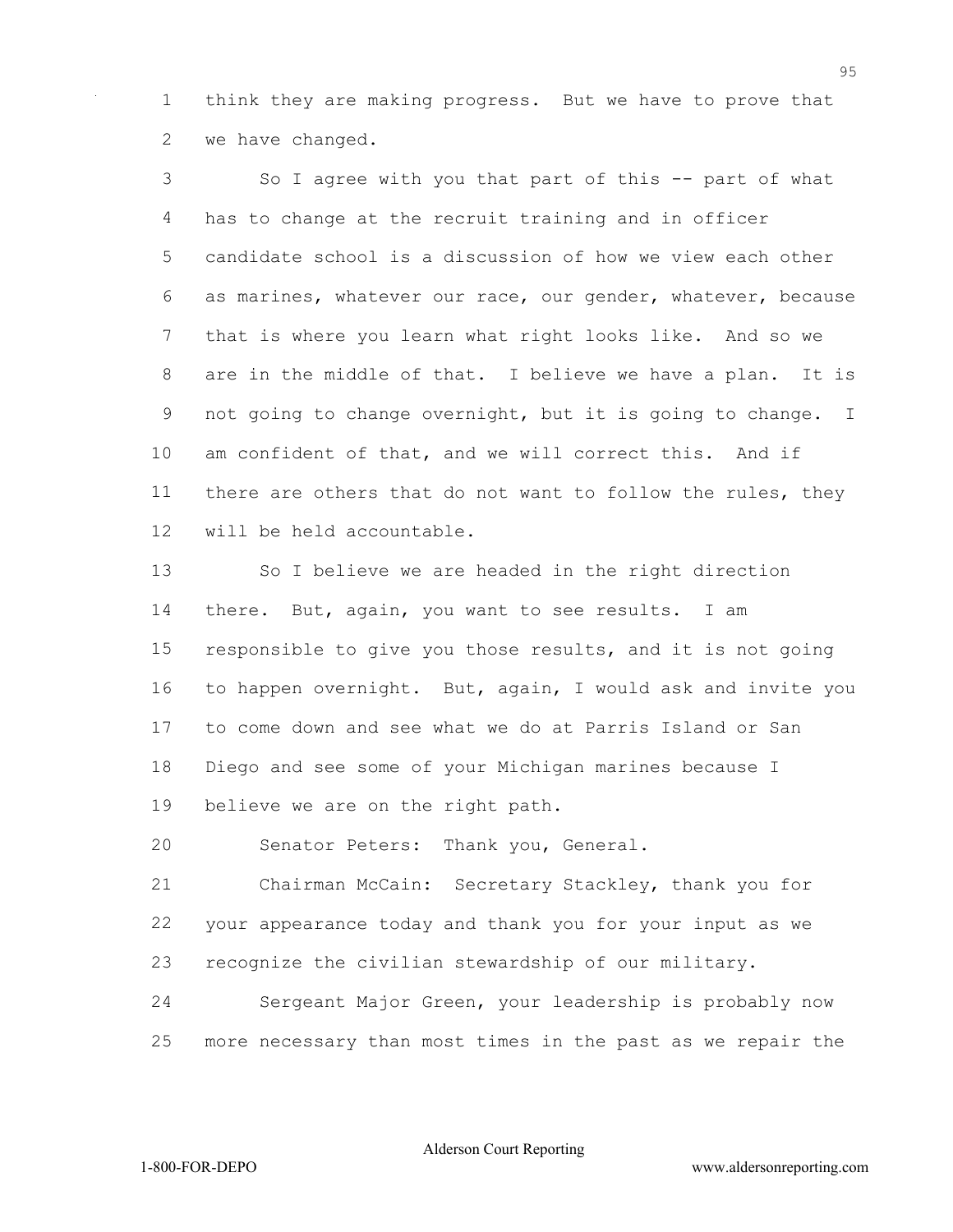think they are making progress. But we have to prove that we have changed.

 So I agree with you that part of this -- part of what has to change at the recruit training and in officer candidate school is a discussion of how we view each other as marines, whatever our race, our gender, whatever, because that is where you learn what right looks like. And so we are in the middle of that. I believe we have a plan. It is not going to change overnight, but it is going to change. I am confident of that, and we will correct this. And if there are others that do not want to follow the rules, they will be held accountable.

13 So I believe we are headed in the right direction there. But, again, you want to see results. I am responsible to give you those results, and it is not going to happen overnight. But, again, I would ask and invite you to come down and see what we do at Parris Island or San Diego and see some of your Michigan marines because I believe we are on the right path.

Senator Peters: Thank you, General.

 Chairman McCain: Secretary Stackley, thank you for your appearance today and thank you for your input as we recognize the civilian stewardship of our military.

 Sergeant Major Green, your leadership is probably now more necessary than most times in the past as we repair the

Alderson Court Reporting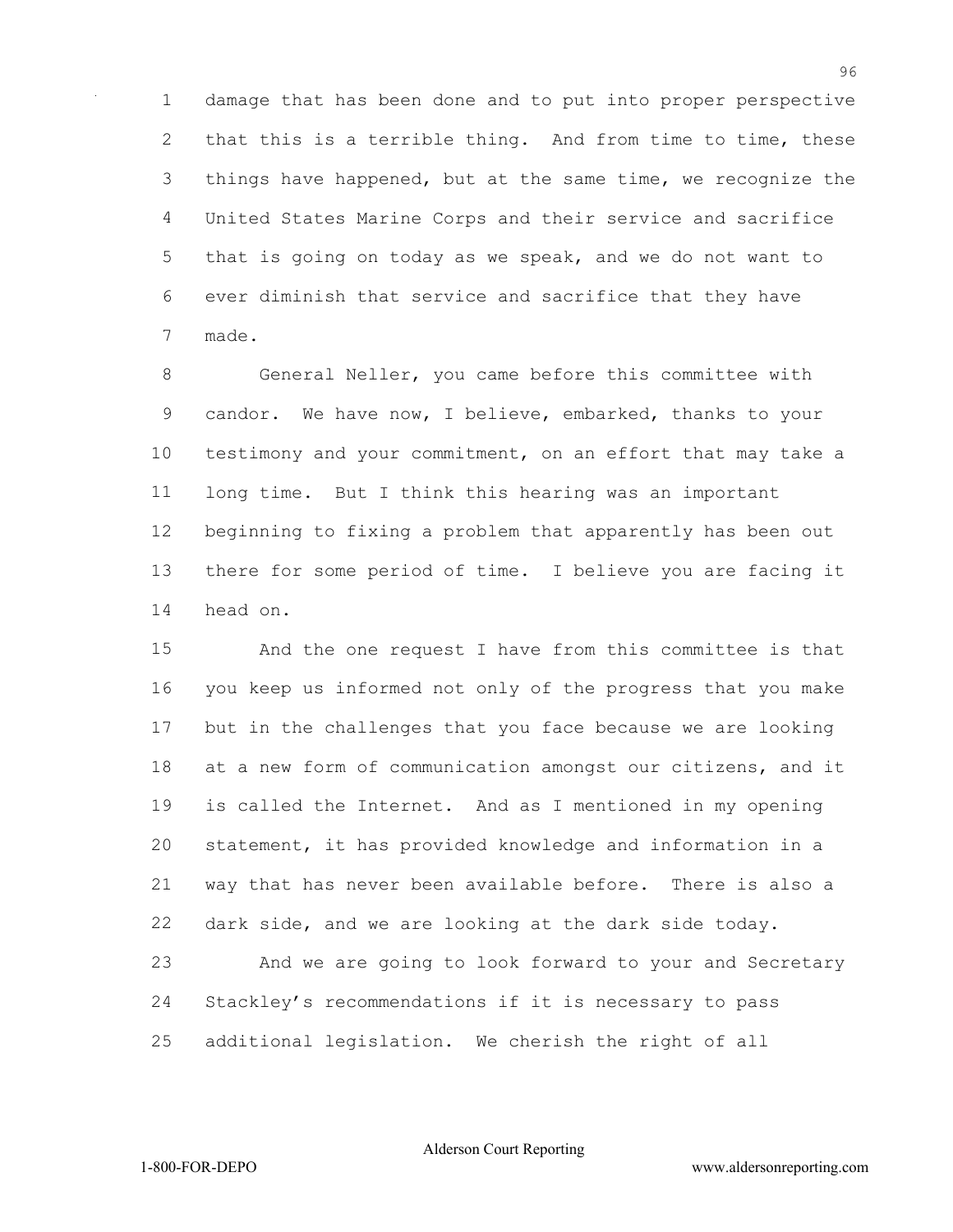damage that has been done and to put into proper perspective 2 that this is a terrible thing. And from time to time, these things have happened, but at the same time, we recognize the United States Marine Corps and their service and sacrifice that is going on today as we speak, and we do not want to ever diminish that service and sacrifice that they have made.

 General Neller, you came before this committee with candor. We have now, I believe, embarked, thanks to your testimony and your commitment, on an effort that may take a long time. But I think this hearing was an important beginning to fixing a problem that apparently has been out there for some period of time. I believe you are facing it head on.

 And the one request I have from this committee is that you keep us informed not only of the progress that you make but in the challenges that you face because we are looking at a new form of communication amongst our citizens, and it is called the Internet. And as I mentioned in my opening statement, it has provided knowledge and information in a way that has never been available before. There is also a dark side, and we are looking at the dark side today. And we are going to look forward to your and Secretary Stackley's recommendations if it is necessary to pass additional legislation. We cherish the right of all

Alderson Court Reporting